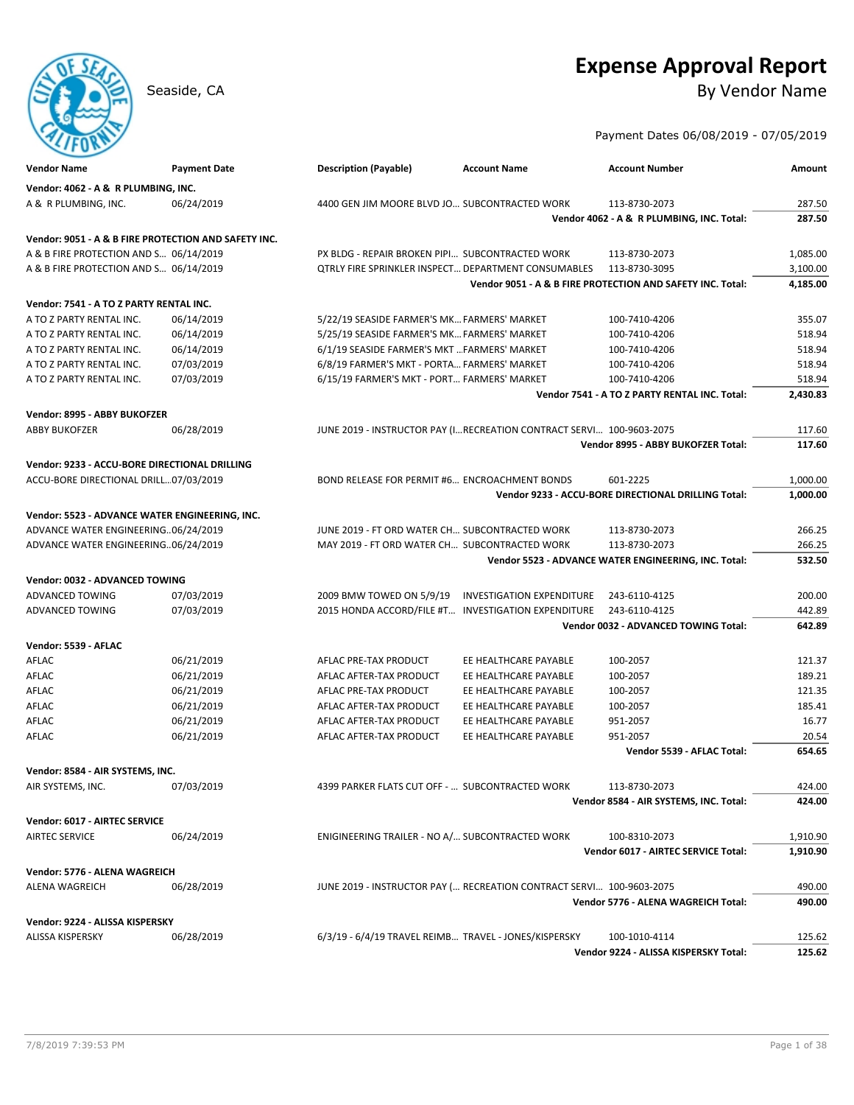# **Expense Approval Report**

Seaside, CA By Vendor Name

Payment Dates 06/08/2019 - 07/05/2019

| <b>Vendor Name</b>                                   | <b>Payment Date</b> | <b>Description (Payable)</b>                          | <b>Account Name</b>                                                   | <b>Account Number</b>                                      | Amount   |
|------------------------------------------------------|---------------------|-------------------------------------------------------|-----------------------------------------------------------------------|------------------------------------------------------------|----------|
| Vendor: 4062 - A & R PLUMBING, INC.                  |                     |                                                       |                                                                       |                                                            |          |
| A & R PLUMBING, INC.                                 | 06/24/2019          | 4400 GEN JIM MOORE BLVD JO SUBCONTRACTED WORK         |                                                                       | 113-8730-2073                                              | 287.50   |
|                                                      |                     |                                                       |                                                                       | Vendor 4062 - A & R PLUMBING, INC. Total:                  | 287.50   |
| Vendor: 9051 - A & B FIRE PROTECTION AND SAFETY INC. |                     |                                                       |                                                                       |                                                            |          |
| A & B FIRE PROTECTION AND S 06/14/2019               |                     | PX BLDG - REPAIR BROKEN PIPI SUBCONTRACTED WORK       |                                                                       | 113-8730-2073                                              | 1,085.00 |
| A & B FIRE PROTECTION AND S 06/14/2019               |                     | QTRLY FIRE SPRINKLER INSPECT DEPARTMENT CONSUMABLES   |                                                                       | 113-8730-3095                                              | 3,100.00 |
|                                                      |                     |                                                       |                                                                       | Vendor 9051 - A & B FIRE PROTECTION AND SAFETY INC. Total: | 4,185.00 |
|                                                      |                     |                                                       |                                                                       |                                                            |          |
| Vendor: 7541 - A TO Z PARTY RENTAL INC.              |                     |                                                       |                                                                       |                                                            |          |
| A TO Z PARTY RENTAL INC.                             | 06/14/2019          | 5/22/19 SEASIDE FARMER'S MK FARMERS' MARKET           |                                                                       | 100-7410-4206                                              | 355.07   |
| A TO Z PARTY RENTAL INC.                             | 06/14/2019          | 5/25/19 SEASIDE FARMER'S MK FARMERS' MARKET           |                                                                       | 100-7410-4206                                              | 518.94   |
| A TO Z PARTY RENTAL INC.                             | 06/14/2019          | 6/1/19 SEASIDE FARMER'S MKT  FARMERS' MARKET          |                                                                       | 100-7410-4206                                              | 518.94   |
| A TO Z PARTY RENTAL INC.                             | 07/03/2019          | 6/8/19 FARMER'S MKT - PORTA FARMERS' MARKET           |                                                                       | 100-7410-4206                                              | 518.94   |
| A TO Z PARTY RENTAL INC.                             | 07/03/2019          | 6/15/19 FARMER'S MKT - PORT FARMERS' MARKET           |                                                                       | 100-7410-4206                                              | 518.94   |
|                                                      |                     |                                                       |                                                                       | Vendor 7541 - A TO Z PARTY RENTAL INC. Total:              | 2,430.83 |
| Vendor: 8995 - ABBY BUKOFZER                         |                     |                                                       |                                                                       |                                                            |          |
| <b>ABBY BUKOFZER</b>                                 | 06/28/2019          |                                                       | JUNE 2019 - INSTRUCTOR PAY (I RECREATION CONTRACT SERVI 100-9603-2075 |                                                            | 117.60   |
|                                                      |                     |                                                       |                                                                       | Vendor 8995 - ABBY BUKOFZER Total:                         | 117.60   |
| Vendor: 9233 - ACCU-BORE DIRECTIONAL DRILLING        |                     |                                                       |                                                                       |                                                            |          |
| ACCU-BORE DIRECTIONAL DRILL07/03/2019                |                     | BOND RELEASE FOR PERMIT #6 ENCROACHMENT BONDS         |                                                                       | 601-2225                                                   | 1,000.00 |
|                                                      |                     |                                                       |                                                                       | Vendor 9233 - ACCU-BORE DIRECTIONAL DRILLING Total:        | 1.000.00 |
|                                                      |                     |                                                       |                                                                       |                                                            |          |
| Vendor: 5523 - ADVANCE WATER ENGINEERING, INC.       |                     |                                                       |                                                                       |                                                            |          |
| ADVANCE WATER ENGINEERING06/24/2019                  |                     | JUNE 2019 - FT ORD WATER CH SUBCONTRACTED WORK        |                                                                       | 113-8730-2073                                              | 266.25   |
| ADVANCE WATER ENGINEERING06/24/2019                  |                     | MAY 2019 - FT ORD WATER CH SUBCONTRACTED WORK         |                                                                       | 113-8730-2073                                              | 266.25   |
|                                                      |                     |                                                       |                                                                       | Vendor 5523 - ADVANCE WATER ENGINEERING, INC. Total:       | 532.50   |
| Vendor: 0032 - ADVANCED TOWING                       |                     |                                                       |                                                                       |                                                            |          |
| ADVANCED TOWING                                      | 07/03/2019          | 2009 BMW TOWED ON 5/9/19                              | <b>INVESTIGATION EXPENDITURE</b>                                      | 243-6110-4125                                              | 200.00   |
| ADVANCED TOWING                                      | 07/03/2019          | 2015 HONDA ACCORD/FILE #T INVESTIGATION EXPENDITURE   |                                                                       | 243-6110-4125                                              | 442.89   |
|                                                      |                     |                                                       |                                                                       | Vendor 0032 - ADVANCED TOWING Total:                       | 642.89   |
| Vendor: 5539 - AFLAC                                 |                     |                                                       |                                                                       |                                                            |          |
| AFLAC                                                | 06/21/2019          | AFLAC PRE-TAX PRODUCT                                 | EE HEALTHCARE PAYABLE                                                 | 100-2057                                                   | 121.37   |
| AFLAC                                                | 06/21/2019          | AFLAC AFTER-TAX PRODUCT                               | EE HEALTHCARE PAYABLE                                                 | 100-2057                                                   | 189.21   |
| AFLAC                                                | 06/21/2019          | AFLAC PRE-TAX PRODUCT                                 | EE HEALTHCARE PAYABLE                                                 | 100-2057                                                   | 121.35   |
| AFLAC                                                | 06/21/2019          | AFLAC AFTER-TAX PRODUCT                               | EE HEALTHCARE PAYABLE                                                 | 100-2057                                                   | 185.41   |
| AFLAC                                                | 06/21/2019          | AFLAC AFTER-TAX PRODUCT                               | EE HEALTHCARE PAYABLE                                                 | 951-2057                                                   | 16.77    |
| AFLAC                                                | 06/21/2019          | AFLAC AFTER-TAX PRODUCT                               | EE HEALTHCARE PAYABLE                                                 | 951-2057                                                   | 20.54    |
|                                                      |                     |                                                       |                                                                       | Vendor 5539 - AFLAC Total:                                 | 654.65   |
|                                                      |                     |                                                       |                                                                       |                                                            |          |
| Vendor: 8584 - AIR SYSTEMS, INC.                     |                     |                                                       |                                                                       |                                                            |          |
| AIR SYSTEMS, INC.                                    | 07/03/2019          | 4399 PARKER FLATS CUT OFF -  SUBCONTRACTED WORK       |                                                                       | 113-8730-2073                                              | 424.00   |
|                                                      |                     |                                                       |                                                                       | Vendor 8584 - AIR SYSTEMS, INC. Total:                     | 424.00   |
| Vendor: 6017 - AIRTEC SERVICE                        |                     |                                                       |                                                                       |                                                            |          |
| <b>AIRTEC SERVICE</b>                                | 06/24/2019          | ENIGINEERING TRAILER - NO A/ SUBCONTRACTED WORK       |                                                                       | 100-8310-2073                                              | 1,910.90 |
|                                                      |                     |                                                       |                                                                       | Vendor 6017 - AIRTEC SERVICE Total:                        | 1,910.90 |
| Vendor: 5776 - ALENA WAGREICH                        |                     |                                                       |                                                                       |                                                            |          |
| <b>ALENA WAGREICH</b>                                | 06/28/2019          |                                                       | JUNE 2019 - INSTRUCTOR PAY ( RECREATION CONTRACT SERVI 100-9603-2075  |                                                            | 490.00   |
|                                                      |                     |                                                       |                                                                       | Vendor 5776 - ALENA WAGREICH Total:                        | 490.00   |
|                                                      |                     |                                                       |                                                                       |                                                            |          |
| Vendor: 9224 - ALISSA KISPERSKY                      |                     |                                                       |                                                                       |                                                            |          |
| ALISSA KISPERSKY                                     | 06/28/2019          | 6/3/19 - 6/4/19 TRAVEL REIMB TRAVEL - JONES/KISPERSKY |                                                                       | 100-1010-4114                                              | 125.62   |
|                                                      |                     |                                                       |                                                                       | Vendor 9224 - ALISSA KISPERSKY Total:                      | 125.62   |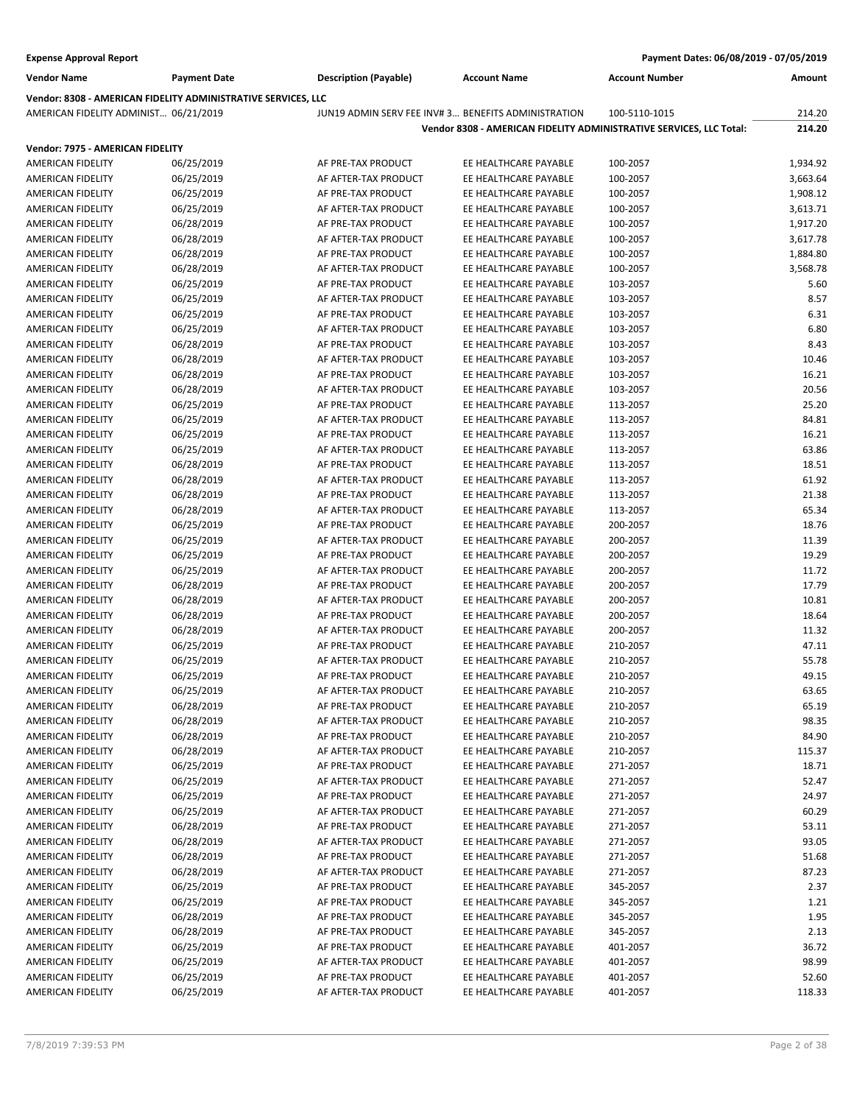| <b>Vendor Name</b><br><b>Description (Payable)</b><br><b>Account Number</b><br><b>Payment Date</b><br><b>Account Name</b><br>Amount<br>Vendor: 8308 - AMERICAN FIDELITY ADMINISTRATIVE SERVICES, LLC<br>AMERICAN FIDELITY ADMINIST 06/21/2019<br>JUN19 ADMIN SERV FEE INV#3 BENEFITS ADMINISTRATION<br>214.20<br>100-5110-1015<br>214.20<br>Vendor 8308 - AMERICAN FIDELITY ADMINISTRATIVE SERVICES, LLC Total:<br>Vendor: 7975 - AMERICAN FIDELITY<br><b>AMERICAN FIDELITY</b><br>06/25/2019<br>AF PRE-TAX PRODUCT<br>EE HEALTHCARE PAYABLE<br>1,934.92<br>100-2057<br>06/25/2019<br>AF AFTER-TAX PRODUCT<br>EE HEALTHCARE PAYABLE<br>AMERICAN FIDELITY<br>100-2057<br>3,663.64<br>06/25/2019<br>AF PRE-TAX PRODUCT<br>EE HEALTHCARE PAYABLE<br>AMERICAN FIDELITY<br>100-2057<br>1,908.12<br><b>AMERICAN FIDELITY</b><br>06/25/2019<br>AF AFTER-TAX PRODUCT<br>EE HEALTHCARE PAYABLE<br>3,613.71<br>100-2057<br>06/28/2019<br>EE HEALTHCARE PAYABLE<br>1,917.20<br>AMERICAN FIDELITY<br>AF PRE-TAX PRODUCT<br>100-2057<br>06/28/2019<br>EE HEALTHCARE PAYABLE<br>3,617.78<br>AMERICAN FIDELITY<br>AF AFTER-TAX PRODUCT<br>100-2057<br>06/28/2019<br>AF PRE-TAX PRODUCT<br>EE HEALTHCARE PAYABLE<br>1,884.80<br>AMERICAN FIDELITY<br>100-2057<br>06/28/2019<br>AF AFTER-TAX PRODUCT<br>EE HEALTHCARE PAYABLE<br>3,568.78<br>AMERICAN FIDELITY<br>100-2057<br>06/25/2019<br>AF PRE-TAX PRODUCT<br>EE HEALTHCARE PAYABLE<br>5.60<br>AMERICAN FIDELITY<br>103-2057<br>06/25/2019<br>EE HEALTHCARE PAYABLE<br>8.57<br>AMERICAN FIDELITY<br>AF AFTER-TAX PRODUCT<br>103-2057<br>06/25/2019<br>6.31<br>AMERICAN FIDELITY<br>AF PRE-TAX PRODUCT<br>EE HEALTHCARE PAYABLE<br>103-2057<br>6.80<br>06/25/2019<br>AF AFTER-TAX PRODUCT<br>EE HEALTHCARE PAYABLE<br>AMERICAN FIDELITY<br>103-2057<br>06/28/2019<br>AF PRE-TAX PRODUCT<br>EE HEALTHCARE PAYABLE<br>8.43<br><b>AMERICAN FIDELITY</b><br>103-2057<br><b>AMERICAN FIDELITY</b><br>06/28/2019<br>AF AFTER-TAX PRODUCT<br>EE HEALTHCARE PAYABLE<br>10.46<br>103-2057<br>06/28/2019<br>EE HEALTHCARE PAYABLE<br>16.21<br>AMERICAN FIDELITY<br>AF PRE-TAX PRODUCT<br>103-2057<br>06/28/2019<br>AF AFTER-TAX PRODUCT<br>EE HEALTHCARE PAYABLE<br>20.56<br>AMERICAN FIDELITY<br>103-2057<br>25.20<br>06/25/2019<br>AF PRE-TAX PRODUCT<br>EE HEALTHCARE PAYABLE<br>AMERICAN FIDELITY<br>113-2057<br>06/25/2019<br>EE HEALTHCARE PAYABLE<br>84.81<br>AMERICAN FIDELITY<br>AF AFTER-TAX PRODUCT<br>113-2057<br>AMERICAN FIDELITY<br>06/25/2019<br>AF PRE-TAX PRODUCT<br>EE HEALTHCARE PAYABLE<br>16.21<br>113-2057<br>06/25/2019<br>63.86<br>AMERICAN FIDELITY<br>AF AFTER-TAX PRODUCT<br>EE HEALTHCARE PAYABLE<br>113-2057<br>06/28/2019<br>AF PRE-TAX PRODUCT<br>EE HEALTHCARE PAYABLE<br>18.51<br>AMERICAN FIDELITY<br>113-2057<br>61.92<br>06/28/2019<br>EE HEALTHCARE PAYABLE<br>AMERICAN FIDELITY<br>AF AFTER-TAX PRODUCT<br>113-2057<br>06/28/2019<br>AF PRE-TAX PRODUCT<br>EE HEALTHCARE PAYABLE<br>21.38<br>AMERICAN FIDELITY<br>113-2057<br>65.34<br>06/28/2019<br>AF AFTER-TAX PRODUCT<br>EE HEALTHCARE PAYABLE<br>AMERICAN FIDELITY<br>113-2057<br>06/25/2019<br>EE HEALTHCARE PAYABLE<br>18.76<br>AMERICAN FIDELITY<br>AF PRE-TAX PRODUCT<br>200-2057<br>06/25/2019<br>EE HEALTHCARE PAYABLE<br>11.39<br>AMERICAN FIDELITY<br>AF AFTER-TAX PRODUCT<br>200-2057<br>19.29<br>06/25/2019<br>AF PRE-TAX PRODUCT<br>EE HEALTHCARE PAYABLE<br>AMERICAN FIDELITY<br>200-2057<br>06/25/2019<br>EE HEALTHCARE PAYABLE<br>11.72<br>AMERICAN FIDELITY<br>AF AFTER-TAX PRODUCT<br>200-2057<br>AMERICAN FIDELITY<br>06/28/2019<br>AF PRE-TAX PRODUCT<br>EE HEALTHCARE PAYABLE<br>17.79<br>200-2057<br>06/28/2019<br>10.81<br>AMERICAN FIDELITY<br>AF AFTER-TAX PRODUCT<br>EE HEALTHCARE PAYABLE<br>200-2057<br>06/28/2019<br>18.64<br>AMERICAN FIDELITY<br>AF PRE-TAX PRODUCT<br>EE HEALTHCARE PAYABLE<br>200-2057<br>06/28/2019<br>AF AFTER-TAX PRODUCT<br>EE HEALTHCARE PAYABLE<br>11.32<br><b>AMERICAN FIDELITY</b><br>200-2057<br>06/25/2019<br>AF PRE-TAX PRODUCT<br>EE HEALTHCARE PAYABLE<br>47.11<br>AMERICAN FIDELITY<br>210-2057<br>55.78<br>06/25/2019<br>EE HEALTHCARE PAYABLE<br>210-2057<br>AMERICAN FIDELITY<br>AF AFTER-TAX PRODUCT<br><b>AMERICAN FIDELITY</b><br>06/25/2019<br>AF PRE-TAX PRODUCT<br>EE HEALTHCARE PAYABLE<br>210-2057<br>49.15<br>06/25/2019<br>AMERICAN FIDELITY<br>AF AFTER-TAX PRODUCT<br>EE HEALTHCARE PAYABLE<br>210-2057<br>63.65<br>65.19<br>06/28/2019<br>210-2057<br>AMERICAN FIDELITY<br>AF PRE-TAX PRODUCT<br>EE HEALTHCARE PAYABLE<br>98.35<br>AMERICAN FIDELITY<br>06/28/2019<br>AF AFTER-TAX PRODUCT<br>EE HEALTHCARE PAYABLE<br>210-2057<br>06/28/2019<br>AF PRE-TAX PRODUCT<br>EE HEALTHCARE PAYABLE<br>210-2057<br>84.90<br>AMERICAN FIDELITY<br>06/28/2019<br>210-2057<br>115.37<br>AMERICAN FIDELITY<br>AF AFTER-TAX PRODUCT<br>EE HEALTHCARE PAYABLE<br>06/25/2019<br>AF PRE-TAX PRODUCT<br>271-2057<br>18.71<br>AMERICAN FIDELITY<br>EE HEALTHCARE PAYABLE<br>06/25/2019<br>EE HEALTHCARE PAYABLE<br>271-2057<br>52.47<br>AMERICAN FIDELITY<br>AF AFTER-TAX PRODUCT<br>06/25/2019<br>AF PRE-TAX PRODUCT<br>EE HEALTHCARE PAYABLE<br>271-2057<br>24.97<br>AMERICAN FIDELITY<br>06/25/2019<br>AF AFTER-TAX PRODUCT<br>EE HEALTHCARE PAYABLE<br>271-2057<br>60.29<br>AMERICAN FIDELITY<br>06/28/2019<br>EE HEALTHCARE PAYABLE<br>271-2057<br>53.11<br>AMERICAN FIDELITY<br>AF PRE-TAX PRODUCT<br>06/28/2019<br>271-2057<br>93.05<br>AMERICAN FIDELITY<br>AF AFTER-TAX PRODUCT<br>EE HEALTHCARE PAYABLE<br>06/28/2019<br>AF PRE-TAX PRODUCT<br>EE HEALTHCARE PAYABLE<br>271-2057<br>51.68<br>AMERICAN FIDELITY<br>06/28/2019<br>EE HEALTHCARE PAYABLE<br>271-2057<br>87.23<br>AMERICAN FIDELITY<br>AF AFTER-TAX PRODUCT<br>2.37<br>06/25/2019<br>AF PRE-TAX PRODUCT<br>EE HEALTHCARE PAYABLE<br>345-2057<br>AMERICAN FIDELITY<br>06/25/2019<br>345-2057<br>1.21<br>AMERICAN FIDELITY<br>AF PRE-TAX PRODUCT<br>EE HEALTHCARE PAYABLE<br>06/28/2019<br>345-2057<br>1.95<br>AMERICAN FIDELITY<br>AF PRE-TAX PRODUCT<br>EE HEALTHCARE PAYABLE<br>06/28/2019<br>AF PRE-TAX PRODUCT<br>EE HEALTHCARE PAYABLE<br>345-2057<br>2.13<br>AMERICAN FIDELITY<br>06/25/2019<br>AF PRE-TAX PRODUCT<br>EE HEALTHCARE PAYABLE<br>36.72<br>AMERICAN FIDELITY<br>401-2057<br>06/25/2019<br>AF AFTER-TAX PRODUCT<br>EE HEALTHCARE PAYABLE<br>401-2057<br>98.99<br>AMERICAN FIDELITY<br>06/25/2019<br>AF PRE-TAX PRODUCT<br>401-2057<br>52.60<br>AMERICAN FIDELITY<br>EE HEALTHCARE PAYABLE<br>AMERICAN FIDELITY<br>06/25/2019<br>AF AFTER-TAX PRODUCT<br>EE HEALTHCARE PAYABLE<br>401-2057<br>118.33 | Payment Dates: 06/08/2019 - 07/05/2019<br><b>Expense Approval Report</b> |  |  |  |  |  |
|----------------------------------------------------------------------------------------------------------------------------------------------------------------------------------------------------------------------------------------------------------------------------------------------------------------------------------------------------------------------------------------------------------------------------------------------------------------------------------------------------------------------------------------------------------------------------------------------------------------------------------------------------------------------------------------------------------------------------------------------------------------------------------------------------------------------------------------------------------------------------------------------------------------------------------------------------------------------------------------------------------------------------------------------------------------------------------------------------------------------------------------------------------------------------------------------------------------------------------------------------------------------------------------------------------------------------------------------------------------------------------------------------------------------------------------------------------------------------------------------------------------------------------------------------------------------------------------------------------------------------------------------------------------------------------------------------------------------------------------------------------------------------------------------------------------------------------------------------------------------------------------------------------------------------------------------------------------------------------------------------------------------------------------------------------------------------------------------------------------------------------------------------------------------------------------------------------------------------------------------------------------------------------------------------------------------------------------------------------------------------------------------------------------------------------------------------------------------------------------------------------------------------------------------------------------------------------------------------------------------------------------------------------------------------------------------------------------------------------------------------------------------------------------------------------------------------------------------------------------------------------------------------------------------------------------------------------------------------------------------------------------------------------------------------------------------------------------------------------------------------------------------------------------------------------------------------------------------------------------------------------------------------------------------------------------------------------------------------------------------------------------------------------------------------------------------------------------------------------------------------------------------------------------------------------------------------------------------------------------------------------------------------------------------------------------------------------------------------------------------------------------------------------------------------------------------------------------------------------------------------------------------------------------------------------------------------------------------------------------------------------------------------------------------------------------------------------------------------------------------------------------------------------------------------------------------------------------------------------------------------------------------------------------------------------------------------------------------------------------------------------------------------------------------------------------------------------------------------------------------------------------------------------------------------------------------------------------------------------------------------------------------------------------------------------------------------------------------------------------------------------------------------------------------------------------------------------------------------------------------------------------------------------------------------------------------------------------------------------------------------------------------------------------------------------------------------------------------------------------------------------------------------------------------------------------------------------------------------------------------------------------------------------------------------------------------------------------------------------------------------------------------------------------------------------------------------------------------------------------------------------------------------------------------------------------------------------------------------------------------------------------------------------------------------------------------------------------------------------------------------------------------------------------------------------------------------------------------------------------------------------------------------------------------------------------------------------------------------------------------------------------------------------------------------------------------------------------------------------------------------------------------------------------------------------------------------------------------------------------------------------------------------------------------------------------------------------------------------------------------------------------------------------------------------------------------------------------------------------------------------------------------------------------------------------------------------|--------------------------------------------------------------------------|--|--|--|--|--|
|                                                                                                                                                                                                                                                                                                                                                                                                                                                                                                                                                                                                                                                                                                                                                                                                                                                                                                                                                                                                                                                                                                                                                                                                                                                                                                                                                                                                                                                                                                                                                                                                                                                                                                                                                                                                                                                                                                                                                                                                                                                                                                                                                                                                                                                                                                                                                                                                                                                                                                                                                                                                                                                                                                                                                                                                                                                                                                                                                                                                                                                                                                                                                                                                                                                                                                                                                                                                                                                                                                                                                                                                                                                                                                                                                                                                                                                                                                                                                                                                                                                                                                                                                                                                                                                                                                                                                                                                                                                                                                                                                                                                                                                                                                                                                                                                                                                                                                                                                                                                                                                                                                                                                                                                                                                                                                                                                                                                                                                                                                                                                                                                                                                                                                                                                                                                                                                                                                                                                                                                                                                                                                                                                                                                                                                                                                                                                                                                                                                                                                                                                                            |                                                                          |  |  |  |  |  |
|                                                                                                                                                                                                                                                                                                                                                                                                                                                                                                                                                                                                                                                                                                                                                                                                                                                                                                                                                                                                                                                                                                                                                                                                                                                                                                                                                                                                                                                                                                                                                                                                                                                                                                                                                                                                                                                                                                                                                                                                                                                                                                                                                                                                                                                                                                                                                                                                                                                                                                                                                                                                                                                                                                                                                                                                                                                                                                                                                                                                                                                                                                                                                                                                                                                                                                                                                                                                                                                                                                                                                                                                                                                                                                                                                                                                                                                                                                                                                                                                                                                                                                                                                                                                                                                                                                                                                                                                                                                                                                                                                                                                                                                                                                                                                                                                                                                                                                                                                                                                                                                                                                                                                                                                                                                                                                                                                                                                                                                                                                                                                                                                                                                                                                                                                                                                                                                                                                                                                                                                                                                                                                                                                                                                                                                                                                                                                                                                                                                                                                                                                                            |                                                                          |  |  |  |  |  |
|                                                                                                                                                                                                                                                                                                                                                                                                                                                                                                                                                                                                                                                                                                                                                                                                                                                                                                                                                                                                                                                                                                                                                                                                                                                                                                                                                                                                                                                                                                                                                                                                                                                                                                                                                                                                                                                                                                                                                                                                                                                                                                                                                                                                                                                                                                                                                                                                                                                                                                                                                                                                                                                                                                                                                                                                                                                                                                                                                                                                                                                                                                                                                                                                                                                                                                                                                                                                                                                                                                                                                                                                                                                                                                                                                                                                                                                                                                                                                                                                                                                                                                                                                                                                                                                                                                                                                                                                                                                                                                                                                                                                                                                                                                                                                                                                                                                                                                                                                                                                                                                                                                                                                                                                                                                                                                                                                                                                                                                                                                                                                                                                                                                                                                                                                                                                                                                                                                                                                                                                                                                                                                                                                                                                                                                                                                                                                                                                                                                                                                                                                                            |                                                                          |  |  |  |  |  |
|                                                                                                                                                                                                                                                                                                                                                                                                                                                                                                                                                                                                                                                                                                                                                                                                                                                                                                                                                                                                                                                                                                                                                                                                                                                                                                                                                                                                                                                                                                                                                                                                                                                                                                                                                                                                                                                                                                                                                                                                                                                                                                                                                                                                                                                                                                                                                                                                                                                                                                                                                                                                                                                                                                                                                                                                                                                                                                                                                                                                                                                                                                                                                                                                                                                                                                                                                                                                                                                                                                                                                                                                                                                                                                                                                                                                                                                                                                                                                                                                                                                                                                                                                                                                                                                                                                                                                                                                                                                                                                                                                                                                                                                                                                                                                                                                                                                                                                                                                                                                                                                                                                                                                                                                                                                                                                                                                                                                                                                                                                                                                                                                                                                                                                                                                                                                                                                                                                                                                                                                                                                                                                                                                                                                                                                                                                                                                                                                                                                                                                                                                                            |                                                                          |  |  |  |  |  |
|                                                                                                                                                                                                                                                                                                                                                                                                                                                                                                                                                                                                                                                                                                                                                                                                                                                                                                                                                                                                                                                                                                                                                                                                                                                                                                                                                                                                                                                                                                                                                                                                                                                                                                                                                                                                                                                                                                                                                                                                                                                                                                                                                                                                                                                                                                                                                                                                                                                                                                                                                                                                                                                                                                                                                                                                                                                                                                                                                                                                                                                                                                                                                                                                                                                                                                                                                                                                                                                                                                                                                                                                                                                                                                                                                                                                                                                                                                                                                                                                                                                                                                                                                                                                                                                                                                                                                                                                                                                                                                                                                                                                                                                                                                                                                                                                                                                                                                                                                                                                                                                                                                                                                                                                                                                                                                                                                                                                                                                                                                                                                                                                                                                                                                                                                                                                                                                                                                                                                                                                                                                                                                                                                                                                                                                                                                                                                                                                                                                                                                                                                                            |                                                                          |  |  |  |  |  |
|                                                                                                                                                                                                                                                                                                                                                                                                                                                                                                                                                                                                                                                                                                                                                                                                                                                                                                                                                                                                                                                                                                                                                                                                                                                                                                                                                                                                                                                                                                                                                                                                                                                                                                                                                                                                                                                                                                                                                                                                                                                                                                                                                                                                                                                                                                                                                                                                                                                                                                                                                                                                                                                                                                                                                                                                                                                                                                                                                                                                                                                                                                                                                                                                                                                                                                                                                                                                                                                                                                                                                                                                                                                                                                                                                                                                                                                                                                                                                                                                                                                                                                                                                                                                                                                                                                                                                                                                                                                                                                                                                                                                                                                                                                                                                                                                                                                                                                                                                                                                                                                                                                                                                                                                                                                                                                                                                                                                                                                                                                                                                                                                                                                                                                                                                                                                                                                                                                                                                                                                                                                                                                                                                                                                                                                                                                                                                                                                                                                                                                                                                                            |                                                                          |  |  |  |  |  |
|                                                                                                                                                                                                                                                                                                                                                                                                                                                                                                                                                                                                                                                                                                                                                                                                                                                                                                                                                                                                                                                                                                                                                                                                                                                                                                                                                                                                                                                                                                                                                                                                                                                                                                                                                                                                                                                                                                                                                                                                                                                                                                                                                                                                                                                                                                                                                                                                                                                                                                                                                                                                                                                                                                                                                                                                                                                                                                                                                                                                                                                                                                                                                                                                                                                                                                                                                                                                                                                                                                                                                                                                                                                                                                                                                                                                                                                                                                                                                                                                                                                                                                                                                                                                                                                                                                                                                                                                                                                                                                                                                                                                                                                                                                                                                                                                                                                                                                                                                                                                                                                                                                                                                                                                                                                                                                                                                                                                                                                                                                                                                                                                                                                                                                                                                                                                                                                                                                                                                                                                                                                                                                                                                                                                                                                                                                                                                                                                                                                                                                                                                                            |                                                                          |  |  |  |  |  |
|                                                                                                                                                                                                                                                                                                                                                                                                                                                                                                                                                                                                                                                                                                                                                                                                                                                                                                                                                                                                                                                                                                                                                                                                                                                                                                                                                                                                                                                                                                                                                                                                                                                                                                                                                                                                                                                                                                                                                                                                                                                                                                                                                                                                                                                                                                                                                                                                                                                                                                                                                                                                                                                                                                                                                                                                                                                                                                                                                                                                                                                                                                                                                                                                                                                                                                                                                                                                                                                                                                                                                                                                                                                                                                                                                                                                                                                                                                                                                                                                                                                                                                                                                                                                                                                                                                                                                                                                                                                                                                                                                                                                                                                                                                                                                                                                                                                                                                                                                                                                                                                                                                                                                                                                                                                                                                                                                                                                                                                                                                                                                                                                                                                                                                                                                                                                                                                                                                                                                                                                                                                                                                                                                                                                                                                                                                                                                                                                                                                                                                                                                                            |                                                                          |  |  |  |  |  |
|                                                                                                                                                                                                                                                                                                                                                                                                                                                                                                                                                                                                                                                                                                                                                                                                                                                                                                                                                                                                                                                                                                                                                                                                                                                                                                                                                                                                                                                                                                                                                                                                                                                                                                                                                                                                                                                                                                                                                                                                                                                                                                                                                                                                                                                                                                                                                                                                                                                                                                                                                                                                                                                                                                                                                                                                                                                                                                                                                                                                                                                                                                                                                                                                                                                                                                                                                                                                                                                                                                                                                                                                                                                                                                                                                                                                                                                                                                                                                                                                                                                                                                                                                                                                                                                                                                                                                                                                                                                                                                                                                                                                                                                                                                                                                                                                                                                                                                                                                                                                                                                                                                                                                                                                                                                                                                                                                                                                                                                                                                                                                                                                                                                                                                                                                                                                                                                                                                                                                                                                                                                                                                                                                                                                                                                                                                                                                                                                                                                                                                                                                                            |                                                                          |  |  |  |  |  |
|                                                                                                                                                                                                                                                                                                                                                                                                                                                                                                                                                                                                                                                                                                                                                                                                                                                                                                                                                                                                                                                                                                                                                                                                                                                                                                                                                                                                                                                                                                                                                                                                                                                                                                                                                                                                                                                                                                                                                                                                                                                                                                                                                                                                                                                                                                                                                                                                                                                                                                                                                                                                                                                                                                                                                                                                                                                                                                                                                                                                                                                                                                                                                                                                                                                                                                                                                                                                                                                                                                                                                                                                                                                                                                                                                                                                                                                                                                                                                                                                                                                                                                                                                                                                                                                                                                                                                                                                                                                                                                                                                                                                                                                                                                                                                                                                                                                                                                                                                                                                                                                                                                                                                                                                                                                                                                                                                                                                                                                                                                                                                                                                                                                                                                                                                                                                                                                                                                                                                                                                                                                                                                                                                                                                                                                                                                                                                                                                                                                                                                                                                                            |                                                                          |  |  |  |  |  |
|                                                                                                                                                                                                                                                                                                                                                                                                                                                                                                                                                                                                                                                                                                                                                                                                                                                                                                                                                                                                                                                                                                                                                                                                                                                                                                                                                                                                                                                                                                                                                                                                                                                                                                                                                                                                                                                                                                                                                                                                                                                                                                                                                                                                                                                                                                                                                                                                                                                                                                                                                                                                                                                                                                                                                                                                                                                                                                                                                                                                                                                                                                                                                                                                                                                                                                                                                                                                                                                                                                                                                                                                                                                                                                                                                                                                                                                                                                                                                                                                                                                                                                                                                                                                                                                                                                                                                                                                                                                                                                                                                                                                                                                                                                                                                                                                                                                                                                                                                                                                                                                                                                                                                                                                                                                                                                                                                                                                                                                                                                                                                                                                                                                                                                                                                                                                                                                                                                                                                                                                                                                                                                                                                                                                                                                                                                                                                                                                                                                                                                                                                                            |                                                                          |  |  |  |  |  |
|                                                                                                                                                                                                                                                                                                                                                                                                                                                                                                                                                                                                                                                                                                                                                                                                                                                                                                                                                                                                                                                                                                                                                                                                                                                                                                                                                                                                                                                                                                                                                                                                                                                                                                                                                                                                                                                                                                                                                                                                                                                                                                                                                                                                                                                                                                                                                                                                                                                                                                                                                                                                                                                                                                                                                                                                                                                                                                                                                                                                                                                                                                                                                                                                                                                                                                                                                                                                                                                                                                                                                                                                                                                                                                                                                                                                                                                                                                                                                                                                                                                                                                                                                                                                                                                                                                                                                                                                                                                                                                                                                                                                                                                                                                                                                                                                                                                                                                                                                                                                                                                                                                                                                                                                                                                                                                                                                                                                                                                                                                                                                                                                                                                                                                                                                                                                                                                                                                                                                                                                                                                                                                                                                                                                                                                                                                                                                                                                                                                                                                                                                                            |                                                                          |  |  |  |  |  |
|                                                                                                                                                                                                                                                                                                                                                                                                                                                                                                                                                                                                                                                                                                                                                                                                                                                                                                                                                                                                                                                                                                                                                                                                                                                                                                                                                                                                                                                                                                                                                                                                                                                                                                                                                                                                                                                                                                                                                                                                                                                                                                                                                                                                                                                                                                                                                                                                                                                                                                                                                                                                                                                                                                                                                                                                                                                                                                                                                                                                                                                                                                                                                                                                                                                                                                                                                                                                                                                                                                                                                                                                                                                                                                                                                                                                                                                                                                                                                                                                                                                                                                                                                                                                                                                                                                                                                                                                                                                                                                                                                                                                                                                                                                                                                                                                                                                                                                                                                                                                                                                                                                                                                                                                                                                                                                                                                                                                                                                                                                                                                                                                                                                                                                                                                                                                                                                                                                                                                                                                                                                                                                                                                                                                                                                                                                                                                                                                                                                                                                                                                                            |                                                                          |  |  |  |  |  |
|                                                                                                                                                                                                                                                                                                                                                                                                                                                                                                                                                                                                                                                                                                                                                                                                                                                                                                                                                                                                                                                                                                                                                                                                                                                                                                                                                                                                                                                                                                                                                                                                                                                                                                                                                                                                                                                                                                                                                                                                                                                                                                                                                                                                                                                                                                                                                                                                                                                                                                                                                                                                                                                                                                                                                                                                                                                                                                                                                                                                                                                                                                                                                                                                                                                                                                                                                                                                                                                                                                                                                                                                                                                                                                                                                                                                                                                                                                                                                                                                                                                                                                                                                                                                                                                                                                                                                                                                                                                                                                                                                                                                                                                                                                                                                                                                                                                                                                                                                                                                                                                                                                                                                                                                                                                                                                                                                                                                                                                                                                                                                                                                                                                                                                                                                                                                                                                                                                                                                                                                                                                                                                                                                                                                                                                                                                                                                                                                                                                                                                                                                                            |                                                                          |  |  |  |  |  |
|                                                                                                                                                                                                                                                                                                                                                                                                                                                                                                                                                                                                                                                                                                                                                                                                                                                                                                                                                                                                                                                                                                                                                                                                                                                                                                                                                                                                                                                                                                                                                                                                                                                                                                                                                                                                                                                                                                                                                                                                                                                                                                                                                                                                                                                                                                                                                                                                                                                                                                                                                                                                                                                                                                                                                                                                                                                                                                                                                                                                                                                                                                                                                                                                                                                                                                                                                                                                                                                                                                                                                                                                                                                                                                                                                                                                                                                                                                                                                                                                                                                                                                                                                                                                                                                                                                                                                                                                                                                                                                                                                                                                                                                                                                                                                                                                                                                                                                                                                                                                                                                                                                                                                                                                                                                                                                                                                                                                                                                                                                                                                                                                                                                                                                                                                                                                                                                                                                                                                                                                                                                                                                                                                                                                                                                                                                                                                                                                                                                                                                                                                                            |                                                                          |  |  |  |  |  |
|                                                                                                                                                                                                                                                                                                                                                                                                                                                                                                                                                                                                                                                                                                                                                                                                                                                                                                                                                                                                                                                                                                                                                                                                                                                                                                                                                                                                                                                                                                                                                                                                                                                                                                                                                                                                                                                                                                                                                                                                                                                                                                                                                                                                                                                                                                                                                                                                                                                                                                                                                                                                                                                                                                                                                                                                                                                                                                                                                                                                                                                                                                                                                                                                                                                                                                                                                                                                                                                                                                                                                                                                                                                                                                                                                                                                                                                                                                                                                                                                                                                                                                                                                                                                                                                                                                                                                                                                                                                                                                                                                                                                                                                                                                                                                                                                                                                                                                                                                                                                                                                                                                                                                                                                                                                                                                                                                                                                                                                                                                                                                                                                                                                                                                                                                                                                                                                                                                                                                                                                                                                                                                                                                                                                                                                                                                                                                                                                                                                                                                                                                                            |                                                                          |  |  |  |  |  |
|                                                                                                                                                                                                                                                                                                                                                                                                                                                                                                                                                                                                                                                                                                                                                                                                                                                                                                                                                                                                                                                                                                                                                                                                                                                                                                                                                                                                                                                                                                                                                                                                                                                                                                                                                                                                                                                                                                                                                                                                                                                                                                                                                                                                                                                                                                                                                                                                                                                                                                                                                                                                                                                                                                                                                                                                                                                                                                                                                                                                                                                                                                                                                                                                                                                                                                                                                                                                                                                                                                                                                                                                                                                                                                                                                                                                                                                                                                                                                                                                                                                                                                                                                                                                                                                                                                                                                                                                                                                                                                                                                                                                                                                                                                                                                                                                                                                                                                                                                                                                                                                                                                                                                                                                                                                                                                                                                                                                                                                                                                                                                                                                                                                                                                                                                                                                                                                                                                                                                                                                                                                                                                                                                                                                                                                                                                                                                                                                                                                                                                                                                                            |                                                                          |  |  |  |  |  |
|                                                                                                                                                                                                                                                                                                                                                                                                                                                                                                                                                                                                                                                                                                                                                                                                                                                                                                                                                                                                                                                                                                                                                                                                                                                                                                                                                                                                                                                                                                                                                                                                                                                                                                                                                                                                                                                                                                                                                                                                                                                                                                                                                                                                                                                                                                                                                                                                                                                                                                                                                                                                                                                                                                                                                                                                                                                                                                                                                                                                                                                                                                                                                                                                                                                                                                                                                                                                                                                                                                                                                                                                                                                                                                                                                                                                                                                                                                                                                                                                                                                                                                                                                                                                                                                                                                                                                                                                                                                                                                                                                                                                                                                                                                                                                                                                                                                                                                                                                                                                                                                                                                                                                                                                                                                                                                                                                                                                                                                                                                                                                                                                                                                                                                                                                                                                                                                                                                                                                                                                                                                                                                                                                                                                                                                                                                                                                                                                                                                                                                                                                                            |                                                                          |  |  |  |  |  |
|                                                                                                                                                                                                                                                                                                                                                                                                                                                                                                                                                                                                                                                                                                                                                                                                                                                                                                                                                                                                                                                                                                                                                                                                                                                                                                                                                                                                                                                                                                                                                                                                                                                                                                                                                                                                                                                                                                                                                                                                                                                                                                                                                                                                                                                                                                                                                                                                                                                                                                                                                                                                                                                                                                                                                                                                                                                                                                                                                                                                                                                                                                                                                                                                                                                                                                                                                                                                                                                                                                                                                                                                                                                                                                                                                                                                                                                                                                                                                                                                                                                                                                                                                                                                                                                                                                                                                                                                                                                                                                                                                                                                                                                                                                                                                                                                                                                                                                                                                                                                                                                                                                                                                                                                                                                                                                                                                                                                                                                                                                                                                                                                                                                                                                                                                                                                                                                                                                                                                                                                                                                                                                                                                                                                                                                                                                                                                                                                                                                                                                                                                                            |                                                                          |  |  |  |  |  |
|                                                                                                                                                                                                                                                                                                                                                                                                                                                                                                                                                                                                                                                                                                                                                                                                                                                                                                                                                                                                                                                                                                                                                                                                                                                                                                                                                                                                                                                                                                                                                                                                                                                                                                                                                                                                                                                                                                                                                                                                                                                                                                                                                                                                                                                                                                                                                                                                                                                                                                                                                                                                                                                                                                                                                                                                                                                                                                                                                                                                                                                                                                                                                                                                                                                                                                                                                                                                                                                                                                                                                                                                                                                                                                                                                                                                                                                                                                                                                                                                                                                                                                                                                                                                                                                                                                                                                                                                                                                                                                                                                                                                                                                                                                                                                                                                                                                                                                                                                                                                                                                                                                                                                                                                                                                                                                                                                                                                                                                                                                                                                                                                                                                                                                                                                                                                                                                                                                                                                                                                                                                                                                                                                                                                                                                                                                                                                                                                                                                                                                                                                                            |                                                                          |  |  |  |  |  |
|                                                                                                                                                                                                                                                                                                                                                                                                                                                                                                                                                                                                                                                                                                                                                                                                                                                                                                                                                                                                                                                                                                                                                                                                                                                                                                                                                                                                                                                                                                                                                                                                                                                                                                                                                                                                                                                                                                                                                                                                                                                                                                                                                                                                                                                                                                                                                                                                                                                                                                                                                                                                                                                                                                                                                                                                                                                                                                                                                                                                                                                                                                                                                                                                                                                                                                                                                                                                                                                                                                                                                                                                                                                                                                                                                                                                                                                                                                                                                                                                                                                                                                                                                                                                                                                                                                                                                                                                                                                                                                                                                                                                                                                                                                                                                                                                                                                                                                                                                                                                                                                                                                                                                                                                                                                                                                                                                                                                                                                                                                                                                                                                                                                                                                                                                                                                                                                                                                                                                                                                                                                                                                                                                                                                                                                                                                                                                                                                                                                                                                                                                                            |                                                                          |  |  |  |  |  |
|                                                                                                                                                                                                                                                                                                                                                                                                                                                                                                                                                                                                                                                                                                                                                                                                                                                                                                                                                                                                                                                                                                                                                                                                                                                                                                                                                                                                                                                                                                                                                                                                                                                                                                                                                                                                                                                                                                                                                                                                                                                                                                                                                                                                                                                                                                                                                                                                                                                                                                                                                                                                                                                                                                                                                                                                                                                                                                                                                                                                                                                                                                                                                                                                                                                                                                                                                                                                                                                                                                                                                                                                                                                                                                                                                                                                                                                                                                                                                                                                                                                                                                                                                                                                                                                                                                                                                                                                                                                                                                                                                                                                                                                                                                                                                                                                                                                                                                                                                                                                                                                                                                                                                                                                                                                                                                                                                                                                                                                                                                                                                                                                                                                                                                                                                                                                                                                                                                                                                                                                                                                                                                                                                                                                                                                                                                                                                                                                                                                                                                                                                                            |                                                                          |  |  |  |  |  |
|                                                                                                                                                                                                                                                                                                                                                                                                                                                                                                                                                                                                                                                                                                                                                                                                                                                                                                                                                                                                                                                                                                                                                                                                                                                                                                                                                                                                                                                                                                                                                                                                                                                                                                                                                                                                                                                                                                                                                                                                                                                                                                                                                                                                                                                                                                                                                                                                                                                                                                                                                                                                                                                                                                                                                                                                                                                                                                                                                                                                                                                                                                                                                                                                                                                                                                                                                                                                                                                                                                                                                                                                                                                                                                                                                                                                                                                                                                                                                                                                                                                                                                                                                                                                                                                                                                                                                                                                                                                                                                                                                                                                                                                                                                                                                                                                                                                                                                                                                                                                                                                                                                                                                                                                                                                                                                                                                                                                                                                                                                                                                                                                                                                                                                                                                                                                                                                                                                                                                                                                                                                                                                                                                                                                                                                                                                                                                                                                                                                                                                                                                                            |                                                                          |  |  |  |  |  |
|                                                                                                                                                                                                                                                                                                                                                                                                                                                                                                                                                                                                                                                                                                                                                                                                                                                                                                                                                                                                                                                                                                                                                                                                                                                                                                                                                                                                                                                                                                                                                                                                                                                                                                                                                                                                                                                                                                                                                                                                                                                                                                                                                                                                                                                                                                                                                                                                                                                                                                                                                                                                                                                                                                                                                                                                                                                                                                                                                                                                                                                                                                                                                                                                                                                                                                                                                                                                                                                                                                                                                                                                                                                                                                                                                                                                                                                                                                                                                                                                                                                                                                                                                                                                                                                                                                                                                                                                                                                                                                                                                                                                                                                                                                                                                                                                                                                                                                                                                                                                                                                                                                                                                                                                                                                                                                                                                                                                                                                                                                                                                                                                                                                                                                                                                                                                                                                                                                                                                                                                                                                                                                                                                                                                                                                                                                                                                                                                                                                                                                                                                                            |                                                                          |  |  |  |  |  |
|                                                                                                                                                                                                                                                                                                                                                                                                                                                                                                                                                                                                                                                                                                                                                                                                                                                                                                                                                                                                                                                                                                                                                                                                                                                                                                                                                                                                                                                                                                                                                                                                                                                                                                                                                                                                                                                                                                                                                                                                                                                                                                                                                                                                                                                                                                                                                                                                                                                                                                                                                                                                                                                                                                                                                                                                                                                                                                                                                                                                                                                                                                                                                                                                                                                                                                                                                                                                                                                                                                                                                                                                                                                                                                                                                                                                                                                                                                                                                                                                                                                                                                                                                                                                                                                                                                                                                                                                                                                                                                                                                                                                                                                                                                                                                                                                                                                                                                                                                                                                                                                                                                                                                                                                                                                                                                                                                                                                                                                                                                                                                                                                                                                                                                                                                                                                                                                                                                                                                                                                                                                                                                                                                                                                                                                                                                                                                                                                                                                                                                                                                                            |                                                                          |  |  |  |  |  |
|                                                                                                                                                                                                                                                                                                                                                                                                                                                                                                                                                                                                                                                                                                                                                                                                                                                                                                                                                                                                                                                                                                                                                                                                                                                                                                                                                                                                                                                                                                                                                                                                                                                                                                                                                                                                                                                                                                                                                                                                                                                                                                                                                                                                                                                                                                                                                                                                                                                                                                                                                                                                                                                                                                                                                                                                                                                                                                                                                                                                                                                                                                                                                                                                                                                                                                                                                                                                                                                                                                                                                                                                                                                                                                                                                                                                                                                                                                                                                                                                                                                                                                                                                                                                                                                                                                                                                                                                                                                                                                                                                                                                                                                                                                                                                                                                                                                                                                                                                                                                                                                                                                                                                                                                                                                                                                                                                                                                                                                                                                                                                                                                                                                                                                                                                                                                                                                                                                                                                                                                                                                                                                                                                                                                                                                                                                                                                                                                                                                                                                                                                                            |                                                                          |  |  |  |  |  |
|                                                                                                                                                                                                                                                                                                                                                                                                                                                                                                                                                                                                                                                                                                                                                                                                                                                                                                                                                                                                                                                                                                                                                                                                                                                                                                                                                                                                                                                                                                                                                                                                                                                                                                                                                                                                                                                                                                                                                                                                                                                                                                                                                                                                                                                                                                                                                                                                                                                                                                                                                                                                                                                                                                                                                                                                                                                                                                                                                                                                                                                                                                                                                                                                                                                                                                                                                                                                                                                                                                                                                                                                                                                                                                                                                                                                                                                                                                                                                                                                                                                                                                                                                                                                                                                                                                                                                                                                                                                                                                                                                                                                                                                                                                                                                                                                                                                                                                                                                                                                                                                                                                                                                                                                                                                                                                                                                                                                                                                                                                                                                                                                                                                                                                                                                                                                                                                                                                                                                                                                                                                                                                                                                                                                                                                                                                                                                                                                                                                                                                                                                                            |                                                                          |  |  |  |  |  |
|                                                                                                                                                                                                                                                                                                                                                                                                                                                                                                                                                                                                                                                                                                                                                                                                                                                                                                                                                                                                                                                                                                                                                                                                                                                                                                                                                                                                                                                                                                                                                                                                                                                                                                                                                                                                                                                                                                                                                                                                                                                                                                                                                                                                                                                                                                                                                                                                                                                                                                                                                                                                                                                                                                                                                                                                                                                                                                                                                                                                                                                                                                                                                                                                                                                                                                                                                                                                                                                                                                                                                                                                                                                                                                                                                                                                                                                                                                                                                                                                                                                                                                                                                                                                                                                                                                                                                                                                                                                                                                                                                                                                                                                                                                                                                                                                                                                                                                                                                                                                                                                                                                                                                                                                                                                                                                                                                                                                                                                                                                                                                                                                                                                                                                                                                                                                                                                                                                                                                                                                                                                                                                                                                                                                                                                                                                                                                                                                                                                                                                                                                                            |                                                                          |  |  |  |  |  |
|                                                                                                                                                                                                                                                                                                                                                                                                                                                                                                                                                                                                                                                                                                                                                                                                                                                                                                                                                                                                                                                                                                                                                                                                                                                                                                                                                                                                                                                                                                                                                                                                                                                                                                                                                                                                                                                                                                                                                                                                                                                                                                                                                                                                                                                                                                                                                                                                                                                                                                                                                                                                                                                                                                                                                                                                                                                                                                                                                                                                                                                                                                                                                                                                                                                                                                                                                                                                                                                                                                                                                                                                                                                                                                                                                                                                                                                                                                                                                                                                                                                                                                                                                                                                                                                                                                                                                                                                                                                                                                                                                                                                                                                                                                                                                                                                                                                                                                                                                                                                                                                                                                                                                                                                                                                                                                                                                                                                                                                                                                                                                                                                                                                                                                                                                                                                                                                                                                                                                                                                                                                                                                                                                                                                                                                                                                                                                                                                                                                                                                                                                                            |                                                                          |  |  |  |  |  |
|                                                                                                                                                                                                                                                                                                                                                                                                                                                                                                                                                                                                                                                                                                                                                                                                                                                                                                                                                                                                                                                                                                                                                                                                                                                                                                                                                                                                                                                                                                                                                                                                                                                                                                                                                                                                                                                                                                                                                                                                                                                                                                                                                                                                                                                                                                                                                                                                                                                                                                                                                                                                                                                                                                                                                                                                                                                                                                                                                                                                                                                                                                                                                                                                                                                                                                                                                                                                                                                                                                                                                                                                                                                                                                                                                                                                                                                                                                                                                                                                                                                                                                                                                                                                                                                                                                                                                                                                                                                                                                                                                                                                                                                                                                                                                                                                                                                                                                                                                                                                                                                                                                                                                                                                                                                                                                                                                                                                                                                                                                                                                                                                                                                                                                                                                                                                                                                                                                                                                                                                                                                                                                                                                                                                                                                                                                                                                                                                                                                                                                                                                                            |                                                                          |  |  |  |  |  |
|                                                                                                                                                                                                                                                                                                                                                                                                                                                                                                                                                                                                                                                                                                                                                                                                                                                                                                                                                                                                                                                                                                                                                                                                                                                                                                                                                                                                                                                                                                                                                                                                                                                                                                                                                                                                                                                                                                                                                                                                                                                                                                                                                                                                                                                                                                                                                                                                                                                                                                                                                                                                                                                                                                                                                                                                                                                                                                                                                                                                                                                                                                                                                                                                                                                                                                                                                                                                                                                                                                                                                                                                                                                                                                                                                                                                                                                                                                                                                                                                                                                                                                                                                                                                                                                                                                                                                                                                                                                                                                                                                                                                                                                                                                                                                                                                                                                                                                                                                                                                                                                                                                                                                                                                                                                                                                                                                                                                                                                                                                                                                                                                                                                                                                                                                                                                                                                                                                                                                                                                                                                                                                                                                                                                                                                                                                                                                                                                                                                                                                                                                                            |                                                                          |  |  |  |  |  |
|                                                                                                                                                                                                                                                                                                                                                                                                                                                                                                                                                                                                                                                                                                                                                                                                                                                                                                                                                                                                                                                                                                                                                                                                                                                                                                                                                                                                                                                                                                                                                                                                                                                                                                                                                                                                                                                                                                                                                                                                                                                                                                                                                                                                                                                                                                                                                                                                                                                                                                                                                                                                                                                                                                                                                                                                                                                                                                                                                                                                                                                                                                                                                                                                                                                                                                                                                                                                                                                                                                                                                                                                                                                                                                                                                                                                                                                                                                                                                                                                                                                                                                                                                                                                                                                                                                                                                                                                                                                                                                                                                                                                                                                                                                                                                                                                                                                                                                                                                                                                                                                                                                                                                                                                                                                                                                                                                                                                                                                                                                                                                                                                                                                                                                                                                                                                                                                                                                                                                                                                                                                                                                                                                                                                                                                                                                                                                                                                                                                                                                                                                                            |                                                                          |  |  |  |  |  |
|                                                                                                                                                                                                                                                                                                                                                                                                                                                                                                                                                                                                                                                                                                                                                                                                                                                                                                                                                                                                                                                                                                                                                                                                                                                                                                                                                                                                                                                                                                                                                                                                                                                                                                                                                                                                                                                                                                                                                                                                                                                                                                                                                                                                                                                                                                                                                                                                                                                                                                                                                                                                                                                                                                                                                                                                                                                                                                                                                                                                                                                                                                                                                                                                                                                                                                                                                                                                                                                                                                                                                                                                                                                                                                                                                                                                                                                                                                                                                                                                                                                                                                                                                                                                                                                                                                                                                                                                                                                                                                                                                                                                                                                                                                                                                                                                                                                                                                                                                                                                                                                                                                                                                                                                                                                                                                                                                                                                                                                                                                                                                                                                                                                                                                                                                                                                                                                                                                                                                                                                                                                                                                                                                                                                                                                                                                                                                                                                                                                                                                                                                                            |                                                                          |  |  |  |  |  |
|                                                                                                                                                                                                                                                                                                                                                                                                                                                                                                                                                                                                                                                                                                                                                                                                                                                                                                                                                                                                                                                                                                                                                                                                                                                                                                                                                                                                                                                                                                                                                                                                                                                                                                                                                                                                                                                                                                                                                                                                                                                                                                                                                                                                                                                                                                                                                                                                                                                                                                                                                                                                                                                                                                                                                                                                                                                                                                                                                                                                                                                                                                                                                                                                                                                                                                                                                                                                                                                                                                                                                                                                                                                                                                                                                                                                                                                                                                                                                                                                                                                                                                                                                                                                                                                                                                                                                                                                                                                                                                                                                                                                                                                                                                                                                                                                                                                                                                                                                                                                                                                                                                                                                                                                                                                                                                                                                                                                                                                                                                                                                                                                                                                                                                                                                                                                                                                                                                                                                                                                                                                                                                                                                                                                                                                                                                                                                                                                                                                                                                                                                                            |                                                                          |  |  |  |  |  |
|                                                                                                                                                                                                                                                                                                                                                                                                                                                                                                                                                                                                                                                                                                                                                                                                                                                                                                                                                                                                                                                                                                                                                                                                                                                                                                                                                                                                                                                                                                                                                                                                                                                                                                                                                                                                                                                                                                                                                                                                                                                                                                                                                                                                                                                                                                                                                                                                                                                                                                                                                                                                                                                                                                                                                                                                                                                                                                                                                                                                                                                                                                                                                                                                                                                                                                                                                                                                                                                                                                                                                                                                                                                                                                                                                                                                                                                                                                                                                                                                                                                                                                                                                                                                                                                                                                                                                                                                                                                                                                                                                                                                                                                                                                                                                                                                                                                                                                                                                                                                                                                                                                                                                                                                                                                                                                                                                                                                                                                                                                                                                                                                                                                                                                                                                                                                                                                                                                                                                                                                                                                                                                                                                                                                                                                                                                                                                                                                                                                                                                                                                                            |                                                                          |  |  |  |  |  |
|                                                                                                                                                                                                                                                                                                                                                                                                                                                                                                                                                                                                                                                                                                                                                                                                                                                                                                                                                                                                                                                                                                                                                                                                                                                                                                                                                                                                                                                                                                                                                                                                                                                                                                                                                                                                                                                                                                                                                                                                                                                                                                                                                                                                                                                                                                                                                                                                                                                                                                                                                                                                                                                                                                                                                                                                                                                                                                                                                                                                                                                                                                                                                                                                                                                                                                                                                                                                                                                                                                                                                                                                                                                                                                                                                                                                                                                                                                                                                                                                                                                                                                                                                                                                                                                                                                                                                                                                                                                                                                                                                                                                                                                                                                                                                                                                                                                                                                                                                                                                                                                                                                                                                                                                                                                                                                                                                                                                                                                                                                                                                                                                                                                                                                                                                                                                                                                                                                                                                                                                                                                                                                                                                                                                                                                                                                                                                                                                                                                                                                                                                                            |                                                                          |  |  |  |  |  |
|                                                                                                                                                                                                                                                                                                                                                                                                                                                                                                                                                                                                                                                                                                                                                                                                                                                                                                                                                                                                                                                                                                                                                                                                                                                                                                                                                                                                                                                                                                                                                                                                                                                                                                                                                                                                                                                                                                                                                                                                                                                                                                                                                                                                                                                                                                                                                                                                                                                                                                                                                                                                                                                                                                                                                                                                                                                                                                                                                                                                                                                                                                                                                                                                                                                                                                                                                                                                                                                                                                                                                                                                                                                                                                                                                                                                                                                                                                                                                                                                                                                                                                                                                                                                                                                                                                                                                                                                                                                                                                                                                                                                                                                                                                                                                                                                                                                                                                                                                                                                                                                                                                                                                                                                                                                                                                                                                                                                                                                                                                                                                                                                                                                                                                                                                                                                                                                                                                                                                                                                                                                                                                                                                                                                                                                                                                                                                                                                                                                                                                                                                                            |                                                                          |  |  |  |  |  |
|                                                                                                                                                                                                                                                                                                                                                                                                                                                                                                                                                                                                                                                                                                                                                                                                                                                                                                                                                                                                                                                                                                                                                                                                                                                                                                                                                                                                                                                                                                                                                                                                                                                                                                                                                                                                                                                                                                                                                                                                                                                                                                                                                                                                                                                                                                                                                                                                                                                                                                                                                                                                                                                                                                                                                                                                                                                                                                                                                                                                                                                                                                                                                                                                                                                                                                                                                                                                                                                                                                                                                                                                                                                                                                                                                                                                                                                                                                                                                                                                                                                                                                                                                                                                                                                                                                                                                                                                                                                                                                                                                                                                                                                                                                                                                                                                                                                                                                                                                                                                                                                                                                                                                                                                                                                                                                                                                                                                                                                                                                                                                                                                                                                                                                                                                                                                                                                                                                                                                                                                                                                                                                                                                                                                                                                                                                                                                                                                                                                                                                                                                                            |                                                                          |  |  |  |  |  |
|                                                                                                                                                                                                                                                                                                                                                                                                                                                                                                                                                                                                                                                                                                                                                                                                                                                                                                                                                                                                                                                                                                                                                                                                                                                                                                                                                                                                                                                                                                                                                                                                                                                                                                                                                                                                                                                                                                                                                                                                                                                                                                                                                                                                                                                                                                                                                                                                                                                                                                                                                                                                                                                                                                                                                                                                                                                                                                                                                                                                                                                                                                                                                                                                                                                                                                                                                                                                                                                                                                                                                                                                                                                                                                                                                                                                                                                                                                                                                                                                                                                                                                                                                                                                                                                                                                                                                                                                                                                                                                                                                                                                                                                                                                                                                                                                                                                                                                                                                                                                                                                                                                                                                                                                                                                                                                                                                                                                                                                                                                                                                                                                                                                                                                                                                                                                                                                                                                                                                                                                                                                                                                                                                                                                                                                                                                                                                                                                                                                                                                                                                                            |                                                                          |  |  |  |  |  |
|                                                                                                                                                                                                                                                                                                                                                                                                                                                                                                                                                                                                                                                                                                                                                                                                                                                                                                                                                                                                                                                                                                                                                                                                                                                                                                                                                                                                                                                                                                                                                                                                                                                                                                                                                                                                                                                                                                                                                                                                                                                                                                                                                                                                                                                                                                                                                                                                                                                                                                                                                                                                                                                                                                                                                                                                                                                                                                                                                                                                                                                                                                                                                                                                                                                                                                                                                                                                                                                                                                                                                                                                                                                                                                                                                                                                                                                                                                                                                                                                                                                                                                                                                                                                                                                                                                                                                                                                                                                                                                                                                                                                                                                                                                                                                                                                                                                                                                                                                                                                                                                                                                                                                                                                                                                                                                                                                                                                                                                                                                                                                                                                                                                                                                                                                                                                                                                                                                                                                                                                                                                                                                                                                                                                                                                                                                                                                                                                                                                                                                                                                                            |                                                                          |  |  |  |  |  |
|                                                                                                                                                                                                                                                                                                                                                                                                                                                                                                                                                                                                                                                                                                                                                                                                                                                                                                                                                                                                                                                                                                                                                                                                                                                                                                                                                                                                                                                                                                                                                                                                                                                                                                                                                                                                                                                                                                                                                                                                                                                                                                                                                                                                                                                                                                                                                                                                                                                                                                                                                                                                                                                                                                                                                                                                                                                                                                                                                                                                                                                                                                                                                                                                                                                                                                                                                                                                                                                                                                                                                                                                                                                                                                                                                                                                                                                                                                                                                                                                                                                                                                                                                                                                                                                                                                                                                                                                                                                                                                                                                                                                                                                                                                                                                                                                                                                                                                                                                                                                                                                                                                                                                                                                                                                                                                                                                                                                                                                                                                                                                                                                                                                                                                                                                                                                                                                                                                                                                                                                                                                                                                                                                                                                                                                                                                                                                                                                                                                                                                                                                                            |                                                                          |  |  |  |  |  |
|                                                                                                                                                                                                                                                                                                                                                                                                                                                                                                                                                                                                                                                                                                                                                                                                                                                                                                                                                                                                                                                                                                                                                                                                                                                                                                                                                                                                                                                                                                                                                                                                                                                                                                                                                                                                                                                                                                                                                                                                                                                                                                                                                                                                                                                                                                                                                                                                                                                                                                                                                                                                                                                                                                                                                                                                                                                                                                                                                                                                                                                                                                                                                                                                                                                                                                                                                                                                                                                                                                                                                                                                                                                                                                                                                                                                                                                                                                                                                                                                                                                                                                                                                                                                                                                                                                                                                                                                                                                                                                                                                                                                                                                                                                                                                                                                                                                                                                                                                                                                                                                                                                                                                                                                                                                                                                                                                                                                                                                                                                                                                                                                                                                                                                                                                                                                                                                                                                                                                                                                                                                                                                                                                                                                                                                                                                                                                                                                                                                                                                                                                                            |                                                                          |  |  |  |  |  |
|                                                                                                                                                                                                                                                                                                                                                                                                                                                                                                                                                                                                                                                                                                                                                                                                                                                                                                                                                                                                                                                                                                                                                                                                                                                                                                                                                                                                                                                                                                                                                                                                                                                                                                                                                                                                                                                                                                                                                                                                                                                                                                                                                                                                                                                                                                                                                                                                                                                                                                                                                                                                                                                                                                                                                                                                                                                                                                                                                                                                                                                                                                                                                                                                                                                                                                                                                                                                                                                                                                                                                                                                                                                                                                                                                                                                                                                                                                                                                                                                                                                                                                                                                                                                                                                                                                                                                                                                                                                                                                                                                                                                                                                                                                                                                                                                                                                                                                                                                                                                                                                                                                                                                                                                                                                                                                                                                                                                                                                                                                                                                                                                                                                                                                                                                                                                                                                                                                                                                                                                                                                                                                                                                                                                                                                                                                                                                                                                                                                                                                                                                                            |                                                                          |  |  |  |  |  |
|                                                                                                                                                                                                                                                                                                                                                                                                                                                                                                                                                                                                                                                                                                                                                                                                                                                                                                                                                                                                                                                                                                                                                                                                                                                                                                                                                                                                                                                                                                                                                                                                                                                                                                                                                                                                                                                                                                                                                                                                                                                                                                                                                                                                                                                                                                                                                                                                                                                                                                                                                                                                                                                                                                                                                                                                                                                                                                                                                                                                                                                                                                                                                                                                                                                                                                                                                                                                                                                                                                                                                                                                                                                                                                                                                                                                                                                                                                                                                                                                                                                                                                                                                                                                                                                                                                                                                                                                                                                                                                                                                                                                                                                                                                                                                                                                                                                                                                                                                                                                                                                                                                                                                                                                                                                                                                                                                                                                                                                                                                                                                                                                                                                                                                                                                                                                                                                                                                                                                                                                                                                                                                                                                                                                                                                                                                                                                                                                                                                                                                                                                                            |                                                                          |  |  |  |  |  |
|                                                                                                                                                                                                                                                                                                                                                                                                                                                                                                                                                                                                                                                                                                                                                                                                                                                                                                                                                                                                                                                                                                                                                                                                                                                                                                                                                                                                                                                                                                                                                                                                                                                                                                                                                                                                                                                                                                                                                                                                                                                                                                                                                                                                                                                                                                                                                                                                                                                                                                                                                                                                                                                                                                                                                                                                                                                                                                                                                                                                                                                                                                                                                                                                                                                                                                                                                                                                                                                                                                                                                                                                                                                                                                                                                                                                                                                                                                                                                                                                                                                                                                                                                                                                                                                                                                                                                                                                                                                                                                                                                                                                                                                                                                                                                                                                                                                                                                                                                                                                                                                                                                                                                                                                                                                                                                                                                                                                                                                                                                                                                                                                                                                                                                                                                                                                                                                                                                                                                                                                                                                                                                                                                                                                                                                                                                                                                                                                                                                                                                                                                                            |                                                                          |  |  |  |  |  |
|                                                                                                                                                                                                                                                                                                                                                                                                                                                                                                                                                                                                                                                                                                                                                                                                                                                                                                                                                                                                                                                                                                                                                                                                                                                                                                                                                                                                                                                                                                                                                                                                                                                                                                                                                                                                                                                                                                                                                                                                                                                                                                                                                                                                                                                                                                                                                                                                                                                                                                                                                                                                                                                                                                                                                                                                                                                                                                                                                                                                                                                                                                                                                                                                                                                                                                                                                                                                                                                                                                                                                                                                                                                                                                                                                                                                                                                                                                                                                                                                                                                                                                                                                                                                                                                                                                                                                                                                                                                                                                                                                                                                                                                                                                                                                                                                                                                                                                                                                                                                                                                                                                                                                                                                                                                                                                                                                                                                                                                                                                                                                                                                                                                                                                                                                                                                                                                                                                                                                                                                                                                                                                                                                                                                                                                                                                                                                                                                                                                                                                                                                                            |                                                                          |  |  |  |  |  |
|                                                                                                                                                                                                                                                                                                                                                                                                                                                                                                                                                                                                                                                                                                                                                                                                                                                                                                                                                                                                                                                                                                                                                                                                                                                                                                                                                                                                                                                                                                                                                                                                                                                                                                                                                                                                                                                                                                                                                                                                                                                                                                                                                                                                                                                                                                                                                                                                                                                                                                                                                                                                                                                                                                                                                                                                                                                                                                                                                                                                                                                                                                                                                                                                                                                                                                                                                                                                                                                                                                                                                                                                                                                                                                                                                                                                                                                                                                                                                                                                                                                                                                                                                                                                                                                                                                                                                                                                                                                                                                                                                                                                                                                                                                                                                                                                                                                                                                                                                                                                                                                                                                                                                                                                                                                                                                                                                                                                                                                                                                                                                                                                                                                                                                                                                                                                                                                                                                                                                                                                                                                                                                                                                                                                                                                                                                                                                                                                                                                                                                                                                                            |                                                                          |  |  |  |  |  |
|                                                                                                                                                                                                                                                                                                                                                                                                                                                                                                                                                                                                                                                                                                                                                                                                                                                                                                                                                                                                                                                                                                                                                                                                                                                                                                                                                                                                                                                                                                                                                                                                                                                                                                                                                                                                                                                                                                                                                                                                                                                                                                                                                                                                                                                                                                                                                                                                                                                                                                                                                                                                                                                                                                                                                                                                                                                                                                                                                                                                                                                                                                                                                                                                                                                                                                                                                                                                                                                                                                                                                                                                                                                                                                                                                                                                                                                                                                                                                                                                                                                                                                                                                                                                                                                                                                                                                                                                                                                                                                                                                                                                                                                                                                                                                                                                                                                                                                                                                                                                                                                                                                                                                                                                                                                                                                                                                                                                                                                                                                                                                                                                                                                                                                                                                                                                                                                                                                                                                                                                                                                                                                                                                                                                                                                                                                                                                                                                                                                                                                                                                                            |                                                                          |  |  |  |  |  |
|                                                                                                                                                                                                                                                                                                                                                                                                                                                                                                                                                                                                                                                                                                                                                                                                                                                                                                                                                                                                                                                                                                                                                                                                                                                                                                                                                                                                                                                                                                                                                                                                                                                                                                                                                                                                                                                                                                                                                                                                                                                                                                                                                                                                                                                                                                                                                                                                                                                                                                                                                                                                                                                                                                                                                                                                                                                                                                                                                                                                                                                                                                                                                                                                                                                                                                                                                                                                                                                                                                                                                                                                                                                                                                                                                                                                                                                                                                                                                                                                                                                                                                                                                                                                                                                                                                                                                                                                                                                                                                                                                                                                                                                                                                                                                                                                                                                                                                                                                                                                                                                                                                                                                                                                                                                                                                                                                                                                                                                                                                                                                                                                                                                                                                                                                                                                                                                                                                                                                                                                                                                                                                                                                                                                                                                                                                                                                                                                                                                                                                                                                                            |                                                                          |  |  |  |  |  |
|                                                                                                                                                                                                                                                                                                                                                                                                                                                                                                                                                                                                                                                                                                                                                                                                                                                                                                                                                                                                                                                                                                                                                                                                                                                                                                                                                                                                                                                                                                                                                                                                                                                                                                                                                                                                                                                                                                                                                                                                                                                                                                                                                                                                                                                                                                                                                                                                                                                                                                                                                                                                                                                                                                                                                                                                                                                                                                                                                                                                                                                                                                                                                                                                                                                                                                                                                                                                                                                                                                                                                                                                                                                                                                                                                                                                                                                                                                                                                                                                                                                                                                                                                                                                                                                                                                                                                                                                                                                                                                                                                                                                                                                                                                                                                                                                                                                                                                                                                                                                                                                                                                                                                                                                                                                                                                                                                                                                                                                                                                                                                                                                                                                                                                                                                                                                                                                                                                                                                                                                                                                                                                                                                                                                                                                                                                                                                                                                                                                                                                                                                                            |                                                                          |  |  |  |  |  |
|                                                                                                                                                                                                                                                                                                                                                                                                                                                                                                                                                                                                                                                                                                                                                                                                                                                                                                                                                                                                                                                                                                                                                                                                                                                                                                                                                                                                                                                                                                                                                                                                                                                                                                                                                                                                                                                                                                                                                                                                                                                                                                                                                                                                                                                                                                                                                                                                                                                                                                                                                                                                                                                                                                                                                                                                                                                                                                                                                                                                                                                                                                                                                                                                                                                                                                                                                                                                                                                                                                                                                                                                                                                                                                                                                                                                                                                                                                                                                                                                                                                                                                                                                                                                                                                                                                                                                                                                                                                                                                                                                                                                                                                                                                                                                                                                                                                                                                                                                                                                                                                                                                                                                                                                                                                                                                                                                                                                                                                                                                                                                                                                                                                                                                                                                                                                                                                                                                                                                                                                                                                                                                                                                                                                                                                                                                                                                                                                                                                                                                                                                                            |                                                                          |  |  |  |  |  |
|                                                                                                                                                                                                                                                                                                                                                                                                                                                                                                                                                                                                                                                                                                                                                                                                                                                                                                                                                                                                                                                                                                                                                                                                                                                                                                                                                                                                                                                                                                                                                                                                                                                                                                                                                                                                                                                                                                                                                                                                                                                                                                                                                                                                                                                                                                                                                                                                                                                                                                                                                                                                                                                                                                                                                                                                                                                                                                                                                                                                                                                                                                                                                                                                                                                                                                                                                                                                                                                                                                                                                                                                                                                                                                                                                                                                                                                                                                                                                                                                                                                                                                                                                                                                                                                                                                                                                                                                                                                                                                                                                                                                                                                                                                                                                                                                                                                                                                                                                                                                                                                                                                                                                                                                                                                                                                                                                                                                                                                                                                                                                                                                                                                                                                                                                                                                                                                                                                                                                                                                                                                                                                                                                                                                                                                                                                                                                                                                                                                                                                                                                                            |                                                                          |  |  |  |  |  |
|                                                                                                                                                                                                                                                                                                                                                                                                                                                                                                                                                                                                                                                                                                                                                                                                                                                                                                                                                                                                                                                                                                                                                                                                                                                                                                                                                                                                                                                                                                                                                                                                                                                                                                                                                                                                                                                                                                                                                                                                                                                                                                                                                                                                                                                                                                                                                                                                                                                                                                                                                                                                                                                                                                                                                                                                                                                                                                                                                                                                                                                                                                                                                                                                                                                                                                                                                                                                                                                                                                                                                                                                                                                                                                                                                                                                                                                                                                                                                                                                                                                                                                                                                                                                                                                                                                                                                                                                                                                                                                                                                                                                                                                                                                                                                                                                                                                                                                                                                                                                                                                                                                                                                                                                                                                                                                                                                                                                                                                                                                                                                                                                                                                                                                                                                                                                                                                                                                                                                                                                                                                                                                                                                                                                                                                                                                                                                                                                                                                                                                                                                                            |                                                                          |  |  |  |  |  |
|                                                                                                                                                                                                                                                                                                                                                                                                                                                                                                                                                                                                                                                                                                                                                                                                                                                                                                                                                                                                                                                                                                                                                                                                                                                                                                                                                                                                                                                                                                                                                                                                                                                                                                                                                                                                                                                                                                                                                                                                                                                                                                                                                                                                                                                                                                                                                                                                                                                                                                                                                                                                                                                                                                                                                                                                                                                                                                                                                                                                                                                                                                                                                                                                                                                                                                                                                                                                                                                                                                                                                                                                                                                                                                                                                                                                                                                                                                                                                                                                                                                                                                                                                                                                                                                                                                                                                                                                                                                                                                                                                                                                                                                                                                                                                                                                                                                                                                                                                                                                                                                                                                                                                                                                                                                                                                                                                                                                                                                                                                                                                                                                                                                                                                                                                                                                                                                                                                                                                                                                                                                                                                                                                                                                                                                                                                                                                                                                                                                                                                                                                                            |                                                                          |  |  |  |  |  |
|                                                                                                                                                                                                                                                                                                                                                                                                                                                                                                                                                                                                                                                                                                                                                                                                                                                                                                                                                                                                                                                                                                                                                                                                                                                                                                                                                                                                                                                                                                                                                                                                                                                                                                                                                                                                                                                                                                                                                                                                                                                                                                                                                                                                                                                                                                                                                                                                                                                                                                                                                                                                                                                                                                                                                                                                                                                                                                                                                                                                                                                                                                                                                                                                                                                                                                                                                                                                                                                                                                                                                                                                                                                                                                                                                                                                                                                                                                                                                                                                                                                                                                                                                                                                                                                                                                                                                                                                                                                                                                                                                                                                                                                                                                                                                                                                                                                                                                                                                                                                                                                                                                                                                                                                                                                                                                                                                                                                                                                                                                                                                                                                                                                                                                                                                                                                                                                                                                                                                                                                                                                                                                                                                                                                                                                                                                                                                                                                                                                                                                                                                                            |                                                                          |  |  |  |  |  |
|                                                                                                                                                                                                                                                                                                                                                                                                                                                                                                                                                                                                                                                                                                                                                                                                                                                                                                                                                                                                                                                                                                                                                                                                                                                                                                                                                                                                                                                                                                                                                                                                                                                                                                                                                                                                                                                                                                                                                                                                                                                                                                                                                                                                                                                                                                                                                                                                                                                                                                                                                                                                                                                                                                                                                                                                                                                                                                                                                                                                                                                                                                                                                                                                                                                                                                                                                                                                                                                                                                                                                                                                                                                                                                                                                                                                                                                                                                                                                                                                                                                                                                                                                                                                                                                                                                                                                                                                                                                                                                                                                                                                                                                                                                                                                                                                                                                                                                                                                                                                                                                                                                                                                                                                                                                                                                                                                                                                                                                                                                                                                                                                                                                                                                                                                                                                                                                                                                                                                                                                                                                                                                                                                                                                                                                                                                                                                                                                                                                                                                                                                                            |                                                                          |  |  |  |  |  |
|                                                                                                                                                                                                                                                                                                                                                                                                                                                                                                                                                                                                                                                                                                                                                                                                                                                                                                                                                                                                                                                                                                                                                                                                                                                                                                                                                                                                                                                                                                                                                                                                                                                                                                                                                                                                                                                                                                                                                                                                                                                                                                                                                                                                                                                                                                                                                                                                                                                                                                                                                                                                                                                                                                                                                                                                                                                                                                                                                                                                                                                                                                                                                                                                                                                                                                                                                                                                                                                                                                                                                                                                                                                                                                                                                                                                                                                                                                                                                                                                                                                                                                                                                                                                                                                                                                                                                                                                                                                                                                                                                                                                                                                                                                                                                                                                                                                                                                                                                                                                                                                                                                                                                                                                                                                                                                                                                                                                                                                                                                                                                                                                                                                                                                                                                                                                                                                                                                                                                                                                                                                                                                                                                                                                                                                                                                                                                                                                                                                                                                                                                                            |                                                                          |  |  |  |  |  |
|                                                                                                                                                                                                                                                                                                                                                                                                                                                                                                                                                                                                                                                                                                                                                                                                                                                                                                                                                                                                                                                                                                                                                                                                                                                                                                                                                                                                                                                                                                                                                                                                                                                                                                                                                                                                                                                                                                                                                                                                                                                                                                                                                                                                                                                                                                                                                                                                                                                                                                                                                                                                                                                                                                                                                                                                                                                                                                                                                                                                                                                                                                                                                                                                                                                                                                                                                                                                                                                                                                                                                                                                                                                                                                                                                                                                                                                                                                                                                                                                                                                                                                                                                                                                                                                                                                                                                                                                                                                                                                                                                                                                                                                                                                                                                                                                                                                                                                                                                                                                                                                                                                                                                                                                                                                                                                                                                                                                                                                                                                                                                                                                                                                                                                                                                                                                                                                                                                                                                                                                                                                                                                                                                                                                                                                                                                                                                                                                                                                                                                                                                                            |                                                                          |  |  |  |  |  |
|                                                                                                                                                                                                                                                                                                                                                                                                                                                                                                                                                                                                                                                                                                                                                                                                                                                                                                                                                                                                                                                                                                                                                                                                                                                                                                                                                                                                                                                                                                                                                                                                                                                                                                                                                                                                                                                                                                                                                                                                                                                                                                                                                                                                                                                                                                                                                                                                                                                                                                                                                                                                                                                                                                                                                                                                                                                                                                                                                                                                                                                                                                                                                                                                                                                                                                                                                                                                                                                                                                                                                                                                                                                                                                                                                                                                                                                                                                                                                                                                                                                                                                                                                                                                                                                                                                                                                                                                                                                                                                                                                                                                                                                                                                                                                                                                                                                                                                                                                                                                                                                                                                                                                                                                                                                                                                                                                                                                                                                                                                                                                                                                                                                                                                                                                                                                                                                                                                                                                                                                                                                                                                                                                                                                                                                                                                                                                                                                                                                                                                                                                                            |                                                                          |  |  |  |  |  |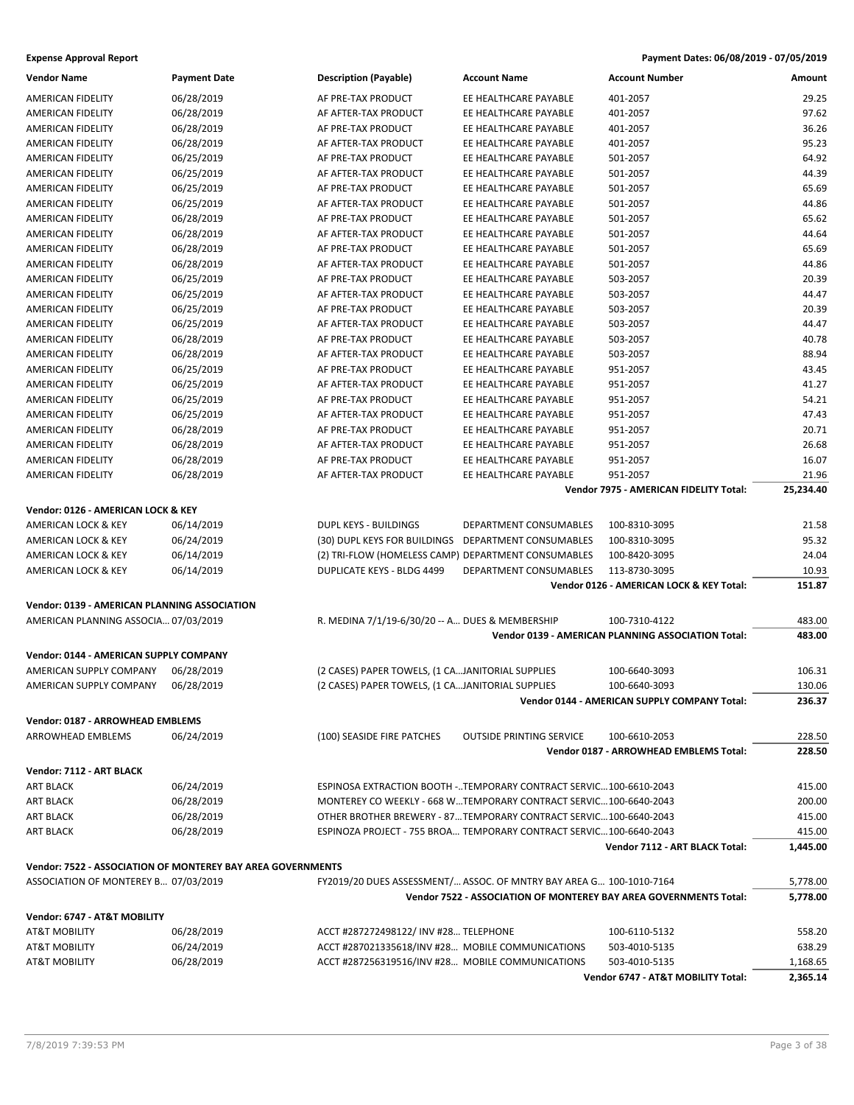| <b>Vendor Name</b>                           | <b>Payment Date</b>                                         | <b>Description (Payable)</b>                        | <b>Account Name</b>                                                 | <b>Account Number</b>                                             | Amount           |
|----------------------------------------------|-------------------------------------------------------------|-----------------------------------------------------|---------------------------------------------------------------------|-------------------------------------------------------------------|------------------|
| <b>AMERICAN FIDELITY</b>                     | 06/28/2019                                                  | AF PRE-TAX PRODUCT                                  | EE HEALTHCARE PAYABLE                                               | 401-2057                                                          | 29.25            |
| AMERICAN FIDELITY                            | 06/28/2019                                                  | AF AFTER-TAX PRODUCT                                | EE HEALTHCARE PAYABLE                                               | 401-2057                                                          | 97.62            |
| AMERICAN FIDELITY                            | 06/28/2019                                                  | AF PRE-TAX PRODUCT                                  | EE HEALTHCARE PAYABLE                                               | 401-2057                                                          | 36.26            |
| <b>AMERICAN FIDELITY</b>                     | 06/28/2019                                                  | AF AFTER-TAX PRODUCT                                | EE HEALTHCARE PAYABLE                                               | 401-2057                                                          | 95.23            |
| <b>AMERICAN FIDELITY</b>                     | 06/25/2019                                                  | AF PRE-TAX PRODUCT                                  | EE HEALTHCARE PAYABLE                                               | 501-2057                                                          | 64.92            |
| AMERICAN FIDELITY                            | 06/25/2019                                                  | AF AFTER-TAX PRODUCT                                | EE HEALTHCARE PAYABLE                                               | 501-2057                                                          | 44.39            |
| AMERICAN FIDELITY                            | 06/25/2019                                                  | AF PRE-TAX PRODUCT                                  | EE HEALTHCARE PAYABLE                                               | 501-2057                                                          | 65.69            |
| AMERICAN FIDELITY                            | 06/25/2019                                                  | AF AFTER-TAX PRODUCT                                | EE HEALTHCARE PAYABLE                                               | 501-2057                                                          | 44.86            |
| AMERICAN FIDELITY                            | 06/28/2019                                                  | AF PRE-TAX PRODUCT                                  | EE HEALTHCARE PAYABLE                                               | 501-2057                                                          | 65.62            |
| <b>AMERICAN FIDELITY</b>                     | 06/28/2019                                                  | AF AFTER-TAX PRODUCT                                | EE HEALTHCARE PAYABLE                                               | 501-2057                                                          | 44.64            |
| AMERICAN FIDELITY                            | 06/28/2019                                                  | AF PRE-TAX PRODUCT                                  | EE HEALTHCARE PAYABLE                                               | 501-2057                                                          | 65.69            |
| <b>AMERICAN FIDELITY</b>                     | 06/28/2019                                                  | AF AFTER-TAX PRODUCT                                | EE HEALTHCARE PAYABLE                                               | 501-2057                                                          | 44.86            |
| AMERICAN FIDELITY                            | 06/25/2019                                                  | AF PRE-TAX PRODUCT                                  | EE HEALTHCARE PAYABLE                                               | 503-2057                                                          | 20.39            |
| AMERICAN FIDELITY                            | 06/25/2019                                                  | AF AFTER-TAX PRODUCT                                | EE HEALTHCARE PAYABLE                                               | 503-2057                                                          | 44.47            |
| <b>AMERICAN FIDELITY</b>                     | 06/25/2019                                                  | AF PRE-TAX PRODUCT                                  | EE HEALTHCARE PAYABLE                                               | 503-2057                                                          | 20.39            |
| AMERICAN FIDELITY                            | 06/25/2019                                                  | AF AFTER-TAX PRODUCT                                | EE HEALTHCARE PAYABLE                                               | 503-2057                                                          | 44.47            |
| AMERICAN FIDELITY                            | 06/28/2019                                                  | AF PRE-TAX PRODUCT                                  | EE HEALTHCARE PAYABLE                                               | 503-2057                                                          | 40.78            |
| AMERICAN FIDELITY                            | 06/28/2019                                                  | AF AFTER-TAX PRODUCT                                | EE HEALTHCARE PAYABLE                                               | 503-2057                                                          | 88.94            |
| AMERICAN FIDELITY                            | 06/25/2019                                                  | AF PRE-TAX PRODUCT                                  | EE HEALTHCARE PAYABLE                                               | 951-2057                                                          | 43.45            |
| AMERICAN FIDELITY                            | 06/25/2019                                                  | AF AFTER-TAX PRODUCT                                | EE HEALTHCARE PAYABLE                                               | 951-2057                                                          | 41.27            |
| AMERICAN FIDELITY                            | 06/25/2019                                                  | AF PRE-TAX PRODUCT                                  | EE HEALTHCARE PAYABLE                                               | 951-2057                                                          | 54.21            |
| AMERICAN FIDELITY                            | 06/25/2019                                                  | AF AFTER-TAX PRODUCT                                | EE HEALTHCARE PAYABLE                                               | 951-2057                                                          | 47.43            |
| <b>AMERICAN FIDELITY</b>                     | 06/28/2019                                                  | AF PRE-TAX PRODUCT                                  | EE HEALTHCARE PAYABLE                                               | 951-2057                                                          | 20.71            |
| <b>AMERICAN FIDELITY</b>                     | 06/28/2019                                                  | AF AFTER-TAX PRODUCT                                | EE HEALTHCARE PAYABLE                                               | 951-2057                                                          | 26.68            |
| AMERICAN FIDELITY                            | 06/28/2019                                                  | AF PRE-TAX PRODUCT                                  | EE HEALTHCARE PAYABLE                                               | 951-2057                                                          | 16.07            |
| <b>AMERICAN FIDELITY</b>                     | 06/28/2019                                                  | AF AFTER-TAX PRODUCT                                | EE HEALTHCARE PAYABLE                                               | 951-2057                                                          | 21.96            |
|                                              |                                                             |                                                     |                                                                     | Vendor 7975 - AMERICAN FIDELITY Total:                            | 25,234.40        |
| Vendor: 0126 - AMERICAN LOCK & KEY           |                                                             |                                                     |                                                                     |                                                                   |                  |
| AMERICAN LOCK & KEY                          | 06/14/2019                                                  | DUPL KEYS - BUILDINGS                               | DEPARTMENT CONSUMABLES                                              | 100-8310-3095                                                     | 21.58            |
| AMERICAN LOCK & KEY                          | 06/24/2019                                                  | (30) DUPL KEYS FOR BUILDINGS                        | DEPARTMENT CONSUMABLES                                              | 100-8310-3095                                                     | 95.32            |
| AMERICAN LOCK & KEY                          | 06/14/2019                                                  | (2) TRI-FLOW (HOMELESS CAMP) DEPARTMENT CONSUMABLES |                                                                     | 100-8420-3095                                                     | 24.04            |
| AMERICAN LOCK & KEY                          | 06/14/2019                                                  | <b>DUPLICATE KEYS - BLDG 4499</b>                   | DEPARTMENT CONSUMABLES                                              | 113-8730-3095                                                     | 10.93            |
|                                              |                                                             |                                                     |                                                                     | Vendor 0126 - AMERICAN LOCK & KEY Total:                          | 151.87           |
| Vendor: 0139 - AMERICAN PLANNING ASSOCIATION |                                                             |                                                     |                                                                     |                                                                   |                  |
| AMERICAN PLANNING ASSOCIA 07/03/2019         |                                                             | R. MEDINA 7/1/19-6/30/20 -- A DUES & MEMBERSHIP     |                                                                     | 100-7310-4122                                                     | 483.00           |
|                                              |                                                             |                                                     |                                                                     | Vendor 0139 - AMERICAN PLANNING ASSOCIATION Total:                | 483.00           |
| Vendor: 0144 - AMERICAN SUPPLY COMPANY       |                                                             |                                                     |                                                                     |                                                                   |                  |
| AMERICAN SUPPLY COMPANY                      | 06/28/2019                                                  | (2 CASES) PAPER TOWELS, (1 CAJANITORIAL SUPPLIES    |                                                                     | 100-6640-3093                                                     | 106.31           |
| AMERICAN SUPPLY COMPANY                      | 06/28/2019                                                  | (2 CASES) PAPER TOWELS, (1 CAJANITORIAL SUPPLIES    |                                                                     | 100-6640-3093                                                     | 130.06           |
|                                              |                                                             |                                                     |                                                                     | Vendor 0144 - AMERICAN SUPPLY COMPANY Total:                      | 236.37           |
|                                              |                                                             |                                                     |                                                                     |                                                                   |                  |
| Vendor: 0187 - ARROWHEAD EMBLEMS             |                                                             |                                                     |                                                                     |                                                                   |                  |
| ARROWHEAD EMBLEMS                            | 06/24/2019                                                  | (100) SEASIDE FIRE PATCHES                          | <b>OUTSIDE PRINTING SERVICE</b>                                     | 100-6610-2053<br>Vendor 0187 - ARROWHEAD EMBLEMS Total:           | 228.50<br>228.50 |
|                                              |                                                             |                                                     |                                                                     |                                                                   |                  |
| Vendor: 7112 - ART BLACK                     |                                                             |                                                     |                                                                     |                                                                   |                  |
| ART BLACK                                    | 06/24/2019                                                  |                                                     | ESPINOSA EXTRACTION BOOTH -TEMPORARY CONTRACT SERVIC100-6610-2043   |                                                                   | 415.00           |
| ART BLACK                                    | 06/28/2019                                                  |                                                     | MONTEREY CO WEEKLY - 668 WTEMPORARY CONTRACT SERVIC100-6640-2043    |                                                                   | 200.00           |
| ART BLACK                                    | 06/28/2019                                                  |                                                     | OTHER BROTHER BREWERY - 87TEMPORARY CONTRACT SERVIC100-6640-2043    |                                                                   | 415.00           |
| <b>ART BLACK</b>                             | 06/28/2019                                                  |                                                     | ESPINOZA PROJECT - 755 BROA TEMPORARY CONTRACT SERVIC100-6640-2043  |                                                                   | 415.00           |
|                                              |                                                             |                                                     |                                                                     | Vendor 7112 - ART BLACK Total:                                    | 1,445.00         |
|                                              | Vendor: 7522 - ASSOCIATION OF MONTEREY BAY AREA GOVERNMENTS |                                                     |                                                                     |                                                                   |                  |
| ASSOCIATION OF MONTEREY B 07/03/2019         |                                                             |                                                     | FY2019/20 DUES ASSESSMENT/ ASSOC. OF MNTRY BAY AREA G 100-1010-7164 |                                                                   | 5,778.00         |
|                                              |                                                             |                                                     |                                                                     | Vendor 7522 - ASSOCIATION OF MONTEREY BAY AREA GOVERNMENTS Total: | 5,778.00         |
| Vendor: 6747 - AT&T MOBILITY                 |                                                             |                                                     |                                                                     |                                                                   |                  |
| <b>AT&amp;T MOBILITY</b>                     | 06/28/2019                                                  | ACCT #287272498122/ INV #28 TELEPHONE               |                                                                     | 100-6110-5132                                                     | 558.20           |
| <b>AT&amp;T MOBILITY</b>                     | 06/24/2019                                                  | ACCT #287021335618/INV #28 MOBILE COMMUNICATIONS    |                                                                     | 503-4010-5135                                                     | 638.29           |
| AT&T MOBILITY                                | 06/28/2019                                                  | ACCT #287256319516/INV #28 MOBILE COMMUNICATIONS    |                                                                     | 503-4010-5135                                                     | 1,168.65         |
|                                              |                                                             |                                                     |                                                                     | Vendor 6747 - AT&T MOBILITY Total:                                | 2,365.14         |
|                                              |                                                             |                                                     |                                                                     |                                                                   |                  |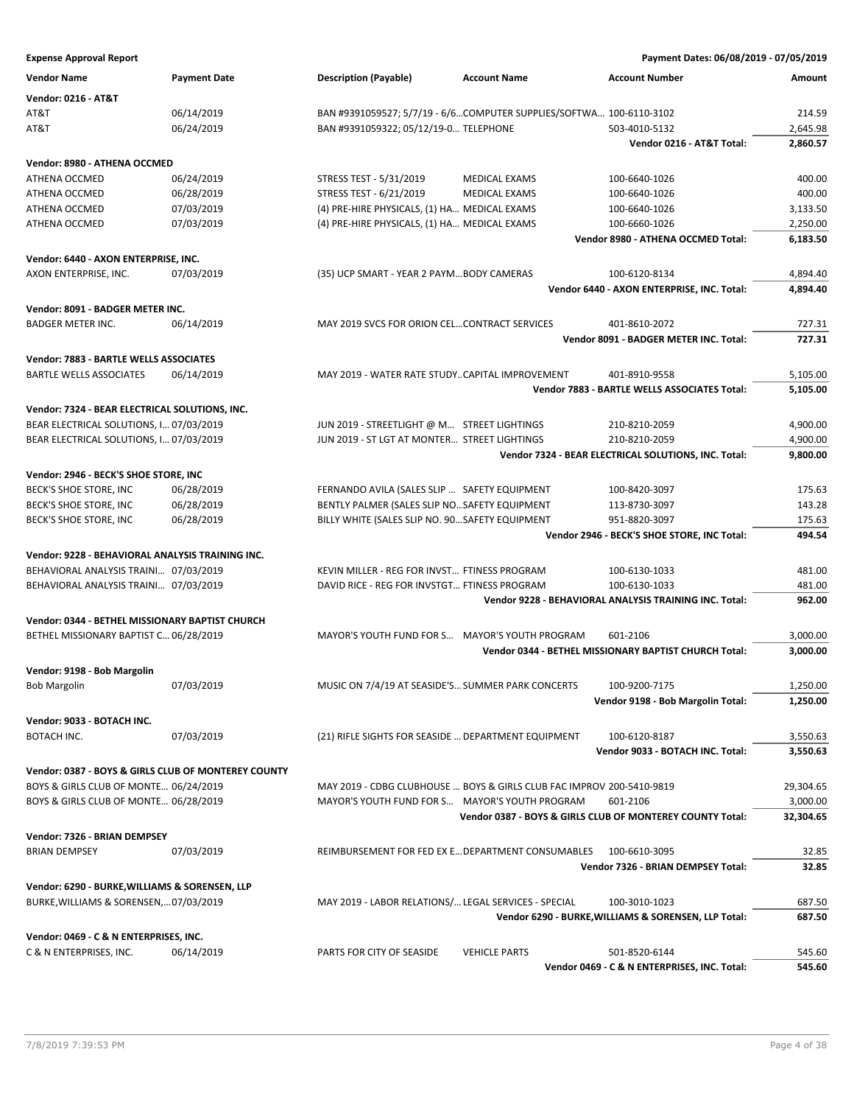| <b>Expense Approval Report</b> | Payment Dates: 06/08/2019 - 07/05/2019 |
|--------------------------------|----------------------------------------|
|--------------------------------|----------------------------------------|

| <b>Vendor: 0216 - AT&amp;T</b><br>AT&T<br>06/14/2019<br>BAN #9391059527; 5/7/19 - 6/6COMPUTER SUPPLIES/SOFTWA 100-6110-3102<br>214.59<br>AT&T<br>06/24/2019<br>BAN #9391059322; 05/12/19-0 TELEPHONE<br>2,645.98<br>503-4010-5132<br>Vendor 0216 - AT&T Total:<br>2,860.57<br>Vendor: 8980 - ATHENA OCCMED<br>06/24/2019<br>400.00<br>ATHENA OCCMED<br>STRESS TEST - 5/31/2019<br>MEDICAL EXAMS<br>100-6640-1026<br>06/28/2019<br>STRESS TEST - 6/21/2019<br>400.00<br>ATHENA OCCMED<br><b>MEDICAL EXAMS</b><br>100-6640-1026<br>07/03/2019<br>(4) PRE-HIRE PHYSICALS, (1) HA MEDICAL EXAMS<br>ATHENA OCCMED<br>100-6640-1026<br>3,133.50<br>07/03/2019<br>(4) PRE-HIRE PHYSICALS, (1) HA MEDICAL EXAMS<br>2,250.00<br>ATHENA OCCMED<br>100-6660-1026<br>Vendor 8980 - ATHENA OCCMED Total:<br>6,183.50<br>Vendor: 6440 - AXON ENTERPRISE, INC.<br>07/03/2019<br>(35) UCP SMART - YEAR 2 PAYM BODY CAMERAS<br>100-6120-8134<br>AXON ENTERPRISE, INC.<br>4,894.40<br>Vendor 6440 - AXON ENTERPRISE, INC. Total:<br>4,894.40<br>Vendor: 8091 - BADGER METER INC.<br>MAY 2019 SVCS FOR ORION CELCONTRACT SERVICES<br>401-8610-2072<br>727.31<br><b>BADGER METER INC.</b><br>06/14/2019<br>Vendor 8091 - BADGER METER INC. Total:<br>727.31<br>Vendor: 7883 - BARTLE WELLS ASSOCIATES<br>06/14/2019<br>MAY 2019 - WATER RATE STUDYCAPITAL IMPROVEMENT<br><b>BARTLE WELLS ASSOCIATES</b><br>401-8910-9558<br>5,105.00<br>Vendor 7883 - BARTLE WELLS ASSOCIATES Total:<br>5,105.00<br>Vendor: 7324 - BEAR ELECTRICAL SOLUTIONS, INC.<br>BEAR ELECTRICAL SOLUTIONS, I 07/03/2019<br>JUN 2019 - STREETLIGHT @ M STREET LIGHTINGS<br>210-8210-2059<br>4,900.00<br>BEAR ELECTRICAL SOLUTIONS, I 07/03/2019<br>JUN 2019 - ST LGT AT MONTER STREET LIGHTINGS<br>210-8210-2059<br>4,900.00<br>Vendor 7324 - BEAR ELECTRICAL SOLUTIONS, INC. Total:<br>9,800.00<br>Vendor: 2946 - BECK'S SHOE STORE, INC<br>06/28/2019<br>FERNANDO AVILA (SALES SLIP  SAFETY EQUIPMENT<br>175.63<br>BECK'S SHOE STORE, INC<br>100-8420-3097<br>BECK'S SHOE STORE, INC<br>06/28/2019<br>BENTLY PALMER (SALES SLIP NOSAFETY EQUIPMENT<br>143.28<br>113-8730-3097<br>BECK'S SHOE STORE, INC<br>06/28/2019<br>BILLY WHITE (SALES SLIP NO. 90 SAFETY EQUIPMENT<br>951-8820-3097<br>175.63<br>494.54<br>Vendor 2946 - BECK'S SHOE STORE, INC Total:<br>Vendor: 9228 - BEHAVIORAL ANALYSIS TRAINING INC.<br>BEHAVIORAL ANALYSIS TRAINI 07/03/2019<br>KEVIN MILLER - REG FOR INVST FTINESS PROGRAM<br>481.00<br>100-6130-1033<br>BEHAVIORAL ANALYSIS TRAINI 07/03/2019<br>DAVID RICE - REG FOR INVSTGT FTINESS PROGRAM<br>481.00<br>100-6130-1033<br>Vendor 9228 - BEHAVIORAL ANALYSIS TRAINING INC. Total:<br>962.00<br>Vendor: 0344 - BETHEL MISSIONARY BAPTIST CHURCH<br>BETHEL MISSIONARY BAPTIST C 06/28/2019<br>MAYOR'S YOUTH FUND FOR S MAYOR'S YOUTH PROGRAM<br>3,000.00<br>601-2106<br>Vendor 0344 - BETHEL MISSIONARY BAPTIST CHURCH Total:<br>3,000.00<br>Vendor: 9198 - Bob Margolin<br><b>Bob Margolin</b><br>07/03/2019<br>MUSIC ON 7/4/19 AT SEASIDE'S SUMMER PARK CONCERTS<br>100-9200-7175<br>1.250.00<br>Vendor 9198 - Bob Margolin Total:<br>1,250.00<br>Vendor: 9033 - BOTACH INC.<br>07/03/2019<br>BOTACH INC.<br>(21) RIFLE SIGHTS FOR SEASIDE  DEPARTMENT EQUIPMENT<br>100-6120-8187<br>3,550.63<br>Vendor 9033 - BOTACH INC. Total:<br>3,550.63<br>Vendor: 0387 - BOYS & GIRLS CLUB OF MONTEREY COUNTY<br>BOYS & GIRLS CLUB OF MONTE 06/24/2019<br>MAY 2019 - CDBG CLUBHOUSE  BOYS & GIRLS CLUB FAC IMPROV 200-5410-9819<br>29,304.65<br>3,000.00<br>BOYS & GIRLS CLUB OF MONTE 06/28/2019<br>MAYOR'S YOUTH FUND FOR S MAYOR'S YOUTH PROGRAM<br>601-2106<br>Vendor 0387 - BOYS & GIRLS CLUB OF MONTEREY COUNTY Total:<br>32,304.65<br>Vendor: 7326 - BRIAN DEMPSEY<br><b>BRIAN DEMPSEY</b><br>07/03/2019<br>REIMBURSEMENT FOR FED EX E DEPARTMENT CONSUMABLES<br>100-6610-3095<br>32.85<br>Vendor 7326 - BRIAN DEMPSEY Total:<br>32.85<br>Vendor: 6290 - BURKE, WILLIAMS & SORENSEN, LLP<br>MAY 2019 - LABOR RELATIONS/ LEGAL SERVICES - SPECIAL<br>BURKE, WILLIAMS & SORENSEN,07/03/2019<br>100-3010-1023<br>687.50<br>Vendor 6290 - BURKE, WILLIAMS & SORENSEN, LLP Total:<br>687.50<br>Vendor: 0469 - C & N ENTERPRISES, INC.<br>06/14/2019<br>C & N ENTERPRISES, INC.<br>PARTS FOR CITY OF SEASIDE<br><b>VEHICLE PARTS</b><br>501-8520-6144<br>545.60<br>Vendor 0469 - C & N ENTERPRISES, INC. Total:<br>545.60 | <b>Vendor Name</b> | <b>Payment Date</b> | <b>Description (Payable)</b> | <b>Account Name</b> | <b>Account Number</b> | Amount |
|-------------------------------------------------------------------------------------------------------------------------------------------------------------------------------------------------------------------------------------------------------------------------------------------------------------------------------------------------------------------------------------------------------------------------------------------------------------------------------------------------------------------------------------------------------------------------------------------------------------------------------------------------------------------------------------------------------------------------------------------------------------------------------------------------------------------------------------------------------------------------------------------------------------------------------------------------------------------------------------------------------------------------------------------------------------------------------------------------------------------------------------------------------------------------------------------------------------------------------------------------------------------------------------------------------------------------------------------------------------------------------------------------------------------------------------------------------------------------------------------------------------------------------------------------------------------------------------------------------------------------------------------------------------------------------------------------------------------------------------------------------------------------------------------------------------------------------------------------------------------------------------------------------------------------------------------------------------------------------------------------------------------------------------------------------------------------------------------------------------------------------------------------------------------------------------------------------------------------------------------------------------------------------------------------------------------------------------------------------------------------------------------------------------------------------------------------------------------------------------------------------------------------------------------------------------------------------------------------------------------------------------------------------------------------------------------------------------------------------------------------------------------------------------------------------------------------------------------------------------------------------------------------------------------------------------------------------------------------------------------------------------------------------------------------------------------------------------------------------------------------------------------------------------------------------------------------------------------------------------------------------------------------------------------------------------------------------------------------------------------------------------------------------------------------------------------------------------------------------------------------------------------------------------------------------------------------------------------------------------------------------------------------------------------------------------------------------------------------------------------------------------------------------------------------------------------------------------------------------------------------------------------------------------------------------------------------------------------------------------------------------------------------------------------------------------------------------------------------------------------------------------------------------------------------------------------------------------------------------------------------------------------------------------------------------------------------------------------------------------------------------------------------------|--------------------|---------------------|------------------------------|---------------------|-----------------------|--------|
|                                                                                                                                                                                                                                                                                                                                                                                                                                                                                                                                                                                                                                                                                                                                                                                                                                                                                                                                                                                                                                                                                                                                                                                                                                                                                                                                                                                                                                                                                                                                                                                                                                                                                                                                                                                                                                                                                                                                                                                                                                                                                                                                                                                                                                                                                                                                                                                                                                                                                                                                                                                                                                                                                                                                                                                                                                                                                                                                                                                                                                                                                                                                                                                                                                                                                                                                                                                                                                                                                                                                                                                                                                                                                                                                                                                                                                                                                                                                                                                                                                                                                                                                                                                                                                                                                                                                                                                                       |                    |                     |                              |                     |                       |        |
|                                                                                                                                                                                                                                                                                                                                                                                                                                                                                                                                                                                                                                                                                                                                                                                                                                                                                                                                                                                                                                                                                                                                                                                                                                                                                                                                                                                                                                                                                                                                                                                                                                                                                                                                                                                                                                                                                                                                                                                                                                                                                                                                                                                                                                                                                                                                                                                                                                                                                                                                                                                                                                                                                                                                                                                                                                                                                                                                                                                                                                                                                                                                                                                                                                                                                                                                                                                                                                                                                                                                                                                                                                                                                                                                                                                                                                                                                                                                                                                                                                                                                                                                                                                                                                                                                                                                                                                                       |                    |                     |                              |                     |                       |        |
|                                                                                                                                                                                                                                                                                                                                                                                                                                                                                                                                                                                                                                                                                                                                                                                                                                                                                                                                                                                                                                                                                                                                                                                                                                                                                                                                                                                                                                                                                                                                                                                                                                                                                                                                                                                                                                                                                                                                                                                                                                                                                                                                                                                                                                                                                                                                                                                                                                                                                                                                                                                                                                                                                                                                                                                                                                                                                                                                                                                                                                                                                                                                                                                                                                                                                                                                                                                                                                                                                                                                                                                                                                                                                                                                                                                                                                                                                                                                                                                                                                                                                                                                                                                                                                                                                                                                                                                                       |                    |                     |                              |                     |                       |        |
|                                                                                                                                                                                                                                                                                                                                                                                                                                                                                                                                                                                                                                                                                                                                                                                                                                                                                                                                                                                                                                                                                                                                                                                                                                                                                                                                                                                                                                                                                                                                                                                                                                                                                                                                                                                                                                                                                                                                                                                                                                                                                                                                                                                                                                                                                                                                                                                                                                                                                                                                                                                                                                                                                                                                                                                                                                                                                                                                                                                                                                                                                                                                                                                                                                                                                                                                                                                                                                                                                                                                                                                                                                                                                                                                                                                                                                                                                                                                                                                                                                                                                                                                                                                                                                                                                                                                                                                                       |                    |                     |                              |                     |                       |        |
|                                                                                                                                                                                                                                                                                                                                                                                                                                                                                                                                                                                                                                                                                                                                                                                                                                                                                                                                                                                                                                                                                                                                                                                                                                                                                                                                                                                                                                                                                                                                                                                                                                                                                                                                                                                                                                                                                                                                                                                                                                                                                                                                                                                                                                                                                                                                                                                                                                                                                                                                                                                                                                                                                                                                                                                                                                                                                                                                                                                                                                                                                                                                                                                                                                                                                                                                                                                                                                                                                                                                                                                                                                                                                                                                                                                                                                                                                                                                                                                                                                                                                                                                                                                                                                                                                                                                                                                                       |                    |                     |                              |                     |                       |        |
|                                                                                                                                                                                                                                                                                                                                                                                                                                                                                                                                                                                                                                                                                                                                                                                                                                                                                                                                                                                                                                                                                                                                                                                                                                                                                                                                                                                                                                                                                                                                                                                                                                                                                                                                                                                                                                                                                                                                                                                                                                                                                                                                                                                                                                                                                                                                                                                                                                                                                                                                                                                                                                                                                                                                                                                                                                                                                                                                                                                                                                                                                                                                                                                                                                                                                                                                                                                                                                                                                                                                                                                                                                                                                                                                                                                                                                                                                                                                                                                                                                                                                                                                                                                                                                                                                                                                                                                                       |                    |                     |                              |                     |                       |        |
|                                                                                                                                                                                                                                                                                                                                                                                                                                                                                                                                                                                                                                                                                                                                                                                                                                                                                                                                                                                                                                                                                                                                                                                                                                                                                                                                                                                                                                                                                                                                                                                                                                                                                                                                                                                                                                                                                                                                                                                                                                                                                                                                                                                                                                                                                                                                                                                                                                                                                                                                                                                                                                                                                                                                                                                                                                                                                                                                                                                                                                                                                                                                                                                                                                                                                                                                                                                                                                                                                                                                                                                                                                                                                                                                                                                                                                                                                                                                                                                                                                                                                                                                                                                                                                                                                                                                                                                                       |                    |                     |                              |                     |                       |        |
|                                                                                                                                                                                                                                                                                                                                                                                                                                                                                                                                                                                                                                                                                                                                                                                                                                                                                                                                                                                                                                                                                                                                                                                                                                                                                                                                                                                                                                                                                                                                                                                                                                                                                                                                                                                                                                                                                                                                                                                                                                                                                                                                                                                                                                                                                                                                                                                                                                                                                                                                                                                                                                                                                                                                                                                                                                                                                                                                                                                                                                                                                                                                                                                                                                                                                                                                                                                                                                                                                                                                                                                                                                                                                                                                                                                                                                                                                                                                                                                                                                                                                                                                                                                                                                                                                                                                                                                                       |                    |                     |                              |                     |                       |        |
|                                                                                                                                                                                                                                                                                                                                                                                                                                                                                                                                                                                                                                                                                                                                                                                                                                                                                                                                                                                                                                                                                                                                                                                                                                                                                                                                                                                                                                                                                                                                                                                                                                                                                                                                                                                                                                                                                                                                                                                                                                                                                                                                                                                                                                                                                                                                                                                                                                                                                                                                                                                                                                                                                                                                                                                                                                                                                                                                                                                                                                                                                                                                                                                                                                                                                                                                                                                                                                                                                                                                                                                                                                                                                                                                                                                                                                                                                                                                                                                                                                                                                                                                                                                                                                                                                                                                                                                                       |                    |                     |                              |                     |                       |        |
|                                                                                                                                                                                                                                                                                                                                                                                                                                                                                                                                                                                                                                                                                                                                                                                                                                                                                                                                                                                                                                                                                                                                                                                                                                                                                                                                                                                                                                                                                                                                                                                                                                                                                                                                                                                                                                                                                                                                                                                                                                                                                                                                                                                                                                                                                                                                                                                                                                                                                                                                                                                                                                                                                                                                                                                                                                                                                                                                                                                                                                                                                                                                                                                                                                                                                                                                                                                                                                                                                                                                                                                                                                                                                                                                                                                                                                                                                                                                                                                                                                                                                                                                                                                                                                                                                                                                                                                                       |                    |                     |                              |                     |                       |        |
|                                                                                                                                                                                                                                                                                                                                                                                                                                                                                                                                                                                                                                                                                                                                                                                                                                                                                                                                                                                                                                                                                                                                                                                                                                                                                                                                                                                                                                                                                                                                                                                                                                                                                                                                                                                                                                                                                                                                                                                                                                                                                                                                                                                                                                                                                                                                                                                                                                                                                                                                                                                                                                                                                                                                                                                                                                                                                                                                                                                                                                                                                                                                                                                                                                                                                                                                                                                                                                                                                                                                                                                                                                                                                                                                                                                                                                                                                                                                                                                                                                                                                                                                                                                                                                                                                                                                                                                                       |                    |                     |                              |                     |                       |        |
|                                                                                                                                                                                                                                                                                                                                                                                                                                                                                                                                                                                                                                                                                                                                                                                                                                                                                                                                                                                                                                                                                                                                                                                                                                                                                                                                                                                                                                                                                                                                                                                                                                                                                                                                                                                                                                                                                                                                                                                                                                                                                                                                                                                                                                                                                                                                                                                                                                                                                                                                                                                                                                                                                                                                                                                                                                                                                                                                                                                                                                                                                                                                                                                                                                                                                                                                                                                                                                                                                                                                                                                                                                                                                                                                                                                                                                                                                                                                                                                                                                                                                                                                                                                                                                                                                                                                                                                                       |                    |                     |                              |                     |                       |        |
|                                                                                                                                                                                                                                                                                                                                                                                                                                                                                                                                                                                                                                                                                                                                                                                                                                                                                                                                                                                                                                                                                                                                                                                                                                                                                                                                                                                                                                                                                                                                                                                                                                                                                                                                                                                                                                                                                                                                                                                                                                                                                                                                                                                                                                                                                                                                                                                                                                                                                                                                                                                                                                                                                                                                                                                                                                                                                                                                                                                                                                                                                                                                                                                                                                                                                                                                                                                                                                                                                                                                                                                                                                                                                                                                                                                                                                                                                                                                                                                                                                                                                                                                                                                                                                                                                                                                                                                                       |                    |                     |                              |                     |                       |        |
|                                                                                                                                                                                                                                                                                                                                                                                                                                                                                                                                                                                                                                                                                                                                                                                                                                                                                                                                                                                                                                                                                                                                                                                                                                                                                                                                                                                                                                                                                                                                                                                                                                                                                                                                                                                                                                                                                                                                                                                                                                                                                                                                                                                                                                                                                                                                                                                                                                                                                                                                                                                                                                                                                                                                                                                                                                                                                                                                                                                                                                                                                                                                                                                                                                                                                                                                                                                                                                                                                                                                                                                                                                                                                                                                                                                                                                                                                                                                                                                                                                                                                                                                                                                                                                                                                                                                                                                                       |                    |                     |                              |                     |                       |        |
|                                                                                                                                                                                                                                                                                                                                                                                                                                                                                                                                                                                                                                                                                                                                                                                                                                                                                                                                                                                                                                                                                                                                                                                                                                                                                                                                                                                                                                                                                                                                                                                                                                                                                                                                                                                                                                                                                                                                                                                                                                                                                                                                                                                                                                                                                                                                                                                                                                                                                                                                                                                                                                                                                                                                                                                                                                                                                                                                                                                                                                                                                                                                                                                                                                                                                                                                                                                                                                                                                                                                                                                                                                                                                                                                                                                                                                                                                                                                                                                                                                                                                                                                                                                                                                                                                                                                                                                                       |                    |                     |                              |                     |                       |        |
|                                                                                                                                                                                                                                                                                                                                                                                                                                                                                                                                                                                                                                                                                                                                                                                                                                                                                                                                                                                                                                                                                                                                                                                                                                                                                                                                                                                                                                                                                                                                                                                                                                                                                                                                                                                                                                                                                                                                                                                                                                                                                                                                                                                                                                                                                                                                                                                                                                                                                                                                                                                                                                                                                                                                                                                                                                                                                                                                                                                                                                                                                                                                                                                                                                                                                                                                                                                                                                                                                                                                                                                                                                                                                                                                                                                                                                                                                                                                                                                                                                                                                                                                                                                                                                                                                                                                                                                                       |                    |                     |                              |                     |                       |        |
|                                                                                                                                                                                                                                                                                                                                                                                                                                                                                                                                                                                                                                                                                                                                                                                                                                                                                                                                                                                                                                                                                                                                                                                                                                                                                                                                                                                                                                                                                                                                                                                                                                                                                                                                                                                                                                                                                                                                                                                                                                                                                                                                                                                                                                                                                                                                                                                                                                                                                                                                                                                                                                                                                                                                                                                                                                                                                                                                                                                                                                                                                                                                                                                                                                                                                                                                                                                                                                                                                                                                                                                                                                                                                                                                                                                                                                                                                                                                                                                                                                                                                                                                                                                                                                                                                                                                                                                                       |                    |                     |                              |                     |                       |        |
|                                                                                                                                                                                                                                                                                                                                                                                                                                                                                                                                                                                                                                                                                                                                                                                                                                                                                                                                                                                                                                                                                                                                                                                                                                                                                                                                                                                                                                                                                                                                                                                                                                                                                                                                                                                                                                                                                                                                                                                                                                                                                                                                                                                                                                                                                                                                                                                                                                                                                                                                                                                                                                                                                                                                                                                                                                                                                                                                                                                                                                                                                                                                                                                                                                                                                                                                                                                                                                                                                                                                                                                                                                                                                                                                                                                                                                                                                                                                                                                                                                                                                                                                                                                                                                                                                                                                                                                                       |                    |                     |                              |                     |                       |        |
|                                                                                                                                                                                                                                                                                                                                                                                                                                                                                                                                                                                                                                                                                                                                                                                                                                                                                                                                                                                                                                                                                                                                                                                                                                                                                                                                                                                                                                                                                                                                                                                                                                                                                                                                                                                                                                                                                                                                                                                                                                                                                                                                                                                                                                                                                                                                                                                                                                                                                                                                                                                                                                                                                                                                                                                                                                                                                                                                                                                                                                                                                                                                                                                                                                                                                                                                                                                                                                                                                                                                                                                                                                                                                                                                                                                                                                                                                                                                                                                                                                                                                                                                                                                                                                                                                                                                                                                                       |                    |                     |                              |                     |                       |        |
|                                                                                                                                                                                                                                                                                                                                                                                                                                                                                                                                                                                                                                                                                                                                                                                                                                                                                                                                                                                                                                                                                                                                                                                                                                                                                                                                                                                                                                                                                                                                                                                                                                                                                                                                                                                                                                                                                                                                                                                                                                                                                                                                                                                                                                                                                                                                                                                                                                                                                                                                                                                                                                                                                                                                                                                                                                                                                                                                                                                                                                                                                                                                                                                                                                                                                                                                                                                                                                                                                                                                                                                                                                                                                                                                                                                                                                                                                                                                                                                                                                                                                                                                                                                                                                                                                                                                                                                                       |                    |                     |                              |                     |                       |        |
|                                                                                                                                                                                                                                                                                                                                                                                                                                                                                                                                                                                                                                                                                                                                                                                                                                                                                                                                                                                                                                                                                                                                                                                                                                                                                                                                                                                                                                                                                                                                                                                                                                                                                                                                                                                                                                                                                                                                                                                                                                                                                                                                                                                                                                                                                                                                                                                                                                                                                                                                                                                                                                                                                                                                                                                                                                                                                                                                                                                                                                                                                                                                                                                                                                                                                                                                                                                                                                                                                                                                                                                                                                                                                                                                                                                                                                                                                                                                                                                                                                                                                                                                                                                                                                                                                                                                                                                                       |                    |                     |                              |                     |                       |        |
|                                                                                                                                                                                                                                                                                                                                                                                                                                                                                                                                                                                                                                                                                                                                                                                                                                                                                                                                                                                                                                                                                                                                                                                                                                                                                                                                                                                                                                                                                                                                                                                                                                                                                                                                                                                                                                                                                                                                                                                                                                                                                                                                                                                                                                                                                                                                                                                                                                                                                                                                                                                                                                                                                                                                                                                                                                                                                                                                                                                                                                                                                                                                                                                                                                                                                                                                                                                                                                                                                                                                                                                                                                                                                                                                                                                                                                                                                                                                                                                                                                                                                                                                                                                                                                                                                                                                                                                                       |                    |                     |                              |                     |                       |        |
|                                                                                                                                                                                                                                                                                                                                                                                                                                                                                                                                                                                                                                                                                                                                                                                                                                                                                                                                                                                                                                                                                                                                                                                                                                                                                                                                                                                                                                                                                                                                                                                                                                                                                                                                                                                                                                                                                                                                                                                                                                                                                                                                                                                                                                                                                                                                                                                                                                                                                                                                                                                                                                                                                                                                                                                                                                                                                                                                                                                                                                                                                                                                                                                                                                                                                                                                                                                                                                                                                                                                                                                                                                                                                                                                                                                                                                                                                                                                                                                                                                                                                                                                                                                                                                                                                                                                                                                                       |                    |                     |                              |                     |                       |        |
|                                                                                                                                                                                                                                                                                                                                                                                                                                                                                                                                                                                                                                                                                                                                                                                                                                                                                                                                                                                                                                                                                                                                                                                                                                                                                                                                                                                                                                                                                                                                                                                                                                                                                                                                                                                                                                                                                                                                                                                                                                                                                                                                                                                                                                                                                                                                                                                                                                                                                                                                                                                                                                                                                                                                                                                                                                                                                                                                                                                                                                                                                                                                                                                                                                                                                                                                                                                                                                                                                                                                                                                                                                                                                                                                                                                                                                                                                                                                                                                                                                                                                                                                                                                                                                                                                                                                                                                                       |                    |                     |                              |                     |                       |        |
|                                                                                                                                                                                                                                                                                                                                                                                                                                                                                                                                                                                                                                                                                                                                                                                                                                                                                                                                                                                                                                                                                                                                                                                                                                                                                                                                                                                                                                                                                                                                                                                                                                                                                                                                                                                                                                                                                                                                                                                                                                                                                                                                                                                                                                                                                                                                                                                                                                                                                                                                                                                                                                                                                                                                                                                                                                                                                                                                                                                                                                                                                                                                                                                                                                                                                                                                                                                                                                                                                                                                                                                                                                                                                                                                                                                                                                                                                                                                                                                                                                                                                                                                                                                                                                                                                                                                                                                                       |                    |                     |                              |                     |                       |        |
|                                                                                                                                                                                                                                                                                                                                                                                                                                                                                                                                                                                                                                                                                                                                                                                                                                                                                                                                                                                                                                                                                                                                                                                                                                                                                                                                                                                                                                                                                                                                                                                                                                                                                                                                                                                                                                                                                                                                                                                                                                                                                                                                                                                                                                                                                                                                                                                                                                                                                                                                                                                                                                                                                                                                                                                                                                                                                                                                                                                                                                                                                                                                                                                                                                                                                                                                                                                                                                                                                                                                                                                                                                                                                                                                                                                                                                                                                                                                                                                                                                                                                                                                                                                                                                                                                                                                                                                                       |                    |                     |                              |                     |                       |        |
|                                                                                                                                                                                                                                                                                                                                                                                                                                                                                                                                                                                                                                                                                                                                                                                                                                                                                                                                                                                                                                                                                                                                                                                                                                                                                                                                                                                                                                                                                                                                                                                                                                                                                                                                                                                                                                                                                                                                                                                                                                                                                                                                                                                                                                                                                                                                                                                                                                                                                                                                                                                                                                                                                                                                                                                                                                                                                                                                                                                                                                                                                                                                                                                                                                                                                                                                                                                                                                                                                                                                                                                                                                                                                                                                                                                                                                                                                                                                                                                                                                                                                                                                                                                                                                                                                                                                                                                                       |                    |                     |                              |                     |                       |        |
|                                                                                                                                                                                                                                                                                                                                                                                                                                                                                                                                                                                                                                                                                                                                                                                                                                                                                                                                                                                                                                                                                                                                                                                                                                                                                                                                                                                                                                                                                                                                                                                                                                                                                                                                                                                                                                                                                                                                                                                                                                                                                                                                                                                                                                                                                                                                                                                                                                                                                                                                                                                                                                                                                                                                                                                                                                                                                                                                                                                                                                                                                                                                                                                                                                                                                                                                                                                                                                                                                                                                                                                                                                                                                                                                                                                                                                                                                                                                                                                                                                                                                                                                                                                                                                                                                                                                                                                                       |                    |                     |                              |                     |                       |        |
|                                                                                                                                                                                                                                                                                                                                                                                                                                                                                                                                                                                                                                                                                                                                                                                                                                                                                                                                                                                                                                                                                                                                                                                                                                                                                                                                                                                                                                                                                                                                                                                                                                                                                                                                                                                                                                                                                                                                                                                                                                                                                                                                                                                                                                                                                                                                                                                                                                                                                                                                                                                                                                                                                                                                                                                                                                                                                                                                                                                                                                                                                                                                                                                                                                                                                                                                                                                                                                                                                                                                                                                                                                                                                                                                                                                                                                                                                                                                                                                                                                                                                                                                                                                                                                                                                                                                                                                                       |                    |                     |                              |                     |                       |        |
|                                                                                                                                                                                                                                                                                                                                                                                                                                                                                                                                                                                                                                                                                                                                                                                                                                                                                                                                                                                                                                                                                                                                                                                                                                                                                                                                                                                                                                                                                                                                                                                                                                                                                                                                                                                                                                                                                                                                                                                                                                                                                                                                                                                                                                                                                                                                                                                                                                                                                                                                                                                                                                                                                                                                                                                                                                                                                                                                                                                                                                                                                                                                                                                                                                                                                                                                                                                                                                                                                                                                                                                                                                                                                                                                                                                                                                                                                                                                                                                                                                                                                                                                                                                                                                                                                                                                                                                                       |                    |                     |                              |                     |                       |        |
|                                                                                                                                                                                                                                                                                                                                                                                                                                                                                                                                                                                                                                                                                                                                                                                                                                                                                                                                                                                                                                                                                                                                                                                                                                                                                                                                                                                                                                                                                                                                                                                                                                                                                                                                                                                                                                                                                                                                                                                                                                                                                                                                                                                                                                                                                                                                                                                                                                                                                                                                                                                                                                                                                                                                                                                                                                                                                                                                                                                                                                                                                                                                                                                                                                                                                                                                                                                                                                                                                                                                                                                                                                                                                                                                                                                                                                                                                                                                                                                                                                                                                                                                                                                                                                                                                                                                                                                                       |                    |                     |                              |                     |                       |        |
|                                                                                                                                                                                                                                                                                                                                                                                                                                                                                                                                                                                                                                                                                                                                                                                                                                                                                                                                                                                                                                                                                                                                                                                                                                                                                                                                                                                                                                                                                                                                                                                                                                                                                                                                                                                                                                                                                                                                                                                                                                                                                                                                                                                                                                                                                                                                                                                                                                                                                                                                                                                                                                                                                                                                                                                                                                                                                                                                                                                                                                                                                                                                                                                                                                                                                                                                                                                                                                                                                                                                                                                                                                                                                                                                                                                                                                                                                                                                                                                                                                                                                                                                                                                                                                                                                                                                                                                                       |                    |                     |                              |                     |                       |        |
|                                                                                                                                                                                                                                                                                                                                                                                                                                                                                                                                                                                                                                                                                                                                                                                                                                                                                                                                                                                                                                                                                                                                                                                                                                                                                                                                                                                                                                                                                                                                                                                                                                                                                                                                                                                                                                                                                                                                                                                                                                                                                                                                                                                                                                                                                                                                                                                                                                                                                                                                                                                                                                                                                                                                                                                                                                                                                                                                                                                                                                                                                                                                                                                                                                                                                                                                                                                                                                                                                                                                                                                                                                                                                                                                                                                                                                                                                                                                                                                                                                                                                                                                                                                                                                                                                                                                                                                                       |                    |                     |                              |                     |                       |        |
|                                                                                                                                                                                                                                                                                                                                                                                                                                                                                                                                                                                                                                                                                                                                                                                                                                                                                                                                                                                                                                                                                                                                                                                                                                                                                                                                                                                                                                                                                                                                                                                                                                                                                                                                                                                                                                                                                                                                                                                                                                                                                                                                                                                                                                                                                                                                                                                                                                                                                                                                                                                                                                                                                                                                                                                                                                                                                                                                                                                                                                                                                                                                                                                                                                                                                                                                                                                                                                                                                                                                                                                                                                                                                                                                                                                                                                                                                                                                                                                                                                                                                                                                                                                                                                                                                                                                                                                                       |                    |                     |                              |                     |                       |        |
|                                                                                                                                                                                                                                                                                                                                                                                                                                                                                                                                                                                                                                                                                                                                                                                                                                                                                                                                                                                                                                                                                                                                                                                                                                                                                                                                                                                                                                                                                                                                                                                                                                                                                                                                                                                                                                                                                                                                                                                                                                                                                                                                                                                                                                                                                                                                                                                                                                                                                                                                                                                                                                                                                                                                                                                                                                                                                                                                                                                                                                                                                                                                                                                                                                                                                                                                                                                                                                                                                                                                                                                                                                                                                                                                                                                                                                                                                                                                                                                                                                                                                                                                                                                                                                                                                                                                                                                                       |                    |                     |                              |                     |                       |        |
|                                                                                                                                                                                                                                                                                                                                                                                                                                                                                                                                                                                                                                                                                                                                                                                                                                                                                                                                                                                                                                                                                                                                                                                                                                                                                                                                                                                                                                                                                                                                                                                                                                                                                                                                                                                                                                                                                                                                                                                                                                                                                                                                                                                                                                                                                                                                                                                                                                                                                                                                                                                                                                                                                                                                                                                                                                                                                                                                                                                                                                                                                                                                                                                                                                                                                                                                                                                                                                                                                                                                                                                                                                                                                                                                                                                                                                                                                                                                                                                                                                                                                                                                                                                                                                                                                                                                                                                                       |                    |                     |                              |                     |                       |        |
|                                                                                                                                                                                                                                                                                                                                                                                                                                                                                                                                                                                                                                                                                                                                                                                                                                                                                                                                                                                                                                                                                                                                                                                                                                                                                                                                                                                                                                                                                                                                                                                                                                                                                                                                                                                                                                                                                                                                                                                                                                                                                                                                                                                                                                                                                                                                                                                                                                                                                                                                                                                                                                                                                                                                                                                                                                                                                                                                                                                                                                                                                                                                                                                                                                                                                                                                                                                                                                                                                                                                                                                                                                                                                                                                                                                                                                                                                                                                                                                                                                                                                                                                                                                                                                                                                                                                                                                                       |                    |                     |                              |                     |                       |        |
|                                                                                                                                                                                                                                                                                                                                                                                                                                                                                                                                                                                                                                                                                                                                                                                                                                                                                                                                                                                                                                                                                                                                                                                                                                                                                                                                                                                                                                                                                                                                                                                                                                                                                                                                                                                                                                                                                                                                                                                                                                                                                                                                                                                                                                                                                                                                                                                                                                                                                                                                                                                                                                                                                                                                                                                                                                                                                                                                                                                                                                                                                                                                                                                                                                                                                                                                                                                                                                                                                                                                                                                                                                                                                                                                                                                                                                                                                                                                                                                                                                                                                                                                                                                                                                                                                                                                                                                                       |                    |                     |                              |                     |                       |        |
|                                                                                                                                                                                                                                                                                                                                                                                                                                                                                                                                                                                                                                                                                                                                                                                                                                                                                                                                                                                                                                                                                                                                                                                                                                                                                                                                                                                                                                                                                                                                                                                                                                                                                                                                                                                                                                                                                                                                                                                                                                                                                                                                                                                                                                                                                                                                                                                                                                                                                                                                                                                                                                                                                                                                                                                                                                                                                                                                                                                                                                                                                                                                                                                                                                                                                                                                                                                                                                                                                                                                                                                                                                                                                                                                                                                                                                                                                                                                                                                                                                                                                                                                                                                                                                                                                                                                                                                                       |                    |                     |                              |                     |                       |        |
|                                                                                                                                                                                                                                                                                                                                                                                                                                                                                                                                                                                                                                                                                                                                                                                                                                                                                                                                                                                                                                                                                                                                                                                                                                                                                                                                                                                                                                                                                                                                                                                                                                                                                                                                                                                                                                                                                                                                                                                                                                                                                                                                                                                                                                                                                                                                                                                                                                                                                                                                                                                                                                                                                                                                                                                                                                                                                                                                                                                                                                                                                                                                                                                                                                                                                                                                                                                                                                                                                                                                                                                                                                                                                                                                                                                                                                                                                                                                                                                                                                                                                                                                                                                                                                                                                                                                                                                                       |                    |                     |                              |                     |                       |        |
|                                                                                                                                                                                                                                                                                                                                                                                                                                                                                                                                                                                                                                                                                                                                                                                                                                                                                                                                                                                                                                                                                                                                                                                                                                                                                                                                                                                                                                                                                                                                                                                                                                                                                                                                                                                                                                                                                                                                                                                                                                                                                                                                                                                                                                                                                                                                                                                                                                                                                                                                                                                                                                                                                                                                                                                                                                                                                                                                                                                                                                                                                                                                                                                                                                                                                                                                                                                                                                                                                                                                                                                                                                                                                                                                                                                                                                                                                                                                                                                                                                                                                                                                                                                                                                                                                                                                                                                                       |                    |                     |                              |                     |                       |        |
|                                                                                                                                                                                                                                                                                                                                                                                                                                                                                                                                                                                                                                                                                                                                                                                                                                                                                                                                                                                                                                                                                                                                                                                                                                                                                                                                                                                                                                                                                                                                                                                                                                                                                                                                                                                                                                                                                                                                                                                                                                                                                                                                                                                                                                                                                                                                                                                                                                                                                                                                                                                                                                                                                                                                                                                                                                                                                                                                                                                                                                                                                                                                                                                                                                                                                                                                                                                                                                                                                                                                                                                                                                                                                                                                                                                                                                                                                                                                                                                                                                                                                                                                                                                                                                                                                                                                                                                                       |                    |                     |                              |                     |                       |        |
|                                                                                                                                                                                                                                                                                                                                                                                                                                                                                                                                                                                                                                                                                                                                                                                                                                                                                                                                                                                                                                                                                                                                                                                                                                                                                                                                                                                                                                                                                                                                                                                                                                                                                                                                                                                                                                                                                                                                                                                                                                                                                                                                                                                                                                                                                                                                                                                                                                                                                                                                                                                                                                                                                                                                                                                                                                                                                                                                                                                                                                                                                                                                                                                                                                                                                                                                                                                                                                                                                                                                                                                                                                                                                                                                                                                                                                                                                                                                                                                                                                                                                                                                                                                                                                                                                                                                                                                                       |                    |                     |                              |                     |                       |        |
|                                                                                                                                                                                                                                                                                                                                                                                                                                                                                                                                                                                                                                                                                                                                                                                                                                                                                                                                                                                                                                                                                                                                                                                                                                                                                                                                                                                                                                                                                                                                                                                                                                                                                                                                                                                                                                                                                                                                                                                                                                                                                                                                                                                                                                                                                                                                                                                                                                                                                                                                                                                                                                                                                                                                                                                                                                                                                                                                                                                                                                                                                                                                                                                                                                                                                                                                                                                                                                                                                                                                                                                                                                                                                                                                                                                                                                                                                                                                                                                                                                                                                                                                                                                                                                                                                                                                                                                                       |                    |                     |                              |                     |                       |        |
|                                                                                                                                                                                                                                                                                                                                                                                                                                                                                                                                                                                                                                                                                                                                                                                                                                                                                                                                                                                                                                                                                                                                                                                                                                                                                                                                                                                                                                                                                                                                                                                                                                                                                                                                                                                                                                                                                                                                                                                                                                                                                                                                                                                                                                                                                                                                                                                                                                                                                                                                                                                                                                                                                                                                                                                                                                                                                                                                                                                                                                                                                                                                                                                                                                                                                                                                                                                                                                                                                                                                                                                                                                                                                                                                                                                                                                                                                                                                                                                                                                                                                                                                                                                                                                                                                                                                                                                                       |                    |                     |                              |                     |                       |        |
|                                                                                                                                                                                                                                                                                                                                                                                                                                                                                                                                                                                                                                                                                                                                                                                                                                                                                                                                                                                                                                                                                                                                                                                                                                                                                                                                                                                                                                                                                                                                                                                                                                                                                                                                                                                                                                                                                                                                                                                                                                                                                                                                                                                                                                                                                                                                                                                                                                                                                                                                                                                                                                                                                                                                                                                                                                                                                                                                                                                                                                                                                                                                                                                                                                                                                                                                                                                                                                                                                                                                                                                                                                                                                                                                                                                                                                                                                                                                                                                                                                                                                                                                                                                                                                                                                                                                                                                                       |                    |                     |                              |                     |                       |        |
|                                                                                                                                                                                                                                                                                                                                                                                                                                                                                                                                                                                                                                                                                                                                                                                                                                                                                                                                                                                                                                                                                                                                                                                                                                                                                                                                                                                                                                                                                                                                                                                                                                                                                                                                                                                                                                                                                                                                                                                                                                                                                                                                                                                                                                                                                                                                                                                                                                                                                                                                                                                                                                                                                                                                                                                                                                                                                                                                                                                                                                                                                                                                                                                                                                                                                                                                                                                                                                                                                                                                                                                                                                                                                                                                                                                                                                                                                                                                                                                                                                                                                                                                                                                                                                                                                                                                                                                                       |                    |                     |                              |                     |                       |        |
|                                                                                                                                                                                                                                                                                                                                                                                                                                                                                                                                                                                                                                                                                                                                                                                                                                                                                                                                                                                                                                                                                                                                                                                                                                                                                                                                                                                                                                                                                                                                                                                                                                                                                                                                                                                                                                                                                                                                                                                                                                                                                                                                                                                                                                                                                                                                                                                                                                                                                                                                                                                                                                                                                                                                                                                                                                                                                                                                                                                                                                                                                                                                                                                                                                                                                                                                                                                                                                                                                                                                                                                                                                                                                                                                                                                                                                                                                                                                                                                                                                                                                                                                                                                                                                                                                                                                                                                                       |                    |                     |                              |                     |                       |        |
|                                                                                                                                                                                                                                                                                                                                                                                                                                                                                                                                                                                                                                                                                                                                                                                                                                                                                                                                                                                                                                                                                                                                                                                                                                                                                                                                                                                                                                                                                                                                                                                                                                                                                                                                                                                                                                                                                                                                                                                                                                                                                                                                                                                                                                                                                                                                                                                                                                                                                                                                                                                                                                                                                                                                                                                                                                                                                                                                                                                                                                                                                                                                                                                                                                                                                                                                                                                                                                                                                                                                                                                                                                                                                                                                                                                                                                                                                                                                                                                                                                                                                                                                                                                                                                                                                                                                                                                                       |                    |                     |                              |                     |                       |        |
|                                                                                                                                                                                                                                                                                                                                                                                                                                                                                                                                                                                                                                                                                                                                                                                                                                                                                                                                                                                                                                                                                                                                                                                                                                                                                                                                                                                                                                                                                                                                                                                                                                                                                                                                                                                                                                                                                                                                                                                                                                                                                                                                                                                                                                                                                                                                                                                                                                                                                                                                                                                                                                                                                                                                                                                                                                                                                                                                                                                                                                                                                                                                                                                                                                                                                                                                                                                                                                                                                                                                                                                                                                                                                                                                                                                                                                                                                                                                                                                                                                                                                                                                                                                                                                                                                                                                                                                                       |                    |                     |                              |                     |                       |        |
|                                                                                                                                                                                                                                                                                                                                                                                                                                                                                                                                                                                                                                                                                                                                                                                                                                                                                                                                                                                                                                                                                                                                                                                                                                                                                                                                                                                                                                                                                                                                                                                                                                                                                                                                                                                                                                                                                                                                                                                                                                                                                                                                                                                                                                                                                                                                                                                                                                                                                                                                                                                                                                                                                                                                                                                                                                                                                                                                                                                                                                                                                                                                                                                                                                                                                                                                                                                                                                                                                                                                                                                                                                                                                                                                                                                                                                                                                                                                                                                                                                                                                                                                                                                                                                                                                                                                                                                                       |                    |                     |                              |                     |                       |        |
|                                                                                                                                                                                                                                                                                                                                                                                                                                                                                                                                                                                                                                                                                                                                                                                                                                                                                                                                                                                                                                                                                                                                                                                                                                                                                                                                                                                                                                                                                                                                                                                                                                                                                                                                                                                                                                                                                                                                                                                                                                                                                                                                                                                                                                                                                                                                                                                                                                                                                                                                                                                                                                                                                                                                                                                                                                                                                                                                                                                                                                                                                                                                                                                                                                                                                                                                                                                                                                                                                                                                                                                                                                                                                                                                                                                                                                                                                                                                                                                                                                                                                                                                                                                                                                                                                                                                                                                                       |                    |                     |                              |                     |                       |        |
|                                                                                                                                                                                                                                                                                                                                                                                                                                                                                                                                                                                                                                                                                                                                                                                                                                                                                                                                                                                                                                                                                                                                                                                                                                                                                                                                                                                                                                                                                                                                                                                                                                                                                                                                                                                                                                                                                                                                                                                                                                                                                                                                                                                                                                                                                                                                                                                                                                                                                                                                                                                                                                                                                                                                                                                                                                                                                                                                                                                                                                                                                                                                                                                                                                                                                                                                                                                                                                                                                                                                                                                                                                                                                                                                                                                                                                                                                                                                                                                                                                                                                                                                                                                                                                                                                                                                                                                                       |                    |                     |                              |                     |                       |        |
|                                                                                                                                                                                                                                                                                                                                                                                                                                                                                                                                                                                                                                                                                                                                                                                                                                                                                                                                                                                                                                                                                                                                                                                                                                                                                                                                                                                                                                                                                                                                                                                                                                                                                                                                                                                                                                                                                                                                                                                                                                                                                                                                                                                                                                                                                                                                                                                                                                                                                                                                                                                                                                                                                                                                                                                                                                                                                                                                                                                                                                                                                                                                                                                                                                                                                                                                                                                                                                                                                                                                                                                                                                                                                                                                                                                                                                                                                                                                                                                                                                                                                                                                                                                                                                                                                                                                                                                                       |                    |                     |                              |                     |                       |        |
|                                                                                                                                                                                                                                                                                                                                                                                                                                                                                                                                                                                                                                                                                                                                                                                                                                                                                                                                                                                                                                                                                                                                                                                                                                                                                                                                                                                                                                                                                                                                                                                                                                                                                                                                                                                                                                                                                                                                                                                                                                                                                                                                                                                                                                                                                                                                                                                                                                                                                                                                                                                                                                                                                                                                                                                                                                                                                                                                                                                                                                                                                                                                                                                                                                                                                                                                                                                                                                                                                                                                                                                                                                                                                                                                                                                                                                                                                                                                                                                                                                                                                                                                                                                                                                                                                                                                                                                                       |                    |                     |                              |                     |                       |        |
|                                                                                                                                                                                                                                                                                                                                                                                                                                                                                                                                                                                                                                                                                                                                                                                                                                                                                                                                                                                                                                                                                                                                                                                                                                                                                                                                                                                                                                                                                                                                                                                                                                                                                                                                                                                                                                                                                                                                                                                                                                                                                                                                                                                                                                                                                                                                                                                                                                                                                                                                                                                                                                                                                                                                                                                                                                                                                                                                                                                                                                                                                                                                                                                                                                                                                                                                                                                                                                                                                                                                                                                                                                                                                                                                                                                                                                                                                                                                                                                                                                                                                                                                                                                                                                                                                                                                                                                                       |                    |                     |                              |                     |                       |        |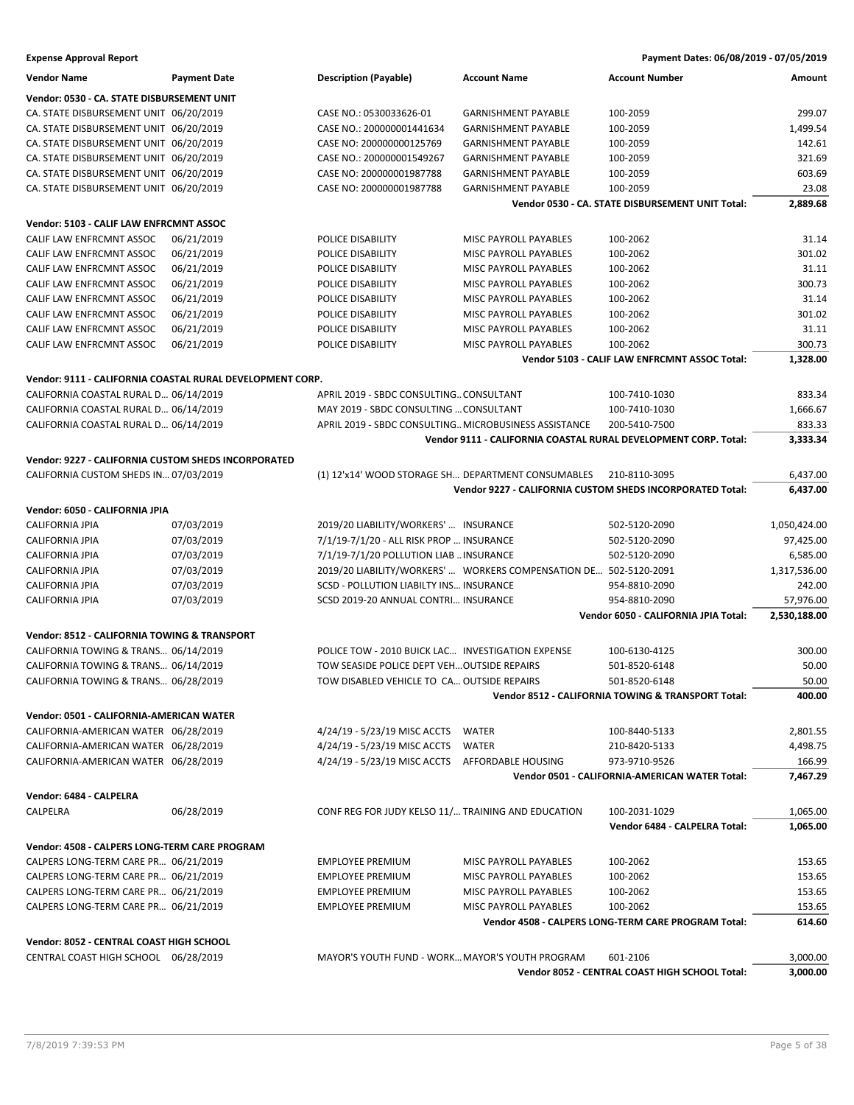| <b>Vendor Name</b>                                                               | <b>Payment Date</b>                                       | <b>Description (Payable)</b>                          | <b>Account Name</b>                                               | <b>Account Number</b>                                           | Amount       |
|----------------------------------------------------------------------------------|-----------------------------------------------------------|-------------------------------------------------------|-------------------------------------------------------------------|-----------------------------------------------------------------|--------------|
| Vendor: 0530 - CA. STATE DISBURSEMENT UNIT                                       |                                                           |                                                       |                                                                   |                                                                 |              |
| CA. STATE DISBURSEMENT UNIT 06/20/2019                                           |                                                           | CASE NO.: 0530033626-01                               | <b>GARNISHMENT PAYABLE</b>                                        | 100-2059                                                        | 299.07       |
| CA. STATE DISBURSEMENT UNIT 06/20/2019                                           |                                                           | CASE NO.: 200000001441634                             | <b>GARNISHMENT PAYABLE</b>                                        | 100-2059                                                        | 1,499.54     |
| CA. STATE DISBURSEMENT UNIT 06/20/2019                                           |                                                           | CASE NO: 200000000125769                              | <b>GARNISHMENT PAYABLE</b>                                        | 100-2059                                                        | 142.61       |
| CA. STATE DISBURSEMENT UNIT 06/20/2019                                           |                                                           | CASE NO.: 200000001549267                             | <b>GARNISHMENT PAYABLE</b>                                        | 100-2059                                                        | 321.69       |
| CA. STATE DISBURSEMENT UNIT 06/20/2019                                           |                                                           | CASE NO: 200000001987788                              | <b>GARNISHMENT PAYABLE</b>                                        | 100-2059                                                        | 603.69       |
| CA. STATE DISBURSEMENT UNIT 06/20/2019                                           |                                                           | CASE NO: 200000001987788                              | <b>GARNISHMENT PAYABLE</b>                                        | 100-2059                                                        | 23.08        |
|                                                                                  |                                                           |                                                       |                                                                   | Vendor 0530 - CA. STATE DISBURSEMENT UNIT Total:                | 2,889.68     |
| Vendor: 5103 - CALIF LAW ENFRCMNT ASSOC                                          |                                                           |                                                       |                                                                   |                                                                 |              |
| CALIF LAW ENFRCMNT ASSOC                                                         | 06/21/2019                                                | POLICE DISABILITY                                     | MISC PAYROLL PAYABLES                                             | 100-2062                                                        | 31.14        |
| CALIF LAW ENFRCMNT ASSOC                                                         | 06/21/2019                                                | POLICE DISABILITY                                     | MISC PAYROLL PAYABLES                                             | 100-2062                                                        | 301.02       |
| CALIF LAW ENFRCMNT ASSOC                                                         | 06/21/2019                                                | POLICE DISABILITY                                     | MISC PAYROLL PAYABLES                                             | 100-2062                                                        | 31.11        |
| CALIF LAW ENFRCMNT ASSOC                                                         | 06/21/2019                                                | POLICE DISABILITY                                     | MISC PAYROLL PAYABLES                                             | 100-2062                                                        | 300.73       |
| CALIF LAW ENFRCMNT ASSOC                                                         | 06/21/2019                                                | POLICE DISABILITY                                     | MISC PAYROLL PAYABLES                                             | 100-2062                                                        | 31.14        |
| CALIF LAW ENFRCMNT ASSOC                                                         | 06/21/2019                                                | POLICE DISABILITY                                     | MISC PAYROLL PAYABLES                                             | 100-2062                                                        | 301.02       |
| CALIF LAW ENFRCMNT ASSOC                                                         | 06/21/2019                                                | POLICE DISABILITY                                     | MISC PAYROLL PAYABLES                                             | 100-2062                                                        | 31.11        |
| CALIF LAW ENFRCMNT ASSOC                                                         | 06/21/2019                                                | POLICE DISABILITY                                     | MISC PAYROLL PAYABLES                                             | 100-2062                                                        | 300.73       |
|                                                                                  |                                                           |                                                       |                                                                   | Vendor 5103 - CALIF LAW ENFRCMNT ASSOC Total:                   | 1,328.00     |
|                                                                                  |                                                           |                                                       |                                                                   |                                                                 |              |
|                                                                                  | Vendor: 9111 - CALIFORNIA COASTAL RURAL DEVELOPMENT CORP. |                                                       |                                                                   |                                                                 |              |
| CALIFORNIA COASTAL RURAL D 06/14/2019                                            |                                                           | APRIL 2019 - SBDC CONSULTING CONSULTANT               |                                                                   | 100-7410-1030                                                   | 833.34       |
| CALIFORNIA COASTAL RURAL D 06/14/2019                                            |                                                           | MAY 2019 - SBDC CONSULTING  CONSULTANT                |                                                                   | 100-7410-1030                                                   | 1,666.67     |
| CALIFORNIA COASTAL RURAL D 06/14/2019                                            |                                                           | APRIL 2019 - SBDC CONSULTING MICROBUSINESS ASSISTANCE |                                                                   | 200-5410-7500                                                   | 833.33       |
|                                                                                  |                                                           |                                                       |                                                                   | Vendor 9111 - CALIFORNIA COASTAL RURAL DEVELOPMENT CORP. Total: | 3,333.34     |
| Vendor: 9227 - CALIFORNIA CUSTOM SHEDS INCORPORATED                              |                                                           |                                                       |                                                                   |                                                                 |              |
| CALIFORNIA CUSTOM SHEDS IN 07/03/2019                                            |                                                           | (1) 12'x14' WOOD STORAGE SH DEPARTMENT CONSUMABLES    |                                                                   | 210-8110-3095                                                   | 6,437.00     |
|                                                                                  |                                                           |                                                       |                                                                   | Vendor 9227 - CALIFORNIA CUSTOM SHEDS INCORPORATED Total:       | 6,437.00     |
| Vendor: 6050 - CALIFORNIA JPIA                                                   |                                                           |                                                       |                                                                   |                                                                 |              |
| CALIFORNIA JPIA                                                                  | 07/03/2019                                                | 2019/20 LIABILITY/WORKERS'  INSURANCE                 |                                                                   | 502-5120-2090                                                   | 1,050,424.00 |
| CALIFORNIA JPIA                                                                  | 07/03/2019                                                | 7/1/19-7/1/20 - ALL RISK PROP  INSURANCE              |                                                                   | 502-5120-2090                                                   | 97,425.00    |
| <b>CALIFORNIA JPIA</b>                                                           | 07/03/2019                                                | 7/1/19-7/1/20 POLLUTION LIAB  INSURANCE               |                                                                   | 502-5120-2090                                                   | 6,585.00     |
| <b>CALIFORNIA JPIA</b>                                                           | 07/03/2019                                                |                                                       | 2019/20 LIABILITY/WORKERS'  WORKERS COMPENSATION DE 502-5120-2091 |                                                                 | 1,317,536.00 |
| <b>CALIFORNIA JPIA</b>                                                           | 07/03/2019                                                | SCSD - POLLUTION LIABILTY INS INSURANCE               |                                                                   | 954-8810-2090                                                   | 242.00       |
| <b>CALIFORNIA JPIA</b>                                                           | 07/03/2019                                                | SCSD 2019-20 ANNUAL CONTRI INSURANCE                  |                                                                   | 954-8810-2090                                                   | 57,976.00    |
|                                                                                  |                                                           |                                                       |                                                                   | Vendor 6050 - CALIFORNIA JPIA Total:                            | 2,530,188.00 |
| Vendor: 8512 - CALIFORNIA TOWING & TRANSPORT                                     |                                                           |                                                       |                                                                   |                                                                 |              |
| CALIFORNIA TOWING & TRANS 06/14/2019                                             |                                                           | POLICE TOW - 2010 BUICK LAC INVESTIGATION EXPENSE     |                                                                   | 100-6130-4125                                                   | 300.00       |
| CALIFORNIA TOWING & TRANS 06/14/2019                                             |                                                           | TOW SEASIDE POLICE DEPT VEH OUTSIDE REPAIRS           |                                                                   | 501-8520-6148                                                   | 50.00        |
| CALIFORNIA TOWING & TRANS 06/28/2019                                             |                                                           | TOW DISABLED VEHICLE TO CA OUTSIDE REPAIRS            |                                                                   | 501-8520-6148                                                   | 50.00        |
|                                                                                  |                                                           |                                                       |                                                                   | Vendor 8512 - CALIFORNIA TOWING & TRANSPORT Total:              | 400.00       |
|                                                                                  |                                                           |                                                       |                                                                   |                                                                 |              |
| Vendor: 0501 - CALIFORNIA-AMERICAN WATER<br>CALIFORNIA-AMERICAN WATER 06/28/2019 |                                                           |                                                       | WATER                                                             |                                                                 |              |
|                                                                                  |                                                           | 4/24/19 - 5/23/19 MISC ACCTS                          |                                                                   | 100-8440-5133                                                   | 2,801.55     |
| CALIFORNIA-AMERICAN WATER 06/28/2019                                             |                                                           | 4/24/19 - 5/23/19 MISC ACCTS                          | <b>WATER</b>                                                      | 210-8420-5133                                                   | 4,498.75     |
| CALIFORNIA-AMERICAN WATER 06/28/2019                                             |                                                           | 4/24/19 - 5/23/19 MISC ACCTS                          | AFFORDABLE HOUSING                                                | 973-9710-9526                                                   | 166.99       |
|                                                                                  |                                                           |                                                       |                                                                   | Vendor 0501 - CALIFORNIA-AMERICAN WATER Total:                  | 7,467.29     |
| Vendor: 6484 - CALPELRA                                                          |                                                           |                                                       |                                                                   |                                                                 |              |
| CALPELRA                                                                         | 06/28/2019                                                | CONF REG FOR JUDY KELSO 11/ TRAINING AND EDUCATION    |                                                                   | 100-2031-1029                                                   | 1,065.00     |
|                                                                                  |                                                           |                                                       |                                                                   | Vendor 6484 - CALPELRA Total:                                   | 1,065.00     |
| Vendor: 4508 - CALPERS LONG-TERM CARE PROGRAM                                    |                                                           |                                                       |                                                                   |                                                                 |              |
| CALPERS LONG-TERM CARE PR 06/21/2019                                             |                                                           | <b>EMPLOYEE PREMIUM</b>                               | <b>MISC PAYROLL PAYABLES</b>                                      | 100-2062                                                        | 153.65       |
| CALPERS LONG-TERM CARE PR 06/21/2019                                             |                                                           | <b>EMPLOYEE PREMIUM</b>                               | MISC PAYROLL PAYABLES                                             | 100-2062                                                        | 153.65       |
| CALPERS LONG-TERM CARE PR 06/21/2019                                             |                                                           | <b>EMPLOYEE PREMIUM</b>                               | MISC PAYROLL PAYABLES                                             | 100-2062                                                        | 153.65       |
| CALPERS LONG-TERM CARE PR 06/21/2019                                             |                                                           | <b>EMPLOYEE PREMIUM</b>                               | MISC PAYROLL PAYABLES                                             | 100-2062                                                        | 153.65       |
|                                                                                  |                                                           |                                                       |                                                                   | Vendor 4508 - CALPERS LONG-TERM CARE PROGRAM Total:             | 614.60       |
|                                                                                  |                                                           |                                                       |                                                                   |                                                                 |              |
| Vendor: 8052 - CENTRAL COAST HIGH SCHOOL                                         |                                                           |                                                       |                                                                   |                                                                 |              |
| CENTRAL COAST HIGH SCHOOL 06/28/2019                                             |                                                           | MAYOR'S YOUTH FUND - WORK MAYOR'S YOUTH PROGRAM       |                                                                   | 601-2106                                                        | 3,000.00     |
|                                                                                  |                                                           |                                                       |                                                                   | Vendor 8052 - CENTRAL COAST HIGH SCHOOL Total:                  | 3,000.00     |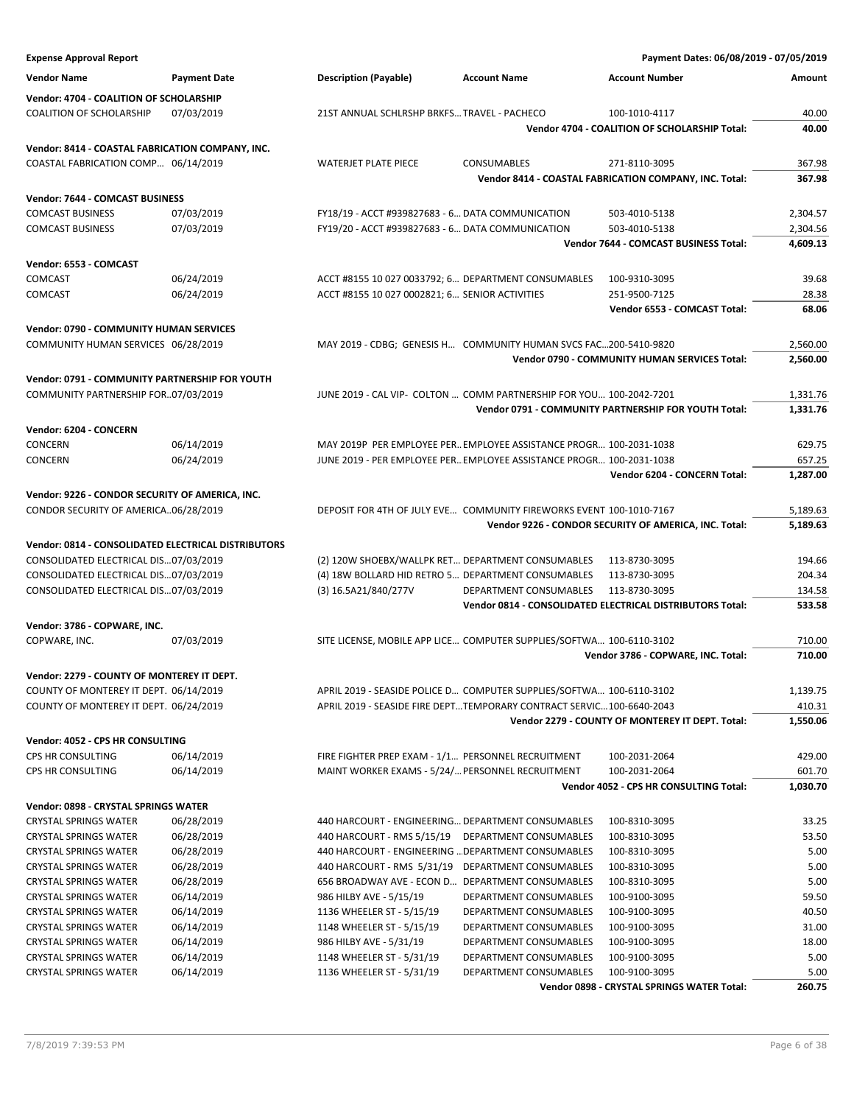| <b>Expense Approval Report</b>                      |                     |                                                     |                                                                      | Payment Dates: 06/08/2019 - 07/05/2019                    |          |
|-----------------------------------------------------|---------------------|-----------------------------------------------------|----------------------------------------------------------------------|-----------------------------------------------------------|----------|
| <b>Vendor Name</b>                                  | <b>Payment Date</b> | <b>Description (Payable)</b>                        | <b>Account Name</b>                                                  | <b>Account Number</b>                                     | Amount   |
| Vendor: 4704 - COALITION OF SCHOLARSHIP             |                     |                                                     |                                                                      |                                                           |          |
| <b>COALITION OF SCHOLARSHIP</b>                     | 07/03/2019          | 21ST ANNUAL SCHLRSHP BRKFS TRAVEL - PACHECO         |                                                                      | 100-1010-4117                                             | 40.00    |
|                                                     |                     |                                                     |                                                                      | Vendor 4704 - COALITION OF SCHOLARSHIP Total:             | 40.00    |
| Vendor: 8414 - COASTAL FABRICATION COMPANY, INC.    |                     |                                                     |                                                                      |                                                           |          |
| COASTAL FABRICATION COMP 06/14/2019                 |                     | <b>WATERJET PLATE PIECE</b>                         | CONSUMABLES                                                          | 271-8110-3095                                             | 367.98   |
|                                                     |                     |                                                     |                                                                      | Vendor 8414 - COASTAL FABRICATION COMPANY, INC. Total:    | 367.98   |
| Vendor: 7644 - COMCAST BUSINESS                     |                     |                                                     |                                                                      |                                                           |          |
| <b>COMCAST BUSINESS</b>                             | 07/03/2019          | FY18/19 - ACCT #939827683 - 6 DATA COMMUNICATION    |                                                                      | 503-4010-5138                                             | 2,304.57 |
| <b>COMCAST BUSINESS</b>                             | 07/03/2019          | FY19/20 - ACCT #939827683 - 6 DATA COMMUNICATION    |                                                                      | 503-4010-5138                                             | 2,304.56 |
|                                                     |                     |                                                     |                                                                      | Vendor 7644 - COMCAST BUSINESS Total:                     | 4,609.13 |
| Vendor: 6553 - COMCAST                              |                     |                                                     |                                                                      |                                                           |          |
| COMCAST                                             | 06/24/2019          | ACCT #8155 10 027 0033792; 6 DEPARTMENT CONSUMABLES |                                                                      | 100-9310-3095                                             | 39.68    |
| COMCAST                                             | 06/24/2019          | ACCT #8155 10 027 0002821; 6 SENIOR ACTIVITIES      |                                                                      | 251-9500-7125                                             | 28.38    |
|                                                     |                     |                                                     |                                                                      | Vendor 6553 - COMCAST Total:                              | 68.06    |
| <b>Vendor: 0790 - COMMUNITY HUMAN SERVICES</b>      |                     |                                                     |                                                                      |                                                           |          |
| COMMUNITY HUMAN SERVICES 06/28/2019                 |                     |                                                     | MAY 2019 - CDBG; GENESIS H COMMUNITY HUMAN SVCS FAC200-5410-9820     |                                                           | 2,560.00 |
|                                                     |                     |                                                     |                                                                      | Vendor 0790 - COMMUNITY HUMAN SERVICES Total:             | 2,560.00 |
| Vendor: 0791 - COMMUNITY PARTNERSHIP FOR YOUTH      |                     |                                                     |                                                                      |                                                           |          |
| COMMUNITY PARTNERSHIP FOR07/03/2019                 |                     |                                                     | JUNE 2019 - CAL VIP- COLTON  COMM PARTNERSHIP FOR YOU 100-2042-7201  |                                                           | 1,331.76 |
|                                                     |                     |                                                     |                                                                      | Vendor 0791 - COMMUNITY PARTNERSHIP FOR YOUTH Total:      | 1,331.76 |
| Vendor: 6204 - CONCERN                              |                     |                                                     |                                                                      |                                                           |          |
| CONCERN                                             | 06/14/2019          |                                                     | MAY 2019P PER EMPLOYEE PER EMPLOYEE ASSISTANCE PROGR 100-2031-1038   |                                                           | 629.75   |
| CONCERN                                             | 06/24/2019          |                                                     | JUNE 2019 - PER EMPLOYEE PER EMPLOYEE ASSISTANCE PROGR 100-2031-1038 |                                                           | 657.25   |
|                                                     |                     |                                                     |                                                                      | Vendor 6204 - CONCERN Total:                              | 1,287.00 |
| Vendor: 9226 - CONDOR SECURITY OF AMERICA, INC.     |                     |                                                     |                                                                      |                                                           |          |
| CONDOR SECURITY OF AMERICA06/28/2019                |                     |                                                     | DEPOSIT FOR 4TH OF JULY EVE COMMUNITY FIREWORKS EVENT 100-1010-7167  |                                                           | 5,189.63 |
|                                                     |                     |                                                     |                                                                      | Vendor 9226 - CONDOR SECURITY OF AMERICA, INC. Total:     | 5,189.63 |
| Vendor: 0814 - CONSOLIDATED ELECTRICAL DISTRIBUTORS |                     |                                                     |                                                                      |                                                           |          |
| CONSOLIDATED ELECTRICAL DIS07/03/2019               |                     | (2) 120W SHOEBX/WALLPK RET DEPARTMENT CONSUMABLES   |                                                                      | 113-8730-3095                                             | 194.66   |
| CONSOLIDATED ELECTRICAL DIS07/03/2019               |                     | (4) 18W BOLLARD HID RETRO 5 DEPARTMENT CONSUMABLES  |                                                                      | 113-8730-3095                                             | 204.34   |
| CONSOLIDATED ELECTRICAL DIS07/03/2019               |                     | (3) 16.5A21/840/277V                                | DEPARTMENT CONSUMABLES                                               | 113-8730-3095                                             | 134.58   |
|                                                     |                     |                                                     |                                                                      | Vendor 0814 - CONSOLIDATED ELECTRICAL DISTRIBUTORS Total: | 533.58   |
| Vendor: 3786 - COPWARE, INC.                        |                     |                                                     |                                                                      |                                                           |          |
| COPWARE, INC.                                       | 07/03/2019          |                                                     | SITE LICENSE, MOBILE APP LICE COMPUTER SUPPLIES/SOFTWA 100-6110-3102 |                                                           | 710.00   |
|                                                     |                     |                                                     |                                                                      | Vendor 3786 - COPWARE, INC. Total:                        | 710.00   |
| Vendor: 2279 - COUNTY OF MONTEREY IT DEPT.          |                     |                                                     |                                                                      |                                                           |          |
| COUNTY OF MONTEREY IT DEPT. 06/14/2019              |                     |                                                     | APRIL 2019 - SEASIDE POLICE D COMPUTER SUPPLIES/SOFTWA 100-6110-3102 |                                                           | 1,139.75 |
| COUNTY OF MONTEREY IT DEPT. 06/24/2019              |                     |                                                     | APRIL 2019 - SEASIDE FIRE DEPTTEMPORARY CONTRACT SERVIC100-6640-2043 |                                                           | 410.31   |
|                                                     |                     |                                                     |                                                                      | Vendor 2279 - COUNTY OF MONTEREY IT DEPT. Total:          | 1,550.06 |
| Vendor: 4052 - CPS HR CONSULTING                    |                     |                                                     |                                                                      |                                                           |          |
| CPS HR CONSULTING                                   | 06/14/2019          | FIRE FIGHTER PREP EXAM - 1/1 PERSONNEL RECRUITMENT  |                                                                      | 100-2031-2064                                             | 429.00   |
| CPS HR CONSULTING                                   | 06/14/2019          | MAINT WORKER EXAMS - 5/24/ PERSONNEL RECRUITMENT    |                                                                      | 100-2031-2064                                             | 601.70   |
|                                                     |                     |                                                     |                                                                      | Vendor 4052 - CPS HR CONSULTING Total:                    | 1,030.70 |
| Vendor: 0898 - CRYSTAL SPRINGS WATER                |                     |                                                     |                                                                      |                                                           |          |
| <b>CRYSTAL SPRINGS WATER</b>                        | 06/28/2019          | 440 HARCOURT - ENGINEERING DEPARTMENT CONSUMABLES   |                                                                      | 100-8310-3095                                             | 33.25    |
| <b>CRYSTAL SPRINGS WATER</b>                        | 06/28/2019          | 440 HARCOURT - RMS 5/15/19                          | DEPARTMENT CONSUMABLES                                               | 100-8310-3095                                             | 53.50    |
| <b>CRYSTAL SPRINGS WATER</b>                        | 06/28/2019          | 440 HARCOURT - ENGINEERING  DEPARTMENT CONSUMABLES  |                                                                      | 100-8310-3095                                             | 5.00     |
| <b>CRYSTAL SPRINGS WATER</b>                        | 06/28/2019          | 440 HARCOURT - RMS 5/31/19 DEPARTMENT CONSUMABLES   |                                                                      | 100-8310-3095                                             | 5.00     |
| <b>CRYSTAL SPRINGS WATER</b>                        | 06/28/2019          | 656 BROADWAY AVE - ECON D DEPARTMENT CONSUMABLES    |                                                                      | 100-8310-3095                                             | 5.00     |
| <b>CRYSTAL SPRINGS WATER</b>                        | 06/14/2019          | 986 HILBY AVE - 5/15/19                             | DEPARTMENT CONSUMABLES                                               | 100-9100-3095                                             | 59.50    |
| <b>CRYSTAL SPRINGS WATER</b>                        | 06/14/2019          | 1136 WHEELER ST - 5/15/19                           | DEPARTMENT CONSUMABLES                                               | 100-9100-3095                                             | 40.50    |
| <b>CRYSTAL SPRINGS WATER</b>                        | 06/14/2019          | 1148 WHEELER ST - 5/15/19                           | DEPARTMENT CONSUMABLES                                               | 100-9100-3095                                             | 31.00    |
| <b>CRYSTAL SPRINGS WATER</b>                        | 06/14/2019          | 986 HILBY AVE - 5/31/19                             | DEPARTMENT CONSUMABLES                                               | 100-9100-3095                                             | 18.00    |
| <b>CRYSTAL SPRINGS WATER</b>                        | 06/14/2019          | 1148 WHEELER ST - 5/31/19                           | DEPARTMENT CONSUMABLES                                               | 100-9100-3095                                             | 5.00     |
| <b>CRYSTAL SPRINGS WATER</b>                        | 06/14/2019          | 1136 WHEELER ST - 5/31/19                           | DEPARTMENT CONSUMABLES                                               | 100-9100-3095                                             | 5.00     |
|                                                     |                     |                                                     |                                                                      | Vendor 0898 - CRYSTAL SPRINGS WATER Total:                | 260.75   |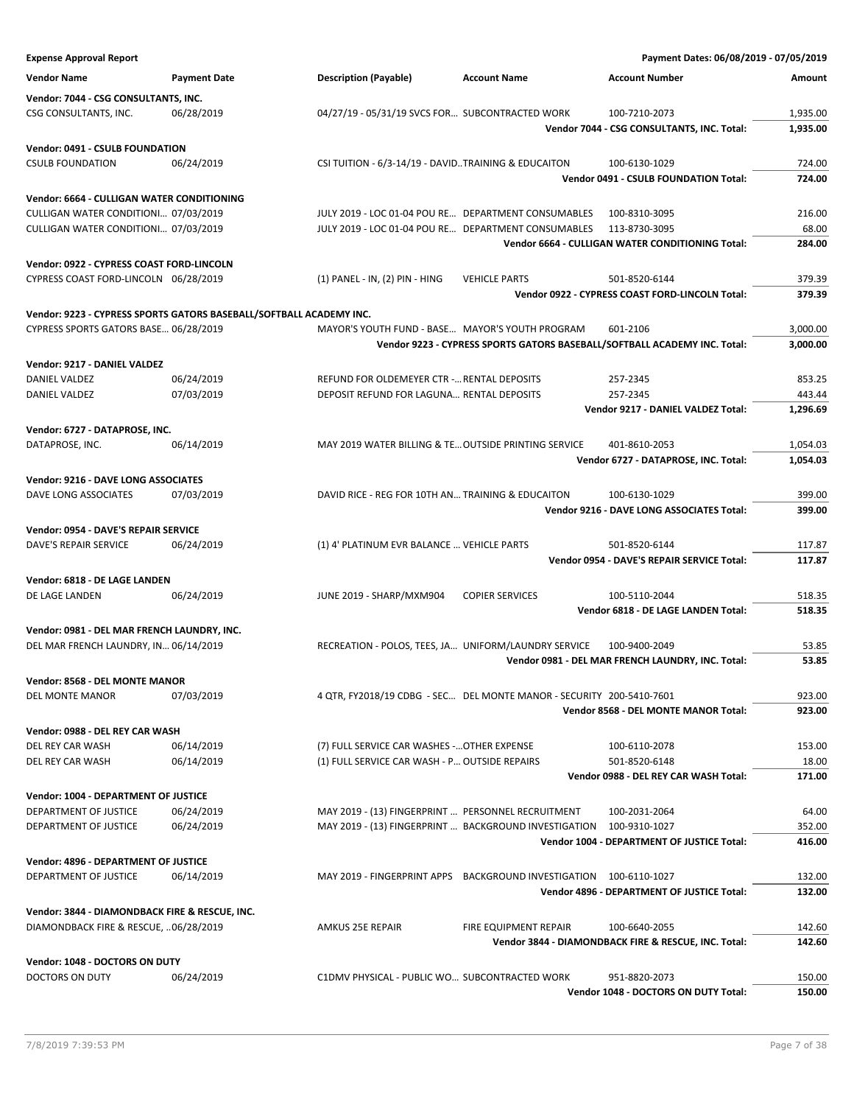| <b>Expense Approval Report</b>                 |                                                                     |                                                      |                                                                           | Payment Dates: 06/08/2019 - 07/05/2019               |               |
|------------------------------------------------|---------------------------------------------------------------------|------------------------------------------------------|---------------------------------------------------------------------------|------------------------------------------------------|---------------|
| <b>Vendor Name</b>                             | <b>Payment Date</b>                                                 | <b>Description (Payable)</b>                         | <b>Account Name</b>                                                       | <b>Account Number</b>                                | <b>Amount</b> |
| Vendor: 7044 - CSG CONSULTANTS, INC.           |                                                                     |                                                      |                                                                           |                                                      |               |
| CSG CONSULTANTS, INC.                          | 06/28/2019                                                          | 04/27/19 - 05/31/19 SVCS FOR SUBCONTRACTED WORK      |                                                                           | 100-7210-2073                                        | 1,935.00      |
|                                                |                                                                     |                                                      |                                                                           | Vendor 7044 - CSG CONSULTANTS, INC. Total:           | 1,935.00      |
| <b>Vendor: 0491 - CSULB FOUNDATION</b>         |                                                                     |                                                      |                                                                           |                                                      |               |
| <b>CSULB FOUNDATION</b>                        | 06/24/2019                                                          | CSI TUITION - 6/3-14/19 - DAVIDTRAINING & EDUCAITON  |                                                                           | 100-6130-1029                                        | 724.00        |
|                                                |                                                                     |                                                      |                                                                           | Vendor 0491 - CSULB FOUNDATION Total:                | 724.00        |
| Vendor: 6664 - CULLIGAN WATER CONDITIONING     |                                                                     |                                                      |                                                                           |                                                      |               |
| CULLIGAN WATER CONDITIONI 07/03/2019           |                                                                     | JULY 2019 - LOC 01-04 POU RE DEPARTMENT CONSUMABLES  |                                                                           | 100-8310-3095                                        | 216.00        |
| CULLIGAN WATER CONDITIONI 07/03/2019           |                                                                     | JULY 2019 - LOC 01-04 POU RE DEPARTMENT CONSUMABLES  |                                                                           | 113-8730-3095                                        | 68.00         |
|                                                |                                                                     |                                                      |                                                                           | Vendor 6664 - CULLIGAN WATER CONDITIONING Total:     | 284.00        |
| Vendor: 0922 - CYPRESS COAST FORD-LINCOLN      |                                                                     |                                                      |                                                                           |                                                      |               |
| CYPRESS COAST FORD-LINCOLN 06/28/2019          |                                                                     | (1) PANEL - IN, (2) PIN - HING                       | <b>VEHICLE PARTS</b>                                                      | 501-8520-6144                                        | 379.39        |
|                                                |                                                                     |                                                      |                                                                           | Vendor 0922 - CYPRESS COAST FORD-LINCOLN Total:      | 379.39        |
|                                                | Vendor: 9223 - CYPRESS SPORTS GATORS BASEBALL/SOFTBALL ACADEMY INC. |                                                      |                                                                           |                                                      |               |
| CYPRESS SPORTS GATORS BASE 06/28/2019          |                                                                     | MAYOR'S YOUTH FUND - BASE MAYOR'S YOUTH PROGRAM      |                                                                           | 601-2106                                             | 3,000.00      |
|                                                |                                                                     |                                                      | Vendor 9223 - CYPRESS SPORTS GATORS BASEBALL/SOFTBALL ACADEMY INC. Total: |                                                      | 3,000.00      |
| Vendor: 9217 - DANIEL VALDEZ                   |                                                                     |                                                      |                                                                           |                                                      |               |
| DANIEL VALDEZ                                  | 06/24/2019                                                          | REFUND FOR OLDEMEYER CTR - RENTAL DEPOSITS           |                                                                           | 257-2345                                             | 853.25        |
| DANIEL VALDEZ                                  | 07/03/2019                                                          | DEPOSIT REFUND FOR LAGUNA RENTAL DEPOSITS            |                                                                           | 257-2345                                             | 443.44        |
|                                                |                                                                     |                                                      |                                                                           | Vendor 9217 - DANIEL VALDEZ Total:                   | 1,296.69      |
| Vendor: 6727 - DATAPROSE, INC.                 |                                                                     |                                                      |                                                                           |                                                      |               |
| DATAPROSE, INC.                                | 06/14/2019                                                          | MAY 2019 WATER BILLING & TE OUTSIDE PRINTING SERVICE |                                                                           | 401-8610-2053                                        | 1,054.03      |
|                                                |                                                                     |                                                      |                                                                           | Vendor 6727 - DATAPROSE, INC. Total:                 | 1,054.03      |
| Vendor: 9216 - DAVE LONG ASSOCIATES            |                                                                     |                                                      |                                                                           |                                                      |               |
| DAVE LONG ASSOCIATES                           | 07/03/2019                                                          | DAVID RICE - REG FOR 10TH AN TRAINING & EDUCAITON    |                                                                           | 100-6130-1029                                        | 399.00        |
|                                                |                                                                     |                                                      |                                                                           | Vendor 9216 - DAVE LONG ASSOCIATES Total:            | 399.00        |
| Vendor: 0954 - DAVE'S REPAIR SERVICE           |                                                                     |                                                      |                                                                           |                                                      |               |
| DAVE'S REPAIR SERVICE                          | 06/24/2019                                                          | (1) 4' PLATINUM EVR BALANCE  VEHICLE PARTS           |                                                                           | 501-8520-6144                                        | 117.87        |
|                                                |                                                                     |                                                      |                                                                           | Vendor 0954 - DAVE'S REPAIR SERVICE Total:           | 117.87        |
| Vendor: 6818 - DE LAGE LANDEN                  |                                                                     |                                                      |                                                                           |                                                      |               |
| DE LAGE LANDEN                                 | 06/24/2019                                                          | JUNE 2019 - SHARP/MXM904                             | <b>COPIER SERVICES</b>                                                    | 100-5110-2044                                        | 518.35        |
|                                                |                                                                     |                                                      |                                                                           | Vendor 6818 - DE LAGE LANDEN Total:                  | 518.35        |
| Vendor: 0981 - DEL MAR FRENCH LAUNDRY, INC.    |                                                                     |                                                      |                                                                           |                                                      |               |
| DEL MAR FRENCH LAUNDRY, IN 06/14/2019          |                                                                     | RECREATION - POLOS, TEES, JA UNIFORM/LAUNDRY SERVICE |                                                                           | 100-9400-2049                                        | 53.85         |
|                                                |                                                                     |                                                      |                                                                           | Vendor 0981 - DEL MAR FRENCH LAUNDRY, INC. Total:    | 53.85         |
| Vendor: 8568 - DEL MONTE MANOR                 |                                                                     |                                                      |                                                                           |                                                      |               |
| DEL MONTE MANOR                                | 07/03/2019                                                          |                                                      | 4 QTR, FY2018/19 CDBG - SEC DEL MONTE MANOR - SECURITY 200-5410-7601      |                                                      | 923.00        |
|                                                |                                                                     |                                                      |                                                                           | Vendor 8568 - DEL MONTE MANOR Total:                 | 923.00        |
| Vendor: 0988 - DEL REY CAR WASH                |                                                                     |                                                      |                                                                           |                                                      |               |
| DEL REY CAR WASH                               | 06/14/2019                                                          | (7) FULL SERVICE CAR WASHES - OTHER EXPENSE          |                                                                           | 100-6110-2078                                        | 153.00        |
| DEL REY CAR WASH                               | 06/14/2019                                                          | (1) FULL SERVICE CAR WASH - P OUTSIDE REPAIRS        |                                                                           | 501-8520-6148                                        | 18.00         |
|                                                |                                                                     |                                                      |                                                                           | Vendor 0988 - DEL REY CAR WASH Total:                | 171.00        |
| Vendor: 1004 - DEPARTMENT OF JUSTICE           |                                                                     |                                                      |                                                                           |                                                      |               |
| DEPARTMENT OF JUSTICE                          | 06/24/2019                                                          | MAY 2019 - (13) FINGERPRINT  PERSONNEL RECRUITMENT   |                                                                           | 100-2031-2064                                        | 64.00         |
| DEPARTMENT OF JUSTICE                          | 06/24/2019                                                          |                                                      | MAY 2019 - (13) FINGERPRINT  BACKGROUND INVESTIGATION 100-9310-1027       |                                                      | 352.00        |
|                                                |                                                                     |                                                      |                                                                           | Vendor 1004 - DEPARTMENT OF JUSTICE Total:           | 416.00        |
| Vendor: 4896 - DEPARTMENT OF JUSTICE           |                                                                     |                                                      |                                                                           |                                                      |               |
| DEPARTMENT OF JUSTICE                          | 06/14/2019                                                          |                                                      | MAY 2019 - FINGERPRINT APPS BACKGROUND INVESTIGATION 100-6110-1027        |                                                      | 132.00        |
|                                                |                                                                     |                                                      |                                                                           | Vendor 4896 - DEPARTMENT OF JUSTICE Total:           | 132.00        |
| Vendor: 3844 - DIAMONDBACK FIRE & RESCUE, INC. |                                                                     |                                                      |                                                                           |                                                      |               |
| DIAMONDBACK FIRE & RESCUE,  06/28/2019         |                                                                     | AMKUS 25E REPAIR                                     | FIRE EQUIPMENT REPAIR                                                     | 100-6640-2055                                        | 142.60        |
|                                                |                                                                     |                                                      |                                                                           | Vendor 3844 - DIAMONDBACK FIRE & RESCUE, INC. Total: | 142.60        |
| Vendor: 1048 - DOCTORS ON DUTY                 |                                                                     |                                                      |                                                                           |                                                      |               |
| DOCTORS ON DUTY                                | 06/24/2019                                                          | C1DMV PHYSICAL - PUBLIC WO SUBCONTRACTED WORK        |                                                                           | 951-8820-2073                                        | 150.00        |
|                                                |                                                                     |                                                      |                                                                           | Vendor 1048 - DOCTORS ON DUTY Total:                 | 150.00        |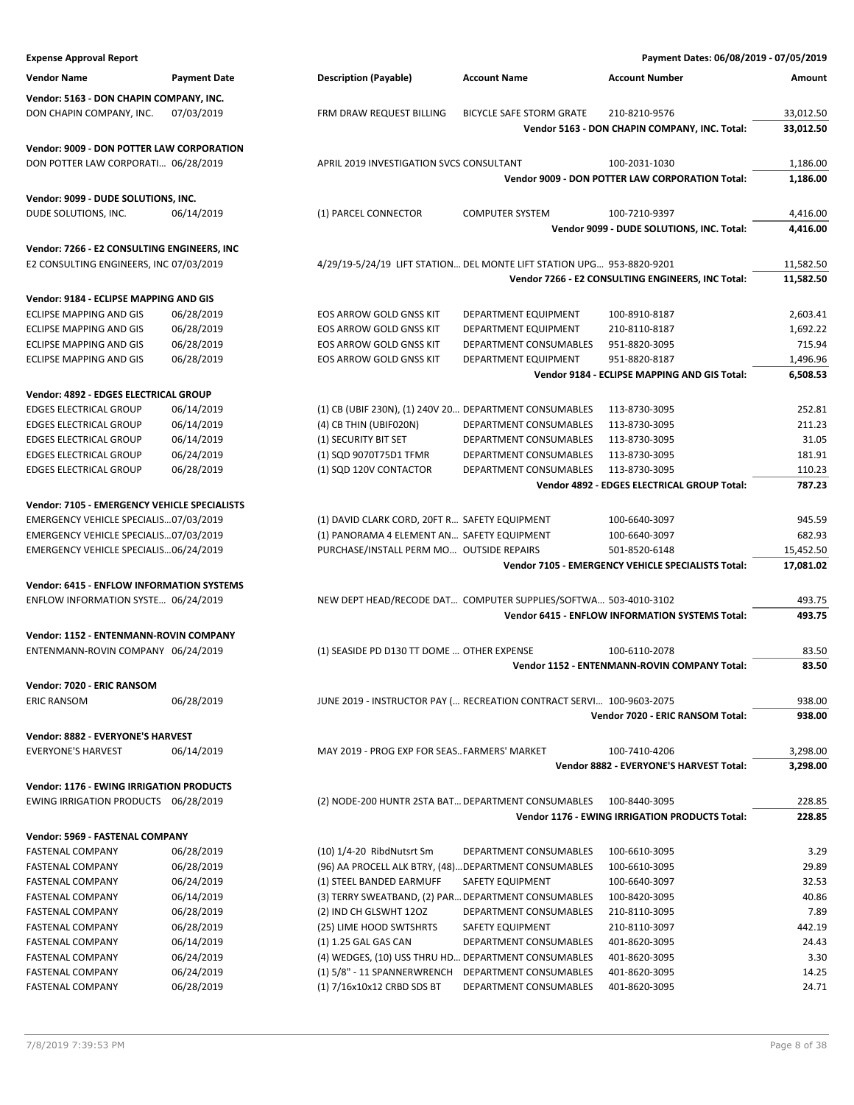| <b>Expense Approval Report</b>                   |                     |                                                                       |                                 | Payment Dates: 06/08/2019 - 07/05/2019              |           |
|--------------------------------------------------|---------------------|-----------------------------------------------------------------------|---------------------------------|-----------------------------------------------------|-----------|
| <b>Vendor Name</b>                               | <b>Payment Date</b> | <b>Description (Payable)</b>                                          | <b>Account Name</b>             | <b>Account Number</b>                               | Amount    |
|                                                  |                     |                                                                       |                                 |                                                     |           |
| Vendor: 5163 - DON CHAPIN COMPANY, INC.          |                     |                                                                       |                                 |                                                     |           |
| DON CHAPIN COMPANY, INC.                         | 07/03/2019          | FRM DRAW REQUEST BILLING                                              | <b>BICYCLE SAFE STORM GRATE</b> | 210-8210-9576                                       | 33,012.50 |
|                                                  |                     |                                                                       |                                 | Vendor 5163 - DON CHAPIN COMPANY, INC. Total:       | 33,012.50 |
| <b>Vendor: 9009 - DON POTTER LAW CORPORATION</b> |                     |                                                                       |                                 |                                                     |           |
| DON POTTER LAW CORPORATI 06/28/2019              |                     | APRIL 2019 INVESTIGATION SVCS CONSULTANT                              |                                 | 100-2031-1030                                       | 1,186.00  |
|                                                  |                     |                                                                       |                                 | Vendor 9009 - DON POTTER LAW CORPORATION Total:     | 1,186.00  |
| Vendor: 9099 - DUDE SOLUTIONS, INC.              |                     |                                                                       |                                 |                                                     |           |
| DUDE SOLUTIONS, INC.                             | 06/14/2019          | (1) PARCEL CONNECTOR                                                  | <b>COMPUTER SYSTEM</b>          | 100-7210-9397                                       | 4,416.00  |
|                                                  |                     |                                                                       |                                 | Vendor 9099 - DUDE SOLUTIONS, INC. Total:           | 4,416.00  |
|                                                  |                     |                                                                       |                                 |                                                     |           |
| Vendor: 7266 - E2 CONSULTING ENGINEERS, INC      |                     |                                                                       |                                 |                                                     |           |
| E2 CONSULTING ENGINEERS, INC 07/03/2019          |                     | 4/29/19-5/24/19 LIFT STATION DEL MONTE LIFT STATION UPG 953-8820-9201 |                                 |                                                     | 11,582.50 |
|                                                  |                     |                                                                       |                                 | Vendor 7266 - E2 CONSULTING ENGINEERS, INC Total:   | 11,582.50 |
| Vendor: 9184 - ECLIPSE MAPPING AND GIS           |                     |                                                                       |                                 |                                                     |           |
| <b>ECLIPSE MAPPING AND GIS</b>                   | 06/28/2019          | EOS ARROW GOLD GNSS KIT                                               | DEPARTMENT EQUIPMENT            | 100-8910-8187                                       | 2,603.41  |
| <b>ECLIPSE MAPPING AND GIS</b>                   | 06/28/2019          | EOS ARROW GOLD GNSS KIT                                               | DEPARTMENT EQUIPMENT            | 210-8110-8187                                       | 1,692.22  |
| ECLIPSE MAPPING AND GIS                          | 06/28/2019          | EOS ARROW GOLD GNSS KIT                                               | DEPARTMENT CONSUMABLES          | 951-8820-3095                                       | 715.94    |
| ECLIPSE MAPPING AND GIS                          | 06/28/2019          | <b>EOS ARROW GOLD GNSS KIT</b>                                        | DEPARTMENT EQUIPMENT            | 951-8820-8187                                       | 1,496.96  |
|                                                  |                     |                                                                       |                                 | Vendor 9184 - ECLIPSE MAPPING AND GIS Total:        | 6,508.53  |
| Vendor: 4892 - EDGES ELECTRICAL GROUP            |                     |                                                                       |                                 |                                                     |           |
| <b>EDGES ELECTRICAL GROUP</b>                    | 06/14/2019          | (1) CB (UBIF 230N), (1) 240V 20 DEPARTMENT CONSUMABLES                |                                 | 113-8730-3095                                       | 252.81    |
| <b>EDGES ELECTRICAL GROUP</b>                    | 06/14/2019          | (4) CB THIN (UBIF020N)                                                | DEPARTMENT CONSUMABLES          | 113-8730-3095                                       | 211.23    |
| <b>EDGES ELECTRICAL GROUP</b>                    | 06/14/2019          | (1) SECURITY BIT SET                                                  | DEPARTMENT CONSUMABLES          | 113-8730-3095                                       | 31.05     |
| <b>EDGES ELECTRICAL GROUP</b>                    | 06/24/2019          | (1) SQD 9070T75D1 TFMR                                                | DEPARTMENT CONSUMABLES          | 113-8730-3095                                       | 181.91    |
| <b>EDGES ELECTRICAL GROUP</b>                    | 06/28/2019          | (1) SQD 120V CONTACTOR                                                | DEPARTMENT CONSUMABLES          | 113-8730-3095                                       | 110.23    |
|                                                  |                     |                                                                       |                                 | Vendor 4892 - EDGES ELECTRICAL GROUP Total:         | 787.23    |
|                                                  |                     |                                                                       |                                 |                                                     |           |
| Vendor: 7105 - EMERGENCY VEHICLE SPECIALISTS     |                     |                                                                       |                                 |                                                     |           |
| EMERGENCY VEHICLE SPECIALIS07/03/2019            |                     | (1) DAVID CLARK CORD, 20FT R SAFETY EQUIPMENT                         |                                 | 100-6640-3097                                       | 945.59    |
| EMERGENCY VEHICLE SPECIALIS07/03/2019            |                     | (1) PANORAMA 4 ELEMENT AN SAFETY EQUIPMENT                            |                                 | 100-6640-3097                                       | 682.93    |
| EMERGENCY VEHICLE SPECIALIS06/24/2019            |                     | PURCHASE/INSTALL PERM MO OUTSIDE REPAIRS                              |                                 | 501-8520-6148                                       | 15,452.50 |
|                                                  |                     |                                                                       |                                 | Vendor 7105 - EMERGENCY VEHICLE SPECIALISTS Total:  | 17,081.02 |
| <b>Vendor: 6415 - ENFLOW INFORMATION SYSTEMS</b> |                     |                                                                       |                                 |                                                     |           |
| ENFLOW INFORMATION SYSTE 06/24/2019              |                     | NEW DEPT HEAD/RECODE DAT COMPUTER SUPPLIES/SOFTWA 503-4010-3102       |                                 |                                                     | 493.75    |
|                                                  |                     |                                                                       |                                 | Vendor 6415 - ENFLOW INFORMATION SYSTEMS Total:     | 493.75    |
| Vendor: 1152 - ENTENMANN-ROVIN COMPANY           |                     |                                                                       |                                 |                                                     |           |
| ENTENMANN-ROVIN COMPANY 06/24/2019               |                     | (1) SEASIDE PD D130 TT DOME  OTHER EXPENSE                            |                                 | 100-6110-2078                                       | 83.50     |
|                                                  |                     |                                                                       |                                 | <b>Vendor 1152 - ENTENMANN-ROVIN COMPANY Total:</b> | 83.50     |
|                                                  |                     |                                                                       |                                 |                                                     |           |
| Vendor: 7020 - ERIC RANSOM                       |                     |                                                                       |                                 |                                                     |           |
| <b>ERIC RANSOM</b>                               | 06/28/2019          | JUNE 2019 - INSTRUCTOR PAY ( RECREATION CONTRACT SERVI 100-9603-2075  |                                 |                                                     | 938.00    |
|                                                  |                     |                                                                       |                                 | Vendor 7020 - ERIC RANSOM Total:                    | 938.00    |
| Vendor: 8882 - EVERYONE'S HARVEST                |                     |                                                                       |                                 |                                                     |           |
| <b>EVERYONE'S HARVEST</b>                        | 06/14/2019          | MAY 2019 - PROG EXP FOR SEASFARMERS' MARKET                           |                                 | 100-7410-4206                                       | 3,298.00  |
|                                                  |                     |                                                                       |                                 | Vendor 8882 - EVERYONE'S HARVEST Total:             | 3,298.00  |
|                                                  |                     |                                                                       |                                 |                                                     |           |
| <b>Vendor: 1176 - EWING IRRIGATION PRODUCTS</b>  |                     |                                                                       |                                 |                                                     |           |
| EWING IRRIGATION PRODUCTS 06/28/2019             |                     | (2) NODE-200 HUNTR 2STA BAT DEPARTMENT CONSUMABLES                    |                                 | 100-8440-3095                                       | 228.85    |
|                                                  |                     |                                                                       |                                 | Vendor 1176 - EWING IRRIGATION PRODUCTS Total:      | 228.85    |
| Vendor: 5969 - FASTENAL COMPANY                  |                     |                                                                       |                                 |                                                     |           |
| <b>FASTENAL COMPANY</b>                          | 06/28/2019          | (10) 1/4-20 RibdNutsrt Sm                                             | DEPARTMENT CONSUMABLES          | 100-6610-3095                                       | 3.29      |
| <b>FASTENAL COMPANY</b>                          | 06/28/2019          | (96) AA PROCELL ALK BTRY, (48) DEPARTMENT CONSUMABLES                 |                                 | 100-6610-3095                                       | 29.89     |
| <b>FASTENAL COMPANY</b>                          | 06/24/2019          | (1) STEEL BANDED EARMUFF                                              | SAFETY EQUIPMENT                | 100-6640-3097                                       | 32.53     |
| <b>FASTENAL COMPANY</b>                          | 06/14/2019          | (3) TERRY SWEATBAND, (2) PAR DEPARTMENT CONSUMABLES                   |                                 | 100-8420-3095                                       | 40.86     |
| <b>FASTENAL COMPANY</b>                          | 06/28/2019          | (2) IND CH GLSWHT 12OZ                                                | DEPARTMENT CONSUMABLES          | 210-8110-3095                                       | 7.89      |
| <b>FASTENAL COMPANY</b>                          | 06/28/2019          | (25) LIME HOOD SWTSHRTS                                               | SAFETY EQUIPMENT                | 210-8110-3097                                       | 442.19    |
| <b>FASTENAL COMPANY</b>                          | 06/14/2019          | (1) 1.25 GAL GAS CAN                                                  | DEPARTMENT CONSUMABLES          | 401-8620-3095                                       | 24.43     |
| <b>FASTENAL COMPANY</b>                          | 06/24/2019          | (4) WEDGES, (10) USS THRU HD DEPARTMENT CONSUMABLES                   |                                 | 401-8620-3095                                       | 3.30      |
| <b>FASTENAL COMPANY</b>                          | 06/24/2019          | (1) 5/8" - 11 SPANNERWRENCH                                           | DEPARTMENT CONSUMABLES          | 401-8620-3095                                       | 14.25     |
| <b>FASTENAL COMPANY</b>                          | 06/28/2019          | (1) 7/16x10x12 CRBD SDS BT                                            | DEPARTMENT CONSUMABLES          | 401-8620-3095                                       | 24.71     |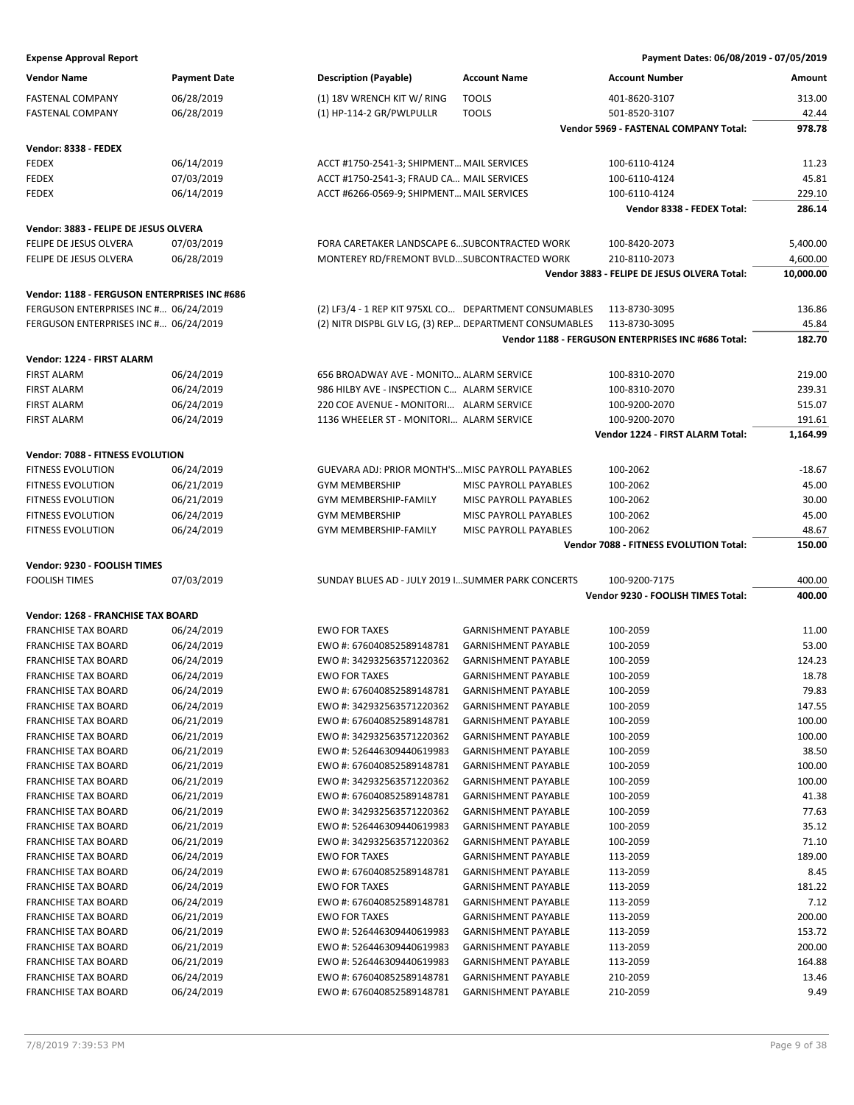| <b>Vendor Name</b>                                       | <b>Payment Date</b>      | <b>Description (Payable)</b>                           | <b>Account Name</b>                                      | <b>Account Number</b>                               | Amount           |
|----------------------------------------------------------|--------------------------|--------------------------------------------------------|----------------------------------------------------------|-----------------------------------------------------|------------------|
| <b>FASTENAL COMPANY</b>                                  | 06/28/2019               | (1) 18V WRENCH KIT W/ RING                             | <b>TOOLS</b>                                             | 401-8620-3107                                       | 313.00           |
| <b>FASTENAL COMPANY</b>                                  | 06/28/2019               | (1) HP-114-2 GR/PWLPULLR                               | <b>TOOLS</b>                                             | 501-8520-3107                                       | 42.44            |
|                                                          |                          |                                                        |                                                          | Vendor 5969 - FASTENAL COMPANY Total:               | 978.78           |
| Vendor: 8338 - FEDEX                                     |                          |                                                        |                                                          |                                                     |                  |
| <b>FEDEX</b>                                             | 06/14/2019               | ACCT #1750-2541-3; SHIPMENT MAIL SERVICES              |                                                          | 100-6110-4124                                       | 11.23            |
| <b>FEDEX</b>                                             | 07/03/2019               | ACCT #1750-2541-3; FRAUD CA MAIL SERVICES              |                                                          | 100-6110-4124                                       | 45.81            |
| <b>FEDEX</b>                                             | 06/14/2019               | ACCT #6266-0569-9; SHIPMENT MAIL SERVICES              |                                                          | 100-6110-4124                                       | 229.10           |
|                                                          |                          |                                                        |                                                          | Vendor 8338 - FEDEX Total:                          | 286.14           |
|                                                          |                          |                                                        |                                                          |                                                     |                  |
| Vendor: 3883 - FELIPE DE JESUS OLVERA                    |                          |                                                        |                                                          |                                                     |                  |
| FELIPE DE JESUS OLVERA                                   | 07/03/2019               | FORA CARETAKER LANDSCAPE 6 SUBCONTRACTED WORK          |                                                          | 100-8420-2073                                       | 5,400.00         |
| FELIPE DE JESUS OLVERA                                   | 06/28/2019               | MONTEREY RD/FREMONT BVLDSUBCONTRACTED WORK             |                                                          | 210-8110-2073                                       | 4,600.00         |
|                                                          |                          |                                                        |                                                          | Vendor 3883 - FELIPE DE JESUS OLVERA Total:         | 10,000.00        |
| Vendor: 1188 - FERGUSON ENTERPRISES INC #686             |                          |                                                        |                                                          |                                                     |                  |
| FERGUSON ENTERPRISES INC # 06/24/2019                    |                          | (2) LF3/4 - 1 REP KIT 975XL CO DEPARTMENT CONSUMABLES  |                                                          | 113-8730-3095                                       | 136.86           |
| FERGUSON ENTERPRISES INC # 06/24/2019                    |                          | (2) NITR DISPBL GLV LG, (3) REP DEPARTMENT CONSUMABLES |                                                          | 113-8730-3095                                       | 45.84            |
|                                                          |                          |                                                        |                                                          | Vendor 1188 - FERGUSON ENTERPRISES INC #686 Total:  | 182.70           |
| Vendor: 1224 - FIRST ALARM                               |                          |                                                        |                                                          |                                                     |                  |
| <b>FIRST ALARM</b>                                       | 06/24/2019               | 656 BROADWAY AVE - MONITO ALARM SERVICE                |                                                          | 100-8310-2070                                       | 219.00           |
| <b>FIRST ALARM</b>                                       | 06/24/2019               | 986 HILBY AVE - INSPECTION C ALARM SERVICE             |                                                          | 100-8310-2070                                       | 239.31           |
| <b>FIRST ALARM</b>                                       | 06/24/2019               | 220 COE AVENUE - MONITORI ALARM SERVICE                |                                                          | 100-9200-2070                                       | 515.07           |
| <b>FIRST ALARM</b>                                       | 06/24/2019               | 1136 WHEELER ST - MONITORI ALARM SERVICE               |                                                          | 100-9200-2070                                       | 191.61           |
|                                                          |                          |                                                        |                                                          | Vendor 1224 - FIRST ALARM Total:                    | 1,164.99         |
| Vendor: 7088 - FITNESS EVOLUTION                         |                          |                                                        |                                                          |                                                     |                  |
| FITNESS EVOLUTION                                        | 06/24/2019               | GUEVARA ADJ: PRIOR MONTH'S MISC PAYROLL PAYABLES       |                                                          | 100-2062                                            | $-18.67$         |
| <b>FITNESS EVOLUTION</b>                                 | 06/21/2019               | <b>GYM MEMBERSHIP</b>                                  | MISC PAYROLL PAYABLES                                    | 100-2062                                            | 45.00            |
| <b>FITNESS EVOLUTION</b>                                 | 06/21/2019               | GYM MEMBERSHIP-FAMILY                                  | MISC PAYROLL PAYABLES                                    | 100-2062                                            | 30.00            |
| FITNESS EVOLUTION                                        | 06/24/2019               | <b>GYM MEMBERSHIP</b>                                  | MISC PAYROLL PAYABLES                                    | 100-2062                                            | 45.00            |
| FITNESS EVOLUTION                                        | 06/24/2019               | GYM MEMBERSHIP-FAMILY                                  | MISC PAYROLL PAYABLES                                    | 100-2062                                            | 48.67            |
|                                                          |                          |                                                        |                                                          |                                                     |                  |
|                                                          |                          |                                                        |                                                          | Vendor 7088 - FITNESS EVOLUTION Total:              | 150.00           |
|                                                          |                          |                                                        |                                                          |                                                     |                  |
| Vendor: 9230 - FOOLISH TIMES                             |                          |                                                        |                                                          |                                                     |                  |
| <b>FOOLISH TIMES</b>                                     | 07/03/2019               | SUNDAY BLUES AD - JULY 2019 ISUMMER PARK CONCERTS      |                                                          | 100-9200-7175<br>Vendor 9230 - FOOLISH TIMES Total: | 400.00<br>400.00 |
|                                                          |                          |                                                        |                                                          |                                                     |                  |
| Vendor: 1268 - FRANCHISE TAX BOARD                       |                          |                                                        |                                                          |                                                     |                  |
| <b>FRANCHISE TAX BOARD</b>                               | 06/24/2019               | <b>EWO FOR TAXES</b>                                   | <b>GARNISHMENT PAYABLE</b>                               | 100-2059                                            | 11.00            |
| <b>FRANCHISE TAX BOARD</b>                               | 06/24/2019               | EWO #: 676040852589148781                              | <b>GARNISHMENT PAYABLE</b>                               | 100-2059                                            | 53.00            |
| <b>FRANCHISE TAX BOARD</b>                               | 06/24/2019               | EWO #: 342932563571220362                              | <b>GARNISHMENT PAYABLE</b>                               | 100-2059                                            | 124.23           |
| <b>FRANCHISE TAX BOARD</b>                               | 06/24/2019               | <b>EWO FOR TAXES</b>                                   | <b>GARNISHMENT PAYABLE</b>                               | 100-2059                                            | 18.78            |
| <b>FRANCHISE TAX BOARD</b>                               | 06/24/2019               | EWO #: 676040852589148781                              | GARNISHMENT PAYABLE                                      | 100-2059                                            | 79.83            |
| <b>FRANCHISE TAX BOARD</b>                               | 06/24/2019               | EWO #: 342932563571220362                              | <b>GARNISHMENT PAYABLE</b>                               | 100-2059                                            | 147.55           |
| <b>FRANCHISE TAX BOARD</b>                               | 06/21/2019               | EWO #: 676040852589148781                              | <b>GARNISHMENT PAYABLE</b>                               | 100-2059                                            | 100.00           |
| <b>FRANCHISE TAX BOARD</b>                               | 06/21/2019               | EWO #: 342932563571220362                              | <b>GARNISHMENT PAYABLE</b>                               | 100-2059                                            | 100.00           |
| <b>FRANCHISE TAX BOARD</b>                               | 06/21/2019               | EWO #: 526446309440619983                              | <b>GARNISHMENT PAYABLE</b>                               | 100-2059                                            | 38.50            |
| <b>FRANCHISE TAX BOARD</b>                               | 06/21/2019               | EWO #: 676040852589148781                              | <b>GARNISHMENT PAYABLE</b>                               | 100-2059                                            | 100.00           |
| <b>FRANCHISE TAX BOARD</b>                               | 06/21/2019               | EWO #: 342932563571220362                              | <b>GARNISHMENT PAYABLE</b>                               | 100-2059                                            | 100.00           |
| <b>FRANCHISE TAX BOARD</b>                               | 06/21/2019               | EWO #: 676040852589148781                              | <b>GARNISHMENT PAYABLE</b>                               | 100-2059                                            | 41.38            |
| <b>FRANCHISE TAX BOARD</b>                               | 06/21/2019               | EWO #: 342932563571220362                              | <b>GARNISHMENT PAYABLE</b>                               | 100-2059                                            | 77.63            |
| <b>FRANCHISE TAX BOARD</b>                               | 06/21/2019               | EWO #: 526446309440619983                              | <b>GARNISHMENT PAYABLE</b>                               | 100-2059                                            | 35.12            |
| <b>FRANCHISE TAX BOARD</b>                               | 06/21/2019               | EWO #: 342932563571220362                              | <b>GARNISHMENT PAYABLE</b>                               | 100-2059                                            | 71.10            |
| <b>FRANCHISE TAX BOARD</b>                               | 06/24/2019               | <b>EWO FOR TAXES</b>                                   | <b>GARNISHMENT PAYABLE</b>                               | 113-2059                                            | 189.00           |
| <b>FRANCHISE TAX BOARD</b>                               | 06/24/2019               | EWO #: 676040852589148781                              | <b>GARNISHMENT PAYABLE</b>                               | 113-2059                                            | 8.45             |
| <b>FRANCHISE TAX BOARD</b>                               | 06/24/2019               | <b>EWO FOR TAXES</b>                                   | <b>GARNISHMENT PAYABLE</b>                               | 113-2059                                            | 181.22           |
| <b>FRANCHISE TAX BOARD</b>                               | 06/24/2019               | EWO #: 676040852589148781                              | <b>GARNISHMENT PAYABLE</b>                               | 113-2059                                            | 7.12             |
| <b>FRANCHISE TAX BOARD</b>                               | 06/21/2019               | <b>EWO FOR TAXES</b>                                   | <b>GARNISHMENT PAYABLE</b>                               | 113-2059                                            | 200.00           |
| <b>FRANCHISE TAX BOARD</b>                               | 06/21/2019               | EWO #: 526446309440619983                              | <b>GARNISHMENT PAYABLE</b>                               | 113-2059                                            | 153.72           |
| <b>FRANCHISE TAX BOARD</b>                               | 06/21/2019               | EWO #: 526446309440619983                              | <b>GARNISHMENT PAYABLE</b>                               | 113-2059                                            | 200.00           |
| <b>FRANCHISE TAX BOARD</b>                               | 06/21/2019               | EWO #: 526446309440619983                              | <b>GARNISHMENT PAYABLE</b>                               | 113-2059                                            | 164.88           |
| <b>FRANCHISE TAX BOARD</b><br><b>FRANCHISE TAX BOARD</b> | 06/24/2019<br>06/24/2019 | EWO #: 676040852589148781<br>EWO #: 676040852589148781 | <b>GARNISHMENT PAYABLE</b><br><b>GARNISHMENT PAYABLE</b> | 210-2059<br>210-2059                                | 13.46<br>9.49    |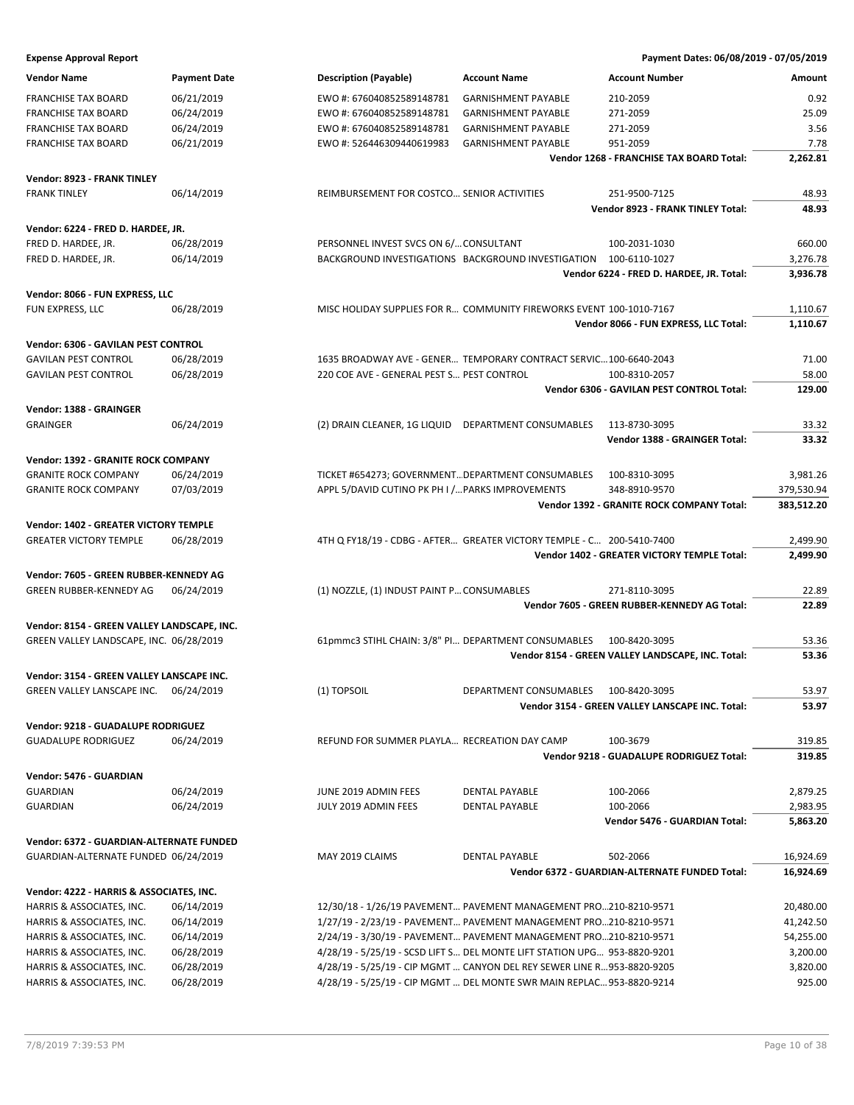| <b>Vendor Name</b>                           | <b>Payment Date</b> | <b>Description (Payable)</b>                        | <b>Account Name</b>                                                      | <b>Account Number</b>                             | Amount     |
|----------------------------------------------|---------------------|-----------------------------------------------------|--------------------------------------------------------------------------|---------------------------------------------------|------------|
| <b>FRANCHISE TAX BOARD</b>                   | 06/21/2019          | EWO #: 676040852589148781                           | <b>GARNISHMENT PAYABLE</b>                                               | 210-2059                                          | 0.92       |
| <b>FRANCHISE TAX BOARD</b>                   | 06/24/2019          | EWO #: 676040852589148781                           | <b>GARNISHMENT PAYABLE</b>                                               | 271-2059                                          | 25.09      |
| <b>FRANCHISE TAX BOARD</b>                   | 06/24/2019          | EWO #: 676040852589148781                           | <b>GARNISHMENT PAYABLE</b>                                               | 271-2059                                          | 3.56       |
| <b>FRANCHISE TAX BOARD</b>                   | 06/21/2019          | EWO #: 526446309440619983                           | <b>GARNISHMENT PAYABLE</b>                                               | 951-2059                                          | 7.78       |
|                                              |                     |                                                     |                                                                          | Vendor 1268 - FRANCHISE TAX BOARD Total:          | 2,262.81   |
| Vendor: 8923 - FRANK TINLEY                  |                     |                                                     |                                                                          |                                                   |            |
| <b>FRANK TINLEY</b>                          | 06/14/2019          | REIMBURSEMENT FOR COSTCO SENIOR ACTIVITIES          |                                                                          | 251-9500-7125                                     | 48.93      |
|                                              |                     |                                                     |                                                                          | Vendor 8923 - FRANK TINLEY Total:                 | 48.93      |
| Vendor: 6224 - FRED D. HARDEE, JR.           |                     |                                                     |                                                                          |                                                   |            |
| FRED D. HARDEE, JR.                          | 06/28/2019          | PERSONNEL INVEST SVCS ON 6/ CONSULTANT              |                                                                          | 100-2031-1030                                     | 660.00     |
| FRED D. HARDEE, JR.                          | 06/14/2019          |                                                     | BACKGROUND INVESTIGATIONS BACKGROUND INVESTIGATION 100-6110-1027         |                                                   | 3,276.78   |
|                                              |                     |                                                     |                                                                          | Vendor 6224 - FRED D. HARDEE, JR. Total:          | 3,936.78   |
|                                              |                     |                                                     |                                                                          |                                                   |            |
| Vendor: 8066 - FUN EXPRESS, LLC              |                     |                                                     |                                                                          |                                                   |            |
| FUN EXPRESS, LLC                             | 06/28/2019          |                                                     | MISC HOLIDAY SUPPLIES FOR R COMMUNITY FIREWORKS EVENT 100-1010-7167      |                                                   | 1,110.67   |
|                                              |                     |                                                     |                                                                          | Vendor 8066 - FUN EXPRESS, LLC Total:             | 1,110.67   |
| Vendor: 6306 - GAVILAN PEST CONTROL          |                     |                                                     |                                                                          |                                                   |            |
| <b>GAVILAN PEST CONTROL</b>                  | 06/28/2019          |                                                     | 1635 BROADWAY AVE - GENER TEMPORARY CONTRACT SERVIC100-6640-2043         |                                                   | 71.00      |
| <b>GAVILAN PEST CONTROL</b>                  | 06/28/2019          | 220 COE AVE - GENERAL PEST S PEST CONTROL           |                                                                          | 100-8310-2057                                     | 58.00      |
|                                              |                     |                                                     |                                                                          | Vendor 6306 - GAVILAN PEST CONTROL Total:         | 129.00     |
| Vendor: 1388 - GRAINGER                      |                     |                                                     |                                                                          |                                                   |            |
| <b>GRAINGER</b>                              | 06/24/2019          | (2) DRAIN CLEANER, 1G LIQUID DEPARTMENT CONSUMABLES |                                                                          | 113-8730-3095                                     | 33.32      |
|                                              |                     |                                                     |                                                                          | Vendor 1388 - GRAINGER Total:                     | 33.32      |
|                                              |                     |                                                     |                                                                          |                                                   |            |
| Vendor: 1392 - GRANITE ROCK COMPANY          |                     |                                                     |                                                                          |                                                   |            |
| <b>GRANITE ROCK COMPANY</b>                  | 06/24/2019          | TICKET #654273; GOVERNMENT DEPARTMENT CONSUMABLES   |                                                                          | 100-8310-3095                                     | 3,981.26   |
| <b>GRANITE ROCK COMPANY</b>                  | 07/03/2019          | APPL 5/DAVID CUTINO PK PH I / PARKS IMPROVEMENTS    |                                                                          | 348-8910-9570                                     | 379,530.94 |
|                                              |                     |                                                     |                                                                          | Vendor 1392 - GRANITE ROCK COMPANY Total:         | 383,512.20 |
| <b>Vendor: 1402 - GREATER VICTORY TEMPLE</b> |                     |                                                     |                                                                          |                                                   |            |
| <b>GREATER VICTORY TEMPLE</b>                | 06/28/2019          |                                                     | 4TH Q FY18/19 - CDBG - AFTER GREATER VICTORY TEMPLE - C 200-5410-7400    |                                                   | 2,499.90   |
|                                              |                     |                                                     |                                                                          | Vendor 1402 - GREATER VICTORY TEMPLE Total:       | 2,499.90   |
| Vendor: 7605 - GREEN RUBBER-KENNEDY AG       |                     |                                                     |                                                                          |                                                   |            |
| GREEN RUBBER-KENNEDY AG                      | 06/24/2019          | (1) NOZZLE, (1) INDUST PAINT P CONSUMABLES          |                                                                          | 271-8110-3095                                     | 22.89      |
|                                              |                     |                                                     |                                                                          | Vendor 7605 - GREEN RUBBER-KENNEDY AG Total:      | 22.89      |
|                                              |                     |                                                     |                                                                          |                                                   |            |
| Vendor: 8154 - GREEN VALLEY LANDSCAPE, INC.  |                     |                                                     |                                                                          |                                                   |            |
| GREEN VALLEY LANDSCAPE, INC. 06/28/2019      |                     |                                                     | 61pmmc3 STIHL CHAIN: 3/8" PI DEPARTMENT CONSUMABLES 100-8420-3095        |                                                   | 53.36      |
|                                              |                     |                                                     |                                                                          | Vendor 8154 - GREEN VALLEY LANDSCAPE, INC. Total: | 53.36      |
| Vendor: 3154 - GREEN VALLEY LANSCAPE INC.    |                     |                                                     |                                                                          |                                                   |            |
| GREEN VALLEY LANSCAPE INC. 06/24/2019        |                     | (1) TOPSOIL                                         | DEPARTMENT CONSUMABLES 100-8420-3095                                     |                                                   | 53.97      |
|                                              |                     |                                                     |                                                                          | Vendor 3154 - GREEN VALLEY LANSCAPE INC. Total:   | 53.97      |
| Vendor: 9218 - GUADALUPE RODRIGUEZ           |                     |                                                     |                                                                          |                                                   |            |
| <b>GUADALUPE RODRIGUEZ</b>                   | 06/24/2019          | REFUND FOR SUMMER PLAYLA RECREATION DAY CAMP        |                                                                          | 100-3679                                          | 319.85     |
|                                              |                     |                                                     |                                                                          | Vendor 9218 - GUADALUPE RODRIGUEZ Total:          | 319.85     |
|                                              |                     |                                                     |                                                                          |                                                   |            |
| Vendor: 5476 - GUARDIAN                      |                     |                                                     |                                                                          |                                                   |            |
| <b>GUARDIAN</b>                              | 06/24/2019          | JUNE 2019 ADMIN FEES                                | DENTAL PAYABLE                                                           | 100-2066                                          | 2,879.25   |
| <b>GUARDIAN</b>                              | 06/24/2019          | JULY 2019 ADMIN FEES                                | <b>DENTAL PAYABLE</b>                                                    | 100-2066                                          | 2,983.95   |
|                                              |                     |                                                     |                                                                          | Vendor 5476 - GUARDIAN Total:                     | 5,863.20   |
| Vendor: 6372 - GUARDIAN-ALTERNATE FUNDED     |                     |                                                     |                                                                          |                                                   |            |
| GUARDIAN-ALTERNATE FUNDED 06/24/2019         |                     | MAY 2019 CLAIMS                                     | <b>DENTAL PAYABLE</b>                                                    | 502-2066                                          | 16,924.69  |
|                                              |                     |                                                     |                                                                          | Vendor 6372 - GUARDIAN-ALTERNATE FUNDED Total:    | 16,924.69  |
| Vendor: 4222 - HARRIS & ASSOCIATES, INC.     |                     |                                                     |                                                                          |                                                   |            |
| HARRIS & ASSOCIATES, INC.                    | 06/14/2019          |                                                     | 12/30/18 - 1/26/19 PAVEMENT PAVEMENT MANAGEMENT PRO210-8210-9571         |                                                   | 20,480.00  |
| HARRIS & ASSOCIATES, INC.                    | 06/14/2019          |                                                     | 1/27/19 - 2/23/19 - PAVEMENT PAVEMENT MANAGEMENT PRO210-8210-9571        |                                                   | 41,242.50  |
| HARRIS & ASSOCIATES, INC.                    | 06/14/2019          |                                                     | 2/24/19 - 3/30/19 - PAVEMENT PAVEMENT MANAGEMENT PRO210-8210-9571        |                                                   | 54,255.00  |
| HARRIS & ASSOCIATES, INC.                    | 06/28/2019          |                                                     | 4/28/19 - 5/25/19 - SCSD LIFT S DEL MONTE LIFT STATION UPG 953-8820-9201 |                                                   | 3,200.00   |
| HARRIS & ASSOCIATES, INC.                    | 06/28/2019          |                                                     | 4/28/19 - 5/25/19 - CIP MGMT  CANYON DEL REY SEWER LINE R953-8820-9205   |                                                   | 3,820.00   |
| HARRIS & ASSOCIATES, INC.                    | 06/28/2019          |                                                     | 4/28/19 - 5/25/19 - CIP MGMT  DEL MONTE SWR MAIN REPLAC 953-8820-9214    |                                                   | 925.00     |
|                                              |                     |                                                     |                                                                          |                                                   |            |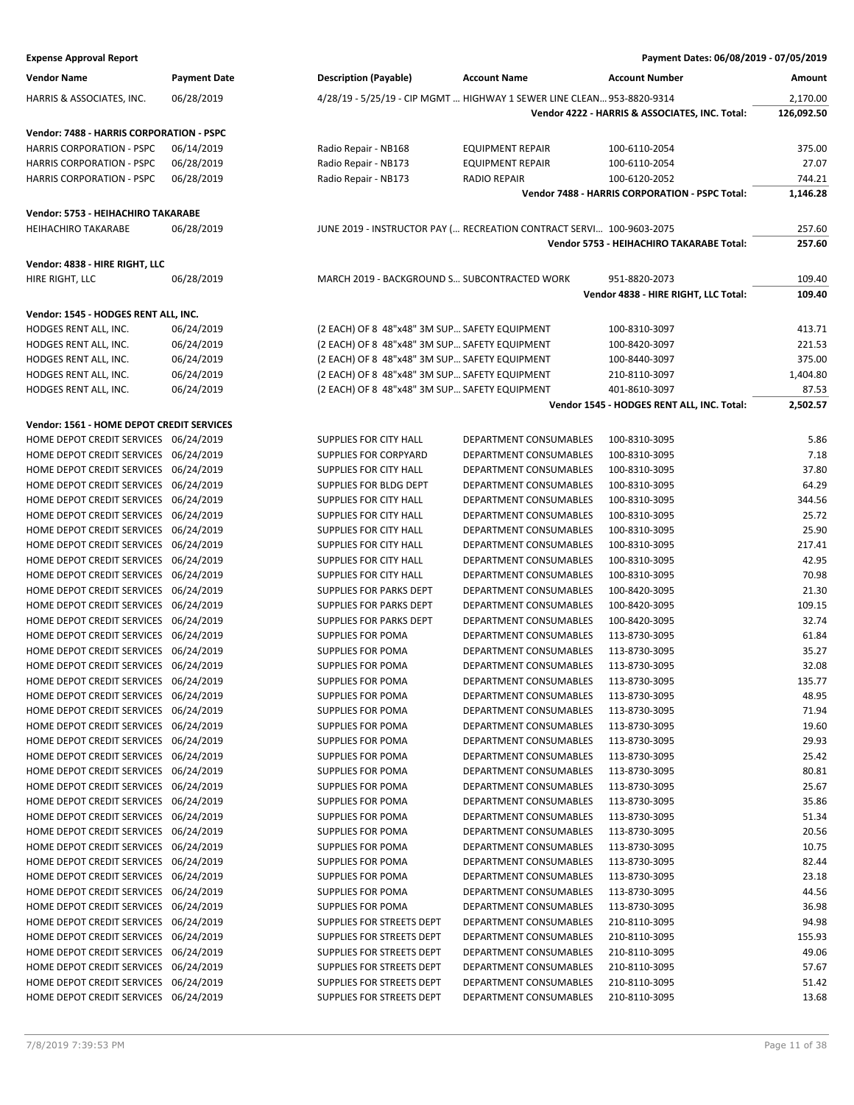| <b>Expense Approval Report</b> | Payment Dates: 06/08/2019 - 07/05/2019 |
|--------------------------------|----------------------------------------|

| Vendor Name                                                                  | <b>Payment Date</b> | <b>Description (Payable)</b>                  | <b>Account Name</b>                                                    | <b>Account Number</b>                          | Amount     |
|------------------------------------------------------------------------------|---------------------|-----------------------------------------------|------------------------------------------------------------------------|------------------------------------------------|------------|
| HARRIS & ASSOCIATES, INC.                                                    | 06/28/2019          |                                               | 4/28/19 - 5/25/19 - CIP MGMT  HIGHWAY 1 SEWER LINE CLEAN 953-8820-9314 |                                                | 2,170.00   |
|                                                                              |                     |                                               |                                                                        | Vendor 4222 - HARRIS & ASSOCIATES, INC. Total: | 126,092.50 |
|                                                                              |                     |                                               |                                                                        |                                                |            |
| Vendor: 7488 - HARRIS CORPORATION - PSPC<br><b>HARRIS CORPORATION - PSPC</b> | 06/14/2019          | Radio Repair - NB168                          | <b>EQUIPMENT REPAIR</b>                                                | 100-6110-2054                                  | 375.00     |
| <b>HARRIS CORPORATION - PSPC</b>                                             | 06/28/2019          | Radio Repair - NB173                          | <b>EQUIPMENT REPAIR</b>                                                | 100-6110-2054                                  | 27.07      |
| <b>HARRIS CORPORATION - PSPC</b>                                             | 06/28/2019          | Radio Repair - NB173                          | <b>RADIO REPAIR</b>                                                    | 100-6120-2052                                  | 744.21     |
|                                                                              |                     |                                               |                                                                        | Vendor 7488 - HARRIS CORPORATION - PSPC Total: | 1,146.28   |
|                                                                              |                     |                                               |                                                                        |                                                |            |
| Vendor: 5753 - HEIHACHIRO TAKARABE<br><b>HEIHACHIRO TAKARABE</b>             | 06/28/2019          |                                               | JUNE 2019 - INSTRUCTOR PAY ( RECREATION CONTRACT SERVI 100-9603-2075   |                                                | 257.60     |
|                                                                              |                     |                                               |                                                                        | Vendor 5753 - HEIHACHIRO TAKARABE Total:       | 257.60     |
|                                                                              |                     |                                               |                                                                        |                                                |            |
| Vendor: 4838 - HIRE RIGHT, LLC<br>HIRE RIGHT, LLC                            | 06/28/2019          | MARCH 2019 - BACKGROUND S SUBCONTRACTED WORK  |                                                                        | 951-8820-2073                                  | 109.40     |
|                                                                              |                     |                                               |                                                                        | Vendor 4838 - HIRE RIGHT, LLC Total:           | 109.40     |
|                                                                              |                     |                                               |                                                                        |                                                |            |
| Vendor: 1545 - HODGES RENT ALL, INC.                                         |                     |                                               |                                                                        |                                                |            |
| HODGES RENT ALL, INC.                                                        | 06/24/2019          | (2 EACH) OF 8 48"x48" 3M SUP SAFETY EQUIPMENT |                                                                        | 100-8310-3097                                  | 413.71     |
| HODGES RENT ALL, INC.                                                        | 06/24/2019          | (2 EACH) OF 8 48"x48" 3M SUP SAFETY EQUIPMENT |                                                                        | 100-8420-3097                                  | 221.53     |
| HODGES RENT ALL, INC.                                                        | 06/24/2019          | (2 EACH) OF 8 48"x48" 3M SUP SAFETY EQUIPMENT |                                                                        | 100-8440-3097                                  | 375.00     |
| HODGES RENT ALL, INC.                                                        | 06/24/2019          | (2 EACH) OF 8 48"x48" 3M SUP SAFETY EQUIPMENT |                                                                        | 210-8110-3097                                  | 1,404.80   |
| HODGES RENT ALL, INC.                                                        | 06/24/2019          | (2 EACH) OF 8 48"x48" 3M SUP SAFETY EQUIPMENT |                                                                        | 401-8610-3097                                  | 87.53      |
|                                                                              |                     |                                               |                                                                        | Vendor 1545 - HODGES RENT ALL, INC. Total:     | 2,502.57   |
| Vendor: 1561 - HOME DEPOT CREDIT SERVICES                                    |                     |                                               |                                                                        |                                                |            |
| HOME DEPOT CREDIT SERVICES 06/24/2019                                        |                     | SUPPLIES FOR CITY HALL                        | DEPARTMENT CONSUMABLES                                                 | 100-8310-3095                                  | 5.86       |
| HOME DEPOT CREDIT SERVICES 06/24/2019                                        |                     | SUPPLIES FOR CORPYARD                         | DEPARTMENT CONSUMABLES                                                 | 100-8310-3095                                  | 7.18       |
| HOME DEPOT CREDIT SERVICES 06/24/2019                                        |                     | SUPPLIES FOR CITY HALL                        | DEPARTMENT CONSUMABLES                                                 | 100-8310-3095                                  | 37.80      |
| HOME DEPOT CREDIT SERVICES 06/24/2019                                        |                     | SUPPLIES FOR BLDG DEPT                        | DEPARTMENT CONSUMABLES                                                 | 100-8310-3095                                  | 64.29      |
| HOME DEPOT CREDIT SERVICES 06/24/2019                                        |                     | SUPPLIES FOR CITY HALL                        | DEPARTMENT CONSUMABLES                                                 | 100-8310-3095                                  | 344.56     |
| HOME DEPOT CREDIT SERVICES 06/24/2019                                        |                     | SUPPLIES FOR CITY HALL                        | DEPARTMENT CONSUMABLES                                                 | 100-8310-3095                                  | 25.72      |
| HOME DEPOT CREDIT SERVICES 06/24/2019                                        |                     | SUPPLIES FOR CITY HALL                        | DEPARTMENT CONSUMABLES                                                 | 100-8310-3095                                  | 25.90      |
| HOME DEPOT CREDIT SERVICES 06/24/2019                                        |                     | SUPPLIES FOR CITY HALL                        | DEPARTMENT CONSUMABLES                                                 | 100-8310-3095                                  | 217.41     |
| HOME DEPOT CREDIT SERVICES 06/24/2019                                        |                     | SUPPLIES FOR CITY HALL                        | DEPARTMENT CONSUMABLES                                                 | 100-8310-3095                                  | 42.95      |
| HOME DEPOT CREDIT SERVICES 06/24/2019                                        |                     | SUPPLIES FOR CITY HALL                        | DEPARTMENT CONSUMABLES                                                 | 100-8310-3095                                  | 70.98      |
| HOME DEPOT CREDIT SERVICES 06/24/2019                                        |                     | SUPPLIES FOR PARKS DEPT                       | DEPARTMENT CONSUMABLES                                                 | 100-8420-3095                                  | 21.30      |
| HOME DEPOT CREDIT SERVICES 06/24/2019                                        |                     | SUPPLIES FOR PARKS DEPT                       | DEPARTMENT CONSUMABLES                                                 | 100-8420-3095                                  | 109.15     |
| HOME DEPOT CREDIT SERVICES 06/24/2019                                        |                     | <b>SUPPLIES FOR PARKS DEPT</b>                | <b>DEPARTMENT CONSUMABLES</b>                                          | 100-8420-3095                                  | 32.74      |
| HOME DEPOT CREDIT SERVICES 06/24/2019                                        |                     | SUPPLIES FOR POMA                             | DEPARTMENT CONSUMABLES                                                 | 113-8730-3095                                  | 61.84      |
| HOME DEPOT CREDIT SERVICES 06/24/2019                                        |                     | SUPPLIES FOR POMA                             | DEPARTMENT CONSUMABLES                                                 | 113-8730-3095                                  | 35.27      |
| HOME DEPOT CREDIT SERVICES                                                   | 06/24/2019          | SUPPLIES FOR POMA                             | DEPARTMENT CONSUMABLES                                                 | 113-8730-3095                                  | 32.08      |
| HOME DEPOT CREDIT SERVICES 06/24/2019                                        |                     | <b>SUPPLIES FOR POMA</b>                      | DEPARTMENT CONSUMABLES                                                 | 113-8730-3095                                  | 135.77     |
| HOME DEPOT CREDIT SERVICES 06/24/2019                                        |                     | <b>SUPPLIES FOR POMA</b>                      | DEPARTMENT CONSUMABLES                                                 | 113-8730-3095                                  | 48.95      |
| HOME DEPOT CREDIT SERVICES 06/24/2019                                        |                     | <b>SUPPLIES FOR POMA</b>                      | DEPARTMENT CONSUMABLES                                                 | 113-8730-3095                                  | 71.94      |
| HOME DEPOT CREDIT SERVICES 06/24/2019                                        |                     | SUPPLIES FOR POMA                             | DEPARTMENT CONSUMABLES                                                 | 113-8730-3095                                  | 19.60      |
| HOME DEPOT CREDIT SERVICES 06/24/2019                                        |                     | SUPPLIES FOR POMA                             | DEPARTMENT CONSUMABLES                                                 | 113-8730-3095                                  | 29.93      |
| HOME DEPOT CREDIT SERVICES 06/24/2019                                        |                     | <b>SUPPLIES FOR POMA</b>                      | DEPARTMENT CONSUMABLES                                                 | 113-8730-3095                                  | 25.42      |
| HOME DEPOT CREDIT SERVICES 06/24/2019                                        |                     | SUPPLIES FOR POMA                             | DEPARTMENT CONSUMABLES                                                 | 113-8730-3095                                  | 80.81      |
| HOME DEPOT CREDIT SERVICES 06/24/2019                                        |                     | <b>SUPPLIES FOR POMA</b>                      | DEPARTMENT CONSUMABLES                                                 | 113-8730-3095                                  | 25.67      |
| HOME DEPOT CREDIT SERVICES 06/24/2019                                        |                     | SUPPLIES FOR POMA                             | DEPARTMENT CONSUMABLES                                                 | 113-8730-3095                                  | 35.86      |
| HOME DEPOT CREDIT SERVICES 06/24/2019                                        |                     | SUPPLIES FOR POMA                             | DEPARTMENT CONSUMABLES                                                 | 113-8730-3095                                  | 51.34      |
| HOME DEPOT CREDIT SERVICES 06/24/2019                                        |                     | SUPPLIES FOR POMA                             | DEPARTMENT CONSUMABLES                                                 | 113-8730-3095                                  | 20.56      |
| HOME DEPOT CREDIT SERVICES 06/24/2019                                        |                     | SUPPLIES FOR POMA                             | DEPARTMENT CONSUMABLES                                                 | 113-8730-3095                                  | 10.75      |
| HOME DEPOT CREDIT SERVICES 06/24/2019                                        |                     | SUPPLIES FOR POMA                             | DEPARTMENT CONSUMABLES                                                 | 113-8730-3095                                  | 82.44      |
| HOME DEPOT CREDIT SERVICES 06/24/2019                                        |                     | SUPPLIES FOR POMA                             | DEPARTMENT CONSUMABLES                                                 | 113-8730-3095                                  | 23.18      |
| HOME DEPOT CREDIT SERVICES 06/24/2019                                        |                     | SUPPLIES FOR POMA                             | DEPARTMENT CONSUMABLES                                                 | 113-8730-3095                                  | 44.56      |
| HOME DEPOT CREDIT SERVICES 06/24/2019                                        |                     | <b>SUPPLIES FOR POMA</b>                      | DEPARTMENT CONSUMABLES                                                 | 113-8730-3095                                  | 36.98      |
| HOME DEPOT CREDIT SERVICES 06/24/2019                                        |                     | SUPPLIES FOR STREETS DEPT                     | DEPARTMENT CONSUMABLES                                                 | 210-8110-3095                                  | 94.98      |
| HOME DEPOT CREDIT SERVICES 06/24/2019                                        |                     | SUPPLIES FOR STREETS DEPT                     | DEPARTMENT CONSUMABLES                                                 | 210-8110-3095                                  | 155.93     |
| HOME DEPOT CREDIT SERVICES 06/24/2019                                        |                     | SUPPLIES FOR STREETS DEPT                     | DEPARTMENT CONSUMABLES                                                 | 210-8110-3095                                  | 49.06      |
| HOME DEPOT CREDIT SERVICES 06/24/2019                                        |                     | SUPPLIES FOR STREETS DEPT                     | DEPARTMENT CONSUMABLES                                                 | 210-8110-3095                                  | 57.67      |
| HOME DEPOT CREDIT SERVICES 06/24/2019                                        |                     | SUPPLIES FOR STREETS DEPT                     | DEPARTMENT CONSUMABLES                                                 | 210-8110-3095                                  | 51.42      |
| HOME DEPOT CREDIT SERVICES 06/24/2019                                        |                     | SUPPLIES FOR STREETS DEPT                     | DEPARTMENT CONSUMABLES                                                 | 210-8110-3095                                  | 13.68      |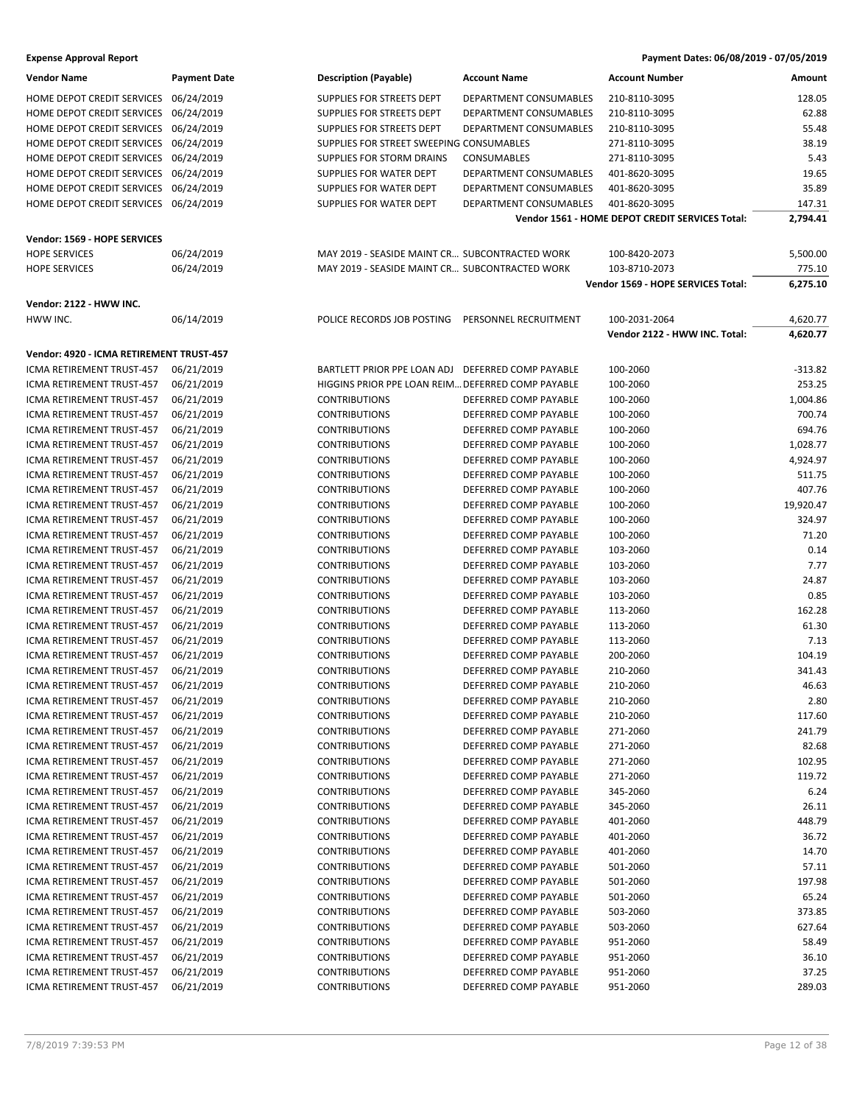| <b>Vendor Name</b>                       | <b>Payment Date</b> | <b>Description (Payable)</b>                      | <b>Account Name</b>    | <b>Account Number</b>                           | Amount    |
|------------------------------------------|---------------------|---------------------------------------------------|------------------------|-------------------------------------------------|-----------|
| HOME DEPOT CREDIT SERVICES 06/24/2019    |                     | SUPPLIES FOR STREETS DEPT                         | DEPARTMENT CONSUMABLES | 210-8110-3095                                   | 128.05    |
| HOME DEPOT CREDIT SERVICES               | 06/24/2019          | SUPPLIES FOR STREETS DEPT                         | DEPARTMENT CONSUMABLES | 210-8110-3095                                   | 62.88     |
| HOME DEPOT CREDIT SERVICES 06/24/2019    |                     | SUPPLIES FOR STREETS DEPT                         | DEPARTMENT CONSUMABLES | 210-8110-3095                                   | 55.48     |
| HOME DEPOT CREDIT SERVICES 06/24/2019    |                     | SUPPLIES FOR STREET SWEEPING CONSUMABLES          |                        | 271-8110-3095                                   | 38.19     |
| HOME DEPOT CREDIT SERVICES 06/24/2019    |                     | <b>SUPPLIES FOR STORM DRAINS</b>                  | <b>CONSUMABLES</b>     | 271-8110-3095                                   | 5.43      |
| HOME DEPOT CREDIT SERVICES 06/24/2019    |                     | SUPPLIES FOR WATER DEPT                           | DEPARTMENT CONSUMABLES | 401-8620-3095                                   | 19.65     |
|                                          |                     | SUPPLIES FOR WATER DEPT                           | DEPARTMENT CONSUMABLES | 401-8620-3095                                   | 35.89     |
| HOME DEPOT CREDIT SERVICES 06/24/2019    |                     |                                                   |                        |                                                 |           |
| HOME DEPOT CREDIT SERVICES 06/24/2019    |                     | SUPPLIES FOR WATER DEPT                           | DEPARTMENT CONSUMABLES | 401-8620-3095                                   | 147.31    |
|                                          |                     |                                                   |                        | Vendor 1561 - HOME DEPOT CREDIT SERVICES Total: | 2,794.41  |
| Vendor: 1569 - HOPE SERVICES             |                     |                                                   |                        |                                                 |           |
| <b>HOPE SERVICES</b>                     | 06/24/2019          | MAY 2019 - SEASIDE MAINT CR SUBCONTRACTED WORK    |                        | 100-8420-2073                                   | 5,500.00  |
| <b>HOPE SERVICES</b>                     | 06/24/2019          | MAY 2019 - SEASIDE MAINT CR SUBCONTRACTED WORK    |                        | 103-8710-2073                                   | 775.10    |
|                                          |                     |                                                   |                        | Vendor 1569 - HOPE SERVICES Total:              | 6,275.10  |
| Vendor: 2122 - HWW INC.                  |                     |                                                   |                        |                                                 |           |
| HWW INC.                                 | 06/14/2019          | POLICE RECORDS JOB POSTING                        | PERSONNEL RECRUITMENT  | 100-2031-2064                                   | 4,620.77  |
|                                          |                     |                                                   |                        | Vendor 2122 - HWW INC. Total:                   | 4,620.77  |
|                                          |                     |                                                   |                        |                                                 |           |
| Vendor: 4920 - ICMA RETIREMENT TRUST-457 |                     |                                                   |                        |                                                 |           |
| ICMA RETIREMENT TRUST-457                | 06/21/2019          | BARTLETT PRIOR PPE LOAN ADJ                       | DEFERRED COMP PAYABLE  | 100-2060                                        | $-313.82$ |
| ICMA RETIREMENT TRUST-457                | 06/21/2019          | HIGGINS PRIOR PPE LOAN REIM DEFERRED COMP PAYABLE |                        | 100-2060                                        | 253.25    |
| ICMA RETIREMENT TRUST-457                | 06/21/2019          | <b>CONTRIBUTIONS</b>                              | DEFERRED COMP PAYABLE  | 100-2060                                        | 1,004.86  |
| ICMA RETIREMENT TRUST-457                | 06/21/2019          | <b>CONTRIBUTIONS</b>                              | DEFERRED COMP PAYABLE  | 100-2060                                        | 700.74    |
| ICMA RETIREMENT TRUST-457                | 06/21/2019          | <b>CONTRIBUTIONS</b>                              | DEFERRED COMP PAYABLE  | 100-2060                                        | 694.76    |
| ICMA RETIREMENT TRUST-457                | 06/21/2019          | <b>CONTRIBUTIONS</b>                              | DEFERRED COMP PAYABLE  | 100-2060                                        | 1,028.77  |
| <b>ICMA RETIREMENT TRUST-457</b>         | 06/21/2019          | <b>CONTRIBUTIONS</b>                              | DEFERRED COMP PAYABLE  | 100-2060                                        | 4,924.97  |
| ICMA RETIREMENT TRUST-457                | 06/21/2019          | <b>CONTRIBUTIONS</b>                              | DEFERRED COMP PAYABLE  | 100-2060                                        | 511.75    |
| ICMA RETIREMENT TRUST-457                | 06/21/2019          | <b>CONTRIBUTIONS</b>                              | DEFERRED COMP PAYABLE  | 100-2060                                        | 407.76    |
| ICMA RETIREMENT TRUST-457                | 06/21/2019          | <b>CONTRIBUTIONS</b>                              | DEFERRED COMP PAYABLE  | 100-2060                                        | 19,920.47 |
| ICMA RETIREMENT TRUST-457                | 06/21/2019          | <b>CONTRIBUTIONS</b>                              | DEFERRED COMP PAYABLE  | 100-2060                                        | 324.97    |
| ICMA RETIREMENT TRUST-457                | 06/21/2019          | <b>CONTRIBUTIONS</b>                              | DEFERRED COMP PAYABLE  | 100-2060                                        | 71.20     |
| ICMA RETIREMENT TRUST-457                | 06/21/2019          | <b>CONTRIBUTIONS</b>                              | DEFERRED COMP PAYABLE  | 103-2060                                        | 0.14      |
| ICMA RETIREMENT TRUST-457                | 06/21/2019          | <b>CONTRIBUTIONS</b>                              | DEFERRED COMP PAYABLE  | 103-2060                                        | 7.77      |
| ICMA RETIREMENT TRUST-457                |                     |                                                   | DEFERRED COMP PAYABLE  |                                                 | 24.87     |
|                                          | 06/21/2019          | <b>CONTRIBUTIONS</b>                              |                        | 103-2060                                        |           |
| ICMA RETIREMENT TRUST-457                | 06/21/2019          | <b>CONTRIBUTIONS</b>                              | DEFERRED COMP PAYABLE  | 103-2060                                        | 0.85      |
| ICMA RETIREMENT TRUST-457                | 06/21/2019          | <b>CONTRIBUTIONS</b>                              | DEFERRED COMP PAYABLE  | 113-2060                                        | 162.28    |
| ICMA RETIREMENT TRUST-457                | 06/21/2019          | <b>CONTRIBUTIONS</b>                              | DEFERRED COMP PAYABLE  | 113-2060                                        | 61.30     |
| <b>ICMA RETIREMENT TRUST-457</b>         | 06/21/2019          | <b>CONTRIBUTIONS</b>                              | DEFERRED COMP PAYABLE  | 113-2060                                        | 7.13      |
| ICMA RETIREMENT TRUST-457                | 06/21/2019          | <b>CONTRIBUTIONS</b>                              | DEFERRED COMP PAYABLE  | 200-2060                                        | 104.19    |
| ICMA RETIREMENT TRUST-457                | 06/21/2019          | <b>CONTRIBUTIONS</b>                              | DEFERRED COMP PAYABLE  | 210-2060                                        | 341.43    |
| ICMA RETIREMENT TRUST-457                | 06/21/2019          | <b>CONTRIBUTIONS</b>                              | DEFERRED COMP PAYABLE  | 210-2060                                        | 46.63     |
| ICMA RETIREMENT TRUST-457                | 06/21/2019          | <b>CONTRIBUTIONS</b>                              | DEFERRED COMP PAYABLE  | 210-2060                                        | 2.80      |
| ICMA RETIREMENT TRUST-457                | 06/21/2019          | <b>CONTRIBUTIONS</b>                              | DEFERRED COMP PAYABLE  | 210-2060                                        | 117.60    |
| ICMA RETIREMENT TRUST-457                | 06/21/2019          | <b>CONTRIBUTIONS</b>                              | DEFERRED COMP PAYABLE  | 271-2060                                        | 241.79    |
| ICMA RETIREMENT TRUST-457                | 06/21/2019          | <b>CONTRIBUTIONS</b>                              | DEFERRED COMP PAYABLE  | 271-2060                                        | 82.68     |
| ICMA RETIREMENT TRUST-457                | 06/21/2019          | <b>CONTRIBUTIONS</b>                              | DEFERRED COMP PAYABLE  | 271-2060                                        | 102.95    |
| ICMA RETIREMENT TRUST-457                | 06/21/2019          | <b>CONTRIBUTIONS</b>                              | DEFERRED COMP PAYABLE  | 271-2060                                        | 119.72    |
| ICMA RETIREMENT TRUST-457                | 06/21/2019          | <b>CONTRIBUTIONS</b>                              | DEFERRED COMP PAYABLE  | 345-2060                                        | 6.24      |
| ICMA RETIREMENT TRUST-457                | 06/21/2019          | <b>CONTRIBUTIONS</b>                              | DEFERRED COMP PAYABLE  | 345-2060                                        | 26.11     |
| ICMA RETIREMENT TRUST-457                | 06/21/2019          | <b>CONTRIBUTIONS</b>                              | DEFERRED COMP PAYABLE  | 401-2060                                        | 448.79    |
| <b>ICMA RETIREMENT TRUST-457</b>         | 06/21/2019          | <b>CONTRIBUTIONS</b>                              | DEFERRED COMP PAYABLE  | 401-2060                                        | 36.72     |
| ICMA RETIREMENT TRUST-457                | 06/21/2019          | <b>CONTRIBUTIONS</b>                              | DEFERRED COMP PAYABLE  | 401-2060                                        | 14.70     |
| ICMA RETIREMENT TRUST-457                | 06/21/2019          | <b>CONTRIBUTIONS</b>                              | DEFERRED COMP PAYABLE  | 501-2060                                        | 57.11     |
| ICMA RETIREMENT TRUST-457                | 06/21/2019          | <b>CONTRIBUTIONS</b>                              | DEFERRED COMP PAYABLE  | 501-2060                                        | 197.98    |
| ICMA RETIREMENT TRUST-457                | 06/21/2019          | <b>CONTRIBUTIONS</b>                              | DEFERRED COMP PAYABLE  | 501-2060                                        | 65.24     |
| ICMA RETIREMENT TRUST-457                | 06/21/2019          | <b>CONTRIBUTIONS</b>                              | DEFERRED COMP PAYABLE  | 503-2060                                        | 373.85    |
| ICMA RETIREMENT TRUST-457                | 06/21/2019          | <b>CONTRIBUTIONS</b>                              | DEFERRED COMP PAYABLE  | 503-2060                                        | 627.64    |
| ICMA RETIREMENT TRUST-457                | 06/21/2019          | <b>CONTRIBUTIONS</b>                              | DEFERRED COMP PAYABLE  | 951-2060                                        | 58.49     |
|                                          |                     |                                                   |                        |                                                 | 36.10     |
| ICMA RETIREMENT TRUST-457                | 06/21/2019          | <b>CONTRIBUTIONS</b>                              | DEFERRED COMP PAYABLE  | 951-2060                                        |           |
| ICMA RETIREMENT TRUST-457                | 06/21/2019          | <b>CONTRIBUTIONS</b>                              | DEFERRED COMP PAYABLE  | 951-2060                                        | 37.25     |
| ICMA RETIREMENT TRUST-457                | 06/21/2019          | <b>CONTRIBUTIONS</b>                              | DEFERRED COMP PAYABLE  | 951-2060                                        | 289.03    |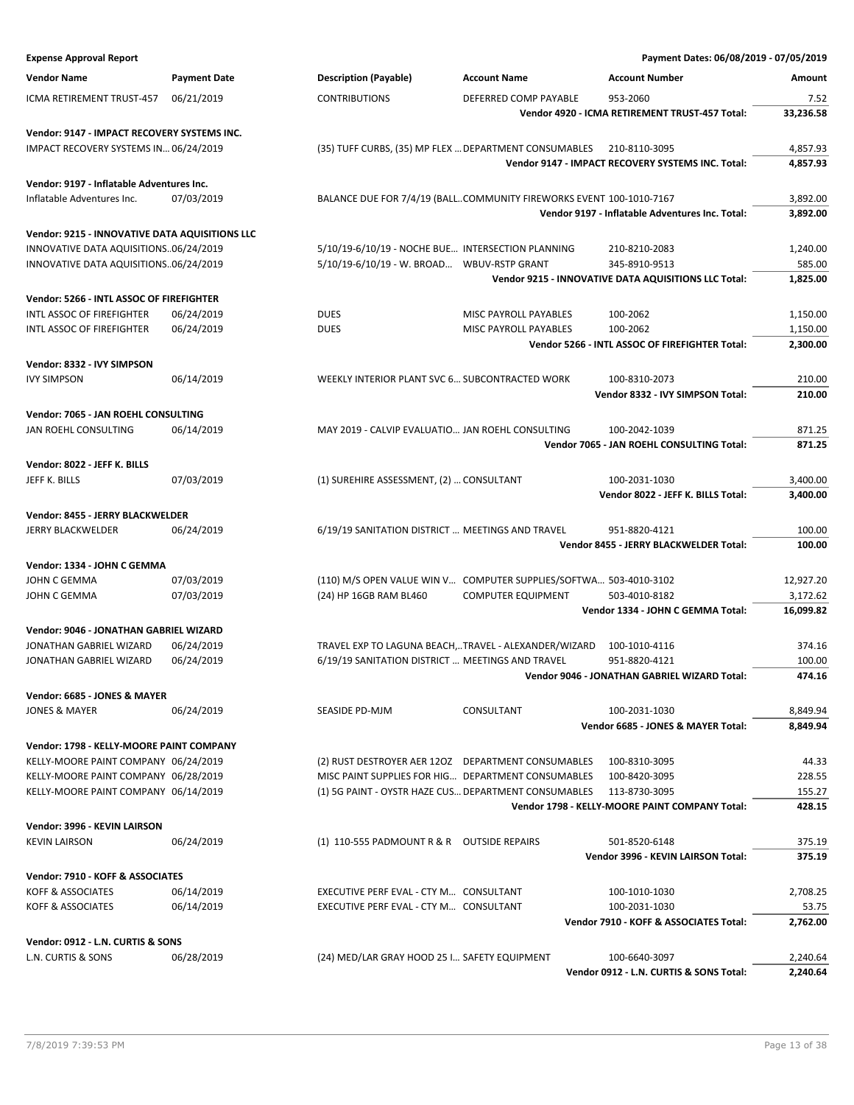| <b>Expense Approval Report</b>                     |                          |                                                   |                                                                     | Payment Dates: 06/08/2019 - 07/05/2019               |                  |
|----------------------------------------------------|--------------------------|---------------------------------------------------|---------------------------------------------------------------------|------------------------------------------------------|------------------|
| <b>Vendor Name</b>                                 | <b>Payment Date</b>      | <b>Description (Payable)</b>                      | <b>Account Name</b>                                                 | <b>Account Number</b>                                | Amount           |
| ICMA RETIREMENT TRUST-457                          | 06/21/2019               | <b>CONTRIBUTIONS</b>                              | DEFERRED COMP PAYABLE                                               | 953-2060                                             | 7.52             |
|                                                    |                          |                                                   |                                                                     | Vendor 4920 - ICMA RETIREMENT TRUST-457 Total:       | 33,236.58        |
| Vendor: 9147 - IMPACT RECOVERY SYSTEMS INC.        |                          |                                                   |                                                                     |                                                      |                  |
| IMPACT RECOVERY SYSTEMS IN 06/24/2019              |                          |                                                   | (35) TUFF CURBS, (35) MP FLEX  DEPARTMENT CONSUMABLES               | 210-8110-3095                                        | 4,857.93         |
|                                                    |                          |                                                   |                                                                     | Vendor 9147 - IMPACT RECOVERY SYSTEMS INC. Total:    | 4,857.93         |
| Vendor: 9197 - Inflatable Adventures Inc.          |                          |                                                   |                                                                     |                                                      |                  |
| Inflatable Adventures Inc.                         | 07/03/2019               |                                                   | BALANCE DUE FOR 7/4/19 (BALLCOMMUNITY FIREWORKS EVENT 100-1010-7167 |                                                      | 3,892.00         |
|                                                    |                          |                                                   |                                                                     | Vendor 9197 - Inflatable Adventures Inc. Total:      | 3,892.00         |
| Vendor: 9215 - INNOVATIVE DATA AQUISITIONS LLC     |                          |                                                   |                                                                     |                                                      |                  |
| INNOVATIVE DATA AQUISITIONS06/24/2019              |                          | 5/10/19-6/10/19 - NOCHE BUE INTERSECTION PLANNING |                                                                     | 210-8210-2083                                        | 1,240.00         |
| INNOVATIVE DATA AQUISITIONS06/24/2019              |                          | 5/10/19-6/10/19 - W. BROAD WBUV-RSTP GRANT        |                                                                     | 345-8910-9513                                        | 585.00           |
|                                                    |                          |                                                   |                                                                     | Vendor 9215 - INNOVATIVE DATA AQUISITIONS LLC Total: | 1,825.00         |
| Vendor: 5266 - INTL ASSOC OF FIREFIGHTER           |                          |                                                   |                                                                     |                                                      |                  |
| INTL ASSOC OF FIREFIGHTER                          | 06/24/2019               | <b>DUES</b>                                       | MISC PAYROLL PAYABLES                                               | 100-2062                                             | 1,150.00         |
| <b>INTL ASSOC OF FIREFIGHTER</b>                   | 06/24/2019               | <b>DUES</b>                                       | MISC PAYROLL PAYABLES                                               | 100-2062                                             | 1,150.00         |
|                                                    |                          |                                                   |                                                                     | Vendor 5266 - INTL ASSOC OF FIREFIGHTER Total:       | 2,300.00         |
| Vendor: 8332 - IVY SIMPSON                         |                          |                                                   |                                                                     |                                                      |                  |
| <b>IVY SIMPSON</b>                                 | 06/14/2019               | WEEKLY INTERIOR PLANT SVC 6 SUBCONTRACTED WORK    |                                                                     | 100-8310-2073                                        | 210.00           |
|                                                    |                          |                                                   |                                                                     | Vendor 8332 - IVY SIMPSON Total:                     | 210.00           |
| Vendor: 7065 - JAN ROEHL CONSULTING                |                          |                                                   |                                                                     |                                                      |                  |
| JAN ROEHL CONSULTING                               | 06/14/2019               | MAY 2019 - CALVIP EVALUATIO  JAN ROEHL CONSULTING |                                                                     | 100-2042-1039                                        | 871.25           |
|                                                    |                          |                                                   |                                                                     | Vendor 7065 - JAN ROEHL CONSULTING Total:            | 871.25           |
| Vendor: 8022 - JEFF K. BILLS                       |                          |                                                   |                                                                     |                                                      |                  |
| JEFF K. BILLS                                      | 07/03/2019               | (1) SUREHIRE ASSESSMENT, (2)  CONSULTANT          |                                                                     | 100-2031-1030                                        | 3,400.00         |
|                                                    |                          |                                                   |                                                                     | Vendor 8022 - JEFF K. BILLS Total:                   | 3,400.00         |
| Vendor: 8455 - JERRY BLACKWELDER                   |                          |                                                   |                                                                     |                                                      |                  |
| <b>JERRY BLACKWELDER</b>                           | 06/24/2019               | 6/19/19 SANITATION DISTRICT  MEETINGS AND TRAVEL  |                                                                     | 951-8820-4121                                        | 100.00           |
|                                                    |                          |                                                   |                                                                     | Vendor 8455 - JERRY BLACKWELDER Total:               | 100.00           |
| Vendor: 1334 - JOHN C GEMMA                        |                          |                                                   |                                                                     |                                                      |                  |
| JOHN C GEMMA                                       | 07/03/2019               |                                                   | (110) M/S OPEN VALUE WIN V COMPUTER SUPPLIES/SOFTWA 503-4010-3102   |                                                      | 12,927.20        |
| JOHN C GEMMA                                       | 07/03/2019               | (24) HP 16GB RAM BL460                            | <b>COMPUTER EQUIPMENT</b>                                           | 503-4010-8182                                        | 3,172.62         |
|                                                    |                          |                                                   |                                                                     | Vendor 1334 - JOHN C GEMMA Total:                    | 16,099.82        |
| Vendor: 9046 - JONATHAN GABRIEL WIZARD             |                          |                                                   |                                                                     |                                                      |                  |
| JONATHAN GABRIEL WIZARD<br>JONATHAN GABRIEL WIZARD | 06/24/2019<br>06/24/2019 | 6/19/19 SANITATION DISTRICT  MEETINGS AND TRAVEL  | TRAVEL EXP TO LAGUNA BEACH,TRAVEL - ALEXANDER/WIZARD                | 100-1010-4116<br>951-8820-4121                       | 374.16<br>100.00 |
|                                                    |                          |                                                   |                                                                     | Vendor 9046 - JONATHAN GABRIEL WIZARD Total:         | 474.16           |
|                                                    |                          |                                                   |                                                                     |                                                      |                  |
| Vendor: 6685 - JONES & MAYER<br>JONES & MAYER      | 06/24/2019               | SEASIDE PD-MJM                                    | CONSULTANT                                                          | 100-2031-1030                                        | 8,849.94         |
|                                                    |                          |                                                   |                                                                     | Vendor 6685 - JONES & MAYER Total:                   | 8,849.94         |
| Vendor: 1798 - KELLY-MOORE PAINT COMPANY           |                          |                                                   |                                                                     |                                                      |                  |
| KELLY-MOORE PAINT COMPANY 06/24/2019               |                          |                                                   | (2) RUST DESTROYER AER 12OZ DEPARTMENT CONSUMABLES                  | 100-8310-3095                                        | 44.33            |
| KELLY-MOORE PAINT COMPANY 06/28/2019               |                          |                                                   | MISC PAINT SUPPLIES FOR HIG DEPARTMENT CONSUMABLES                  | 100-8420-3095                                        | 228.55           |
| KELLY-MOORE PAINT COMPANY 06/14/2019               |                          |                                                   | (1) 5G PAINT - OYSTR HAZE CUS DEPARTMENT CONSUMABLES                | 113-8730-3095                                        | 155.27           |
|                                                    |                          |                                                   |                                                                     | Vendor 1798 - KELLY-MOORE PAINT COMPANY Total:       | 428.15           |
| Vendor: 3996 - KEVIN LAIRSON                       |                          |                                                   |                                                                     |                                                      |                  |
| <b>KEVIN LAIRSON</b>                               | 06/24/2019               | (1) 110-555 PADMOUNT R & R OUTSIDE REPAIRS        |                                                                     | 501-8520-6148                                        | 375.19           |
|                                                    |                          |                                                   |                                                                     | Vendor 3996 - KEVIN LAIRSON Total:                   | 375.19           |
| Vendor: 7910 - KOFF & ASSOCIATES                   |                          |                                                   |                                                                     |                                                      |                  |
| KOFF & ASSOCIATES                                  | 06/14/2019               | EXECUTIVE PERF EVAL - CTY M CONSULTANT            |                                                                     | 100-1010-1030                                        | 2,708.25         |
| KOFF & ASSOCIATES                                  | 06/14/2019               | EXECUTIVE PERF EVAL - CTY M CONSULTANT            |                                                                     | 100-2031-1030                                        | 53.75            |
|                                                    |                          |                                                   |                                                                     | Vendor 7910 - KOFF & ASSOCIATES Total:               | 2,762.00         |
| Vendor: 0912 - L.N. CURTIS & SONS                  |                          |                                                   |                                                                     |                                                      |                  |
| L.N. CURTIS & SONS                                 | 06/28/2019               | (24) MED/LAR GRAY HOOD 25 I SAFETY EQUIPMENT      |                                                                     | 100-6640-3097                                        | 2,240.64         |
|                                                    |                          |                                                   |                                                                     | Vendor 0912 - L.N. CURTIS & SONS Total:              | 2,240.64         |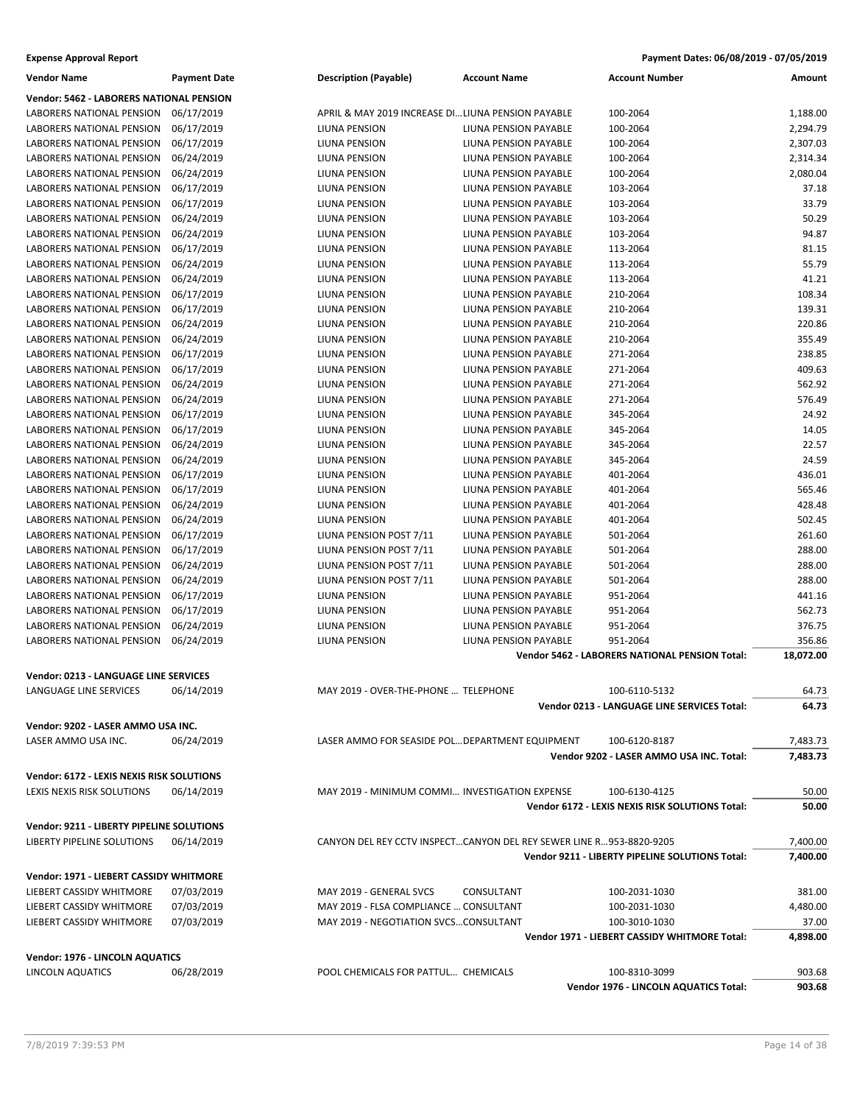| Vendor Name                               | Payment Date | <b>Description (Payable)</b>                                        | Account Name                 | <b>Account Number</b>                           | Amount    |
|-------------------------------------------|--------------|---------------------------------------------------------------------|------------------------------|-------------------------------------------------|-----------|
| Vendor: 5462 - LABORERS NATIONAL PENSION  |              |                                                                     |                              |                                                 |           |
| LABORERS NATIONAL PENSION                 | 06/17/2019   | APRIL & MAY 2019 INCREASE DI LIUNA PENSION PAYABLE                  |                              | 100-2064                                        | 1,188.00  |
| LABORERS NATIONAL PENSION                 | 06/17/2019   | LIUNA PENSION                                                       | LIUNA PENSION PAYABLE        | 100-2064                                        | 2,294.79  |
| LABORERS NATIONAL PENSION                 | 06/17/2019   | LIUNA PENSION                                                       | LIUNA PENSION PAYABLE        | 100-2064                                        | 2,307.03  |
| LABORERS NATIONAL PENSION                 | 06/24/2019   | LIUNA PENSION                                                       | LIUNA PENSION PAYABLE        | 100-2064                                        | 2,314.34  |
| LABORERS NATIONAL PENSION                 | 06/24/2019   | LIUNA PENSION                                                       | LIUNA PENSION PAYABLE        | 100-2064                                        | 2,080.04  |
| LABORERS NATIONAL PENSION                 | 06/17/2019   | LIUNA PENSION                                                       | LIUNA PENSION PAYABLE        | 103-2064                                        | 37.18     |
| LABORERS NATIONAL PENSION                 | 06/17/2019   | LIUNA PENSION                                                       | LIUNA PENSION PAYABLE        | 103-2064                                        | 33.79     |
| LABORERS NATIONAL PENSION                 | 06/24/2019   | LIUNA PENSION                                                       | <b>LIUNA PENSION PAYABLE</b> | 103-2064                                        | 50.29     |
| LABORERS NATIONAL PENSION                 | 06/24/2019   | LIUNA PENSION                                                       | LIUNA PENSION PAYABLE        | 103-2064                                        | 94.87     |
| LABORERS NATIONAL PENSION                 | 06/17/2019   | LIUNA PENSION                                                       | LIUNA PENSION PAYABLE        | 113-2064                                        | 81.15     |
| LABORERS NATIONAL PENSION                 | 06/24/2019   | LIUNA PENSION                                                       | LIUNA PENSION PAYABLE        | 113-2064                                        | 55.79     |
| LABORERS NATIONAL PENSION                 | 06/24/2019   | LIUNA PENSION                                                       | LIUNA PENSION PAYABLE        | 113-2064                                        | 41.21     |
| LABORERS NATIONAL PENSION                 | 06/17/2019   | LIUNA PENSION                                                       | LIUNA PENSION PAYABLE        | 210-2064                                        | 108.34    |
| LABORERS NATIONAL PENSION                 | 06/17/2019   | LIUNA PENSION                                                       | LIUNA PENSION PAYABLE        | 210-2064                                        | 139.31    |
| LABORERS NATIONAL PENSION                 | 06/24/2019   | LIUNA PENSION                                                       | LIUNA PENSION PAYABLE        | 210-2064                                        | 220.86    |
| LABORERS NATIONAL PENSION                 | 06/24/2019   | LIUNA PENSION                                                       | LIUNA PENSION PAYABLE        | 210-2064                                        | 355.49    |
| LABORERS NATIONAL PENSION                 | 06/17/2019   |                                                                     | LIUNA PENSION PAYABLE        | 271-2064                                        | 238.85    |
|                                           |              | LIUNA PENSION                                                       |                              |                                                 |           |
| LABORERS NATIONAL PENSION                 | 06/17/2019   | LIUNA PENSION                                                       | LIUNA PENSION PAYABLE        | 271-2064                                        | 409.63    |
| LABORERS NATIONAL PENSION                 | 06/24/2019   | LIUNA PENSION                                                       | LIUNA PENSION PAYABLE        | 271-2064                                        | 562.92    |
| LABORERS NATIONAL PENSION                 | 06/24/2019   | LIUNA PENSION                                                       | LIUNA PENSION PAYABLE        | 271-2064                                        | 576.49    |
| LABORERS NATIONAL PENSION                 | 06/17/2019   | LIUNA PENSION                                                       | LIUNA PENSION PAYABLE        | 345-2064                                        | 24.92     |
| LABORERS NATIONAL PENSION                 | 06/17/2019   | LIUNA PENSION                                                       | LIUNA PENSION PAYABLE        | 345-2064                                        | 14.05     |
| LABORERS NATIONAL PENSION                 | 06/24/2019   | LIUNA PENSION                                                       | <b>LIUNA PENSION PAYABLE</b> | 345-2064                                        | 22.57     |
| LABORERS NATIONAL PENSION                 | 06/24/2019   | LIUNA PENSION                                                       | LIUNA PENSION PAYABLE        | 345-2064                                        | 24.59     |
| LABORERS NATIONAL PENSION                 | 06/17/2019   | LIUNA PENSION                                                       | LIUNA PENSION PAYABLE        | 401-2064                                        | 436.01    |
| LABORERS NATIONAL PENSION                 | 06/17/2019   | LIUNA PENSION                                                       | LIUNA PENSION PAYABLE        | 401-2064                                        | 565.46    |
| LABORERS NATIONAL PENSION                 | 06/24/2019   | LIUNA PENSION                                                       | LIUNA PENSION PAYABLE        | 401-2064                                        | 428.48    |
| LABORERS NATIONAL PENSION                 | 06/24/2019   | LIUNA PENSION                                                       | LIUNA PENSION PAYABLE        | 401-2064                                        | 502.45    |
| LABORERS NATIONAL PENSION                 | 06/17/2019   | LIUNA PENSION POST 7/11                                             | LIUNA PENSION PAYABLE        | 501-2064                                        | 261.60    |
| LABORERS NATIONAL PENSION                 | 06/17/2019   | LIUNA PENSION POST 7/11                                             | LIUNA PENSION PAYABLE        | 501-2064                                        | 288.00    |
| LABORERS NATIONAL PENSION                 | 06/24/2019   | LIUNA PENSION POST 7/11                                             | LIUNA PENSION PAYABLE        | 501-2064                                        | 288.00    |
| LABORERS NATIONAL PENSION                 | 06/24/2019   | LIUNA PENSION POST 7/11                                             | LIUNA PENSION PAYABLE        | 501-2064                                        | 288.00    |
| LABORERS NATIONAL PENSION                 | 06/17/2019   | LIUNA PENSION                                                       | LIUNA PENSION PAYABLE        | 951-2064                                        | 441.16    |
| LABORERS NATIONAL PENSION                 | 06/17/2019   | LIUNA PENSION                                                       | LIUNA PENSION PAYABLE        | 951-2064                                        | 562.73    |
| LABORERS NATIONAL PENSION                 | 06/24/2019   | LIUNA PENSION                                                       | LIUNA PENSION PAYABLE        | 951-2064                                        | 376.75    |
| LABORERS NATIONAL PENSION                 | 06/24/2019   | LIUNA PENSION                                                       | LIUNA PENSION PAYABLE        | 951-2064                                        | 356.86    |
|                                           |              |                                                                     |                              | Vendor 5462 - LABORERS NATIONAL PENSION Total:  | 18,072.00 |
| Vendor: 0213 - LANGUAGE LINE SERVICES     |              |                                                                     |                              |                                                 |           |
| LANGUAGE LINE SERVICES                    | 06/14/2019   | MAY 2019 - OVER-THE-PHONE  TELEPHONE                                |                              | 100-6110-5132                                   | 64.73     |
|                                           |              |                                                                     |                              | Vendor 0213 - LANGUAGE LINE SERVICES Total:     | 64.73     |
|                                           |              |                                                                     |                              |                                                 |           |
| Vendor: 9202 - LASER AMMO USA INC.        |              |                                                                     |                              |                                                 |           |
| LASER AMMO USA INC.                       | 06/24/2019   | LASER AMMO FOR SEASIDE POL DEPARTMENT EQUIPMENT                     |                              | 100-6120-8187                                   | 7,483.73  |
|                                           |              |                                                                     |                              | Vendor 9202 - LASER AMMO USA INC. Total:        | 7,483.73  |
| Vendor: 6172 - LEXIS NEXIS RISK SOLUTIONS |              |                                                                     |                              |                                                 |           |
| LEXIS NEXIS RISK SOLUTIONS                | 06/14/2019   | MAY 2019 - MINIMUM COMMI INVESTIGATION EXPENSE                      |                              | 100-6130-4125                                   | 50.00     |
|                                           |              |                                                                     |                              | Vendor 6172 - LEXIS NEXIS RISK SOLUTIONS Total: | 50.00     |
| Vendor: 9211 - LIBERTY PIPELINE SOLUTIONS |              |                                                                     |                              |                                                 |           |
| LIBERTY PIPELINE SOLUTIONS                | 06/14/2019   | CANYON DEL REY CCTV INSPECTCANYON DEL REY SEWER LINE R953-8820-9205 |                              |                                                 | 7,400.00  |
|                                           |              |                                                                     |                              | Vendor 9211 - LIBERTY PIPELINE SOLUTIONS Total: | 7,400.00  |
|                                           |              |                                                                     |                              |                                                 |           |
| Vendor: 1971 - LIEBERT CASSIDY WHITMORE   |              |                                                                     |                              |                                                 |           |
| LIEBERT CASSIDY WHITMORE                  | 07/03/2019   | MAY 2019 - GENERAL SVCS                                             | CONSULTANT                   | 100-2031-1030                                   | 381.00    |
| LIEBERT CASSIDY WHITMORE                  | 07/03/2019   | MAY 2019 - FLSA COMPLIANCE  CONSULTANT                              |                              | 100-2031-1030                                   | 4,480.00  |
| LIEBERT CASSIDY WHITMORE                  | 07/03/2019   | MAY 2019 - NEGOTIATION SVCSCONSULTANT                               |                              | 100-3010-1030                                   | 37.00     |
|                                           |              |                                                                     |                              | Vendor 1971 - LIEBERT CASSIDY WHITMORE Total:   | 4,898.00  |
| Vendor: 1976 - LINCOLN AQUATICS           |              |                                                                     |                              |                                                 |           |
| LINCOLN AQUATICS                          | 06/28/2019   | POOL CHEMICALS FOR PATTUL CHEMICALS                                 |                              | 100-8310-3099                                   | 903.68    |
|                                           |              |                                                                     |                              | Vendor 1976 - LINCOLN AQUATICS Total:           | 903.68    |
|                                           |              |                                                                     |                              |                                                 |           |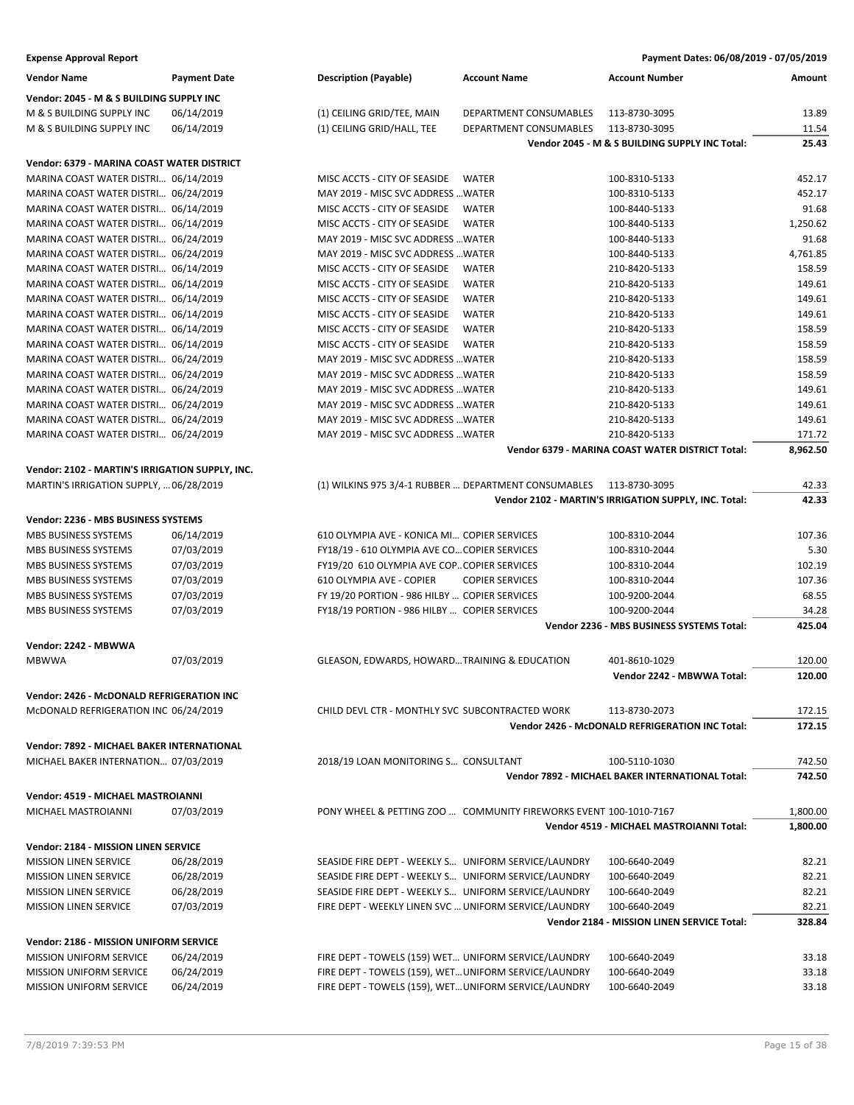| <b>Vendor Name</b>                              | <b>Payment Date</b> | <b>Description (Payable)</b><br><b>Account Name</b>               | <b>Account Number</b>                                                  | Amount         |
|-------------------------------------------------|---------------------|-------------------------------------------------------------------|------------------------------------------------------------------------|----------------|
| Vendor: 2045 - M & S BUILDING SUPPLY INC        |                     |                                                                   |                                                                        |                |
| M & S BUILDING SUPPLY INC                       | 06/14/2019          | (1) CEILING GRID/TEE, MAIN<br>DEPARTMENT CONSUMABLES              | 113-8730-3095                                                          | 13.89          |
| M & S BUILDING SUPPLY INC                       | 06/14/2019          | (1) CEILING GRID/HALL, TEE<br>DEPARTMENT CONSUMABLES              | 113-8730-3095                                                          | 11.54          |
|                                                 |                     |                                                                   | Vendor 2045 - M & S BUILDING SUPPLY INC Total:                         | 25.43          |
| Vendor: 6379 - MARINA COAST WATER DISTRICT      |                     |                                                                   |                                                                        |                |
| MARINA COAST WATER DISTRI 06/14/2019            |                     | MISC ACCTS - CITY OF SEASIDE<br>WATER                             | 100-8310-5133                                                          | 452.17         |
| MARINA COAST WATER DISTRI 06/24/2019            |                     | MAY 2019 - MISC SVC ADDRESS  WATER                                | 100-8310-5133                                                          | 452.17         |
| MARINA COAST WATER DISTRI 06/14/2019            |                     | MISC ACCTS - CITY OF SEASIDE<br><b>WATER</b>                      | 100-8440-5133                                                          | 91.68          |
| MARINA COAST WATER DISTRI 06/14/2019            |                     | MISC ACCTS - CITY OF SEASIDE<br>WATER                             | 100-8440-5133                                                          | 1,250.62       |
| MARINA COAST WATER DISTRI 06/24/2019            |                     | MAY 2019 - MISC SVC ADDRESS  WATER                                | 100-8440-5133                                                          | 91.68          |
| MARINA COAST WATER DISTRI 06/24/2019            |                     | MAY 2019 - MISC SVC ADDRESS  WATER                                | 100-8440-5133                                                          | 4,761.85       |
| MARINA COAST WATER DISTRI 06/14/2019            |                     | MISC ACCTS - CITY OF SEASIDE<br><b>WATER</b>                      | 210-8420-5133                                                          | 158.59         |
| MARINA COAST WATER DISTRI 06/14/2019            |                     | MISC ACCTS - CITY OF SEASIDE<br><b>WATER</b>                      | 210-8420-5133                                                          | 149.61         |
| MARINA COAST WATER DISTRI 06/14/2019            |                     | MISC ACCTS - CITY OF SEASIDE<br><b>WATER</b>                      | 210-8420-5133                                                          | 149.61         |
| MARINA COAST WATER DISTRI 06/14/2019            |                     | <b>WATER</b><br>MISC ACCTS - CITY OF SEASIDE                      | 210-8420-5133                                                          | 149.61         |
| MARINA COAST WATER DISTRI 06/14/2019            |                     | MISC ACCTS - CITY OF SEASIDE<br>WATER                             | 210-8420-5133                                                          | 158.59         |
| MARINA COAST WATER DISTRI 06/14/2019            |                     | MISC ACCTS - CITY OF SEASIDE<br><b>WATER</b>                      | 210-8420-5133                                                          | 158.59         |
| MARINA COAST WATER DISTRI 06/24/2019            |                     | MAY 2019 - MISC SVC ADDRESS  WATER                                | 210-8420-5133                                                          | 158.59         |
| MARINA COAST WATER DISTRI 06/24/2019            |                     | MAY 2019 - MISC SVC ADDRESS  WATER                                | 210-8420-5133                                                          | 158.59         |
| MARINA COAST WATER DISTRI 06/24/2019            |                     | MAY 2019 - MISC SVC ADDRESS  WATER                                | 210-8420-5133                                                          | 149.61         |
| MARINA COAST WATER DISTRI 06/24/2019            |                     | MAY 2019 - MISC SVC ADDRESS  WATER                                | 210-8420-5133                                                          | 149.61         |
| MARINA COAST WATER DISTRI 06/24/2019            |                     | MAY 2019 - MISC SVC ADDRESS  WATER                                | 210-8420-5133                                                          | 149.61         |
| MARINA COAST WATER DISTRI 06/24/2019            |                     | MAY 2019 - MISC SVC ADDRESS  WATER                                | 210-8420-5133                                                          | 171.72         |
|                                                 |                     |                                                                   | <b>Vendor 6379 - MARINA COAST WATER DISTRICT Total:</b>                | 8,962.50       |
| Vendor: 2102 - MARTIN'S IRRIGATION SUPPLY, INC. |                     |                                                                   |                                                                        |                |
| MARTIN'S IRRIGATION SUPPLY,  06/28/2019         |                     | (1) WILKINS 975 3/4-1 RUBBER  DEPARTMENT CONSUMABLES              | 113-8730-3095<br>Vendor 2102 - MARTIN'S IRRIGATION SUPPLY, INC. Total: | 42.33<br>42.33 |
|                                                 |                     |                                                                   |                                                                        |                |
| Vendor: 2236 - MBS BUSINESS SYSTEMS             |                     |                                                                   |                                                                        |                |
| MBS BUSINESS SYSTEMS                            | 06/14/2019          | 610 OLYMPIA AVE - KONICA MI COPIER SERVICES                       | 100-8310-2044                                                          | 107.36         |
| MBS BUSINESS SYSTEMS                            | 07/03/2019          | FY18/19 - 610 OLYMPIA AVE CO COPIER SERVICES                      | 100-8310-2044                                                          | 5.30           |
| MBS BUSINESS SYSTEMS                            | 07/03/2019          | FY19/20 610 OLYMPIA AVE COP COPIER SERVICES                       | 100-8310-2044                                                          | 102.19         |
| MBS BUSINESS SYSTEMS                            | 07/03/2019          | 610 OLYMPIA AVE - COPIER<br><b>COPIER SERVICES</b>                | 100-8310-2044                                                          | 107.36         |
| MBS BUSINESS SYSTEMS                            | 07/03/2019          | FY 19/20 PORTION - 986 HILBY  COPIER SERVICES                     | 100-9200-2044                                                          | 68.55          |
| MBS BUSINESS SYSTEMS                            | 07/03/2019          | FY18/19 PORTION - 986 HILBY  COPIER SERVICES                      | 100-9200-2044                                                          | 34.28          |
|                                                 |                     |                                                                   | Vendor 2236 - MBS BUSINESS SYSTEMS Total:                              | 425.04         |
| Vendor: 2242 - MBWWA                            |                     |                                                                   |                                                                        |                |
| <b>MBWWA</b>                                    | 07/03/2019          | GLEASON, EDWARDS, HOWARDTRAINING & EDUCATION                      | 401-8610-1029                                                          | 120.00         |
|                                                 |                     |                                                                   | Vendor 2242 - MBWWA Total:                                             | 120.00         |
| Vendor: 2426 - McDONALD REFRIGERATION INC       |                     |                                                                   |                                                                        |                |
| McDONALD REFRIGERATION INC 06/24/2019           |                     | CHILD DEVL CTR - MONTHLY SVC SUBCONTRACTED WORK                   | 113-8730-2073                                                          | 172.15         |
|                                                 |                     |                                                                   | Vendor 2426 - McDONALD REFRIGERATION INC Total:                        | 172.15         |
| Vendor: 7892 - MICHAEL BAKER INTERNATIONAL      |                     |                                                                   |                                                                        |                |
| MICHAEL BAKER INTERNATION 07/03/2019            |                     | 2018/19 LOAN MONITORING S CONSULTANT                              | 100-5110-1030                                                          | 742.50         |
|                                                 |                     |                                                                   | Vendor 7892 - MICHAEL BAKER INTERNATIONAL Total:                       | 742.50         |
| Vendor: 4519 - MICHAEL MASTROIANNI              |                     |                                                                   |                                                                        |                |
| MICHAEL MASTROIANNI                             | 07/03/2019          | PONY WHEEL & PETTING ZOO  COMMUNITY FIREWORKS EVENT 100-1010-7167 |                                                                        | 1,800.00       |
|                                                 |                     |                                                                   | Vendor 4519 - MICHAEL MASTROIANNI Total:                               | 1,800.00       |
| Vendor: 2184 - MISSION LINEN SERVICE            |                     |                                                                   |                                                                        |                |
| <b>MISSION LINEN SERVICE</b>                    | 06/28/2019          | SEASIDE FIRE DEPT - WEEKLY S UNIFORM SERVICE/LAUNDRY              | 100-6640-2049                                                          | 82.21          |
| <b>MISSION LINEN SERVICE</b>                    | 06/28/2019          | SEASIDE FIRE DEPT - WEEKLY S UNIFORM SERVICE/LAUNDRY              | 100-6640-2049                                                          | 82.21          |
| <b>MISSION LINEN SERVICE</b>                    | 06/28/2019          | SEASIDE FIRE DEPT - WEEKLY S UNIFORM SERVICE/LAUNDRY              | 100-6640-2049                                                          | 82.21          |
| <b>MISSION LINEN SERVICE</b>                    | 07/03/2019          | FIRE DEPT - WEEKLY LINEN SVC  UNIFORM SERVICE/LAUNDRY             | 100-6640-2049                                                          | 82.21          |
|                                                 |                     |                                                                   | Vendor 2184 - MISSION LINEN SERVICE Total:                             | 328.84         |
| Vendor: 2186 - MISSION UNIFORM SERVICE          |                     |                                                                   |                                                                        |                |
| <b>MISSION UNIFORM SERVICE</b>                  | 06/24/2019          | FIRE DEPT - TOWELS (159) WET UNIFORM SERVICE/LAUNDRY              | 100-6640-2049                                                          | 33.18          |
| MISSION UNIFORM SERVICE                         | 06/24/2019          | FIRE DEPT - TOWELS (159), WET UNIFORM SERVICE/LAUNDRY             | 100-6640-2049                                                          | 33.18          |
| <b>MISSION UNIFORM SERVICE</b>                  | 06/24/2019          | FIRE DEPT - TOWELS (159), WET UNIFORM SERVICE/LAUNDRY             | 100-6640-2049                                                          | 33.18          |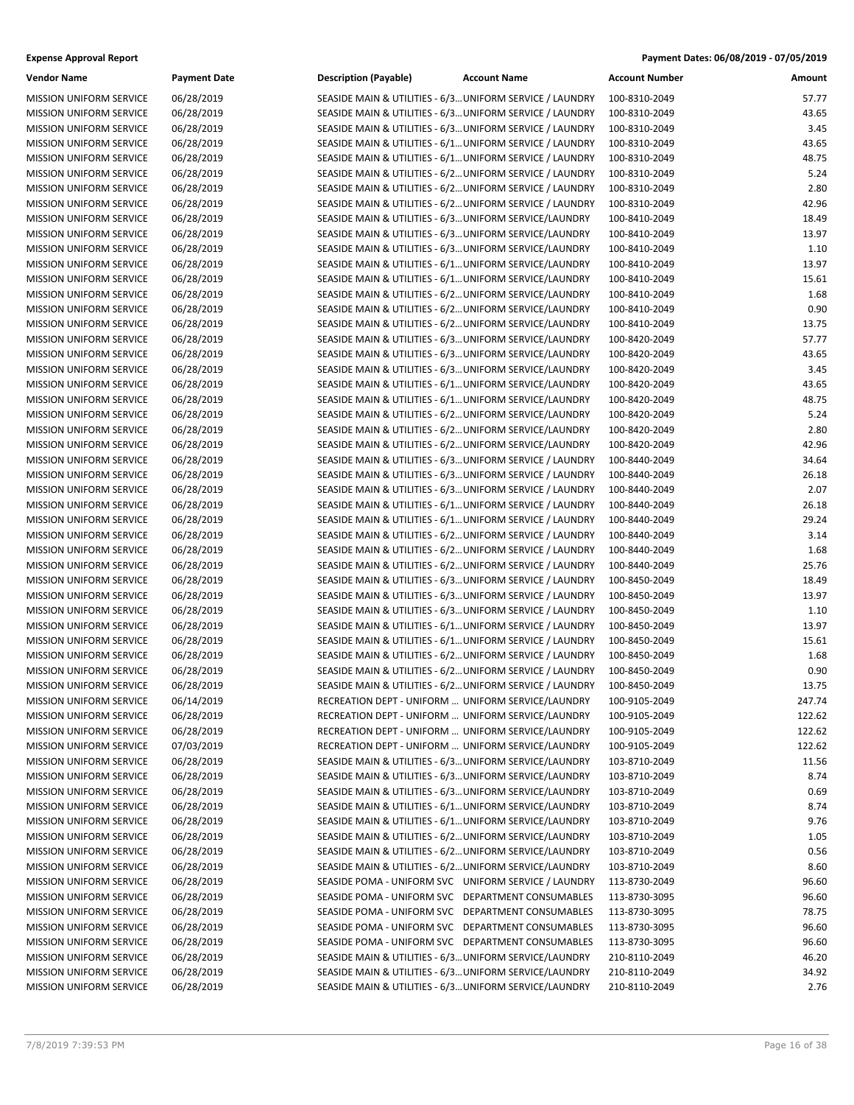| <b>Expense Approval Report</b> | Payment Dates: 06/08/2019 - 07/05/2019 |
|--------------------------------|----------------------------------------|
|--------------------------------|----------------------------------------|

| <b>Vendor Name</b>             | <b>Payment Date</b>      | <b>Description (Payable)</b>                             | <b>Account Name</b> | <b>Account Number</b> | Amount         |
|--------------------------------|--------------------------|----------------------------------------------------------|---------------------|-----------------------|----------------|
| <b>MISSION UNIFORM SERVICE</b> | 06/28/2019               | SEASIDE MAIN & UTILITIES - 6/3 UNIFORM SERVICE / LAUNDRY |                     | 100-8310-2049         | 57.77          |
| MISSION UNIFORM SERVICE        | 06/28/2019               | SEASIDE MAIN & UTILITIES - 6/3 UNIFORM SERVICE / LAUNDRY |                     | 100-8310-2049         | 43.65          |
| MISSION UNIFORM SERVICE        | 06/28/2019               | SEASIDE MAIN & UTILITIES - 6/3 UNIFORM SERVICE / LAUNDRY |                     | 100-8310-2049         | 3.45           |
| <b>MISSION UNIFORM SERVICE</b> | 06/28/2019               | SEASIDE MAIN & UTILITIES - 6/1 UNIFORM SERVICE / LAUNDRY |                     | 100-8310-2049         | 43.65          |
| MISSION UNIFORM SERVICE        | 06/28/2019               | SEASIDE MAIN & UTILITIES - 6/1 UNIFORM SERVICE / LAUNDRY |                     | 100-8310-2049         | 48.75          |
| MISSION UNIFORM SERVICE        | 06/28/2019               | SEASIDE MAIN & UTILITIES - 6/2 UNIFORM SERVICE / LAUNDRY |                     | 100-8310-2049         | 5.24           |
| MISSION UNIFORM SERVICE        | 06/28/2019               | SEASIDE MAIN & UTILITIES - 6/2 UNIFORM SERVICE / LAUNDRY |                     | 100-8310-2049         | 2.80           |
| MISSION UNIFORM SERVICE        | 06/28/2019               | SEASIDE MAIN & UTILITIES - 6/2 UNIFORM SERVICE / LAUNDRY |                     | 100-8310-2049         | 42.96          |
| <b>MISSION UNIFORM SERVICE</b> | 06/28/2019               | SEASIDE MAIN & UTILITIES - 6/3 UNIFORM SERVICE/LAUNDRY   |                     | 100-8410-2049         | 18.49          |
| MISSION UNIFORM SERVICE        | 06/28/2019               | SEASIDE MAIN & UTILITIES - 6/3 UNIFORM SERVICE/LAUNDRY   |                     | 100-8410-2049         | 13.97          |
| MISSION UNIFORM SERVICE        | 06/28/2019               | SEASIDE MAIN & UTILITIES - 6/3 UNIFORM SERVICE/LAUNDRY   |                     | 100-8410-2049         | 1.10           |
| <b>MISSION UNIFORM SERVICE</b> | 06/28/2019               | SEASIDE MAIN & UTILITIES - 6/1 UNIFORM SERVICE/LAUNDRY   |                     | 100-8410-2049         | 13.97          |
| MISSION UNIFORM SERVICE        | 06/28/2019               | SEASIDE MAIN & UTILITIES - 6/1 UNIFORM SERVICE/LAUNDRY   |                     | 100-8410-2049         | 15.61          |
| <b>MISSION UNIFORM SERVICE</b> | 06/28/2019               | SEASIDE MAIN & UTILITIES - 6/2 UNIFORM SERVICE/LAUNDRY   |                     | 100-8410-2049         | 1.68           |
| <b>MISSION UNIFORM SERVICE</b> | 06/28/2019               | SEASIDE MAIN & UTILITIES - 6/2 UNIFORM SERVICE/LAUNDRY   |                     | 100-8410-2049         | 0.90           |
| MISSION UNIFORM SERVICE        | 06/28/2019               | SEASIDE MAIN & UTILITIES - 6/2 UNIFORM SERVICE/LAUNDRY   |                     | 100-8410-2049         | 13.75          |
| MISSION UNIFORM SERVICE        | 06/28/2019               | SEASIDE MAIN & UTILITIES - 6/3 UNIFORM SERVICE/LAUNDRY   |                     | 100-8420-2049         | 57.77          |
| MISSION UNIFORM SERVICE        | 06/28/2019               | SEASIDE MAIN & UTILITIES - 6/3 UNIFORM SERVICE/LAUNDRY   |                     | 100-8420-2049         | 43.65          |
| <b>MISSION UNIFORM SERVICE</b> | 06/28/2019               | SEASIDE MAIN & UTILITIES - 6/3 UNIFORM SERVICE/LAUNDRY   |                     | 100-8420-2049         | 3.45           |
| MISSION UNIFORM SERVICE        | 06/28/2019               | SEASIDE MAIN & UTILITIES - 6/1 UNIFORM SERVICE/LAUNDRY   |                     | 100-8420-2049         | 43.65          |
| MISSION UNIFORM SERVICE        | 06/28/2019               | SEASIDE MAIN & UTILITIES - 6/1 UNIFORM SERVICE/LAUNDRY   |                     | 100-8420-2049         | 48.75          |
| MISSION UNIFORM SERVICE        | 06/28/2019               | SEASIDE MAIN & UTILITIES - 6/2 UNIFORM SERVICE/LAUNDRY   |                     | 100-8420-2049         | 5.24           |
| MISSION UNIFORM SERVICE        | 06/28/2019               | SEASIDE MAIN & UTILITIES - 6/2 UNIFORM SERVICE/LAUNDRY   |                     | 100-8420-2049         | 2.80           |
| <b>MISSION UNIFORM SERVICE</b> | 06/28/2019               | SEASIDE MAIN & UTILITIES - 6/2 UNIFORM SERVICE/LAUNDRY   |                     | 100-8420-2049         | 42.96          |
| <b>MISSION UNIFORM SERVICE</b> | 06/28/2019               | SEASIDE MAIN & UTILITIES - 6/3 UNIFORM SERVICE / LAUNDRY |                     | 100-8440-2049         | 34.64          |
| MISSION UNIFORM SERVICE        | 06/28/2019               | SEASIDE MAIN & UTILITIES - 6/3 UNIFORM SERVICE / LAUNDRY |                     | 100-8440-2049         | 26.18          |
| MISSION UNIFORM SERVICE        | 06/28/2019               | SEASIDE MAIN & UTILITIES - 6/3 UNIFORM SERVICE / LAUNDRY |                     | 100-8440-2049         | 2.07           |
| MISSION UNIFORM SERVICE        | 06/28/2019               | SEASIDE MAIN & UTILITIES - 6/1 UNIFORM SERVICE / LAUNDRY |                     | 100-8440-2049         | 26.18          |
| <b>MISSION UNIFORM SERVICE</b> | 06/28/2019               | SEASIDE MAIN & UTILITIES - 6/1 UNIFORM SERVICE / LAUNDRY |                     | 100-8440-2049         | 29.24          |
| MISSION UNIFORM SERVICE        | 06/28/2019               | SEASIDE MAIN & UTILITIES - 6/2 UNIFORM SERVICE / LAUNDRY |                     | 100-8440-2049         | 3.14           |
| MISSION UNIFORM SERVICE        | 06/28/2019               | SEASIDE MAIN & UTILITIES - 6/2 UNIFORM SERVICE / LAUNDRY |                     | 100-8440-2049         | 1.68           |
| MISSION UNIFORM SERVICE        | 06/28/2019               | SEASIDE MAIN & UTILITIES - 6/2 UNIFORM SERVICE / LAUNDRY |                     | 100-8440-2049         | 25.76          |
| MISSION UNIFORM SERVICE        | 06/28/2019               | SEASIDE MAIN & UTILITIES - 6/3 UNIFORM SERVICE / LAUNDRY |                     | 100-8450-2049         | 18.49          |
| <b>MISSION UNIFORM SERVICE</b> | 06/28/2019               | SEASIDE MAIN & UTILITIES - 6/3 UNIFORM SERVICE / LAUNDRY |                     | 100-8450-2049         | 13.97          |
| MISSION UNIFORM SERVICE        | 06/28/2019               | SEASIDE MAIN & UTILITIES - 6/3 UNIFORM SERVICE / LAUNDRY |                     | 100-8450-2049         | 1.10           |
| MISSION UNIFORM SERVICE        | 06/28/2019               | SEASIDE MAIN & UTILITIES - 6/1 UNIFORM SERVICE / LAUNDRY |                     | 100-8450-2049         | 13.97          |
| <b>MISSION UNIFORM SERVICE</b> | 06/28/2019               | SEASIDE MAIN & UTILITIES - 6/1 UNIFORM SERVICE / LAUNDRY |                     | 100-8450-2049         | 15.61          |
| <b>MISSION UNIFORM SERVICE</b> | 06/28/2019               | SEASIDE MAIN & UTILITIES - 6/2 UNIFORM SERVICE / LAUNDRY |                     | 100-8450-2049         | 1.68           |
| <b>MISSION UNIFORM SERVICE</b> | 06/28/2019               | SEASIDE MAIN & UTILITIES - 6/2 UNIFORM SERVICE / LAUNDRY |                     | 100-8450-2049         | 0.90           |
| <b>MISSION UNIFORM SERVICE</b> | 06/28/2019               | SEASIDE MAIN & UTILITIES - 6/2 UNIFORM SERVICE / LAUNDRY |                     | 100-8450-2049         | 13.75          |
| <b>MISSION UNIFORM SERVICE</b> | 06/14/2019               | RECREATION DEPT - UNIFORM  UNIFORM SERVICE/LAUNDRY       |                     | 100-9105-2049         | 247.74         |
| <b>MISSION UNIFORM SERVICE</b> | 06/28/2019               | RECREATION DEPT - UNIFORM  UNIFORM SERVICE/LAUNDRY       |                     | 100-9105-2049         | 122.62         |
| <b>MISSION UNIFORM SERVICE</b> | 06/28/2019               | RECREATION DEPT - UNIFORM  UNIFORM SERVICE/LAUNDRY       |                     | 100-9105-2049         | 122.62         |
| MISSION UNIFORM SERVICE        | 07/03/2019               | RECREATION DEPT - UNIFORM  UNIFORM SERVICE/LAUNDRY       |                     | 100-9105-2049         | 122.62         |
| <b>MISSION UNIFORM SERVICE</b> | 06/28/2019               | SEASIDE MAIN & UTILITIES - 6/3 UNIFORM SERVICE/LAUNDRY   |                     | 103-8710-2049         | 11.56          |
| <b>MISSION UNIFORM SERVICE</b> | 06/28/2019               | SEASIDE MAIN & UTILITIES - 6/3 UNIFORM SERVICE/LAUNDRY   |                     | 103-8710-2049         | 8.74           |
| <b>MISSION UNIFORM SERVICE</b> | 06/28/2019               | SEASIDE MAIN & UTILITIES - 6/3 UNIFORM SERVICE/LAUNDRY   |                     | 103-8710-2049         | 0.69           |
| <b>MISSION UNIFORM SERVICE</b> | 06/28/2019               | SEASIDE MAIN & UTILITIES - 6/1 UNIFORM SERVICE/LAUNDRY   |                     | 103-8710-2049         | 8.74           |
| MISSION UNIFORM SERVICE        | 06/28/2019               | SEASIDE MAIN & UTILITIES - 6/1 UNIFORM SERVICE/LAUNDRY   |                     | 103-8710-2049         | 9.76           |
| MISSION UNIFORM SERVICE        | 06/28/2019               | SEASIDE MAIN & UTILITIES - 6/2 UNIFORM SERVICE/LAUNDRY   |                     | 103-8710-2049         | 1.05           |
| <b>MISSION UNIFORM SERVICE</b> | 06/28/2019               | SEASIDE MAIN & UTILITIES - 6/2 UNIFORM SERVICE/LAUNDRY   |                     | 103-8710-2049         | 0.56           |
| <b>MISSION UNIFORM SERVICE</b> | 06/28/2019               | SEASIDE MAIN & UTILITIES - 6/2 UNIFORM SERVICE/LAUNDRY   |                     | 103-8710-2049         | 8.60           |
| MISSION UNIFORM SERVICE        | 06/28/2019               | SEASIDE POMA - UNIFORM SVC UNIFORM SERVICE / LAUNDRY     |                     | 113-8730-2049         | 96.60          |
| MISSION UNIFORM SERVICE        |                          | SEASIDE POMA - UNIFORM SVC DEPARTMENT CONSUMABLES        |                     | 113-8730-3095         | 96.60          |
| MISSION UNIFORM SERVICE        | 06/28/2019               | SEASIDE POMA - UNIFORM SVC DEPARTMENT CONSUMABLES        |                     | 113-8730-3095         | 78.75          |
| <b>MISSION UNIFORM SERVICE</b> | 06/28/2019<br>06/28/2019 | SEASIDE POMA - UNIFORM SVC DEPARTMENT CONSUMABLES        |                     | 113-8730-3095         | 96.60          |
| <b>MISSION UNIFORM SERVICE</b> | 06/28/2019               | SEASIDE POMA - UNIFORM SVC DEPARTMENT CONSUMABLES        |                     | 113-8730-3095         | 96.60          |
| MISSION UNIFORM SERVICE        |                          | SEASIDE MAIN & UTILITIES - 6/3 UNIFORM SERVICE/LAUNDRY   |                     | 210-8110-2049         |                |
| MISSION UNIFORM SERVICE        | 06/28/2019               | SEASIDE MAIN & UTILITIES - 6/3 UNIFORM SERVICE/LAUNDRY   |                     | 210-8110-2049         | 46.20<br>34.92 |
|                                | 06/28/2019               |                                                          |                     |                       |                |
| MISSION UNIFORM SERVICE        | 06/28/2019               | SEASIDE MAIN & UTILITIES - 6/3 UNIFORM SERVICE/LAUNDRY   |                     | 210-8110-2049         | 2.76           |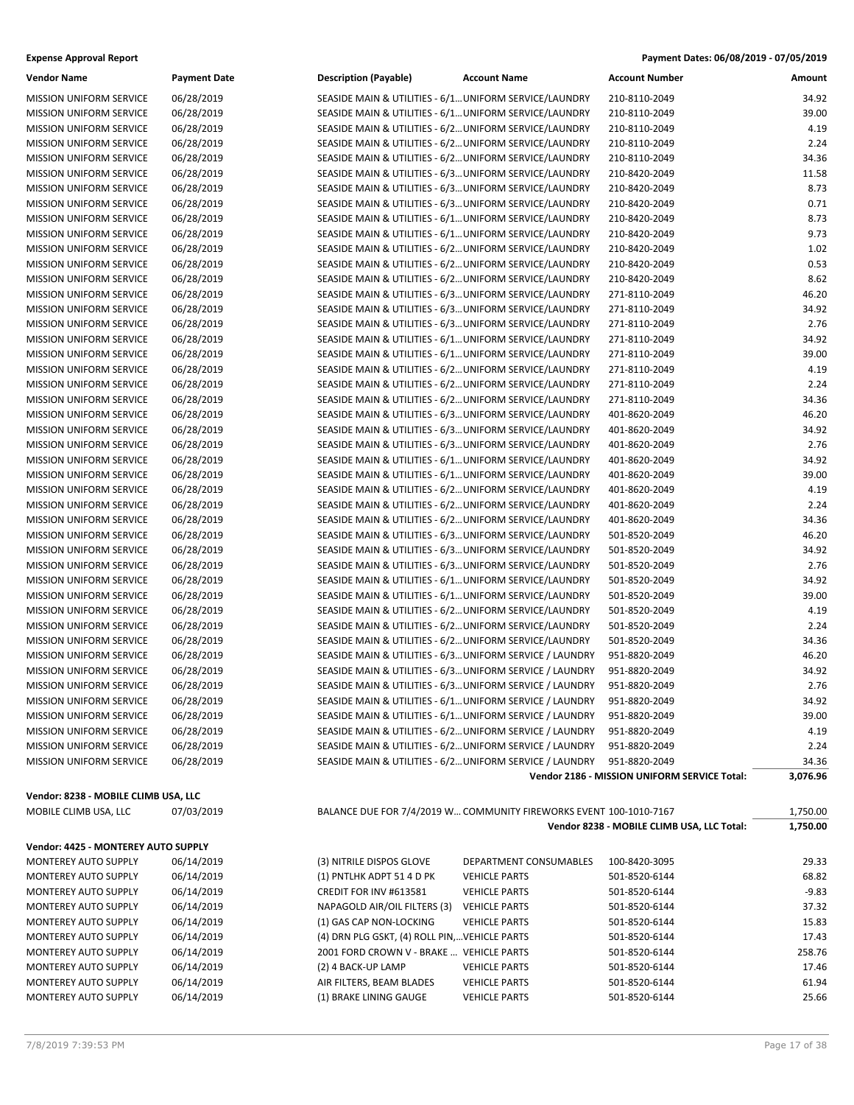| <b>Expense Approval Report</b> | Payment Dates: 06/08/2019 - 07/05/2019 |
|--------------------------------|----------------------------------------|
|--------------------------------|----------------------------------------|

| <b>Vendor Name</b>                                        | <b>Payment Date</b>      | <b>Description (Payable)</b>                                                                                     | <b>Account Name</b>                                                | <b>Account Number</b>                        | <b>Amount</b>  |
|-----------------------------------------------------------|--------------------------|------------------------------------------------------------------------------------------------------------------|--------------------------------------------------------------------|----------------------------------------------|----------------|
| MISSION UNIFORM SERVICE                                   | 06/28/2019               | SEASIDE MAIN & UTILITIES - 6/1 UNIFORM SERVICE/LAUNDRY                                                           |                                                                    | 210-8110-2049                                | 34.92          |
| MISSION UNIFORM SERVICE                                   | 06/28/2019               | SEASIDE MAIN & UTILITIES - 6/1 UNIFORM SERVICE/LAUNDRY                                                           |                                                                    | 210-8110-2049                                | 39.00          |
| <b>MISSION UNIFORM SERVICE</b>                            | 06/28/2019               | SEASIDE MAIN & UTILITIES - 6/2 UNIFORM SERVICE/LAUNDRY                                                           |                                                                    | 210-8110-2049                                | 4.19           |
| <b>MISSION UNIFORM SERVICE</b>                            | 06/28/2019               | SEASIDE MAIN & UTILITIES - 6/2 UNIFORM SERVICE/LAUNDRY                                                           |                                                                    | 210-8110-2049                                | 2.24           |
| <b>MISSION UNIFORM SERVICE</b>                            | 06/28/2019               | SEASIDE MAIN & UTILITIES - 6/2 UNIFORM SERVICE/LAUNDRY                                                           |                                                                    | 210-8110-2049                                | 34.36          |
| MISSION UNIFORM SERVICE                                   | 06/28/2019               | SEASIDE MAIN & UTILITIES - 6/3 UNIFORM SERVICE/LAUNDRY                                                           |                                                                    | 210-8420-2049                                | 11.58          |
| MISSION UNIFORM SERVICE                                   | 06/28/2019               | SEASIDE MAIN & UTILITIES - 6/3 UNIFORM SERVICE/LAUNDRY                                                           |                                                                    | 210-8420-2049                                | 8.73           |
| <b>MISSION UNIFORM SERVICE</b>                            | 06/28/2019               | SEASIDE MAIN & UTILITIES - 6/3 UNIFORM SERVICE/LAUNDRY                                                           |                                                                    | 210-8420-2049                                | 0.71           |
| <b>MISSION UNIFORM SERVICE</b>                            | 06/28/2019               | SEASIDE MAIN & UTILITIES - 6/1 UNIFORM SERVICE/LAUNDRY                                                           |                                                                    | 210-8420-2049                                | 8.73           |
| <b>MISSION UNIFORM SERVICE</b>                            | 06/28/2019               | SEASIDE MAIN & UTILITIES - 6/1 UNIFORM SERVICE/LAUNDRY                                                           |                                                                    | 210-8420-2049                                | 9.73           |
| MISSION UNIFORM SERVICE                                   | 06/28/2019               | SEASIDE MAIN & UTILITIES - 6/2 UNIFORM SERVICE/LAUNDRY                                                           |                                                                    | 210-8420-2049                                | 1.02           |
| MISSION UNIFORM SERVICE                                   | 06/28/2019               | SEASIDE MAIN & UTILITIES - 6/2 UNIFORM SERVICE/LAUNDRY                                                           |                                                                    | 210-8420-2049                                | 0.53           |
| <b>MISSION UNIFORM SERVICE</b>                            | 06/28/2019               | SEASIDE MAIN & UTILITIES - 6/2 UNIFORM SERVICE/LAUNDRY                                                           |                                                                    | 210-8420-2049                                | 8.62           |
| <b>MISSION UNIFORM SERVICE</b>                            | 06/28/2019               | SEASIDE MAIN & UTILITIES - 6/3 UNIFORM SERVICE/LAUNDRY                                                           |                                                                    | 271-8110-2049                                | 46.20          |
| <b>MISSION UNIFORM SERVICE</b>                            | 06/28/2019               | SEASIDE MAIN & UTILITIES - 6/3 UNIFORM SERVICE/LAUNDRY                                                           |                                                                    | 271-8110-2049                                | 34.92          |
| MISSION UNIFORM SERVICE                                   | 06/28/2019               | SEASIDE MAIN & UTILITIES - 6/3 UNIFORM SERVICE/LAUNDRY                                                           |                                                                    | 271-8110-2049                                | 2.76           |
| MISSION UNIFORM SERVICE                                   | 06/28/2019               | SEASIDE MAIN & UTILITIES - 6/1 UNIFORM SERVICE/LAUNDRY                                                           |                                                                    | 271-8110-2049                                | 34.92          |
| <b>MISSION UNIFORM SERVICE</b>                            | 06/28/2019               | SEASIDE MAIN & UTILITIES - 6/1 UNIFORM SERVICE/LAUNDRY                                                           |                                                                    | 271-8110-2049                                | 39.00          |
| <b>MISSION UNIFORM SERVICE</b>                            | 06/28/2019               | SEASIDE MAIN & UTILITIES - 6/2 UNIFORM SERVICE/LAUNDRY                                                           |                                                                    | 271-8110-2049                                | 4.19           |
| <b>MISSION UNIFORM SERVICE</b>                            | 06/28/2019               | SEASIDE MAIN & UTILITIES - 6/2 UNIFORM SERVICE/LAUNDRY                                                           |                                                                    | 271-8110-2049<br>271-8110-2049               | 2.24           |
| MISSION UNIFORM SERVICE                                   | 06/28/2019               | SEASIDE MAIN & UTILITIES - 6/2 UNIFORM SERVICE/LAUNDRY                                                           |                                                                    |                                              | 34.36<br>46.20 |
| MISSION UNIFORM SERVICE<br><b>MISSION UNIFORM SERVICE</b> | 06/28/2019<br>06/28/2019 | SEASIDE MAIN & UTILITIES - 6/3 UNIFORM SERVICE/LAUNDRY                                                           |                                                                    | 401-8620-2049<br>401-8620-2049               | 34.92          |
| <b>MISSION UNIFORM SERVICE</b>                            | 06/28/2019               | SEASIDE MAIN & UTILITIES - 6/3 UNIFORM SERVICE/LAUNDRY<br>SEASIDE MAIN & UTILITIES - 6/3 UNIFORM SERVICE/LAUNDRY |                                                                    | 401-8620-2049                                | 2.76           |
| <b>MISSION UNIFORM SERVICE</b>                            | 06/28/2019               | SEASIDE MAIN & UTILITIES - 6/1 UNIFORM SERVICE/LAUNDRY                                                           |                                                                    | 401-8620-2049                                | 34.92          |
| MISSION UNIFORM SERVICE                                   | 06/28/2019               | SEASIDE MAIN & UTILITIES - 6/1 UNIFORM SERVICE/LAUNDRY                                                           |                                                                    | 401-8620-2049                                | 39.00          |
| MISSION UNIFORM SERVICE                                   | 06/28/2019               | SEASIDE MAIN & UTILITIES - 6/2 UNIFORM SERVICE/LAUNDRY                                                           |                                                                    | 401-8620-2049                                | 4.19           |
| <b>MISSION UNIFORM SERVICE</b>                            | 06/28/2019               | SEASIDE MAIN & UTILITIES - 6/2 UNIFORM SERVICE/LAUNDRY                                                           |                                                                    | 401-8620-2049                                | 2.24           |
| <b>MISSION UNIFORM SERVICE</b>                            | 06/28/2019               | SEASIDE MAIN & UTILITIES - 6/2 UNIFORM SERVICE/LAUNDRY                                                           |                                                                    | 401-8620-2049                                | 34.36          |
| <b>MISSION UNIFORM SERVICE</b>                            | 06/28/2019               | SEASIDE MAIN & UTILITIES - 6/3 UNIFORM SERVICE/LAUNDRY                                                           |                                                                    | 501-8520-2049                                | 46.20          |
| MISSION UNIFORM SERVICE                                   | 06/28/2019               | SEASIDE MAIN & UTILITIES - 6/3 UNIFORM SERVICE/LAUNDRY                                                           |                                                                    | 501-8520-2049                                | 34.92          |
| MISSION UNIFORM SERVICE                                   | 06/28/2019               | SEASIDE MAIN & UTILITIES - 6/3 UNIFORM SERVICE/LAUNDRY                                                           |                                                                    | 501-8520-2049                                | 2.76           |
| <b>MISSION UNIFORM SERVICE</b>                            | 06/28/2019               | SEASIDE MAIN & UTILITIES - 6/1 UNIFORM SERVICE/LAUNDRY                                                           |                                                                    | 501-8520-2049                                | 34.92          |
| <b>MISSION UNIFORM SERVICE</b>                            | 06/28/2019               | SEASIDE MAIN & UTILITIES - 6/1 UNIFORM SERVICE/LAUNDRY                                                           |                                                                    | 501-8520-2049                                | 39.00          |
| <b>MISSION UNIFORM SERVICE</b>                            | 06/28/2019               | SEASIDE MAIN & UTILITIES - 6/2 UNIFORM SERVICE/LAUNDRY                                                           |                                                                    | 501-8520-2049                                | 4.19           |
| MISSION UNIFORM SERVICE                                   | 06/28/2019               | SEASIDE MAIN & UTILITIES - 6/2 UNIFORM SERVICE/LAUNDRY                                                           |                                                                    | 501-8520-2049                                | 2.24           |
| MISSION UNIFORM SERVICE                                   | 06/28/2019               | SEASIDE MAIN & UTILITIES - 6/2 UNIFORM SERVICE/LAUNDRY                                                           |                                                                    | 501-8520-2049                                | 34.36          |
| <b>MISSION UNIFORM SERVICE</b>                            | 06/28/2019               | SEASIDE MAIN & UTILITIES - 6/3 UNIFORM SERVICE / LAUNDRY                                                         |                                                                    | 951-8820-2049                                | 46.20          |
| <b>MISSION UNIFORM SERVICE</b>                            | 06/28/2019               | SEASIDE MAIN & UTILITIES - 6/3 UNIFORM SERVICE / LAUNDRY                                                         |                                                                    | 951-8820-2049                                | 34.92          |
| <b>MISSION UNIFORM SERVICE</b>                            | 06/28/2019               | SEASIDE MAIN & UTILITIES - 6/3 UNIFORM SERVICE / LAUNDRY                                                         |                                                                    | 951-8820-2049                                | 2.76           |
| <b>MISSION UNIFORM SERVICE</b>                            | 06/28/2019               | SEASIDE MAIN & UTILITIES - 6/1 UNIFORM SERVICE / LAUNDRY                                                         |                                                                    | 951-8820-2049                                | 34.92          |
| <b>MISSION UNIFORM SERVICE</b>                            | 06/28/2019               | SEASIDE MAIN & UTILITIES - 6/1 UNIFORM SERVICE / LAUNDRY                                                         |                                                                    | 951-8820-2049                                | 39.00          |
| <b>MISSION UNIFORM SERVICE</b>                            | 06/28/2019               | SEASIDE MAIN & UTILITIES - 6/2 UNIFORM SERVICE / LAUNDRY                                                         |                                                                    | 951-8820-2049                                | 4.19           |
| <b>MISSION UNIFORM SERVICE</b>                            | 06/28/2019               | SEASIDE MAIN & UTILITIES - 6/2 UNIFORM SERVICE / LAUNDRY                                                         |                                                                    | 951-8820-2049                                | 2.24           |
| <b>MISSION UNIFORM SERVICE</b>                            | 06/28/2019               | SEASIDE MAIN & UTILITIES - 6/2 UNIFORM SERVICE / LAUNDRY                                                         |                                                                    | 951-8820-2049                                | 34.36          |
|                                                           |                          |                                                                                                                  |                                                                    | Vendor 2186 - MISSION UNIFORM SERVICE Total: | 3,076.96       |
| Vendor: 8238 - MOBILE CLIMB USA, LLC                      |                          |                                                                                                                  |                                                                    |                                              |                |
| MOBILE CLIMB USA, LLC                                     | 07/03/2019               |                                                                                                                  | BALANCE DUE FOR 7/4/2019 W COMMUNITY FIREWORKS EVENT 100-1010-7167 |                                              | 1,750.00       |
|                                                           |                          |                                                                                                                  |                                                                    | Vendor 8238 - MOBILE CLIMB USA, LLC Total:   | 1,750.00       |
| Vendor: 4425 - MONTEREY AUTO SUPPLY                       |                          |                                                                                                                  |                                                                    |                                              |                |
| MONTEREY AUTO SUPPLY                                      | 06/14/2019               | (3) NITRILE DISPOS GLOVE                                                                                         | DEPARTMENT CONSUMABLES                                             | 100-8420-3095                                | 29.33          |
| MONTEREY AUTO SUPPLY                                      | 06/14/2019               | (1) PNTLHK ADPT 51 4 D PK                                                                                        | <b>VEHICLE PARTS</b>                                               | 501-8520-6144                                | 68.82          |
| MONTEREY AUTO SUPPLY                                      | 06/14/2019               | CREDIT FOR INV #613581                                                                                           | <b>VEHICLE PARTS</b>                                               | 501-8520-6144                                | $-9.83$        |
| MONTEREY AUTO SUPPLY                                      | 06/14/2019               | NAPAGOLD AIR/OIL FILTERS (3)                                                                                     | <b>VEHICLE PARTS</b>                                               | 501-8520-6144                                | 37.32          |
| MONTEREY AUTO SUPPLY                                      | 06/14/2019               | (1) GAS CAP NON-LOCKING                                                                                          | <b>VEHICLE PARTS</b>                                               | 501-8520-6144                                | 15.83          |
| MONTEREY AUTO SUPPLY                                      | 06/14/2019               | (4) DRN PLG GSKT, (4) ROLL PIN,VEHICLE PARTS                                                                     |                                                                    | 501-8520-6144                                | 17.43          |
| MONTEREY AUTO SUPPLY                                      | 06/14/2019               | 2001 FORD CROWN V - BRAKE  VEHICLE PARTS                                                                         |                                                                    | 501-8520-6144                                | 258.76         |
| MONTEREY AUTO SUPPLY                                      | 06/14/2019               | (2) 4 BACK-UP LAMP                                                                                               | <b>VEHICLE PARTS</b>                                               | 501-8520-6144                                | 17.46          |
| MONTEREY AUTO SUPPLY                                      | 06/14/2019               | AIR FILTERS, BEAM BLADES                                                                                         | <b>VEHICLE PARTS</b>                                               | 501-8520-6144                                | 61.94          |
| MONTEREY AUTO SUPPLY                                      | 06/14/2019               | (1) BRAKE LINING GAUGE                                                                                           | <b>VEHICLE PARTS</b>                                               | 501-8520-6144                                | 25.66          |
|                                                           |                          |                                                                                                                  |                                                                    |                                              |                |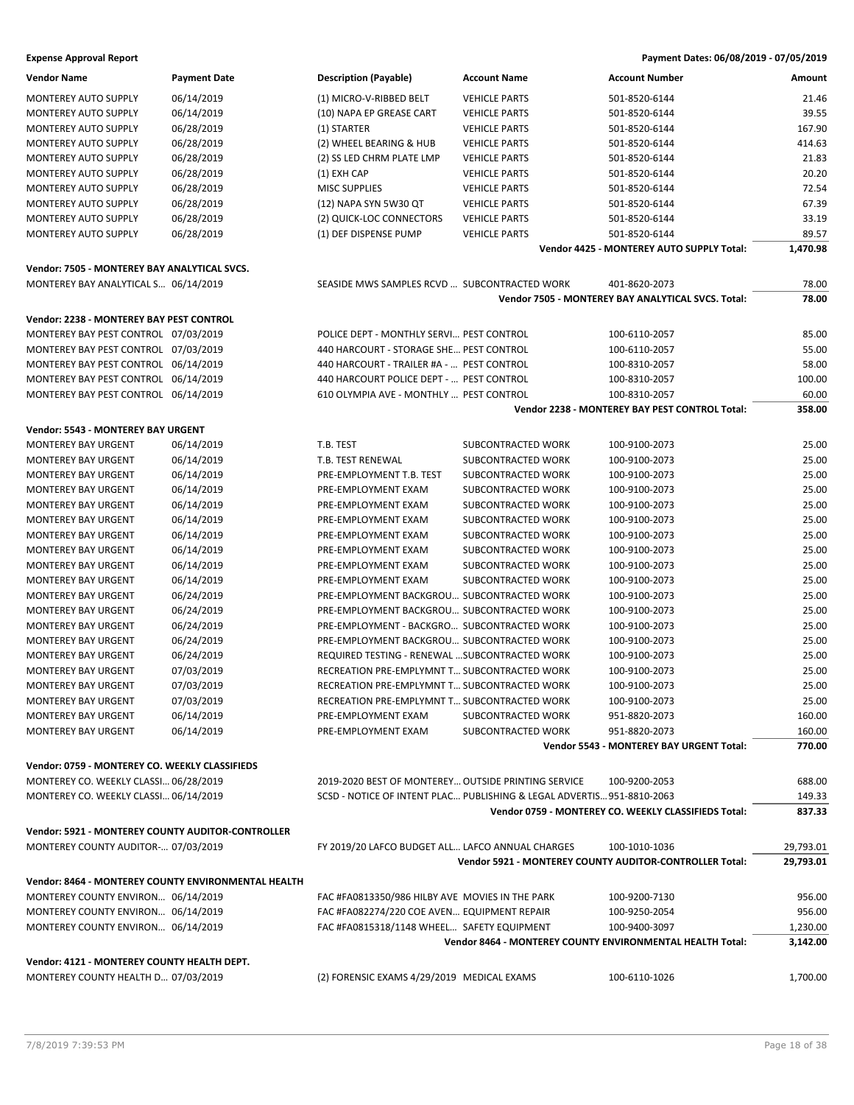| <b>Vendor Name</b>                                       | <b>Payment Date</b> | <b>Description (Payable)</b>                        | <b>Account Name</b>                                                    | <b>Account Number</b>                                | Amount    |
|----------------------------------------------------------|---------------------|-----------------------------------------------------|------------------------------------------------------------------------|------------------------------------------------------|-----------|
| <b>MONTEREY AUTO SUPPLY</b>                              | 06/14/2019          | (1) MICRO-V-RIBBED BELT                             | <b>VEHICLE PARTS</b>                                                   | 501-8520-6144                                        | 21.46     |
| <b>MONTEREY AUTO SUPPLY</b>                              | 06/14/2019          | (10) NAPA EP GREASE CART                            | <b>VEHICLE PARTS</b>                                                   | 501-8520-6144                                        | 39.55     |
| <b>MONTEREY AUTO SUPPLY</b>                              | 06/28/2019          | (1) STARTER                                         | <b>VEHICLE PARTS</b>                                                   | 501-8520-6144                                        | 167.90    |
| <b>MONTEREY AUTO SUPPLY</b>                              | 06/28/2019          | (2) WHEEL BEARING & HUB                             | <b>VEHICLE PARTS</b>                                                   | 501-8520-6144                                        | 414.63    |
| MONTEREY AUTO SUPPLY                                     | 06/28/2019          | (2) SS LED CHRM PLATE LMP                           | <b>VEHICLE PARTS</b>                                                   | 501-8520-6144                                        | 21.83     |
| MONTEREY AUTO SUPPLY                                     | 06/28/2019          | (1) EXH CAP                                         | <b>VEHICLE PARTS</b>                                                   | 501-8520-6144                                        | 20.20     |
| MONTEREY AUTO SUPPLY                                     | 06/28/2019          | <b>MISC SUPPLIES</b>                                | <b>VEHICLE PARTS</b>                                                   | 501-8520-6144                                        | 72.54     |
|                                                          |                     |                                                     |                                                                        |                                                      | 67.39     |
| <b>MONTEREY AUTO SUPPLY</b>                              | 06/28/2019          | (12) NAPA SYN 5W30 QT                               | <b>VEHICLE PARTS</b>                                                   | 501-8520-6144                                        |           |
| <b>MONTEREY AUTO SUPPLY</b>                              | 06/28/2019          | (2) QUICK-LOC CONNECTORS                            | <b>VEHICLE PARTS</b>                                                   | 501-8520-6144                                        | 33.19     |
| <b>MONTEREY AUTO SUPPLY</b>                              | 06/28/2019          | (1) DEF DISPENSE PUMP                               | <b>VEHICLE PARTS</b>                                                   | 501-8520-6144                                        | 89.57     |
|                                                          |                     |                                                     |                                                                        | Vendor 4425 - MONTEREY AUTO SUPPLY Total:            | 1,470.98  |
| Vendor: 7505 - MONTEREY BAY ANALYTICAL SVCS.             |                     |                                                     |                                                                        |                                                      |           |
| MONTEREY BAY ANALYTICAL S 06/14/2019                     |                     | SEASIDE MWS SAMPLES RCVD  SUBCONTRACTED WORK        |                                                                        | 401-8620-2073                                        | 78.00     |
|                                                          |                     |                                                     |                                                                        | Vendor 7505 - MONTEREY BAY ANALYTICAL SVCS. Total:   | 78.00     |
| Vendor: 2238 - MONTEREY BAY PEST CONTROL                 |                     |                                                     |                                                                        |                                                      |           |
|                                                          |                     |                                                     |                                                                        |                                                      |           |
| MONTEREY BAY PEST CONTROL 07/03/2019                     |                     | POLICE DEPT - MONTHLY SERVI PEST CONTROL            |                                                                        | 100-6110-2057                                        | 85.00     |
| MONTEREY BAY PEST CONTROL 07/03/2019                     |                     | 440 HARCOURT - STORAGE SHE PEST CONTROL             |                                                                        | 100-6110-2057                                        | 55.00     |
| MONTEREY BAY PEST CONTROL 06/14/2019                     |                     | 440 HARCOURT - TRAILER #A -  PEST CONTROL           |                                                                        | 100-8310-2057                                        | 58.00     |
| MONTEREY BAY PEST CONTROL 06/14/2019                     |                     | 440 HARCOURT POLICE DEPT -  PEST CONTROL            |                                                                        | 100-8310-2057                                        | 100.00    |
| MONTEREY BAY PEST CONTROL 06/14/2019                     |                     | 610 OLYMPIA AVE - MONTHLY  PEST CONTROL             |                                                                        | 100-8310-2057                                        | 60.00     |
|                                                          |                     |                                                     |                                                                        | Vendor 2238 - MONTEREY BAY PEST CONTROL Total:       | 358.00    |
| Vendor: 5543 - MONTEREY BAY URGENT                       |                     |                                                     |                                                                        |                                                      |           |
| <b>MONTEREY BAY URGENT</b>                               | 06/14/2019          | T.B. TEST                                           | SUBCONTRACTED WORK                                                     | 100-9100-2073                                        | 25.00     |
| <b>MONTEREY BAY URGENT</b>                               | 06/14/2019          | T.B. TEST RENEWAL                                   | SUBCONTRACTED WORK                                                     | 100-9100-2073                                        | 25.00     |
| <b>MONTEREY BAY URGENT</b>                               | 06/14/2019          | PRE-EMPLOYMENT T.B. TEST                            | SUBCONTRACTED WORK                                                     | 100-9100-2073                                        | 25.00     |
| <b>MONTEREY BAY URGENT</b>                               | 06/14/2019          | PRE-EMPLOYMENT EXAM                                 | SUBCONTRACTED WORK                                                     | 100-9100-2073                                        | 25.00     |
| <b>MONTEREY BAY URGENT</b>                               | 06/14/2019          | PRE-EMPLOYMENT EXAM                                 | SUBCONTRACTED WORK                                                     | 100-9100-2073                                        | 25.00     |
| <b>MONTEREY BAY URGENT</b>                               | 06/14/2019          | PRE-EMPLOYMENT EXAM                                 | SUBCONTRACTED WORK                                                     | 100-9100-2073                                        | 25.00     |
| <b>MONTEREY BAY URGENT</b>                               | 06/14/2019          | PRE-EMPLOYMENT EXAM                                 | SUBCONTRACTED WORK                                                     | 100-9100-2073                                        | 25.00     |
| <b>MONTEREY BAY URGENT</b>                               | 06/14/2019          | PRE-EMPLOYMENT EXAM                                 | SUBCONTRACTED WORK                                                     | 100-9100-2073                                        | 25.00     |
| <b>MONTEREY BAY URGENT</b>                               |                     | PRE-EMPLOYMENT EXAM                                 | SUBCONTRACTED WORK                                                     | 100-9100-2073                                        | 25.00     |
|                                                          | 06/14/2019          |                                                     |                                                                        |                                                      |           |
| <b>MONTEREY BAY URGENT</b>                               | 06/14/2019          | PRE-EMPLOYMENT EXAM                                 | SUBCONTRACTED WORK                                                     | 100-9100-2073                                        | 25.00     |
| <b>MONTEREY BAY URGENT</b>                               | 06/24/2019          | PRE-EMPLOYMENT BACKGROU SUBCONTRACTED WORK          |                                                                        | 100-9100-2073                                        | 25.00     |
| <b>MONTEREY BAY URGENT</b>                               | 06/24/2019          | PRE-EMPLOYMENT BACKGROU SUBCONTRACTED WORK          |                                                                        | 100-9100-2073                                        | 25.00     |
| <b>MONTEREY BAY URGENT</b>                               | 06/24/2019          | PRE-EMPLOYMENT - BACKGRO SUBCONTRACTED WORK         |                                                                        | 100-9100-2073                                        | 25.00     |
| <b>MONTEREY BAY URGENT</b>                               | 06/24/2019          | PRE-EMPLOYMENT BACKGROU SUBCONTRACTED WORK          |                                                                        | 100-9100-2073                                        | 25.00     |
| <b>MONTEREY BAY URGENT</b>                               | 06/24/2019          | REQUIRED TESTING - RENEWAL  SUBCONTRACTED WORK      |                                                                        | 100-9100-2073                                        | 25.00     |
| <b>MONTEREY BAY URGENT</b>                               | 07/03/2019          | RECREATION PRE-EMPLYMNT T SUBCONTRACTED WORK        |                                                                        | 100-9100-2073                                        | 25.00     |
| <b>MONTEREY BAY URGENT</b>                               | 07/03/2019          | RECREATION PRE-EMPLYMNT T SUBCONTRACTED WORK        |                                                                        | 100-9100-2073                                        | 25.00     |
| <b>MONTEREY BAY URGENT</b>                               | 07/03/2019          | RECREATION PRE-EMPLYMNT T SUBCONTRACTED WORK        |                                                                        | 100-9100-2073                                        | 25.00     |
| <b>MONTEREY BAY URGENT</b>                               | 06/14/2019          | PRE-EMPLOYMENT EXAM                                 | SUBCONTRACTED WORK                                                     | 951-8820-2073                                        | 160.00    |
| <b>MONTEREY BAY URGENT</b>                               | 06/14/2019          | PRE-EMPLOYMENT EXAM                                 | SUBCONTRACTED WORK                                                     | 951-8820-2073                                        | 160.00    |
|                                                          |                     |                                                     |                                                                        | Vendor 5543 - MONTEREY BAY URGENT Total:             | 770.00    |
| Vendor: 0759 - MONTEREY CO. WEEKLY CLASSIFIEDS           |                     |                                                     |                                                                        |                                                      |           |
| MONTEREY CO. WEEKLY CLASSI 06/28/2019                    |                     | 2019-2020 BEST OF MONTEREY OUTSIDE PRINTING SERVICE |                                                                        | 100-9200-2053                                        | 688.00    |
|                                                          |                     |                                                     | SCSD - NOTICE OF INTENT PLAC PUBLISHING & LEGAL ADVERTIS 951-8810-2063 |                                                      |           |
| MONTEREY CO. WEEKLY CLASSI 06/14/2019                    |                     |                                                     |                                                                        |                                                      | 149.33    |
|                                                          |                     |                                                     |                                                                        | Vendor 0759 - MONTEREY CO. WEEKLY CLASSIFIEDS Total: | 837.33    |
| <b>Vendor: 5921 - MONTEREY COUNTY AUDITOR-CONTROLLER</b> |                     |                                                     |                                                                        |                                                      |           |
| MONTEREY COUNTY AUDITOR- 07/03/2019                      |                     | FY 2019/20 LAFCO BUDGET ALL LAFCO ANNUAL CHARGES    |                                                                        | 100-1010-1036                                        | 29,793.01 |
|                                                          |                     |                                                     | Vendor 5921 - MONTEREY COUNTY AUDITOR-CONTROLLER Total:                |                                                      | 29,793.01 |
| Vendor: 8464 - MONTEREY COUNTY ENVIRONMENTAL HEALTH      |                     |                                                     |                                                                        |                                                      |           |
| MONTEREY COUNTY ENVIRON 06/14/2019                       |                     | FAC #FA0813350/986 HILBY AVE MOVIES IN THE PARK     |                                                                        | 100-9200-7130                                        | 956.00    |
|                                                          |                     |                                                     |                                                                        |                                                      |           |
| MONTEREY COUNTY ENVIRON 06/14/2019                       |                     | FAC #FA082274/220 COE AVEN EQUIPMENT REPAIR         |                                                                        | 100-9250-2054                                        | 956.00    |
| MONTEREY COUNTY ENVIRON 06/14/2019                       |                     | FAC #FA0815318/1148 WHEEL SAFETY EQUIPMENT          |                                                                        | 100-9400-3097                                        | 1,230.00  |
|                                                          |                     |                                                     | Vendor 8464 - MONTEREY COUNTY ENVIRONMENTAL HEALTH Total:              |                                                      | 3,142.00  |
| Vendor: 4121 - MONTEREY COUNTY HEALTH DEPT.              |                     |                                                     |                                                                        |                                                      |           |
| MONTEREY COUNTY HEALTH D 07/03/2019                      |                     | (2) FORENSIC EXAMS 4/29/2019 MEDICAL EXAMS          |                                                                        | 100-6110-1026                                        | 1,700.00  |
|                                                          |                     |                                                     |                                                                        |                                                      |           |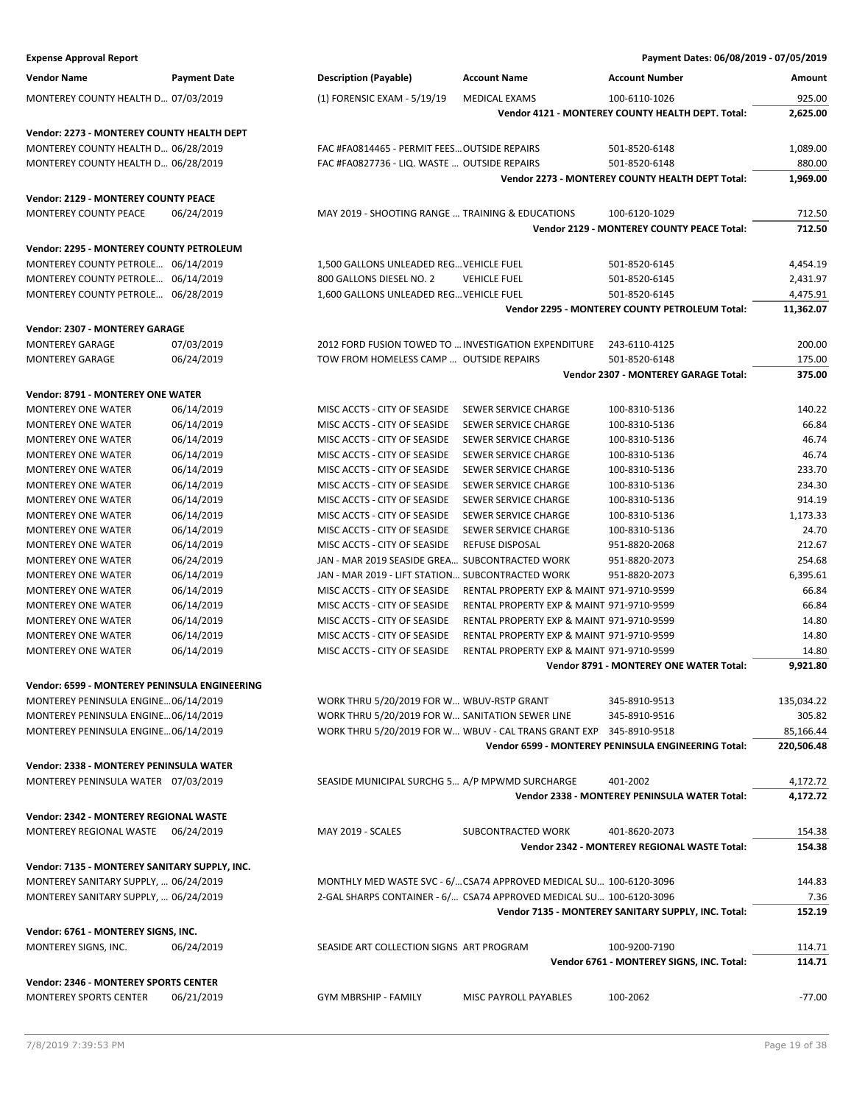| <b>Expense Approval Report</b>                                           |                          |                                                                     |                                                                                        | Payment Dates: 06/08/2019 - 07/05/2019              |                      |
|--------------------------------------------------------------------------|--------------------------|---------------------------------------------------------------------|----------------------------------------------------------------------------------------|-----------------------------------------------------|----------------------|
| <b>Vendor Name</b>                                                       | <b>Payment Date</b>      | <b>Description (Payable)</b>                                        | <b>Account Name</b>                                                                    | <b>Account Number</b>                               | Amount               |
| MONTEREY COUNTY HEALTH D 07/03/2019                                      |                          | (1) FORENSIC EXAM - 5/19/19                                         | <b>MEDICAL EXAMS</b>                                                                   | 100-6110-1026                                       | 925.00               |
|                                                                          |                          |                                                                     |                                                                                        | Vendor 4121 - MONTEREY COUNTY HEALTH DEPT. Total:   | 2,625.00             |
| Vendor: 2273 - MONTEREY COUNTY HEALTH DEPT                               |                          |                                                                     |                                                                                        |                                                     |                      |
| MONTEREY COUNTY HEALTH D 06/28/2019                                      |                          | FAC #FA0814465 - PERMIT FEES OUTSIDE REPAIRS                        |                                                                                        | 501-8520-6148                                       | 1,089.00             |
| MONTEREY COUNTY HEALTH D 06/28/2019                                      |                          | FAC #FA0827736 - LIQ. WASTE  OUTSIDE REPAIRS                        |                                                                                        | 501-8520-6148                                       | 880.00               |
|                                                                          |                          |                                                                     |                                                                                        | Vendor 2273 - MONTEREY COUNTY HEALTH DEPT Total:    | 1,969.00             |
| Vendor: 2129 - MONTEREY COUNTY PEACE                                     |                          |                                                                     |                                                                                        |                                                     |                      |
| MONTEREY COUNTY PEACE                                                    | 06/24/2019               | MAY 2019 - SHOOTING RANGE  TRAINING & EDUCATIONS                    |                                                                                        | 100-6120-1029                                       | 712.50               |
|                                                                          |                          |                                                                     |                                                                                        | Vendor 2129 - MONTEREY COUNTY PEACE Total:          | 712.50               |
|                                                                          |                          |                                                                     |                                                                                        |                                                     |                      |
| Vendor: 2295 - MONTEREY COUNTY PETROLEUM                                 |                          |                                                                     |                                                                                        |                                                     |                      |
| MONTEREY COUNTY PETROLE 06/14/2019<br>MONTEREY COUNTY PETROLE 06/14/2019 |                          | 1,500 GALLONS UNLEADED REG VEHICLE FUEL<br>800 GALLONS DIESEL NO. 2 | <b>VEHICLE FUEL</b>                                                                    | 501-8520-6145<br>501-8520-6145                      | 4,454.19<br>2,431.97 |
| MONTEREY COUNTY PETROLE 06/28/2019                                       |                          | 1,600 GALLONS UNLEADED REG VEHICLE FUEL                             |                                                                                        | 501-8520-6145                                       | 4,475.91             |
|                                                                          |                          |                                                                     |                                                                                        | Vendor 2295 - MONTEREY COUNTY PETROLEUM Total:      | 11,362.07            |
|                                                                          |                          |                                                                     |                                                                                        |                                                     |                      |
| <b>Vendor: 2307 - MONTEREY GARAGE</b>                                    |                          |                                                                     |                                                                                        |                                                     |                      |
| <b>MONTEREY GARAGE</b>                                                   | 07/03/2019               | 2012 FORD FUSION TOWED TO  INVESTIGATION EXPENDITURE                |                                                                                        | 243-6110-4125                                       | 200.00               |
| <b>MONTEREY GARAGE</b>                                                   | 06/24/2019               | TOW FROM HOMELESS CAMP  OUTSIDE REPAIRS                             |                                                                                        | 501-8520-6148                                       | 175.00               |
|                                                                          |                          |                                                                     |                                                                                        | <b>Vendor 2307 - MONTEREY GARAGE Total:</b>         | 375.00               |
| Vendor: 8791 - MONTEREY ONE WATER                                        |                          |                                                                     |                                                                                        |                                                     |                      |
| <b>MONTEREY ONE WATER</b>                                                | 06/14/2019               | MISC ACCTS - CITY OF SEASIDE                                        | SEWER SERVICE CHARGE                                                                   | 100-8310-5136                                       | 140.22               |
| <b>MONTEREY ONE WATER</b>                                                | 06/14/2019               | MISC ACCTS - CITY OF SEASIDE                                        | SEWER SERVICE CHARGE                                                                   | 100-8310-5136                                       | 66.84                |
| <b>MONTEREY ONE WATER</b>                                                | 06/14/2019               | MISC ACCTS - CITY OF SEASIDE                                        | SEWER SERVICE CHARGE                                                                   | 100-8310-5136                                       | 46.74                |
| <b>MONTEREY ONE WATER</b>                                                | 06/14/2019               | MISC ACCTS - CITY OF SEASIDE                                        | SEWER SERVICE CHARGE                                                                   | 100-8310-5136                                       | 46.74                |
| <b>MONTEREY ONE WATER</b>                                                | 06/14/2019               | MISC ACCTS - CITY OF SEASIDE                                        | SEWER SERVICE CHARGE                                                                   | 100-8310-5136                                       | 233.70               |
| <b>MONTEREY ONE WATER</b>                                                | 06/14/2019               | MISC ACCTS - CITY OF SEASIDE                                        | SEWER SERVICE CHARGE                                                                   | 100-8310-5136                                       | 234.30               |
| <b>MONTEREY ONE WATER</b>                                                | 06/14/2019               | MISC ACCTS - CITY OF SEASIDE                                        | SEWER SERVICE CHARGE                                                                   | 100-8310-5136                                       | 914.19               |
| <b>MONTEREY ONE WATER</b>                                                | 06/14/2019               | MISC ACCTS - CITY OF SEASIDE                                        | SEWER SERVICE CHARGE                                                                   | 100-8310-5136                                       | 1,173.33             |
| <b>MONTEREY ONE WATER</b>                                                | 06/14/2019               | MISC ACCTS - CITY OF SEASIDE                                        | SEWER SERVICE CHARGE                                                                   | 100-8310-5136                                       | 24.70                |
| <b>MONTEREY ONE WATER</b>                                                | 06/14/2019               | MISC ACCTS - CITY OF SEASIDE                                        | <b>REFUSE DISPOSAL</b>                                                                 | 951-8820-2068                                       | 212.67               |
| <b>MONTEREY ONE WATER</b>                                                | 06/24/2019               | JAN - MAR 2019 SEASIDE GREA SUBCONTRACTED WORK                      |                                                                                        | 951-8820-2073                                       | 254.68               |
| <b>MONTEREY ONE WATER</b>                                                | 06/14/2019               | JAN - MAR 2019 - LIFT STATION SUBCONTRACTED WORK                    |                                                                                        | 951-8820-2073                                       | 6,395.61             |
| <b>MONTEREY ONE WATER</b>                                                | 06/14/2019               | MISC ACCTS - CITY OF SEASIDE                                        | RENTAL PROPERTY EXP & MAINT 971-9710-9599                                              |                                                     | 66.84                |
| <b>MONTEREY ONE WATER</b>                                                | 06/14/2019               | MISC ACCTS - CITY OF SEASIDE                                        | RENTAL PROPERTY EXP & MAINT 971-9710-9599                                              |                                                     | 66.84                |
| <b>MONTEREY ONE WATER</b>                                                | 06/14/2019               | MISC ACCTS - CITY OF SEASIDE                                        | RENTAL PROPERTY EXP & MAINT 971-9710-9599                                              |                                                     | 14.80<br>14.80       |
| <b>MONTEREY ONE WATER</b><br><b>MONTEREY ONE WATER</b>                   | 06/14/2019<br>06/14/2019 | MISC ACCTS - CITY OF SEASIDE<br>MISC ACCTS - CITY OF SEASIDE        | RENTAL PROPERTY EXP & MAINT 971-9710-9599<br>RENTAL PROPERTY EXP & MAINT 971-9710-9599 |                                                     | 14.80                |
|                                                                          |                          |                                                                     |                                                                                        | <b>Vendor 8791 - MONTEREY ONE WATER Total:</b>      | 9,921.80             |
|                                                                          |                          |                                                                     |                                                                                        |                                                     |                      |
| Vendor: 6599 - MONTEREY PENINSULA ENGINEERING                            |                          |                                                                     |                                                                                        |                                                     |                      |
| MONTEREY PENINSULA ENGINE06/14/2019                                      |                          | WORK THRU 5/20/2019 FOR W WBUV-RSTP GRANT                           |                                                                                        | 345-8910-9513                                       | 135,034.22           |
| MONTEREY PENINSULA ENGINE 06/14/2019                                     |                          | WORK THRU 5/20/2019 FOR W SANITATION SEWER LINE                     |                                                                                        | 345-8910-9516                                       | 305.82               |
| MONTEREY PENINSULA ENGINE 06/14/2019                                     |                          |                                                                     | WORK THRU 5/20/2019 FOR W WBUV - CAL TRANS GRANT EXP 345-8910-9518                     |                                                     | 85,166.44            |
|                                                                          |                          |                                                                     |                                                                                        | Vendor 6599 - MONTEREY PENINSULA ENGINEERING Total: | 220,506.48           |
| Vendor: 2338 - MONTEREY PENINSULA WATER                                  |                          |                                                                     |                                                                                        |                                                     |                      |
| MONTEREY PENINSULA WATER 07/03/2019                                      |                          | SEASIDE MUNICIPAL SURCHG 5 A/P MPWMD SURCHARGE                      |                                                                                        | 401-2002                                            | 4,172.72             |
|                                                                          |                          |                                                                     |                                                                                        | Vendor 2338 - MONTEREY PENINSULA WATER Total:       | 4,172.72             |
| Vendor: 2342 - MONTEREY REGIONAL WASTE                                   |                          |                                                                     |                                                                                        |                                                     |                      |
| MONTEREY REGIONAL WASTE                                                  | 06/24/2019               | MAY 2019 - SCALES                                                   | SUBCONTRACTED WORK                                                                     | 401-8620-2073                                       | 154.38               |
|                                                                          |                          |                                                                     |                                                                                        | Vendor 2342 - MONTEREY REGIONAL WASTE Total:        | 154.38               |
| Vendor: 7135 - MONTEREY SANITARY SUPPLY, INC.                            |                          |                                                                     |                                                                                        |                                                     |                      |
| MONTEREY SANITARY SUPPLY,  06/24/2019                                    |                          |                                                                     | MONTHLY MED WASTE SVC - 6/CSA74 APPROVED MEDICAL SU 100-6120-3096                      |                                                     | 144.83               |
| MONTEREY SANITARY SUPPLY,  06/24/2019                                    |                          |                                                                     | 2-GAL SHARPS CONTAINER - 6/ CSA74 APPROVED MEDICAL SU 100-6120-3096                    |                                                     | 7.36                 |
|                                                                          |                          |                                                                     |                                                                                        | Vendor 7135 - MONTEREY SANITARY SUPPLY, INC. Total: | 152.19               |
|                                                                          |                          |                                                                     |                                                                                        |                                                     |                      |
| Vendor: 6761 - MONTEREY SIGNS, INC.<br>MONTEREY SIGNS, INC.              | 06/24/2019               | SEASIDE ART COLLECTION SIGNS ART PROGRAM                            |                                                                                        | 100-9200-7190                                       | 114.71               |
|                                                                          |                          |                                                                     |                                                                                        | Vendor 6761 - MONTEREY SIGNS, INC. Total:           | 114.71               |
|                                                                          |                          |                                                                     |                                                                                        |                                                     |                      |
| <b>Vendor: 2346 - MONTEREY SPORTS CENTER</b>                             |                          |                                                                     |                                                                                        |                                                     |                      |
| <b>MONTEREY SPORTS CENTER</b>                                            | 06/21/2019               | <b>GYM MBRSHIP - FAMILY</b>                                         | MISC PAYROLL PAYABLES                                                                  | 100-2062                                            | $-77.00$             |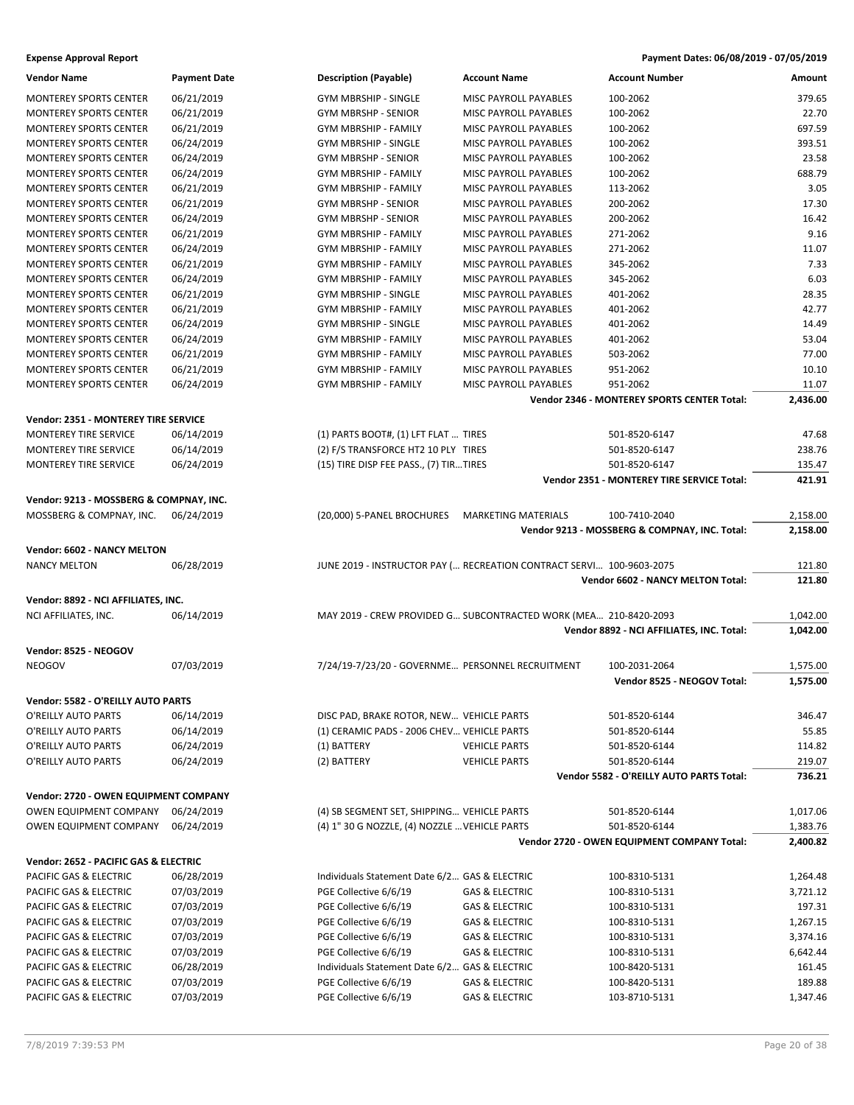| <b>Vendor Name</b>                               | <b>Payment Date</b>      | <b>Description (Payable)</b>                                         | <b>Account Name</b>                         | <b>Account Number</b>                         | Amount               |
|--------------------------------------------------|--------------------------|----------------------------------------------------------------------|---------------------------------------------|-----------------------------------------------|----------------------|
| <b>MONTEREY SPORTS CENTER</b>                    | 06/21/2019               | <b>GYM MBRSHIP - SINGLE</b>                                          | MISC PAYROLL PAYABLES                       | 100-2062                                      | 379.65               |
| <b>MONTEREY SPORTS CENTER</b>                    | 06/21/2019               | <b>GYM MBRSHP - SENIOR</b>                                           | MISC PAYROLL PAYABLES                       | 100-2062                                      | 22.70                |
| <b>MONTEREY SPORTS CENTER</b>                    | 06/21/2019               | GYM MBRSHIP - FAMILY                                                 | MISC PAYROLL PAYABLES                       | 100-2062                                      | 697.59               |
| <b>MONTEREY SPORTS CENTER</b>                    | 06/24/2019               | <b>GYM MBRSHIP - SINGLE</b>                                          | MISC PAYROLL PAYABLES                       | 100-2062                                      | 393.51               |
| <b>MONTEREY SPORTS CENTER</b>                    | 06/24/2019               | <b>GYM MBRSHP - SENIOR</b>                                           | MISC PAYROLL PAYABLES                       | 100-2062                                      | 23.58                |
| MONTEREY SPORTS CENTER                           | 06/24/2019               | <b>GYM MBRSHIP - FAMILY</b>                                          | MISC PAYROLL PAYABLES                       | 100-2062                                      | 688.79               |
| MONTEREY SPORTS CENTER                           | 06/21/2019               | <b>GYM MBRSHIP - FAMILY</b>                                          | MISC PAYROLL PAYABLES                       | 113-2062                                      | 3.05                 |
| MONTEREY SPORTS CENTER                           | 06/21/2019               | GYM MBRSHP - SENIOR                                                  | MISC PAYROLL PAYABLES                       | 200-2062                                      | 17.30                |
| MONTEREY SPORTS CENTER                           | 06/24/2019               | GYM MBRSHP - SENIOR                                                  | MISC PAYROLL PAYABLES                       | 200-2062                                      | 16.42                |
| <b>MONTEREY SPORTS CENTER</b>                    | 06/21/2019               | <b>GYM MBRSHIP - FAMILY</b>                                          | MISC PAYROLL PAYABLES                       | 271-2062                                      | 9.16                 |
| MONTEREY SPORTS CENTER                           | 06/24/2019               | GYM MBRSHIP - FAMILY                                                 | MISC PAYROLL PAYABLES                       | 271-2062                                      | 11.07                |
| MONTEREY SPORTS CENTER                           | 06/21/2019               | <b>GYM MBRSHIP - FAMILY</b>                                          | MISC PAYROLL PAYABLES                       | 345-2062                                      | 7.33                 |
| MONTEREY SPORTS CENTER                           | 06/24/2019               | GYM MBRSHIP - FAMILY                                                 | MISC PAYROLL PAYABLES                       | 345-2062                                      | 6.03                 |
| <b>MONTEREY SPORTS CENTER</b>                    | 06/21/2019               | GYM MBRSHIP - SINGLE                                                 | MISC PAYROLL PAYABLES                       | 401-2062                                      | 28.35                |
| <b>MONTEREY SPORTS CENTER</b>                    | 06/21/2019               | <b>GYM MBRSHIP - FAMILY</b>                                          | MISC PAYROLL PAYABLES                       | 401-2062                                      | 42.77                |
| MONTEREY SPORTS CENTER                           | 06/24/2019               | GYM MBRSHIP - SINGLE                                                 | MISC PAYROLL PAYABLES                       | 401-2062                                      | 14.49                |
| MONTEREY SPORTS CENTER                           | 06/24/2019               | <b>GYM MBRSHIP - FAMILY</b>                                          | MISC PAYROLL PAYABLES                       | 401-2062                                      | 53.04                |
| MONTEREY SPORTS CENTER                           | 06/21/2019               | GYM MBRSHIP - FAMILY                                                 | MISC PAYROLL PAYABLES                       | 503-2062                                      | 77.00                |
| MONTEREY SPORTS CENTER                           | 06/21/2019               | GYM MBRSHIP - FAMILY                                                 | MISC PAYROLL PAYABLES                       | 951-2062                                      | 10.10                |
| <b>MONTEREY SPORTS CENTER</b>                    | 06/24/2019               | <b>GYM MBRSHIP - FAMILY</b>                                          | MISC PAYROLL PAYABLES                       | 951-2062                                      | 11.07                |
|                                                  |                          |                                                                      |                                             | Vendor 2346 - MONTEREY SPORTS CENTER Total:   | 2,436.00             |
| Vendor: 2351 - MONTEREY TIRE SERVICE             |                          |                                                                      |                                             |                                               |                      |
| MONTEREY TIRE SERVICE                            | 06/14/2019               | (1) PARTS BOOT#, (1) LFT FLAT  TIRES                                 |                                             | 501-8520-6147                                 | 47.68                |
| MONTEREY TIRE SERVICE                            | 06/14/2019               | (2) F/S TRANSFORCE HT2 10 PLY TIRES                                  |                                             | 501-8520-6147                                 | 238.76               |
| MONTEREY TIRE SERVICE                            | 06/24/2019               | (15) TIRE DISP FEE PASS., (7) TIRTIRES                               |                                             | 501-8520-6147                                 | 135.47               |
|                                                  |                          |                                                                      |                                             | Vendor 2351 - MONTEREY TIRE SERVICE Total:    | 421.91               |
| Vendor: 9213 - MOSSBERG & COMPNAY, INC.          |                          |                                                                      |                                             |                                               |                      |
| MOSSBERG & COMPNAY, INC.                         | 06/24/2019               | (20,000) 5-PANEL BROCHURES MARKETING MATERIALS                       |                                             | 100-7410-2040                                 | 2,158.00             |
|                                                  |                          |                                                                      |                                             | Vendor 9213 - MOSSBERG & COMPNAY, INC. Total: | 2,158.00             |
|                                                  |                          |                                                                      |                                             |                                               |                      |
| Vendor: 6602 - NANCY MELTON                      |                          |                                                                      |                                             |                                               | 121.80               |
| <b>NANCY MELTON</b>                              | 06/28/2019               | JUNE 2019 - INSTRUCTOR PAY ( RECREATION CONTRACT SERVI 100-9603-2075 |                                             | Vendor 6602 - NANCY MELTON Total:             | 121.80               |
|                                                  |                          |                                                                      |                                             |                                               |                      |
| Vendor: 8892 - NCI AFFILIATES, INC.              |                          |                                                                      |                                             |                                               |                      |
| NCI AFFILIATES, INC.                             | 06/14/2019               | MAY 2019 - CREW PROVIDED G SUBCONTRACTED WORK (MEA 210-8420-2093     |                                             |                                               | 1,042.00             |
|                                                  |                          |                                                                      |                                             | Vendor 8892 - NCI AFFILIATES, INC. Total:     | 1,042.00             |
| Vendor: 8525 - NEOGOV                            |                          |                                                                      |                                             |                                               |                      |
| <b>NEOGOV</b>                                    | 07/03/2019               | 7/24/19-7/23/20 - GOVERNME PERSONNEL RECRUITMENT                     |                                             | 100-2031-2064                                 | 1,575.00             |
|                                                  |                          |                                                                      |                                             | Vendor 8525 - NEOGOV Total:                   | 1,575.00             |
| Vendor: 5582 - O'REILLY AUTO PARTS               |                          |                                                                      |                                             |                                               |                      |
| O'REILLY AUTO PARTS                              | 06/14/2019               | DISC PAD, BRAKE ROTOR, NEW VEHICLE PARTS                             |                                             | 501-8520-6144                                 | 346.47               |
| O'REILLY AUTO PARTS                              | 06/14/2019               | (1) CERAMIC PADS - 2006 CHEV VEHICLE PARTS                           |                                             | 501-8520-6144                                 | 55.85                |
| O'REILLY AUTO PARTS                              | 06/24/2019               | (1) BATTERY                                                          | <b>VEHICLE PARTS</b>                        | 501-8520-6144                                 | 114.82               |
| O'REILLY AUTO PARTS                              | 06/24/2019               | (2) BATTERY                                                          | <b>VEHICLE PARTS</b>                        | 501-8520-6144                                 | 219.07               |
|                                                  |                          |                                                                      |                                             | Vendor 5582 - O'REILLY AUTO PARTS Total:      | 736.21               |
| Vendor: 2720 - OWEN EQUIPMENT COMPANY            |                          |                                                                      |                                             |                                               |                      |
| OWEN EQUIPMENT COMPANY                           | 06/24/2019               | (4) SB SEGMENT SET, SHIPPING VEHICLE PARTS                           |                                             | 501-8520-6144                                 | 1,017.06             |
| OWEN EQUIPMENT COMPANY                           |                          |                                                                      |                                             |                                               |                      |
|                                                  |                          |                                                                      |                                             |                                               |                      |
|                                                  | 06/24/2019               | (4) 1" 30 G NOZZLE, (4) NOZZLE  VEHICLE PARTS                        |                                             | 501-8520-6144                                 |                      |
|                                                  |                          |                                                                      |                                             | Vendor 2720 - OWEN EQUIPMENT COMPANY Total:   | 1,383.76<br>2,400.82 |
| Vendor: 2652 - PACIFIC GAS & ELECTRIC            |                          |                                                                      |                                             |                                               |                      |
| PACIFIC GAS & ELECTRIC                           | 06/28/2019               | Individuals Statement Date 6/2 GAS & ELECTRIC                        |                                             | 100-8310-5131                                 | 1,264.48             |
| PACIFIC GAS & ELECTRIC                           | 07/03/2019               | PGE Collective 6/6/19                                                | <b>GAS &amp; ELECTRIC</b>                   | 100-8310-5131                                 | 3,721.12             |
| PACIFIC GAS & ELECTRIC                           | 07/03/2019               | PGE Collective 6/6/19                                                | GAS & ELECTRIC                              | 100-8310-5131                                 | 197.31               |
| PACIFIC GAS & ELECTRIC                           | 07/03/2019               | PGE Collective 6/6/19                                                | <b>GAS &amp; ELECTRIC</b>                   | 100-8310-5131                                 | 1,267.15             |
| PACIFIC GAS & ELECTRIC                           | 07/03/2019               | PGE Collective 6/6/19                                                | <b>GAS &amp; ELECTRIC</b>                   | 100-8310-5131                                 | 3,374.16             |
| PACIFIC GAS & ELECTRIC                           | 07/03/2019               | PGE Collective 6/6/19                                                | <b>GAS &amp; ELECTRIC</b>                   | 100-8310-5131                                 | 6,642.44             |
| PACIFIC GAS & ELECTRIC                           | 06/28/2019               | Individuals Statement Date 6/2 GAS & ELECTRIC                        |                                             | 100-8420-5131                                 | 161.45               |
| PACIFIC GAS & ELECTRIC<br>PACIFIC GAS & ELECTRIC | 07/03/2019<br>07/03/2019 | PGE Collective 6/6/19<br>PGE Collective 6/6/19                       | GAS & ELECTRIC<br><b>GAS &amp; ELECTRIC</b> | 100-8420-5131<br>103-8710-5131                | 189.88<br>1,347.46   |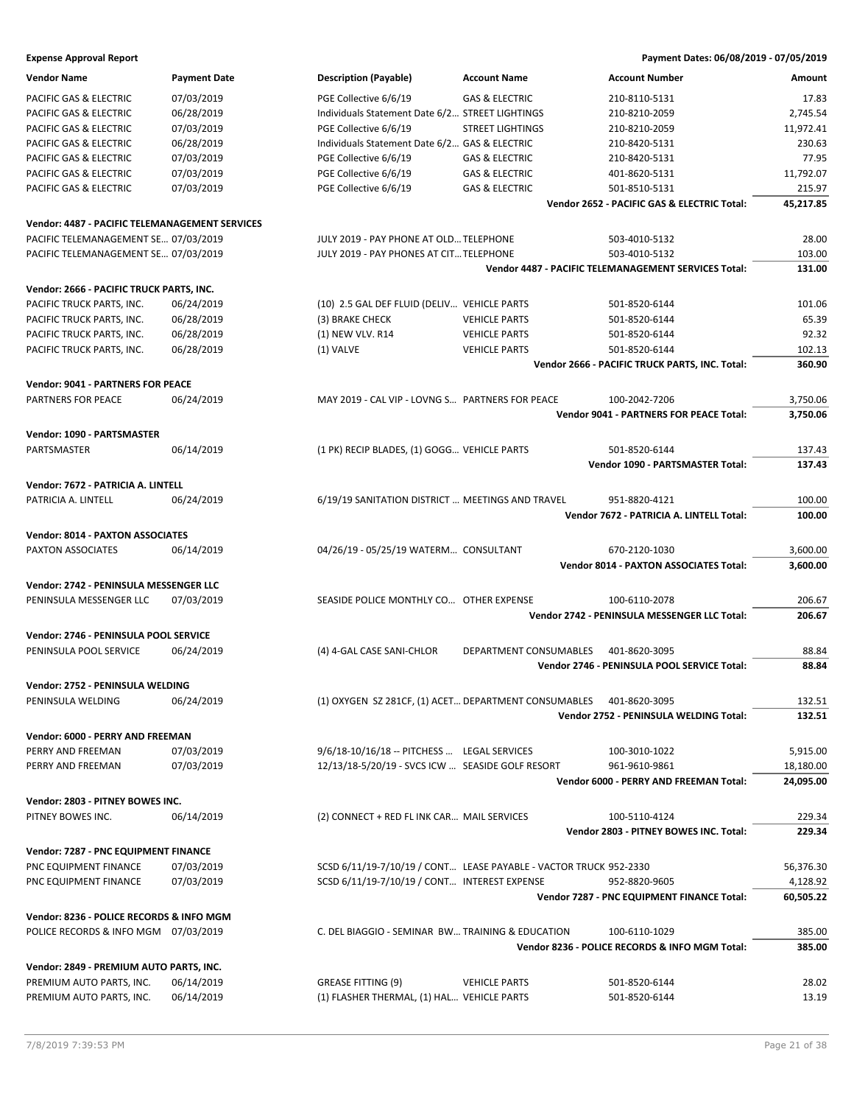| Vendor Name                                    | <b>Payment Date</b> | <b>Description (Payable)</b>                         | <b>Account Name</b>                                               | <b>Account Number</b>                                       | Amount    |
|------------------------------------------------|---------------------|------------------------------------------------------|-------------------------------------------------------------------|-------------------------------------------------------------|-----------|
| PACIFIC GAS & ELECTRIC                         | 07/03/2019          | PGE Collective 6/6/19                                | <b>GAS &amp; ELECTRIC</b>                                         | 210-8110-5131                                               | 17.83     |
| PACIFIC GAS & ELECTRIC                         | 06/28/2019          | Individuals Statement Date 6/2 STREET LIGHTINGS      |                                                                   | 210-8210-2059                                               | 2,745.54  |
| PACIFIC GAS & ELECTRIC                         | 07/03/2019          | PGE Collective 6/6/19                                | <b>STREET LIGHTINGS</b>                                           | 210-8210-2059                                               | 11,972.41 |
| PACIFIC GAS & ELECTRIC                         | 06/28/2019          | Individuals Statement Date 6/2 GAS & ELECTRIC        |                                                                   | 210-8420-5131                                               | 230.63    |
| PACIFIC GAS & ELECTRIC                         | 07/03/2019          | PGE Collective 6/6/19                                | <b>GAS &amp; ELECTRIC</b>                                         | 210-8420-5131                                               | 77.95     |
| PACIFIC GAS & ELECTRIC                         | 07/03/2019          | PGE Collective 6/6/19                                | <b>GAS &amp; ELECTRIC</b>                                         | 401-8620-5131                                               | 11,792.07 |
| PACIFIC GAS & ELECTRIC                         | 07/03/2019          | PGE Collective 6/6/19                                | <b>GAS &amp; ELECTRIC</b>                                         | 501-8510-5131                                               | 215.97    |
|                                                |                     |                                                      |                                                                   | Vendor 2652 - PACIFIC GAS & ELECTRIC Total:                 | 45,217.85 |
| Vendor: 4487 - PACIFIC TELEMANAGEMENT SERVICES |                     |                                                      |                                                                   |                                                             |           |
| PACIFIC TELEMANAGEMENT SE 07/03/2019           |                     | JULY 2019 - PAY PHONE AT OLD TELEPHONE               |                                                                   | 503-4010-5132                                               | 28.00     |
| PACIFIC TELEMANAGEMENT SE 07/03/2019           |                     | JULY 2019 - PAY PHONES AT CIT TELEPHONE              |                                                                   | 503-4010-5132                                               | 103.00    |
|                                                |                     |                                                      |                                                                   | <b>Vendor 4487 - PACIFIC TELEMANAGEMENT SERVICES Total:</b> | 131.00    |
| Vendor: 2666 - PACIFIC TRUCK PARTS, INC.       |                     |                                                      |                                                                   |                                                             |           |
| PACIFIC TRUCK PARTS, INC.                      | 06/24/2019          | (10) 2.5 GAL DEF FLUID (DELIV VEHICLE PARTS          |                                                                   | 501-8520-6144                                               | 101.06    |
| PACIFIC TRUCK PARTS, INC.                      | 06/28/2019          | (3) BRAKE CHECK                                      | <b>VEHICLE PARTS</b>                                              | 501-8520-6144                                               | 65.39     |
| PACIFIC TRUCK PARTS, INC.                      | 06/28/2019          | (1) NEW VLV. R14                                     | <b>VEHICLE PARTS</b>                                              | 501-8520-6144                                               | 92.32     |
| PACIFIC TRUCK PARTS, INC.                      | 06/28/2019          | (1) VALVE                                            | <b>VEHICLE PARTS</b>                                              | 501-8520-6144                                               | 102.13    |
|                                                |                     |                                                      |                                                                   | Vendor 2666 - PACIFIC TRUCK PARTS, INC. Total:              | 360.90    |
| <b>Vendor: 9041 - PARTNERS FOR PEACE</b>       |                     |                                                      |                                                                   |                                                             |           |
| PARTNERS FOR PEACE                             | 06/24/2019          | MAY 2019 - CAL VIP - LOVNG S PARTNERS FOR PEACE      |                                                                   | 100-2042-7206                                               | 3,750.06  |
|                                                |                     |                                                      |                                                                   | <b>Vendor 9041 - PARTNERS FOR PEACE Total:</b>              | 3,750.06  |
|                                                |                     |                                                      |                                                                   |                                                             |           |
| Vendor: 1090 - PARTSMASTER                     |                     |                                                      |                                                                   |                                                             |           |
| PARTSMASTER                                    | 06/14/2019          | (1 PK) RECIP BLADES, (1) GOGG VEHICLE PARTS          |                                                                   | 501-8520-6144                                               | 137.43    |
|                                                |                     |                                                      |                                                                   | Vendor 1090 - PARTSMASTER Total:                            | 137.43    |
| Vendor: 7672 - PATRICIA A. LINTELL             |                     |                                                      |                                                                   |                                                             |           |
| PATRICIA A. LINTELL                            | 06/24/2019          | 6/19/19 SANITATION DISTRICT  MEETINGS AND TRAVEL     |                                                                   | 951-8820-4121                                               | 100.00    |
|                                                |                     |                                                      |                                                                   | Vendor 7672 - PATRICIA A. LINTELL Total:                    | 100.00    |
| <b>Vendor: 8014 - PAXTON ASSOCIATES</b>        |                     |                                                      |                                                                   |                                                             |           |
| PAXTON ASSOCIATES                              | 06/14/2019          | 04/26/19 - 05/25/19 WATERM CONSULTANT                |                                                                   | 670-2120-1030                                               | 3,600.00  |
|                                                |                     |                                                      |                                                                   | <b>Vendor 8014 - PAXTON ASSOCIATES Total:</b>               | 3,600.00  |
| Vendor: 2742 - PENINSULA MESSENGER LLC         |                     |                                                      |                                                                   |                                                             |           |
| PENINSULA MESSENGER LLC                        | 07/03/2019          | SEASIDE POLICE MONTHLY CO OTHER EXPENSE              |                                                                   | 100-6110-2078                                               | 206.67    |
|                                                |                     |                                                      |                                                                   | Vendor 2742 - PENINSULA MESSENGER LLC Total:                | 206.67    |
| Vendor: 2746 - PENINSULA POOL SERVICE          |                     |                                                      |                                                                   |                                                             |           |
| PENINSULA POOL SERVICE                         | 06/24/2019          | (4) 4-GAL CASE SANI-CHLOR                            | DEPARTMENT CONSUMABLES                                            | 401-8620-3095                                               | 88.84     |
|                                                |                     |                                                      |                                                                   | Vendor 2746 - PENINSULA POOL SERVICE Total:                 | 88.84     |
|                                                |                     |                                                      |                                                                   |                                                             |           |
| Vendor: 2752 - PENINSULA WELDING               |                     |                                                      |                                                                   |                                                             |           |
| PENINSULA WELDING                              | 06/24/2019          | (1) OXYGEN SZ 281CF, (1) ACET DEPARTMENT CONSUMABLES |                                                                   | 401-8620-3095                                               | 132.51    |
|                                                |                     |                                                      |                                                                   | Vendor 2752 - PENINSULA WELDING Total:                      | 132.51    |
| Vendor: 6000 - PERRY AND FREEMAN               |                     |                                                      |                                                                   |                                                             |           |
| PERRY AND FREEMAN                              | 07/03/2019          | 9/6/18-10/16/18 -- PITCHESS  LEGAL SERVICES          |                                                                   | 100-3010-1022                                               | 5,915.00  |
| PERRY AND FREEMAN                              | 07/03/2019          | 12/13/18-5/20/19 - SVCS ICW  SEASIDE GOLF RESORT     |                                                                   | 961-9610-9861                                               | 18,180.00 |
|                                                |                     |                                                      |                                                                   | Vendor 6000 - PERRY AND FREEMAN Total:                      | 24,095.00 |
| Vendor: 2803 - PITNEY BOWES INC.               |                     |                                                      |                                                                   |                                                             |           |
| PITNEY BOWES INC.                              | 06/14/2019          | (2) CONNECT + RED FL INK CAR MAIL SERVICES           |                                                                   | 100-5110-4124                                               | 229.34    |
|                                                |                     |                                                      |                                                                   | Vendor 2803 - PITNEY BOWES INC. Total:                      | 229.34    |
| Vendor: 7287 - PNC EQUIPMENT FINANCE           |                     |                                                      |                                                                   |                                                             |           |
| PNC EQUIPMENT FINANCE                          | 07/03/2019          |                                                      | SCSD 6/11/19-7/10/19 / CONT LEASE PAYABLE - VACTOR TRUCK 952-2330 |                                                             | 56,376.30 |
| PNC EQUIPMENT FINANCE                          | 07/03/2019          | SCSD 6/11/19-7/10/19 / CONT INTEREST EXPENSE         |                                                                   | 952-8820-9605                                               | 4,128.92  |
|                                                |                     |                                                      |                                                                   | Vendor 7287 - PNC EQUIPMENT FINANCE Total:                  | 60,505.22 |
| Vendor: 8236 - POLICE RECORDS & INFO MGM       |                     |                                                      |                                                                   |                                                             |           |
| POLICE RECORDS & INFO MGM 07/03/2019           |                     | C. DEL BIAGGIO - SEMINAR BW TRAINING & EDUCATION     |                                                                   | 100-6110-1029                                               | 385.00    |
|                                                |                     |                                                      |                                                                   | Vendor 8236 - POLICE RECORDS & INFO MGM Total:              | 385.00    |
|                                                |                     |                                                      |                                                                   |                                                             |           |
| Vendor: 2849 - PREMIUM AUTO PARTS, INC.        |                     |                                                      |                                                                   |                                                             |           |
| PREMIUM AUTO PARTS, INC.                       | 06/14/2019          | <b>GREASE FITTING (9)</b>                            | <b>VEHICLE PARTS</b>                                              | 501-8520-6144                                               | 28.02     |
| PREMIUM AUTO PARTS, INC.                       | 06/14/2019          | (1) FLASHER THERMAL, (1) HAL VEHICLE PARTS           |                                                                   | 501-8520-6144                                               | 13.19     |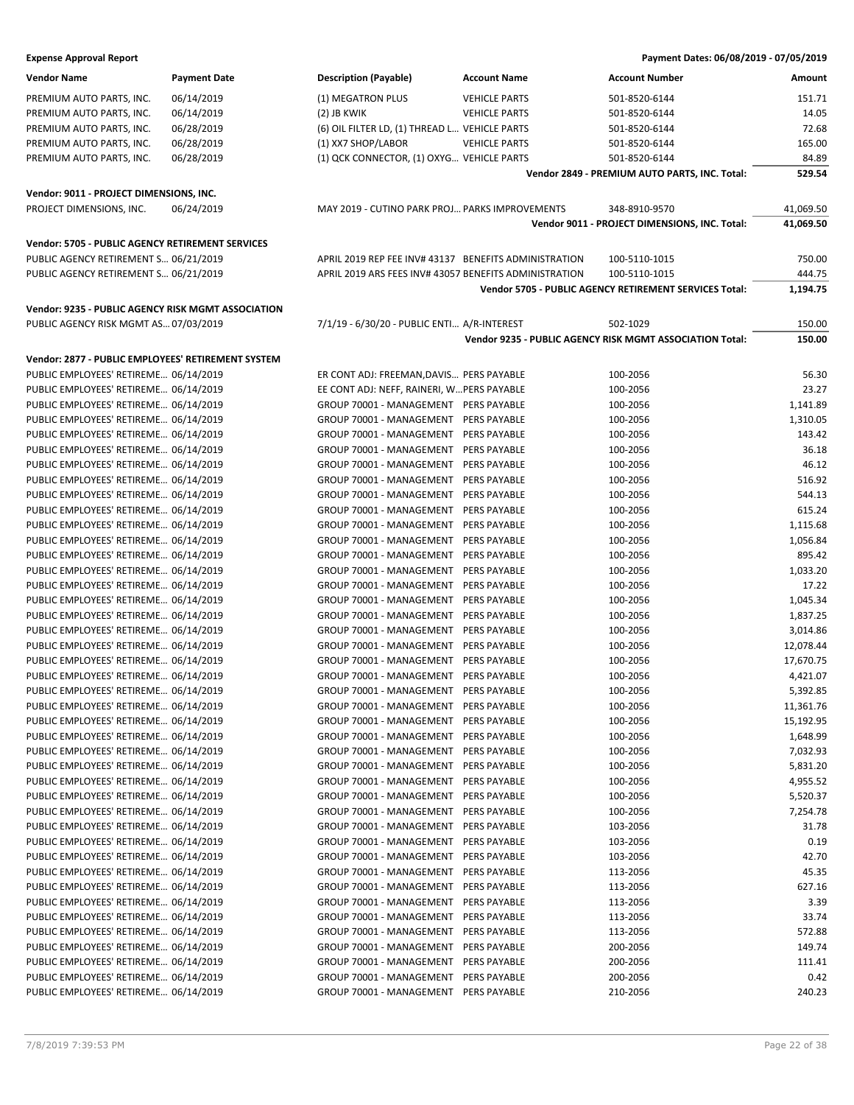| <b>Vendor Name</b>                                 | <b>Payment Date</b> | <b>Description (Payable)</b>                           | <b>Account Name</b>  | <b>Account Number</b>                                    | Amount    |
|----------------------------------------------------|---------------------|--------------------------------------------------------|----------------------|----------------------------------------------------------|-----------|
| PREMIUM AUTO PARTS, INC.                           | 06/14/2019          | (1) MEGATRON PLUS                                      | <b>VEHICLE PARTS</b> | 501-8520-6144                                            | 151.71    |
| PREMIUM AUTO PARTS, INC.                           | 06/14/2019          | (2) JB KWIK                                            | <b>VEHICLE PARTS</b> | 501-8520-6144                                            | 14.05     |
| PREMIUM AUTO PARTS, INC.                           | 06/28/2019          | (6) OIL FILTER LD, (1) THREAD L VEHICLE PARTS          |                      | 501-8520-6144                                            | 72.68     |
| PREMIUM AUTO PARTS, INC.                           | 06/28/2019          | (1) XX7 SHOP/LABOR                                     | <b>VEHICLE PARTS</b> | 501-8520-6144                                            | 165.00    |
| PREMIUM AUTO PARTS, INC.                           | 06/28/2019          | (1) QCK CONNECTOR, (1) OXYG VEHICLE PARTS              |                      | 501-8520-6144                                            | 84.89     |
|                                                    |                     |                                                        |                      | Vendor 2849 - PREMIUM AUTO PARTS, INC. Total:            | 529.54    |
|                                                    |                     |                                                        |                      |                                                          |           |
| Vendor: 9011 - PROJECT DIMENSIONS, INC.            |                     |                                                        |                      |                                                          |           |
| PROJECT DIMENSIONS, INC.                           | 06/24/2019          | MAY 2019 - CUTINO PARK PROJ PARKS IMPROVEMENTS         |                      | 348-8910-9570                                            | 41,069.50 |
|                                                    |                     |                                                        |                      | Vendor 9011 - PROJECT DIMENSIONS, INC. Total:            | 41,069.50 |
| Vendor: 5705 - PUBLIC AGENCY RETIREMENT SERVICES   |                     |                                                        |                      |                                                          |           |
| PUBLIC AGENCY RETIREMENT S 06/21/2019              |                     | APRIL 2019 REP FEE INV# 43137 BENEFITS ADMINISTRATION  |                      | 100-5110-1015                                            | 750.00    |
| PUBLIC AGENCY RETIREMENT S 06/21/2019              |                     | APRIL 2019 ARS FEES INV# 43057 BENEFITS ADMINISTRATION |                      | 100-5110-1015                                            | 444.75    |
|                                                    |                     |                                                        |                      | Vendor 5705 - PUBLIC AGENCY RETIREMENT SERVICES Total:   | 1,194.75  |
|                                                    |                     |                                                        |                      |                                                          |           |
| Vendor: 9235 - PUBLIC AGENCY RISK MGMT ASSOCIATION |                     |                                                        |                      |                                                          |           |
| PUBLIC AGENCY RISK MGMT AS 07/03/2019              |                     | 7/1/19 - 6/30/20 - PUBLIC ENTI A/R-INTEREST            |                      | 502-1029                                                 | 150.00    |
|                                                    |                     |                                                        |                      | Vendor 9235 - PUBLIC AGENCY RISK MGMT ASSOCIATION Total: | 150.00    |
| Vendor: 2877 - PUBLIC EMPLOYEES' RETIREMENT SYSTEM |                     |                                                        |                      |                                                          |           |
| PUBLIC EMPLOYEES' RETIREME 06/14/2019              |                     | ER CONT ADJ: FREEMAN, DAVIS PERS PAYABLE               |                      | 100-2056                                                 | 56.30     |
| PUBLIC EMPLOYEES' RETIREME 06/14/2019              |                     | EE CONT ADJ: NEFF, RAINERI, W PERS PAYABLE             |                      | 100-2056                                                 | 23.27     |
| PUBLIC EMPLOYEES' RETIREME 06/14/2019              |                     | GROUP 70001 - MANAGEMENT PERS PAYABLE                  |                      | 100-2056                                                 | 1,141.89  |
| PUBLIC EMPLOYEES' RETIREME 06/14/2019              |                     | GROUP 70001 - MANAGEMENT PERS PAYABLE                  |                      | 100-2056                                                 | 1,310.05  |
| PUBLIC EMPLOYEES' RETIREME 06/14/2019              |                     | GROUP 70001 - MANAGEMENT PERS PAYABLE                  |                      | 100-2056                                                 | 143.42    |
| PUBLIC EMPLOYEES' RETIREME 06/14/2019              |                     | GROUP 70001 - MANAGEMENT PERS PAYABLE                  |                      | 100-2056                                                 | 36.18     |
| PUBLIC EMPLOYEES' RETIREME 06/14/2019              |                     | GROUP 70001 - MANAGEMENT PERS PAYABLE                  |                      | 100-2056                                                 | 46.12     |
| PUBLIC EMPLOYEES' RETIREME 06/14/2019              |                     | GROUP 70001 - MANAGEMENT                               | PERS PAYABLE         | 100-2056                                                 | 516.92    |
| PUBLIC EMPLOYEES' RETIREME 06/14/2019              |                     | GROUP 70001 - MANAGEMENT                               | <b>PERS PAYABLE</b>  | 100-2056                                                 | 544.13    |
| PUBLIC EMPLOYEES' RETIREME 06/14/2019              |                     | GROUP 70001 - MANAGEMENT                               | <b>PERS PAYABLE</b>  | 100-2056                                                 | 615.24    |
| PUBLIC EMPLOYEES' RETIREME 06/14/2019              |                     | GROUP 70001 - MANAGEMENT                               | PERS PAYABLE         | 100-2056                                                 | 1,115.68  |
| PUBLIC EMPLOYEES' RETIREME 06/14/2019              |                     | GROUP 70001 - MANAGEMENT                               | PERS PAYABLE         | 100-2056                                                 | 1,056.84  |
| PUBLIC EMPLOYEES' RETIREME 06/14/2019              |                     | GROUP 70001 - MANAGEMENT                               | <b>PERS PAYABLE</b>  | 100-2056                                                 | 895.42    |
| PUBLIC EMPLOYEES' RETIREME 06/14/2019              |                     | GROUP 70001 - MANAGEMENT                               | <b>PERS PAYABLE</b>  | 100-2056                                                 | 1,033.20  |
| PUBLIC EMPLOYEES' RETIREME 06/14/2019              |                     | GROUP 70001 - MANAGEMENT                               | <b>PERS PAYABLE</b>  | 100-2056                                                 | 17.22     |
| PUBLIC EMPLOYEES' RETIREME 06/14/2019              |                     | GROUP 70001 - MANAGEMENT                               | PERS PAYABLE         | 100-2056                                                 | 1,045.34  |
| PUBLIC EMPLOYEES' RETIREME 06/14/2019              |                     | GROUP 70001 - MANAGEMENT                               | PERS PAYABLE         | 100-2056                                                 | 1,837.25  |
| PUBLIC EMPLOYEES' RETIREME 06/14/2019              |                     | GROUP 70001 - MANAGEMENT                               | PERS PAYABLE         | 100-2056                                                 | 3,014.86  |
| PUBLIC EMPLOYEES' RETIREME 06/14/2019              |                     | GROUP 70001 - MANAGEMENT                               | <b>PERS PAYABLE</b>  | 100-2056                                                 | 12,078.44 |
| PUBLIC EMPLOYEES' RETIREME 06/14/2019              |                     | GROUP 70001 - MANAGEMENT                               | <b>PERS PAYABLE</b>  | 100-2056                                                 | 17,670.75 |
| PUBLIC EMPLOYEES' RETIREME 06/14/2019              |                     | GROUP 70001 - MANAGEMENT                               | PERS PAYABLE         | 100-2056                                                 | 4,421.07  |
| PUBLIC EMPLOYEES' RETIREME 06/14/2019              |                     | GROUP 70001 - MANAGEMENT                               | PERS PAYABLE         | 100-2056                                                 | 5,392.85  |
| PUBLIC EMPLOYEES' RETIREME 06/14/2019              |                     | GROUP 70001 - MANAGEMENT                               | PERS PAYABLE         | 100-2056                                                 | 11,361.76 |
| PUBLIC EMPLOYEES' RETIREME 06/14/2019              |                     | GROUP 70001 - MANAGEMENT                               | PERS PAYABLE         | 100-2056                                                 | 15,192.95 |
| PUBLIC EMPLOYEES' RETIREME 06/14/2019              |                     | GROUP 70001 - MANAGEMENT                               | PERS PAYABLE         | 100-2056                                                 | 1,648.99  |
| PUBLIC EMPLOYEES' RETIREME 06/14/2019              |                     | GROUP 70001 - MANAGEMENT                               | PERS PAYABLE         | 100-2056                                                 | 7,032.93  |
| PUBLIC EMPLOYEES' RETIREME 06/14/2019              |                     |                                                        |                      | 100-2056                                                 |           |
|                                                    |                     | GROUP 70001 - MANAGEMENT                               | PERS PAYABLE         |                                                          | 5,831.20  |
| PUBLIC EMPLOYEES' RETIREME 06/14/2019              |                     | GROUP 70001 - MANAGEMENT                               | PERS PAYABLE         | 100-2056                                                 | 4,955.52  |
| PUBLIC EMPLOYEES' RETIREME 06/14/2019              |                     | GROUP 70001 - MANAGEMENT                               | PERS PAYABLE         | 100-2056                                                 | 5,520.37  |
| PUBLIC EMPLOYEES' RETIREME 06/14/2019              |                     | GROUP 70001 - MANAGEMENT                               | PERS PAYABLE         | 100-2056                                                 | 7,254.78  |
| PUBLIC EMPLOYEES' RETIREME 06/14/2019              |                     | GROUP 70001 - MANAGEMENT                               | PERS PAYABLE         | 103-2056                                                 | 31.78     |
| PUBLIC EMPLOYEES' RETIREME 06/14/2019              |                     | GROUP 70001 - MANAGEMENT                               | PERS PAYABLE         | 103-2056                                                 | 0.19      |
| PUBLIC EMPLOYEES' RETIREME 06/14/2019              |                     | GROUP 70001 - MANAGEMENT                               | PERS PAYABLE         | 103-2056                                                 | 42.70     |
| PUBLIC EMPLOYEES' RETIREME 06/14/2019              |                     | GROUP 70001 - MANAGEMENT                               | PERS PAYABLE         | 113-2056                                                 | 45.35     |
| PUBLIC EMPLOYEES' RETIREME 06/14/2019              |                     | GROUP 70001 - MANAGEMENT                               | PERS PAYABLE         | 113-2056                                                 | 627.16    |
| PUBLIC EMPLOYEES' RETIREME 06/14/2019              |                     | GROUP 70001 - MANAGEMENT                               | PERS PAYABLE         | 113-2056                                                 | 3.39      |
| PUBLIC EMPLOYEES' RETIREME 06/14/2019              |                     | GROUP 70001 - MANAGEMENT                               | PERS PAYABLE         | 113-2056                                                 | 33.74     |
| PUBLIC EMPLOYEES' RETIREME 06/14/2019              |                     | GROUP 70001 - MANAGEMENT                               | PERS PAYABLE         | 113-2056                                                 | 572.88    |
| PUBLIC EMPLOYEES' RETIREME 06/14/2019              |                     | GROUP 70001 - MANAGEMENT                               | PERS PAYABLE         | 200-2056                                                 | 149.74    |
| PUBLIC EMPLOYEES' RETIREME 06/14/2019              |                     | GROUP 70001 - MANAGEMENT                               | PERS PAYABLE         | 200-2056                                                 | 111.41    |
| PUBLIC EMPLOYEES' RETIREME 06/14/2019              |                     | GROUP 70001 - MANAGEMENT                               | PERS PAYABLE         | 200-2056                                                 | 0.42      |
| PUBLIC EMPLOYEES' RETIREME 06/14/2019              |                     | GROUP 70001 - MANAGEMENT PERS PAYABLE                  |                      | 210-2056                                                 | 240.23    |
|                                                    |                     |                                                        |                      |                                                          |           |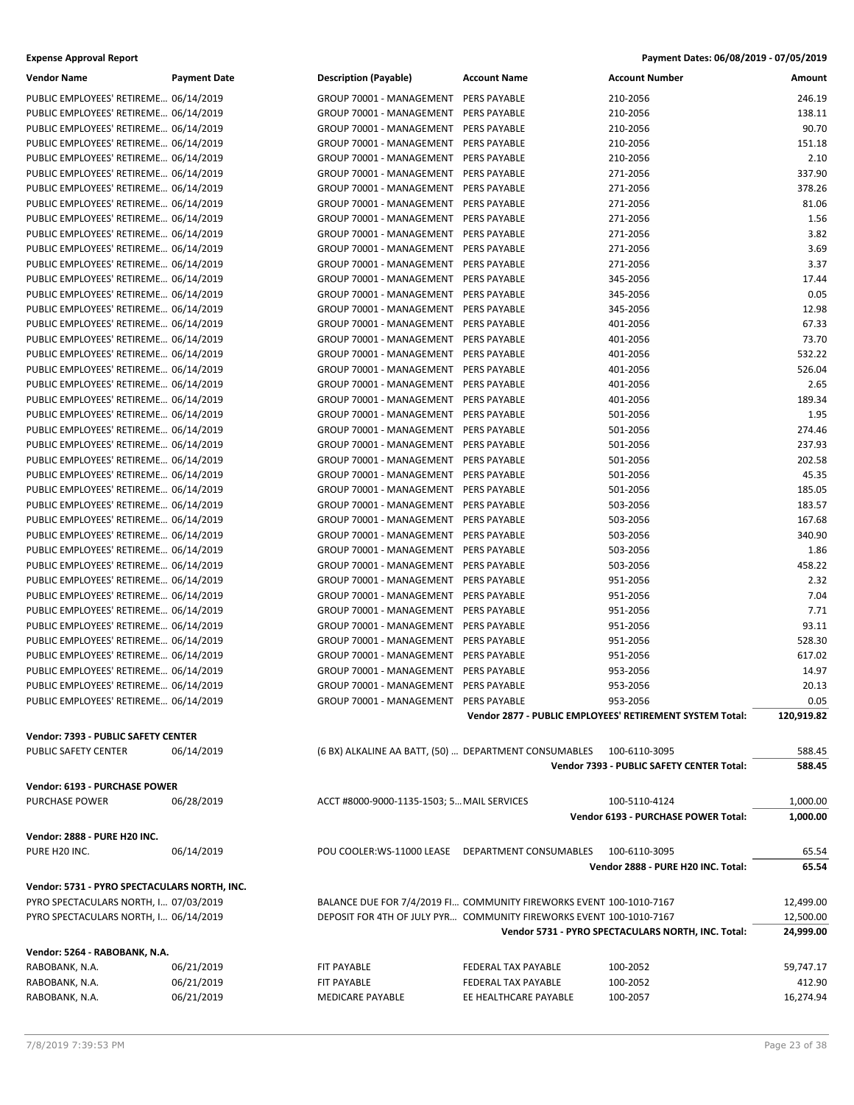| <b>Vendor Name</b>                                                             | <b>Payment Date</b>      | <b>Description (Payable)</b>                          | <b>Account Name</b>                                                 | <b>Account Number</b>                                    | Amount              |
|--------------------------------------------------------------------------------|--------------------------|-------------------------------------------------------|---------------------------------------------------------------------|----------------------------------------------------------|---------------------|
| PUBLIC EMPLOYEES' RETIREME 06/14/2019                                          |                          | GROUP 70001 - MANAGEMENT                              | <b>PERS PAYABLE</b>                                                 | 210-2056                                                 | 246.19              |
| PUBLIC EMPLOYEES' RETIREME 06/14/2019                                          |                          | GROUP 70001 - MANAGEMENT                              | PERS PAYABLE                                                        | 210-2056                                                 | 138.11              |
| PUBLIC EMPLOYEES' RETIREME 06/14/2019                                          |                          | GROUP 70001 - MANAGEMENT                              | PERS PAYABLE                                                        | 210-2056                                                 | 90.70               |
| PUBLIC EMPLOYEES' RETIREME 06/14/2019                                          |                          | GROUP 70001 - MANAGEMENT                              | PERS PAYABLE                                                        | 210-2056                                                 | 151.18              |
| PUBLIC EMPLOYEES' RETIREME 06/14/2019                                          |                          | GROUP 70001 - MANAGEMENT                              | PERS PAYABLE                                                        | 210-2056                                                 | 2.10                |
| PUBLIC EMPLOYEES' RETIREME 06/14/2019                                          |                          | GROUP 70001 - MANAGEMENT                              | PERS PAYABLE                                                        | 271-2056                                                 | 337.90              |
| PUBLIC EMPLOYEES' RETIREME 06/14/2019                                          |                          | GROUP 70001 - MANAGEMENT                              | PERS PAYABLE                                                        | 271-2056                                                 | 378.26              |
| PUBLIC EMPLOYEES' RETIREME 06/14/2019                                          |                          | GROUP 70001 - MANAGEMENT                              | <b>PERS PAYABLE</b>                                                 | 271-2056                                                 | 81.06               |
| PUBLIC EMPLOYEES' RETIREME 06/14/2019                                          |                          | GROUP 70001 - MANAGEMENT                              | PERS PAYABLE                                                        | 271-2056                                                 | 1.56                |
| PUBLIC EMPLOYEES' RETIREME 06/14/2019                                          |                          | GROUP 70001 - MANAGEMENT                              | PERS PAYABLE                                                        | 271-2056                                                 | 3.82                |
| PUBLIC EMPLOYEES' RETIREME 06/14/2019                                          |                          | GROUP 70001 - MANAGEMENT                              | PERS PAYABLE                                                        | 271-2056                                                 | 3.69                |
| PUBLIC EMPLOYEES' RETIREME 06/14/2019                                          |                          | GROUP 70001 - MANAGEMENT                              | PERS PAYABLE                                                        | 271-2056                                                 | 3.37                |
| PUBLIC EMPLOYEES' RETIREME 06/14/2019                                          |                          | GROUP 70001 - MANAGEMENT                              | PERS PAYABLE                                                        | 345-2056                                                 | 17.44               |
| PUBLIC EMPLOYEES' RETIREME 06/14/2019                                          |                          | GROUP 70001 - MANAGEMENT                              | PERS PAYABLE                                                        | 345-2056                                                 | 0.05                |
| PUBLIC EMPLOYEES' RETIREME 06/14/2019                                          |                          | GROUP 70001 - MANAGEMENT                              | PERS PAYABLE                                                        | 345-2056                                                 | 12.98               |
| PUBLIC EMPLOYEES' RETIREME 06/14/2019                                          |                          | GROUP 70001 - MANAGEMENT                              | PERS PAYABLE                                                        | 401-2056                                                 | 67.33               |
| PUBLIC EMPLOYEES' RETIREME 06/14/2019                                          |                          | GROUP 70001 - MANAGEMENT                              | PERS PAYABLE                                                        | 401-2056                                                 | 73.70               |
| PUBLIC EMPLOYEES' RETIREME 06/14/2019                                          |                          | GROUP 70001 - MANAGEMENT                              | <b>PERS PAYABLE</b>                                                 | 401-2056                                                 | 532.22              |
| PUBLIC EMPLOYEES' RETIREME 06/14/2019                                          |                          | GROUP 70001 - MANAGEMENT                              | PERS PAYABLE                                                        | 401-2056                                                 | 526.04              |
| PUBLIC EMPLOYEES' RETIREME 06/14/2019                                          |                          | GROUP 70001 - MANAGEMENT                              | PERS PAYABLE                                                        | 401-2056                                                 | 2.65                |
| PUBLIC EMPLOYEES' RETIREME 06/14/2019                                          |                          | GROUP 70001 - MANAGEMENT                              | PERS PAYABLE                                                        | 401-2056                                                 | 189.34              |
| PUBLIC EMPLOYEES' RETIREME 06/14/2019                                          |                          | GROUP 70001 - MANAGEMENT                              | PERS PAYABLE                                                        | 501-2056                                                 | 1.95                |
| PUBLIC EMPLOYEES' RETIREME 06/14/2019                                          |                          | GROUP 70001 - MANAGEMENT                              | PERS PAYABLE                                                        | 501-2056                                                 | 274.46              |
| PUBLIC EMPLOYEES' RETIREME 06/14/2019                                          |                          | GROUP 70001 - MANAGEMENT                              | PERS PAYABLE                                                        | 501-2056                                                 | 237.93              |
| PUBLIC EMPLOYEES' RETIREME 06/14/2019                                          |                          | GROUP 70001 - MANAGEMENT                              | PERS PAYABLE                                                        | 501-2056                                                 | 202.58              |
| PUBLIC EMPLOYEES' RETIREME 06/14/2019                                          |                          | GROUP 70001 - MANAGEMENT                              | PERS PAYABLE                                                        | 501-2056                                                 | 45.35               |
| PUBLIC EMPLOYEES' RETIREME 06/14/2019                                          |                          | GROUP 70001 - MANAGEMENT                              | PERS PAYABLE                                                        | 501-2056                                                 | 185.05              |
| PUBLIC EMPLOYEES' RETIREME 06/14/2019                                          |                          | GROUP 70001 - MANAGEMENT                              | <b>PERS PAYABLE</b>                                                 | 503-2056                                                 | 183.57              |
| PUBLIC EMPLOYEES' RETIREME 06/14/2019                                          |                          | GROUP 70001 - MANAGEMENT                              | PERS PAYABLE                                                        | 503-2056                                                 | 167.68              |
| PUBLIC EMPLOYEES' RETIREME 06/14/2019                                          |                          | GROUP 70001 - MANAGEMENT                              | PERS PAYABLE                                                        | 503-2056                                                 | 340.90              |
| PUBLIC EMPLOYEES' RETIREME 06/14/2019                                          |                          | GROUP 70001 - MANAGEMENT                              | PERS PAYABLE                                                        | 503-2056                                                 | 1.86                |
| PUBLIC EMPLOYEES' RETIREME 06/14/2019                                          |                          | GROUP 70001 - MANAGEMENT                              | PERS PAYABLE                                                        | 503-2056                                                 | 458.22              |
| PUBLIC EMPLOYEES' RETIREME 06/14/2019                                          |                          | GROUP 70001 - MANAGEMENT                              | PERS PAYABLE                                                        | 951-2056                                                 | 2.32                |
| PUBLIC EMPLOYEES' RETIREME 06/14/2019                                          |                          | GROUP 70001 - MANAGEMENT                              | PERS PAYABLE                                                        | 951-2056                                                 | 7.04                |
| PUBLIC EMPLOYEES' RETIREME 06/14/2019                                          |                          | GROUP 70001 - MANAGEMENT                              | PERS PAYABLE                                                        | 951-2056                                                 | 7.71                |
| PUBLIC EMPLOYEES' RETIREME 06/14/2019<br>PUBLIC EMPLOYEES' RETIREME 06/14/2019 |                          | GROUP 70001 - MANAGEMENT                              | PERS PAYABLE                                                        | 951-2056                                                 | 93.11               |
|                                                                                |                          | GROUP 70001 - MANAGEMENT                              | PERS PAYABLE                                                        | 951-2056<br>951-2056                                     | 528.30              |
| PUBLIC EMPLOYEES' RETIREME 06/14/2019<br>PUBLIC EMPLOYEES' RETIREME 06/14/2019 |                          | GROUP 70001 - MANAGEMENT<br>GROUP 70001 - MANAGEMENT  | PERS PAYABLE<br>PERS PAYABLE                                        | 953-2056                                                 | 617.02<br>14.97     |
| PUBLIC EMPLOYEES' RETIREME 06/14/2019                                          |                          | GROUP 70001 - MANAGEMENT PERS PAYABLE                 |                                                                     | 953-2056                                                 | 20.13               |
| PUBLIC EMPLOYEES' RETIREME 06/14/2019                                          |                          | GROUP 70001 - MANAGEMENT PERS PAYABLE                 |                                                                     | 953-2056                                                 | 0.05                |
|                                                                                |                          |                                                       |                                                                     | Vendor 2877 - PUBLIC EMPLOYEES' RETIREMENT SYSTEM Total: | 120,919.82          |
|                                                                                |                          |                                                       |                                                                     |                                                          |                     |
| Vendor: 7393 - PUBLIC SAFETY CENTER                                            |                          |                                                       |                                                                     |                                                          |                     |
| PUBLIC SAFETY CENTER                                                           | 06/14/2019               | (6 BX) ALKALINE AA BATT, (50)  DEPARTMENT CONSUMABLES |                                                                     | 100-6110-3095                                            | 588.45              |
|                                                                                |                          |                                                       |                                                                     | Vendor 7393 - PUBLIC SAFETY CENTER Total:                | 588.45              |
| Vendor: 6193 - PURCHASE POWER                                                  |                          |                                                       |                                                                     |                                                          |                     |
| <b>PURCHASE POWER</b>                                                          | 06/28/2019               | ACCT #8000-9000-1135-1503; 5 MAIL SERVICES            |                                                                     | 100-5110-4124                                            | 1,000.00            |
|                                                                                |                          |                                                       |                                                                     | Vendor 6193 - PURCHASE POWER Total:                      | 1,000.00            |
| Vendor: 2888 - PURE H20 INC.                                                   |                          |                                                       |                                                                     |                                                          |                     |
| PURE H20 INC.                                                                  | 06/14/2019               | POU COOLER:WS-11000 LEASE DEPARTMENT CONSUMABLES      |                                                                     | 100-6110-3095                                            | 65.54               |
|                                                                                |                          |                                                       |                                                                     | Vendor 2888 - PURE H20 INC. Total:                       | 65.54               |
| Vendor: 5731 - PYRO SPECTACULARS NORTH, INC.                                   |                          |                                                       |                                                                     |                                                          |                     |
| PYRO SPECTACULARS NORTH, I 07/03/2019                                          |                          |                                                       | BALANCE DUE FOR 7/4/2019 Fl COMMUNITY FIREWORKS EVENT 100-1010-7167 |                                                          | 12,499.00           |
| PYRO SPECTACULARS NORTH, I 06/14/2019                                          |                          |                                                       | DEPOSIT FOR 4TH OF JULY PYR COMMUNITY FIREWORKS EVENT 100-1010-7167 |                                                          | 12,500.00           |
|                                                                                |                          |                                                       |                                                                     | Vendor 5731 - PYRO SPECTACULARS NORTH, INC. Total:       | 24,999.00           |
|                                                                                |                          |                                                       |                                                                     |                                                          |                     |
| Vendor: 5264 - RABOBANK, N.A.                                                  |                          |                                                       |                                                                     |                                                          |                     |
| RABOBANK, N.A.                                                                 | 06/21/2019               | FIT PAYABLE                                           | FEDERAL TAX PAYABLE                                                 | 100-2052                                                 | 59,747.17           |
| RABOBANK, N.A.                                                                 | 06/21/2019<br>06/21/2019 | FIT PAYABLE                                           | FEDERAL TAX PAYABLE<br>EE HEALTHCARE PAYABLE                        | 100-2052<br>100-2057                                     | 412.90<br>16,274.94 |
| RABOBANK, N.A.                                                                 |                          | MEDICARE PAYABLE                                      |                                                                     |                                                          |                     |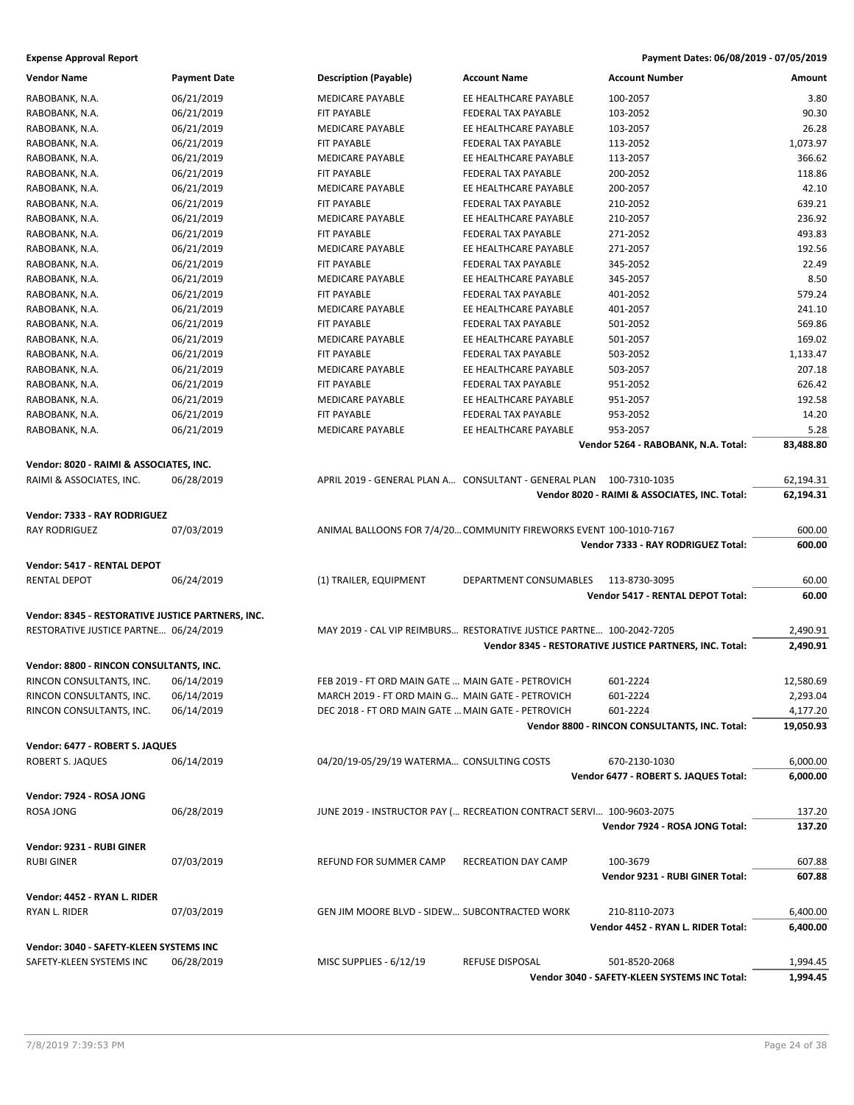| <b>Vendor Name</b>                                | <b>Payment Date</b> | <b>Description (Payable)</b>                       | <b>Account Name</b>                                                  | <b>Account Number</b>                                   | Amount    |
|---------------------------------------------------|---------------------|----------------------------------------------------|----------------------------------------------------------------------|---------------------------------------------------------|-----------|
| RABOBANK, N.A.                                    | 06/21/2019          | <b>MEDICARE PAYABLE</b>                            | EE HEALTHCARE PAYABLE                                                | 100-2057                                                | 3.80      |
| RABOBANK, N.A.                                    | 06/21/2019          | FIT PAYABLE                                        | FEDERAL TAX PAYABLE                                                  | 103-2052                                                | 90.30     |
| RABOBANK, N.A.                                    | 06/21/2019          | MEDICARE PAYABLE                                   | EE HEALTHCARE PAYABLE                                                | 103-2057                                                | 26.28     |
| RABOBANK, N.A.                                    | 06/21/2019          | FIT PAYABLE                                        | <b>FEDERAL TAX PAYABLE</b>                                           | 113-2052                                                | 1,073.97  |
| RABOBANK, N.A.                                    | 06/21/2019          | <b>MEDICARE PAYABLE</b>                            | EE HEALTHCARE PAYABLE                                                | 113-2057                                                | 366.62    |
| RABOBANK, N.A.                                    | 06/21/2019          | FIT PAYABLE                                        | FEDERAL TAX PAYABLE                                                  | 200-2052                                                | 118.86    |
| RABOBANK, N.A.                                    | 06/21/2019          | MEDICARE PAYABLE                                   | EE HEALTHCARE PAYABLE                                                | 200-2057                                                | 42.10     |
| RABOBANK, N.A.                                    | 06/21/2019          | FIT PAYABLE                                        | FEDERAL TAX PAYABLE                                                  | 210-2052                                                | 639.21    |
| RABOBANK, N.A.                                    | 06/21/2019          | <b>MEDICARE PAYABLE</b>                            | EE HEALTHCARE PAYABLE                                                | 210-2057                                                | 236.92    |
| RABOBANK, N.A.                                    | 06/21/2019          | FIT PAYABLE                                        | FEDERAL TAX PAYABLE                                                  | 271-2052                                                | 493.83    |
| RABOBANK, N.A.                                    | 06/21/2019          | MEDICARE PAYABLE                                   | EE HEALTHCARE PAYABLE                                                | 271-2057                                                | 192.56    |
| RABOBANK, N.A.                                    | 06/21/2019          | FIT PAYABLE                                        | FEDERAL TAX PAYABLE                                                  | 345-2052                                                | 22.49     |
| RABOBANK, N.A.                                    | 06/21/2019          | MEDICARE PAYABLE                                   | EE HEALTHCARE PAYABLE                                                | 345-2057                                                | 8.50      |
| RABOBANK, N.A.                                    | 06/21/2019          | FIT PAYABLE                                        | FEDERAL TAX PAYABLE                                                  | 401-2052                                                | 579.24    |
| RABOBANK, N.A.                                    | 06/21/2019          | <b>MEDICARE PAYABLE</b>                            | EE HEALTHCARE PAYABLE                                                | 401-2057                                                | 241.10    |
| RABOBANK, N.A.                                    | 06/21/2019          | FIT PAYABLE                                        | FEDERAL TAX PAYABLE                                                  | 501-2052                                                | 569.86    |
| RABOBANK, N.A.                                    | 06/21/2019          | MEDICARE PAYABLE                                   | EE HEALTHCARE PAYABLE                                                | 501-2057                                                | 169.02    |
| RABOBANK, N.A.                                    | 06/21/2019          | <b>FIT PAYABLE</b>                                 | FEDERAL TAX PAYABLE                                                  | 503-2052                                                | 1,133.47  |
| RABOBANK, N.A.                                    | 06/21/2019          | <b>MEDICARE PAYABLE</b>                            | EE HEALTHCARE PAYABLE                                                | 503-2057                                                | 207.18    |
| RABOBANK, N.A.                                    | 06/21/2019          | FIT PAYABLE                                        | FEDERAL TAX PAYABLE                                                  | 951-2052                                                | 626.42    |
| RABOBANK, N.A.                                    | 06/21/2019          | <b>MEDICARE PAYABLE</b>                            | EE HEALTHCARE PAYABLE                                                | 951-2057                                                | 192.58    |
| RABOBANK, N.A.                                    | 06/21/2019          | FIT PAYABLE                                        | FEDERAL TAX PAYABLE                                                  | 953-2052                                                | 14.20     |
| RABOBANK, N.A.                                    | 06/21/2019          | MEDICARE PAYABLE                                   | EE HEALTHCARE PAYABLE                                                | 953-2057                                                | 5.28      |
|                                                   |                     |                                                    |                                                                      | Vendor 5264 - RABOBANK, N.A. Total:                     | 83,488.80 |
|                                                   |                     |                                                    |                                                                      |                                                         |           |
| Vendor: 8020 - RAIMI & ASSOCIATES, INC.           |                     |                                                    |                                                                      |                                                         |           |
| RAIMI & ASSOCIATES, INC.                          | 06/28/2019          |                                                    | APRIL 2019 - GENERAL PLAN A CONSULTANT - GENERAL PLAN 100-7310-1035  |                                                         | 62,194.31 |
|                                                   |                     |                                                    |                                                                      | Vendor 8020 - RAIMI & ASSOCIATES, INC. Total:           | 62,194.31 |
| Vendor: 7333 - RAY RODRIGUEZ                      |                     |                                                    |                                                                      |                                                         |           |
| <b>RAY RODRIGUEZ</b>                              | 07/03/2019          |                                                    | ANIMAL BALLOONS FOR 7/4/20 COMMUNITY FIREWORKS EVENT 100-1010-7167   |                                                         | 600.00    |
|                                                   |                     |                                                    |                                                                      | Vendor 7333 - RAY RODRIGUEZ Total:                      | 600.00    |
| Vendor: 5417 - RENTAL DEPOT                       |                     |                                                    |                                                                      |                                                         |           |
| <b>RENTAL DEPOT</b>                               | 06/24/2019          | (1) TRAILER, EQUIPMENT                             | DEPARTMENT CONSUMABLES                                               | 113-8730-3095                                           | 60.00     |
|                                                   |                     |                                                    |                                                                      | Vendor 5417 - RENTAL DEPOT Total:                       | 60.00     |
| Vendor: 8345 - RESTORATIVE JUSTICE PARTNERS, INC. |                     |                                                    |                                                                      |                                                         |           |
| RESTORATIVE JUSTICE PARTNE 06/24/2019             |                     |                                                    | MAY 2019 - CAL VIP REIMBURS RESTORATIVE JUSTICE PARTNE 100-2042-7205 |                                                         | 2,490.91  |
|                                                   |                     |                                                    |                                                                      | Vendor 8345 - RESTORATIVE JUSTICE PARTNERS, INC. Total: | 2,490.91  |
| Vendor: 8800 - RINCON CONSULTANTS, INC.           |                     |                                                    |                                                                      |                                                         |           |
| RINCON CONSULTANTS, INC.                          | 06/14/2019          | FEB 2019 - FT ORD MAIN GATE  MAIN GATE - PETROVICH |                                                                      | 601-2224                                                | 12,580.69 |
| RINCON CONSULTANTS, INC.                          | 06/14/2019          | MARCH 2019 - FT ORD MAIN G MAIN GATE - PETROVICH   |                                                                      | 601-2224                                                | 2,293.04  |
| RINCON CONSULTANTS, INC.                          | 06/14/2019          | DEC 2018 - FT ORD MAIN GATE  MAIN GATE - PETROVICH |                                                                      | 601-2224                                                | 4,177.20  |
|                                                   |                     |                                                    |                                                                      | Vendor 8800 - RINCON CONSULTANTS, INC. Total:           | 19,050.93 |
|                                                   |                     |                                                    |                                                                      |                                                         |           |
| Vendor: 6477 - ROBERT S. JAQUES                   |                     |                                                    |                                                                      |                                                         |           |
| ROBERT S. JAQUES                                  | 06/14/2019          | 04/20/19-05/29/19 WATERMA CONSULTING COSTS         |                                                                      | 670-2130-1030                                           | 6,000.00  |
|                                                   |                     |                                                    |                                                                      | Vendor 6477 - ROBERT S. JAQUES Total:                   | 6,000.00  |
| Vendor: 7924 - ROSA JONG                          |                     |                                                    |                                                                      |                                                         |           |
| <b>ROSA JONG</b>                                  | 06/28/2019          |                                                    | JUNE 2019 - INSTRUCTOR PAY ( RECREATION CONTRACT SERVI 100-9603-2075 |                                                         | 137.20    |
|                                                   |                     |                                                    |                                                                      | Vendor 7924 - ROSA JONG Total:                          | 137.20    |
| Vendor: 9231 - RUBI GINER                         |                     |                                                    |                                                                      |                                                         |           |
| <b>RUBI GINER</b>                                 | 07/03/2019          | REFUND FOR SUMMER CAMP                             | RECREATION DAY CAMP                                                  | 100-3679                                                | 607.88    |
|                                                   |                     |                                                    |                                                                      | Vendor 9231 - RUBI GINER Total:                         | 607.88    |
|                                                   |                     |                                                    |                                                                      |                                                         |           |
| Vendor: 4452 - RYAN L. RIDER                      |                     |                                                    |                                                                      |                                                         |           |
| RYAN L. RIDER                                     | 07/03/2019          | GEN JIM MOORE BLVD - SIDEW SUBCONTRACTED WORK      |                                                                      | 210-8110-2073                                           | 6,400.00  |
|                                                   |                     |                                                    |                                                                      | Vendor 4452 - RYAN L. RIDER Total:                      | 6,400.00  |
| Vendor: 3040 - SAFETY-KLEEN SYSTEMS INC           |                     |                                                    |                                                                      |                                                         |           |
| SAFETY-KLEEN SYSTEMS INC                          | 06/28/2019          | MISC SUPPLIES - 6/12/19                            | REFUSE DISPOSAL                                                      | 501-8520-2068                                           | 1,994.45  |
|                                                   |                     |                                                    |                                                                      | Vendor 3040 - SAFETY-KLEEN SYSTEMS INC Total:           | 1,994.45  |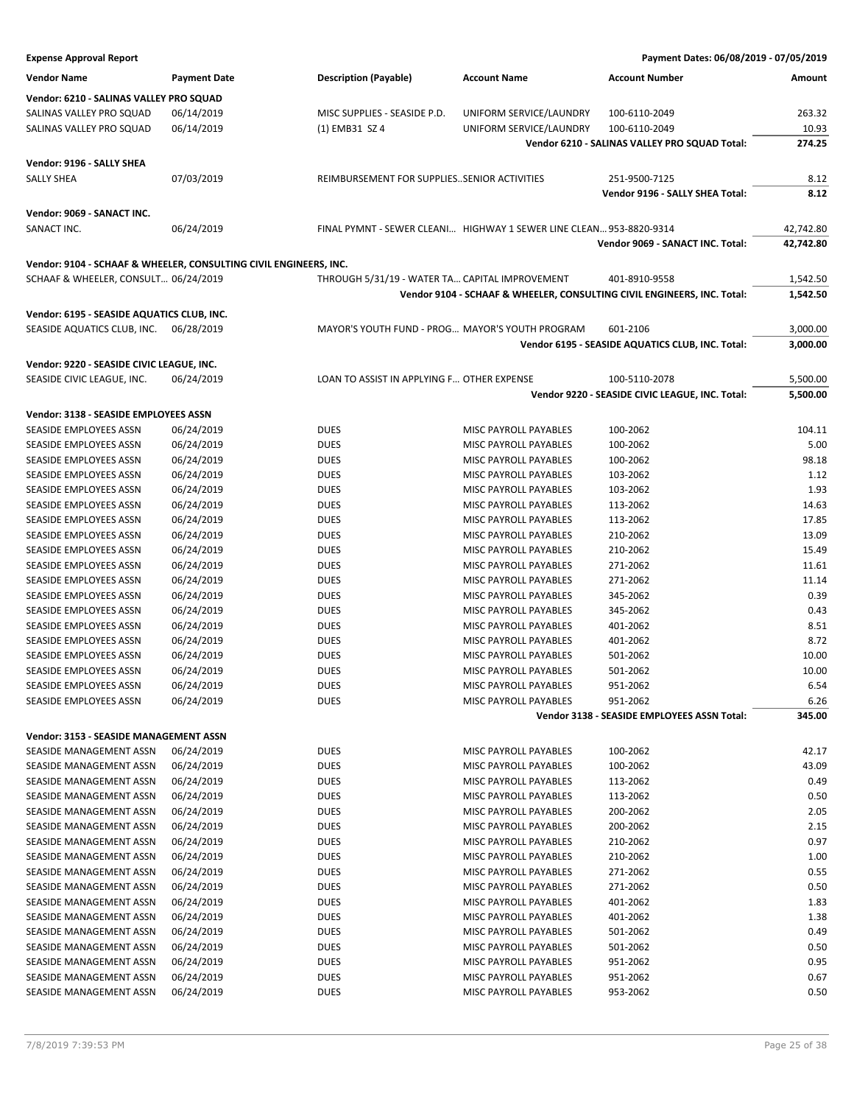| <b>Vendor Name</b>                         | <b>Payment Date</b>                                               | <b>Description (Payable)</b>                    | <b>Account Name</b>                                                 | <b>Account Number</b>                                                   | Amount    |
|--------------------------------------------|-------------------------------------------------------------------|-------------------------------------------------|---------------------------------------------------------------------|-------------------------------------------------------------------------|-----------|
| Vendor: 6210 - SALINAS VALLEY PRO SQUAD    |                                                                   |                                                 |                                                                     |                                                                         |           |
| SALINAS VALLEY PRO SQUAD                   | 06/14/2019                                                        | MISC SUPPLIES - SEASIDE P.D.                    | UNIFORM SERVICE/LAUNDRY                                             | 100-6110-2049                                                           | 263.32    |
| SALINAS VALLEY PRO SQUAD                   | 06/14/2019                                                        | (1) EMB31 SZ 4                                  | UNIFORM SERVICE/LAUNDRY                                             | 100-6110-2049                                                           | 10.93     |
|                                            |                                                                   |                                                 |                                                                     | Vendor 6210 - SALINAS VALLEY PRO SQUAD Total:                           | 274.25    |
|                                            |                                                                   |                                                 |                                                                     |                                                                         |           |
| Vendor: 9196 - SALLY SHEA                  |                                                                   |                                                 |                                                                     |                                                                         |           |
| <b>SALLY SHEA</b>                          | 07/03/2019                                                        | REIMBURSEMENT FOR SUPPLIESSENIOR ACTIVITIES     |                                                                     | 251-9500-7125                                                           | 8.12      |
|                                            |                                                                   |                                                 |                                                                     | Vendor 9196 - SALLY SHEA Total:                                         | 8.12      |
| Vendor: 9069 - SANACT INC.                 |                                                                   |                                                 |                                                                     |                                                                         |           |
| SANACT INC.                                | 06/24/2019                                                        |                                                 | FINAL PYMNT - SEWER CLEANI HIGHWAY 1 SEWER LINE CLEAN 953-8820-9314 |                                                                         | 42,742.80 |
|                                            |                                                                   |                                                 |                                                                     | Vendor 9069 - SANACT INC. Total:                                        | 42,742.80 |
|                                            |                                                                   |                                                 |                                                                     |                                                                         |           |
|                                            | Vendor: 9104 - SCHAAF & WHEELER, CONSULTING CIVIL ENGINEERS, INC. |                                                 |                                                                     |                                                                         |           |
| SCHAAF & WHEELER, CONSULT 06/24/2019       |                                                                   | THROUGH 5/31/19 - WATER TA CAPITAL IMPROVEMENT  |                                                                     | 401-8910-9558                                                           | 1,542.50  |
|                                            |                                                                   |                                                 |                                                                     | Vendor 9104 - SCHAAF & WHEELER, CONSULTING CIVIL ENGINEERS, INC. Total: | 1,542.50  |
| Vendor: 6195 - SEASIDE AQUATICS CLUB, INC. |                                                                   |                                                 |                                                                     |                                                                         |           |
| SEASIDE AQUATICS CLUB, INC.                | 06/28/2019                                                        | MAYOR'S YOUTH FUND - PROG MAYOR'S YOUTH PROGRAM |                                                                     | 601-2106                                                                | 3,000.00  |
|                                            |                                                                   |                                                 |                                                                     | Vendor 6195 - SEASIDE AQUATICS CLUB, INC. Total:                        | 3,000.00  |
| Vendor: 9220 - SEASIDE CIVIC LEAGUE, INC.  |                                                                   |                                                 |                                                                     |                                                                         |           |
|                                            |                                                                   |                                                 |                                                                     |                                                                         |           |
| SEASIDE CIVIC LEAGUE, INC.                 | 06/24/2019                                                        | LOAN TO ASSIST IN APPLYING F OTHER EXPENSE      |                                                                     | 100-5110-2078                                                           | 5,500.00  |
|                                            |                                                                   |                                                 |                                                                     | Vendor 9220 - SEASIDE CIVIC LEAGUE, INC. Total:                         | 5,500.00  |
| Vendor: 3138 - SEASIDE EMPLOYEES ASSN      |                                                                   |                                                 |                                                                     |                                                                         |           |
| SEASIDE EMPLOYEES ASSN                     | 06/24/2019                                                        | <b>DUES</b>                                     | MISC PAYROLL PAYABLES                                               | 100-2062                                                                | 104.11    |
| SEASIDE EMPLOYEES ASSN                     | 06/24/2019                                                        | <b>DUES</b>                                     | <b>MISC PAYROLL PAYABLES</b>                                        | 100-2062                                                                | 5.00      |
| SEASIDE EMPLOYEES ASSN                     | 06/24/2019                                                        | <b>DUES</b>                                     | MISC PAYROLL PAYABLES                                               | 100-2062                                                                | 98.18     |
| SEASIDE EMPLOYEES ASSN                     | 06/24/2019                                                        | <b>DUES</b>                                     | MISC PAYROLL PAYABLES                                               | 103-2062                                                                | 1.12      |
| SEASIDE EMPLOYEES ASSN                     | 06/24/2019                                                        | <b>DUES</b>                                     | MISC PAYROLL PAYABLES                                               | 103-2062                                                                | 1.93      |
| SEASIDE EMPLOYEES ASSN                     | 06/24/2019                                                        | <b>DUES</b>                                     | MISC PAYROLL PAYABLES                                               | 113-2062                                                                | 14.63     |
| SEASIDE EMPLOYEES ASSN                     | 06/24/2019                                                        | <b>DUES</b>                                     | MISC PAYROLL PAYABLES                                               | 113-2062                                                                | 17.85     |
| SEASIDE EMPLOYEES ASSN                     | 06/24/2019                                                        | <b>DUES</b>                                     | MISC PAYROLL PAYABLES                                               | 210-2062                                                                | 13.09     |
| SEASIDE EMPLOYEES ASSN                     | 06/24/2019                                                        | <b>DUES</b>                                     | MISC PAYROLL PAYABLES                                               | 210-2062                                                                | 15.49     |
| SEASIDE EMPLOYEES ASSN                     | 06/24/2019                                                        | <b>DUES</b>                                     | MISC PAYROLL PAYABLES                                               | 271-2062                                                                | 11.61     |
| SEASIDE EMPLOYEES ASSN                     | 06/24/2019                                                        | <b>DUES</b>                                     | MISC PAYROLL PAYABLES                                               | 271-2062                                                                | 11.14     |
| SEASIDE EMPLOYEES ASSN                     | 06/24/2019                                                        | <b>DUES</b>                                     | MISC PAYROLL PAYABLES                                               | 345-2062                                                                | 0.39      |
| SEASIDE EMPLOYEES ASSN                     | 06/24/2019                                                        | <b>DUES</b>                                     | MISC PAYROLL PAYABLES                                               | 345-2062                                                                | 0.43      |
| SEASIDE EMPLOYEES ASSN                     | 06/24/2019                                                        | <b>DUES</b>                                     | MISC PAYROLL PAYABLES                                               | 401-2062                                                                | 8.51      |
| SEASIDE EMPLOYEES ASSN                     | 06/24/2019                                                        | <b>DUES</b>                                     | MISC PAYROLL PAYABLES                                               | 401-2062                                                                | 8.72      |
| SEASIDE EMPLOYEES ASSN                     | 06/24/2019                                                        | <b>DUES</b>                                     | MISC PAYROLL PAYABLES                                               | 501-2062                                                                | 10.00     |
|                                            |                                                                   |                                                 | MISC PAYROLL PAYABLES                                               |                                                                         |           |
| SEASIDE EMPLOYEES ASSN                     | 06/24/2019                                                        | <b>DUES</b>                                     |                                                                     | 501-2062                                                                | 10.00     |
| SEASIDE EMPLOYEES ASSN                     | 06/24/2019                                                        | <b>DUES</b>                                     | MISC PAYROLL PAYABLES                                               | 951-2062                                                                | 6.54      |
| SEASIDE EMPLOYEES ASSN                     | 06/24/2019                                                        | DUES                                            | MISC PAYROLL PAYABLES                                               | 951-2062                                                                | 6.26      |
|                                            |                                                                   |                                                 |                                                                     | Vendor 3138 - SEASIDE EMPLOYEES ASSN Total:                             | 345.00    |
| Vendor: 3153 - SEASIDE MANAGEMENT ASSN     |                                                                   |                                                 |                                                                     |                                                                         |           |
| SEASIDE MANAGEMENT ASSN                    | 06/24/2019                                                        | <b>DUES</b>                                     | MISC PAYROLL PAYABLES                                               | 100-2062                                                                | 42.17     |
| SEASIDE MANAGEMENT ASSN                    | 06/24/2019                                                        | <b>DUES</b>                                     | MISC PAYROLL PAYABLES                                               | 100-2062                                                                | 43.09     |
| SEASIDE MANAGEMENT ASSN                    | 06/24/2019                                                        | <b>DUES</b>                                     | MISC PAYROLL PAYABLES                                               | 113-2062                                                                | 0.49      |
| SEASIDE MANAGEMENT ASSN                    | 06/24/2019                                                        | <b>DUES</b>                                     | MISC PAYROLL PAYABLES                                               | 113-2062                                                                | 0.50      |
| SEASIDE MANAGEMENT ASSN                    | 06/24/2019                                                        | <b>DUES</b>                                     | MISC PAYROLL PAYABLES                                               | 200-2062                                                                | 2.05      |
| SEASIDE MANAGEMENT ASSN                    | 06/24/2019                                                        | <b>DUES</b>                                     | MISC PAYROLL PAYABLES                                               | 200-2062                                                                | 2.15      |
| SEASIDE MANAGEMENT ASSN                    | 06/24/2019                                                        | <b>DUES</b>                                     | MISC PAYROLL PAYABLES                                               | 210-2062                                                                | 0.97      |
| SEASIDE MANAGEMENT ASSN                    | 06/24/2019                                                        | <b>DUES</b>                                     | MISC PAYROLL PAYABLES                                               | 210-2062                                                                | 1.00      |
| SEASIDE MANAGEMENT ASSN                    | 06/24/2019                                                        | <b>DUES</b>                                     | MISC PAYROLL PAYABLES                                               | 271-2062                                                                | 0.55      |
| SEASIDE MANAGEMENT ASSN                    | 06/24/2019                                                        | <b>DUES</b>                                     | MISC PAYROLL PAYABLES                                               | 271-2062                                                                | 0.50      |
| SEASIDE MANAGEMENT ASSN                    | 06/24/2019                                                        | <b>DUES</b>                                     | MISC PAYROLL PAYABLES                                               | 401-2062                                                                | 1.83      |
| SEASIDE MANAGEMENT ASSN                    | 06/24/2019                                                        | <b>DUES</b>                                     | MISC PAYROLL PAYABLES                                               | 401-2062                                                                | 1.38      |
| SEASIDE MANAGEMENT ASSN                    |                                                                   |                                                 |                                                                     |                                                                         | 0.49      |
|                                            | 06/24/2019                                                        | <b>DUES</b>                                     | MISC PAYROLL PAYABLES                                               | 501-2062                                                                |           |
| SEASIDE MANAGEMENT ASSN                    | 06/24/2019                                                        | <b>DUES</b>                                     | MISC PAYROLL PAYABLES                                               | 501-2062                                                                | 0.50      |
| SEASIDE MANAGEMENT ASSN                    | 06/24/2019                                                        | <b>DUES</b>                                     | MISC PAYROLL PAYABLES                                               | 951-2062                                                                | 0.95      |
| SEASIDE MANAGEMENT ASSN                    | 06/24/2019                                                        | <b>DUES</b>                                     | MISC PAYROLL PAYABLES                                               | 951-2062                                                                | 0.67      |
| SEASIDE MANAGEMENT ASSN                    | 06/24/2019                                                        | <b>DUES</b>                                     | MISC PAYROLL PAYABLES                                               | 953-2062                                                                | 0.50      |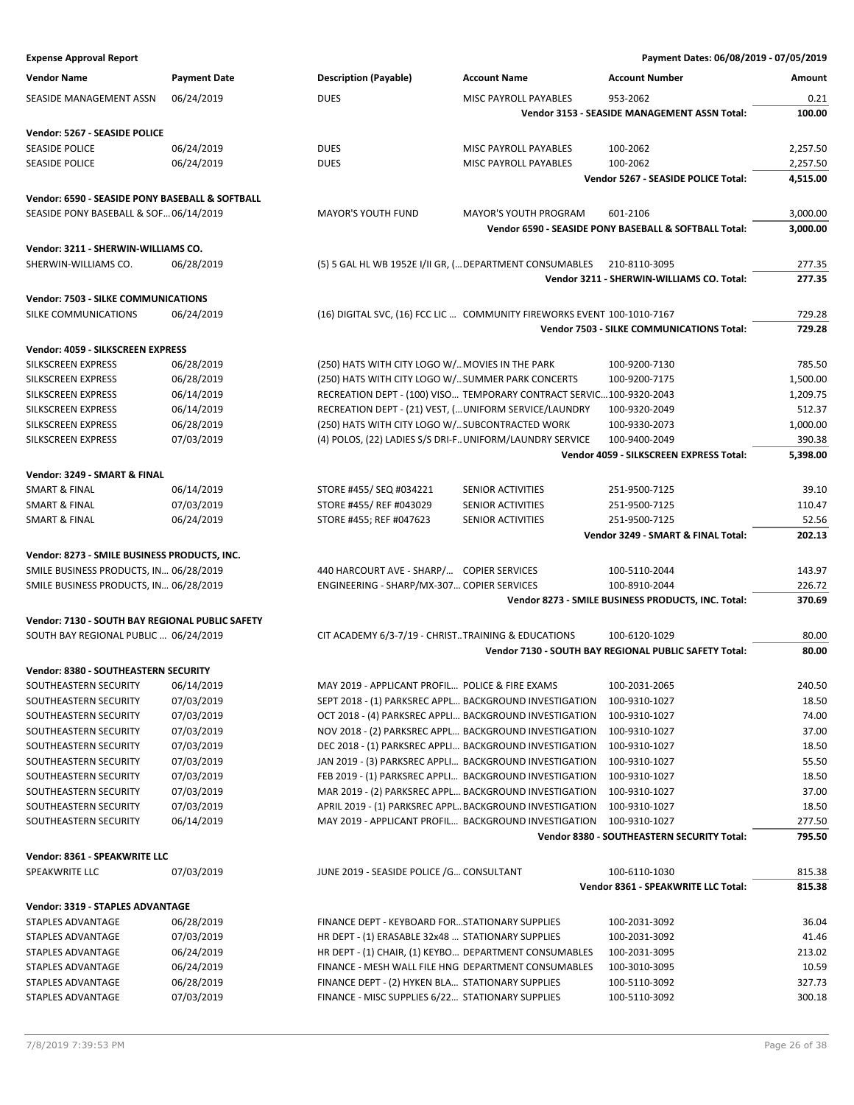| <b>Vendor Name</b>                              | <b>Payment Date</b> | <b>Description (Payable)</b>                      | <b>Account Name</b>                                                     | <b>Account Number</b>                                      | Amount           |
|-------------------------------------------------|---------------------|---------------------------------------------------|-------------------------------------------------------------------------|------------------------------------------------------------|------------------|
| SEASIDE MANAGEMENT ASSN                         | 06/24/2019          | <b>DUES</b>                                       | MISC PAYROLL PAYABLES                                                   | 953-2062                                                   | 0.21             |
|                                                 |                     |                                                   |                                                                         | Vendor 3153 - SEASIDE MANAGEMENT ASSN Total:               | 100.00           |
| Vendor: 5267 - SEASIDE POLICE                   |                     |                                                   |                                                                         |                                                            |                  |
| <b>SEASIDE POLICE</b>                           | 06/24/2019          | <b>DUES</b>                                       | MISC PAYROLL PAYABLES                                                   | 100-2062                                                   | 2,257.50         |
| <b>SEASIDE POLICE</b>                           | 06/24/2019          | <b>DUES</b>                                       | MISC PAYROLL PAYABLES                                                   | 100-2062                                                   | 2,257.50         |
|                                                 |                     |                                                   |                                                                         | Vendor 5267 - SEASIDE POLICE Total:                        | 4,515.00         |
| Vendor: 6590 - SEASIDE PONY BASEBALL & SOFTBALL |                     |                                                   |                                                                         |                                                            |                  |
| SEASIDE PONY BASEBALL & SOF 06/14/2019          |                     | <b>MAYOR'S YOUTH FUND</b>                         | <b>MAYOR'S YOUTH PROGRAM</b>                                            | 601-2106                                                   | 3,000.00         |
|                                                 |                     |                                                   |                                                                         | Vendor 6590 - SEASIDE PONY BASEBALL & SOFTBALL Total:      | 3,000.00         |
|                                                 |                     |                                                   |                                                                         |                                                            |                  |
| Vendor: 3211 - SHERWIN-WILLIAMS CO.             |                     |                                                   |                                                                         |                                                            |                  |
| SHERWIN-WILLIAMS CO.                            | 06/28/2019          |                                                   | (5) 5 GAL HL WB 1952E I/II GR, ( DEPARTMENT CONSUMABLES                 | 210-8110-3095<br>Vendor 3211 - SHERWIN-WILLIAMS CO. Total: | 277.35<br>277.35 |
|                                                 |                     |                                                   |                                                                         |                                                            |                  |
| <b>Vendor: 7503 - SILKE COMMUNICATIONS</b>      |                     |                                                   |                                                                         |                                                            |                  |
| SILKE COMMUNICATIONS                            | 06/24/2019          |                                                   | (16) DIGITAL SVC, (16) FCC LIC  COMMUNITY FIREWORKS EVENT 100-1010-7167 |                                                            | 729.28           |
|                                                 |                     |                                                   |                                                                         | Vendor 7503 - SILKE COMMUNICATIONS Total:                  | 729.28           |
| Vendor: 4059 - SILKSCREEN EXPRESS               |                     |                                                   |                                                                         |                                                            |                  |
| <b>SILKSCREEN EXPRESS</b>                       | 06/28/2019          | (250) HATS WITH CITY LOGO W/ MOVIES IN THE PARK   |                                                                         | 100-9200-7130                                              | 785.50           |
| SILKSCREEN EXPRESS                              | 06/28/2019          |                                                   | (250) HATS WITH CITY LOGO W/SUMMER PARK CONCERTS                        | 100-9200-7175                                              | 1,500.00         |
| SILKSCREEN EXPRESS                              | 06/14/2019          |                                                   | RECREATION DEPT - (100) VISO TEMPORARY CONTRACT SERVIC100-9320-2043     |                                                            | 1,209.75         |
| SILKSCREEN EXPRESS                              | 06/14/2019          |                                                   | RECREATION DEPT - (21) VEST, ( UNIFORM SERVICE/LAUNDRY                  | 100-9320-2049                                              | 512.37           |
| SILKSCREEN EXPRESS                              | 06/28/2019          |                                                   | (250) HATS WITH CITY LOGO W/ SUBCONTRACTED WORK                         | 100-9330-2073                                              | 1,000.00         |
| SILKSCREEN EXPRESS                              | 07/03/2019          |                                                   | (4) POLOS, (22) LADIES S/S DRI-FUNIFORM/LAUNDRY SERVICE                 | 100-9400-2049                                              | 390.38           |
|                                                 |                     |                                                   |                                                                         | Vendor 4059 - SILKSCREEN EXPRESS Total:                    | 5,398.00         |
| Vendor: 3249 - SMART & FINAL                    |                     |                                                   |                                                                         |                                                            |                  |
| <b>SMART &amp; FINAL</b>                        | 06/14/2019          | STORE #455/ SEQ #034221                           | <b>SENIOR ACTIVITIES</b>                                                | 251-9500-7125                                              | 39.10            |
| <b>SMART &amp; FINAL</b>                        | 07/03/2019          | STORE #455/ REF #043029                           | SENIOR ACTIVITIES                                                       | 251-9500-7125                                              | 110.47           |
| <b>SMART &amp; FINAL</b>                        | 06/24/2019          | STORE #455; REF #047623                           | SENIOR ACTIVITIES                                                       | 251-9500-7125                                              | 52.56            |
|                                                 |                     |                                                   |                                                                         | Vendor 3249 - SMART & FINAL Total:                         | 202.13           |
| Vendor: 8273 - SMILE BUSINESS PRODUCTS, INC.    |                     |                                                   |                                                                         |                                                            |                  |
| SMILE BUSINESS PRODUCTS, IN 06/28/2019          |                     | 440 HARCOURT AVE - SHARP/ COPIER SERVICES         |                                                                         | 100-5110-2044                                              | 143.97           |
| SMILE BUSINESS PRODUCTS, IN 06/28/2019          |                     | ENGINEERING - SHARP/MX-307 COPIER SERVICES        |                                                                         | 100-8910-2044                                              | 226.72           |
|                                                 |                     |                                                   |                                                                         | Vendor 8273 - SMILE BUSINESS PRODUCTS, INC. Total:         | 370.69           |
| Vendor: 7130 - SOUTH BAY REGIONAL PUBLIC SAFETY |                     |                                                   |                                                                         |                                                            |                  |
| SOUTH BAY REGIONAL PUBLIC  06/24/2019           |                     |                                                   | CIT ACADEMY 6/3-7/19 - CHRISTTRAINING & EDUCATIONS                      | 100-6120-1029                                              | 80.00            |
|                                                 |                     |                                                   |                                                                         | Vendor 7130 - SOUTH BAY REGIONAL PUBLIC SAFETY Total:      | 80.00            |
| <b>Vendor: 8380 - SOUTHEASTERN SECURITY</b>     |                     |                                                   |                                                                         |                                                            |                  |
| SOUTHEASTERN SECURITY                           | 06/14/2019          | MAY 2019 - APPLICANT PROFIL POLICE & FIRE EXAMS   |                                                                         | 100-2031-2065                                              | 240.50           |
| SOUTHEASTERN SECURITY                           | 07/03/2019          |                                                   | SEPT 2018 - (1) PARKSREC APPL BACKGROUND INVESTIGATION                  | 100-9310-1027                                              | 18.50            |
| SOUTHEASTERN SECURITY                           | 07/03/2019          |                                                   | OCT 2018 - (4) PARKSREC APPLI BACKGROUND INVESTIGATION                  | 100-9310-1027                                              | 74.00            |
| SOUTHEASTERN SECURITY                           | 07/03/2019          |                                                   | NOV 2018 - (2) PARKSREC APPL BACKGROUND INVESTIGATION                   | 100-9310-1027                                              | 37.00            |
| SOUTHEASTERN SECURITY                           | 07/03/2019          |                                                   | DEC 2018 - (1) PARKSREC APPLI BACKGROUND INVESTIGATION                  | 100-9310-1027                                              | 18.50            |
| SOUTHEASTERN SECURITY                           | 07/03/2019          |                                                   | JAN 2019 - (3) PARKSREC APPLI BACKGROUND INVESTIGATION                  | 100-9310-1027                                              | 55.50            |
| SOUTHEASTERN SECURITY                           | 07/03/2019          |                                                   | FEB 2019 - (1) PARKSREC APPLI BACKGROUND INVESTIGATION                  | 100-9310-1027                                              | 18.50            |
| SOUTHEASTERN SECURITY                           | 07/03/2019          |                                                   | MAR 2019 - (2) PARKSREC APPL BACKGROUND INVESTIGATION                   | 100-9310-1027                                              | 37.00            |
| SOUTHEASTERN SECURITY                           | 07/03/2019          |                                                   | APRIL 2019 - (1) PARKSREC APPL BACKGROUND INVESTIGATION                 | 100-9310-1027                                              | 18.50            |
| SOUTHEASTERN SECURITY                           | 06/14/2019          |                                                   | MAY 2019 - APPLICANT PROFIL BACKGROUND INVESTIGATION                    | 100-9310-1027                                              | 277.50           |
|                                                 |                     |                                                   |                                                                         | Vendor 8380 - SOUTHEASTERN SECURITY Total:                 | 795.50           |
| Vendor: 8361 - SPEAKWRITE LLC                   |                     |                                                   |                                                                         |                                                            |                  |
| SPEAKWRITE LLC                                  | 07/03/2019          | JUNE 2019 - SEASIDE POLICE /G CONSULTANT          |                                                                         | 100-6110-1030                                              | 815.38           |
|                                                 |                     |                                                   |                                                                         | Vendor 8361 - SPEAKWRITE LLC Total:                        | 815.38           |
| Vendor: 3319 - STAPLES ADVANTAGE                |                     |                                                   |                                                                         |                                                            |                  |
| STAPLES ADVANTAGE                               | 06/28/2019          | FINANCE DEPT - KEYBOARD FOR STATIONARY SUPPLIES   |                                                                         | 100-2031-3092                                              | 36.04            |
| STAPLES ADVANTAGE                               | 07/03/2019          | HR DEPT - (1) ERASABLE 32x48  STATIONARY SUPPLIES |                                                                         | 100-2031-3092                                              | 41.46            |
| STAPLES ADVANTAGE                               | 06/24/2019          |                                                   | HR DEPT - (1) CHAIR, (1) KEYBO DEPARTMENT CONSUMABLES                   | 100-2031-3095                                              | 213.02           |
| STAPLES ADVANTAGE                               | 06/24/2019          |                                                   | FINANCE - MESH WALL FILE HNG DEPARTMENT CONSUMABLES                     | 100-3010-3095                                              | 10.59            |
| STAPLES ADVANTAGE                               | 06/28/2019          | FINANCE DEPT - (2) HYKEN BLA STATIONARY SUPPLIES  |                                                                         | 100-5110-3092                                              | 327.73           |
| STAPLES ADVANTAGE                               | 07/03/2019          | FINANCE - MISC SUPPLIES 6/22 STATIONARY SUPPLIES  |                                                                         | 100-5110-3092                                              | 300.18           |
|                                                 |                     |                                                   |                                                                         |                                                            |                  |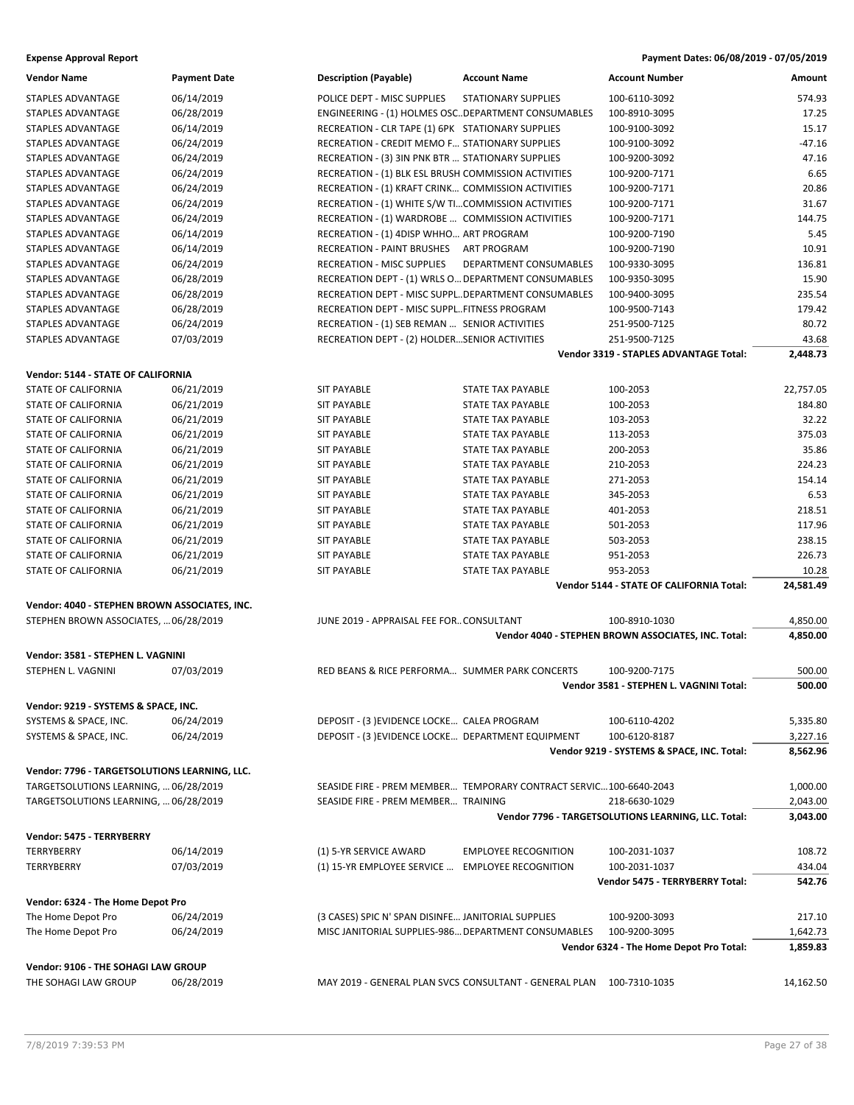| <b>Vendor Name</b>                                                                     | <b>Payment Date</b> | <b>Description (Payable)</b>                         | <b>Account Name</b>                                               | <b>Account Number</b>                               | Amount               |
|----------------------------------------------------------------------------------------|---------------------|------------------------------------------------------|-------------------------------------------------------------------|-----------------------------------------------------|----------------------|
| <b>STAPLES ADVANTAGE</b>                                                               | 06/14/2019          | POLICE DEPT - MISC SUPPLIES                          | <b>STATIONARY SUPPLIES</b>                                        | 100-6110-3092                                       | 574.93               |
| STAPLES ADVANTAGE                                                                      | 06/28/2019          | ENGINEERING - (1) HOLMES OSC. DEPARTMENT CONSUMABLES |                                                                   | 100-8910-3095                                       | 17.25                |
| STAPLES ADVANTAGE                                                                      | 06/14/2019          | RECREATION - CLR TAPE (1) 6PK STATIONARY SUPPLIES    |                                                                   | 100-9100-3092                                       | 15.17                |
| <b>STAPLES ADVANTAGE</b>                                                               | 06/24/2019          | RECREATION - CREDIT MEMO F STATIONARY SUPPLIES       |                                                                   | 100-9100-3092                                       | $-47.16$             |
| <b>STAPLES ADVANTAGE</b>                                                               | 06/24/2019          | RECREATION - (3) 3IN PNK BTR  STATIONARY SUPPLIES    |                                                                   | 100-9200-3092                                       | 47.16                |
| STAPLES ADVANTAGE                                                                      | 06/24/2019          | RECREATION - (1) BLK ESL BRUSH COMMISSION ACTIVITIES |                                                                   | 100-9200-7171                                       | 6.65                 |
| STAPLES ADVANTAGE                                                                      | 06/24/2019          | RECREATION - (1) KRAFT CRINK COMMISSION ACTIVITIES   |                                                                   | 100-9200-7171                                       | 20.86                |
| STAPLES ADVANTAGE                                                                      | 06/24/2019          | RECREATION - (1) WHITE S/W TICOMMISSION ACTIVITIES   |                                                                   | 100-9200-7171                                       | 31.67                |
| STAPLES ADVANTAGE                                                                      | 06/24/2019          | RECREATION - (1) WARDROBE  COMMISSION ACTIVITIES     |                                                                   | 100-9200-7171                                       | 144.75               |
| STAPLES ADVANTAGE                                                                      | 06/14/2019          | RECREATION - (1) 4DISP WHHO ART PROGRAM              |                                                                   | 100-9200-7190                                       | 5.45                 |
| STAPLES ADVANTAGE                                                                      | 06/14/2019          | <b>RECREATION - PAINT BRUSHES</b>                    | ART PROGRAM                                                       | 100-9200-7190                                       | 10.91                |
| <b>STAPLES ADVANTAGE</b>                                                               | 06/24/2019          | <b>RECREATION - MISC SUPPLIES</b>                    | DEPARTMENT CONSUMABLES                                            | 100-9330-3095                                       | 136.81               |
| STAPLES ADVANTAGE                                                                      | 06/28/2019          | RECREATION DEPT - (1) WRLS O DEPARTMENT CONSUMABLES  |                                                                   | 100-9350-3095                                       | 15.90                |
| STAPLES ADVANTAGE                                                                      | 06/28/2019          | RECREATION DEPT - MISC SUPPLDEPARTMENT CONSUMABLES   |                                                                   | 100-9400-3095                                       | 235.54               |
| STAPLES ADVANTAGE                                                                      | 06/28/2019          | RECREATION DEPT - MISC SUPPLFITNESS PROGRAM          |                                                                   | 100-9500-7143                                       | 179.42               |
| STAPLES ADVANTAGE                                                                      | 06/24/2019          | RECREATION - (1) SEB REMAN  SENIOR ACTIVITIES        |                                                                   | 251-9500-7125                                       | 80.72                |
| STAPLES ADVANTAGE                                                                      | 07/03/2019          | RECREATION DEPT - (2) HOLDERSENIOR ACTIVITIES        |                                                                   | 251-9500-7125                                       | 43.68                |
|                                                                                        |                     |                                                      |                                                                   | <b>Vendor 3319 - STAPLES ADVANTAGE Total:</b>       | 2,448.73             |
| Vendor: 5144 - STATE OF CALIFORNIA                                                     |                     |                                                      |                                                                   |                                                     |                      |
| <b>STATE OF CALIFORNIA</b>                                                             | 06/21/2019          | <b>SIT PAYABLE</b>                                   | STATE TAX PAYABLE                                                 | 100-2053                                            | 22,757.05            |
| STATE OF CALIFORNIA                                                                    | 06/21/2019          | <b>SIT PAYABLE</b>                                   | <b>STATE TAX PAYABLE</b>                                          | 100-2053                                            | 184.80               |
| <b>STATE OF CALIFORNIA</b>                                                             | 06/21/2019          | <b>SIT PAYABLE</b>                                   | STATE TAX PAYABLE                                                 | 103-2053                                            | 32.22                |
| <b>STATE OF CALIFORNIA</b>                                                             | 06/21/2019          | <b>SIT PAYABLE</b>                                   | STATE TAX PAYABLE                                                 | 113-2053                                            | 375.03               |
| STATE OF CALIFORNIA                                                                    | 06/21/2019          | <b>SIT PAYABLE</b>                                   | STATE TAX PAYABLE                                                 | 200-2053                                            | 35.86                |
|                                                                                        |                     | <b>SIT PAYABLE</b>                                   | <b>STATE TAX PAYABLE</b>                                          |                                                     | 224.23               |
| STATE OF CALIFORNIA                                                                    | 06/21/2019          |                                                      |                                                                   | 210-2053                                            |                      |
| STATE OF CALIFORNIA                                                                    | 06/21/2019          | <b>SIT PAYABLE</b>                                   | STATE TAX PAYABLE                                                 | 271-2053                                            | 154.14               |
| STATE OF CALIFORNIA                                                                    | 06/21/2019          | <b>SIT PAYABLE</b>                                   | STATE TAX PAYABLE                                                 | 345-2053                                            | 6.53                 |
| <b>STATE OF CALIFORNIA</b>                                                             | 06/21/2019          | <b>SIT PAYABLE</b>                                   | STATE TAX PAYABLE                                                 | 401-2053                                            | 218.51               |
| STATE OF CALIFORNIA                                                                    | 06/21/2019          | <b>SIT PAYABLE</b>                                   | STATE TAX PAYABLE                                                 | 501-2053                                            | 117.96               |
| STATE OF CALIFORNIA                                                                    | 06/21/2019          | <b>SIT PAYABLE</b>                                   | STATE TAX PAYABLE                                                 | 503-2053                                            | 238.15               |
| STATE OF CALIFORNIA                                                                    | 06/21/2019          | <b>SIT PAYABLE</b>                                   | STATE TAX PAYABLE                                                 | 951-2053                                            | 226.73               |
| <b>STATE OF CALIFORNIA</b>                                                             | 06/21/2019          | <b>SIT PAYABLE</b>                                   | <b>STATE TAX PAYABLE</b>                                          | 953-2053                                            | 10.28<br>24,581.49   |
|                                                                                        |                     |                                                      |                                                                   | Vendor 5144 - STATE OF CALIFORNIA Total:            |                      |
| Vendor: 4040 - STEPHEN BROWN ASSOCIATES, INC.<br>STEPHEN BROWN ASSOCIATES,  06/28/2019 |                     | JUNE 2019 - APPRAISAL FEE FOR CONSULTANT             |                                                                   | 100-8910-1030                                       | 4,850.00             |
|                                                                                        |                     |                                                      |                                                                   | Vendor 4040 - STEPHEN BROWN ASSOCIATES, INC. Total: | 4,850.00             |
| Vendor: 3581 - STEPHEN L. VAGNINI                                                      |                     |                                                      |                                                                   |                                                     |                      |
| STEPHEN L. VAGNINI                                                                     | 07/03/2019          | RED BEANS & RICE PERFORMA SUMMER PARK CONCERTS       |                                                                   | 100-9200-7175                                       | 500.00               |
|                                                                                        |                     |                                                      |                                                                   | Vendor 3581 - STEPHEN L. VAGNINI Total:             | 500.00               |
|                                                                                        |                     |                                                      |                                                                   |                                                     |                      |
| Vendor: 9219 - SYSTEMS & SPACE, INC.<br>SYSTEMS & SPACE, INC.                          | 06/24/2019          | DEPOSIT - (3) EVIDENCE LOCKE CALEA PROGRAM           |                                                                   |                                                     |                      |
|                                                                                        |                     | DEPOSIT - (3) EVIDENCE LOCKE DEPARTMENT EQUIPMENT    |                                                                   | 100-6110-4202<br>100-6120-8187                      | 5,335.80<br>3,227.16 |
| SYSTEMS & SPACE, INC.                                                                  | 06/24/2019          |                                                      |                                                                   | Vendor 9219 - SYSTEMS & SPACE, INC. Total:          | 8,562.96             |
|                                                                                        |                     |                                                      |                                                                   |                                                     |                      |
| Vendor: 7796 - TARGETSOLUTIONS LEARNING, LLC.                                          |                     |                                                      |                                                                   |                                                     |                      |
| TARGETSOLUTIONS LEARNING,  06/28/2019                                                  |                     |                                                      | SEASIDE FIRE - PREM MEMBER TEMPORARY CONTRACT SERVIC100-6640-2043 |                                                     | 1,000.00             |
| TARGETSOLUTIONS LEARNING,  06/28/2019                                                  |                     | SEASIDE FIRE - PREM MEMBER TRAINING                  |                                                                   | 218-6630-1029                                       | 2,043.00             |
|                                                                                        |                     |                                                      |                                                                   | Vendor 7796 - TARGETSOLUTIONS LEARNING, LLC. Total: | 3,043.00             |
| Vendor: 5475 - TERRYBERRY                                                              |                     |                                                      |                                                                   |                                                     |                      |
| <b>TERRYBERRY</b>                                                                      | 06/14/2019          | (1) 5-YR SERVICE AWARD                               | <b>EMPLOYEE RECOGNITION</b>                                       | 100-2031-1037                                       | 108.72               |
| <b>TERRYBERRY</b>                                                                      | 07/03/2019          | (1) 15-YR EMPLOYEE SERVICE                           | <b>EMPLOYEE RECOGNITION</b>                                       | 100-2031-1037                                       | 434.04               |
|                                                                                        |                     |                                                      |                                                                   | Vendor 5475 - TERRYBERRY Total:                     | 542.76               |
| Vendor: 6324 - The Home Depot Pro                                                      |                     |                                                      |                                                                   |                                                     |                      |
| The Home Depot Pro                                                                     | 06/24/2019          | (3 CASES) SPIC N' SPAN DISINFE JANITORIAL SUPPLIES   |                                                                   | 100-9200-3093                                       | 217.10               |
| The Home Depot Pro                                                                     | 06/24/2019          | MISC JANITORIAL SUPPLIES-986 DEPARTMENT CONSUMABLES  |                                                                   | 100-9200-3095                                       | 1,642.73             |
|                                                                                        |                     |                                                      |                                                                   | Vendor 6324 - The Home Depot Pro Total:             | 1,859.83             |
| Vendor: 9106 - THE SOHAGI LAW GROUP                                                    |                     |                                                      |                                                                   |                                                     |                      |
| THE SOHAGI LAW GROUP                                                                   | 06/28/2019          |                                                      | MAY 2019 - GENERAL PLAN SVCS CONSULTANT - GENERAL PLAN            | 100-7310-1035                                       | 14,162.50            |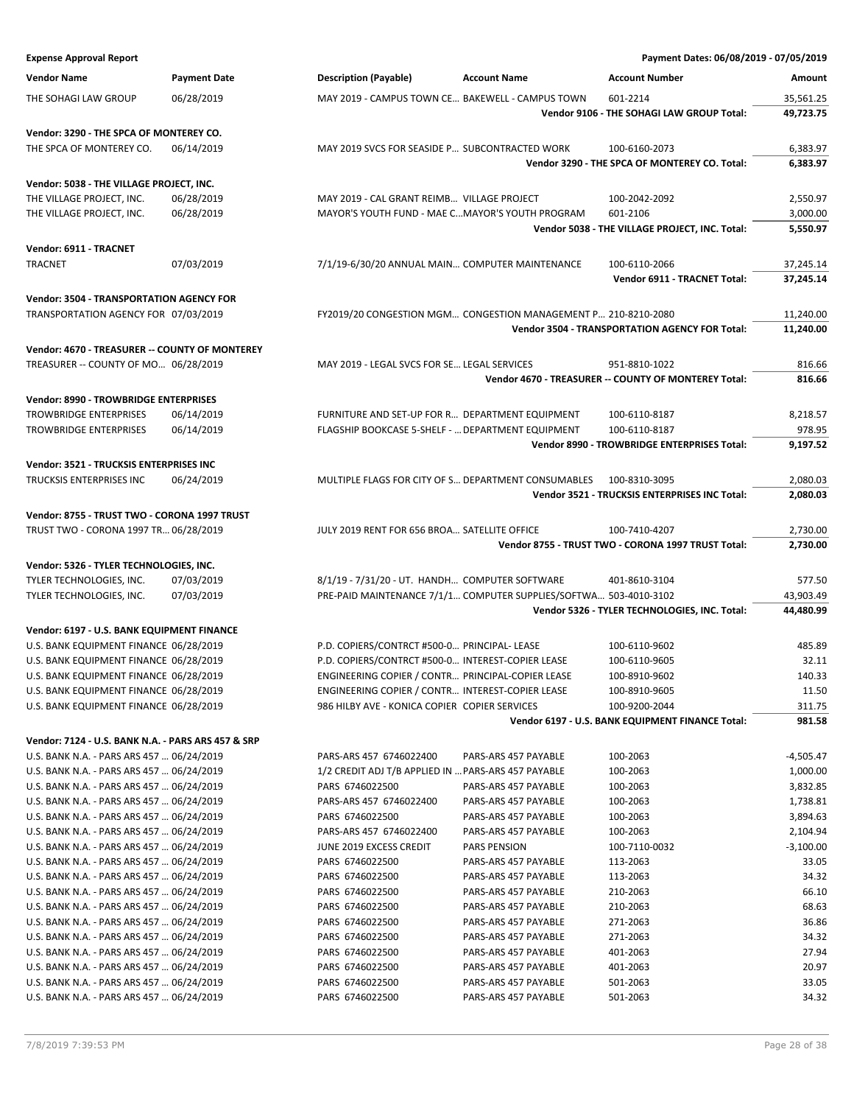|                                                                                        |                          |                                                                                                       |                                                                   |                                                                   | Payment Dates: 06/08/2019 - 07/05/2019 |
|----------------------------------------------------------------------------------------|--------------------------|-------------------------------------------------------------------------------------------------------|-------------------------------------------------------------------|-------------------------------------------------------------------|----------------------------------------|
| <b>Vendor Name</b>                                                                     | <b>Payment Date</b>      | <b>Description (Payable)</b>                                                                          | <b>Account Name</b>                                               | <b>Account Number</b>                                             | Amount                                 |
| THE SOHAGI LAW GROUP                                                                   | 06/28/2019               | MAY 2019 - CAMPUS TOWN CE BAKEWELL - CAMPUS TOWN                                                      |                                                                   | 601-2214                                                          | 35,561.25                              |
|                                                                                        |                          |                                                                                                       |                                                                   | Vendor 9106 - THE SOHAGI LAW GROUP Total:                         | 49,723.75                              |
|                                                                                        |                          |                                                                                                       |                                                                   |                                                                   |                                        |
| Vendor: 3290 - THE SPCA OF MONTEREY CO.                                                |                          |                                                                                                       |                                                                   |                                                                   |                                        |
| THE SPCA OF MONTEREY CO.                                                               | 06/14/2019               | MAY 2019 SVCS FOR SEASIDE P SUBCONTRACTED WORK                                                        |                                                                   | 100-6160-2073                                                     | 6,383.97                               |
|                                                                                        |                          |                                                                                                       |                                                                   | Vendor 3290 - THE SPCA OF MONTEREY CO. Total:                     | 6,383.97                               |
| Vendor: 5038 - THE VILLAGE PROJECT, INC.                                               |                          |                                                                                                       |                                                                   |                                                                   |                                        |
| THE VILLAGE PROJECT, INC.                                                              | 06/28/2019               | MAY 2019 - CAL GRANT REIMB VILLAGE PROJECT                                                            |                                                                   | 100-2042-2092                                                     | 2,550.97                               |
| THE VILLAGE PROJECT, INC.                                                              | 06/28/2019               | MAYOR'S YOUTH FUND - MAE CMAYOR'S YOUTH PROGRAM                                                       |                                                                   | 601-2106                                                          | 3,000.00                               |
|                                                                                        |                          |                                                                                                       |                                                                   | Vendor 5038 - THE VILLAGE PROJECT, INC. Total:                    | 5,550.97                               |
| Vendor: 6911 - TRACNET                                                                 |                          |                                                                                                       |                                                                   |                                                                   |                                        |
| <b>TRACNET</b>                                                                         | 07/03/2019               | 7/1/19-6/30/20 ANNUAL MAIN COMPUTER MAINTENANCE                                                       |                                                                   | 100-6110-2066                                                     | 37,245.14                              |
|                                                                                        |                          |                                                                                                       |                                                                   | Vendor 6911 - TRACNET Total:                                      | 37,245.14                              |
| <b>Vendor: 3504 - TRANSPORTATION AGENCY FOR</b>                                        |                          |                                                                                                       |                                                                   |                                                                   |                                        |
| TRANSPORTATION AGENCY FOR 07/03/2019                                                   |                          |                                                                                                       | FY2019/20 CONGESTION MGM CONGESTION MANAGEMENT P 210-8210-2080    |                                                                   | 11,240.00                              |
|                                                                                        |                          |                                                                                                       |                                                                   | Vendor 3504 - TRANSPORTATION AGENCY FOR Total:                    | 11,240.00                              |
| Vendor: 4670 - TREASURER -- COUNTY OF MONTEREY                                         |                          |                                                                                                       |                                                                   |                                                                   |                                        |
| TREASURER -- COUNTY OF MO 06/28/2019                                                   |                          | MAY 2019 - LEGAL SVCS FOR SE LEGAL SERVICES                                                           |                                                                   | 951-8810-1022                                                     | 816.66                                 |
|                                                                                        |                          |                                                                                                       |                                                                   | Vendor 4670 - TREASURER -- COUNTY OF MONTEREY Total:              | 816.66                                 |
|                                                                                        |                          |                                                                                                       |                                                                   |                                                                   |                                        |
| Vendor: 8990 - TROWBRIDGE ENTERPRISES                                                  |                          |                                                                                                       |                                                                   |                                                                   |                                        |
| <b>TROWBRIDGE ENTERPRISES</b><br><b>TROWBRIDGE ENTERPRISES</b>                         | 06/14/2019<br>06/14/2019 | FURNITURE AND SET-UP FOR R DEPARTMENT EQUIPMENT<br>FLAGSHIP BOOKCASE 5-SHELF -  DEPARTMENT EQUIPMENT  |                                                                   | 100-6110-8187                                                     | 8,218.57<br>978.95                     |
|                                                                                        |                          |                                                                                                       |                                                                   | 100-6110-8187                                                     |                                        |
|                                                                                        |                          |                                                                                                       |                                                                   | Vendor 8990 - TROWBRIDGE ENTERPRISES Total:                       | 9,197.52                               |
| Vendor: 3521 - TRUCKSIS ENTERPRISES INC                                                |                          |                                                                                                       |                                                                   |                                                                   |                                        |
| TRUCKSIS ENTERPRISES INC                                                               | 06/24/2019               |                                                                                                       | MULTIPLE FLAGS FOR CITY OF S DEPARTMENT CONSUMABLES               | 100-8310-3095                                                     | 2,080.03                               |
|                                                                                        |                          |                                                                                                       |                                                                   | Vendor 3521 - TRUCKSIS ENTERPRISES INC Total:                     | 2,080.03                               |
| Vendor: 8755 - TRUST TWO - CORONA 1997 TRUST                                           |                          |                                                                                                       |                                                                   |                                                                   |                                        |
| TRUST TWO - CORONA 1997 TR 06/28/2019                                                  |                          | JULY 2019 RENT FOR 656 BROA SATELLITE OFFICE                                                          |                                                                   | 100-7410-4207                                                     | 2,730.00                               |
|                                                                                        |                          |                                                                                                       |                                                                   | Vendor 8755 - TRUST TWO - CORONA 1997 TRUST Total:                | 2,730.00                               |
| Vendor: 5326 - TYLER TECHNOLOGIES, INC.                                                |                          |                                                                                                       |                                                                   |                                                                   |                                        |
|                                                                                        |                          |                                                                                                       |                                                                   |                                                                   |                                        |
| TYLER TECHNOLOGIES, INC.                                                               | 07/03/2019               | 8/1/19 - 7/31/20 - UT. HANDH COMPUTER SOFTWARE                                                        |                                                                   | 401-8610-3104                                                     | 577.50                                 |
| TYLER TECHNOLOGIES, INC.                                                               | 07/03/2019               |                                                                                                       | PRE-PAID MAINTENANCE 7/1/1 COMPUTER SUPPLIES/SOFTWA 503-4010-3102 |                                                                   | 43,903.49                              |
|                                                                                        |                          |                                                                                                       |                                                                   | Vendor 5326 - TYLER TECHNOLOGIES, INC. Total:                     | 44,480.99                              |
|                                                                                        |                          |                                                                                                       |                                                                   |                                                                   |                                        |
| Vendor: 6197 - U.S. BANK EQUIPMENT FINANCE                                             |                          |                                                                                                       |                                                                   |                                                                   |                                        |
| U.S. BANK EQUIPMENT FINANCE 06/28/2019                                                 |                          | P.D. COPIERS/CONTRCT #500-0 PRINCIPAL- LEASE                                                          |                                                                   | 100-6110-9602                                                     | 485.89                                 |
| U.S. BANK EQUIPMENT FINANCE 06/28/2019                                                 |                          | P.D. COPIERS/CONTRCT #500-0 INTEREST-COPIER LEASE                                                     |                                                                   | 100-6110-9605<br>100-8910-9602                                    | 32.11<br>140.33                        |
| U.S. BANK EQUIPMENT FINANCE 06/28/2019<br>U.S. BANK EQUIPMENT FINANCE 06/28/2019       |                          | ENGINEERING COPIER / CONTR PRINCIPAL-COPIER LEASE<br>ENGINEERING COPIER / CONTR INTEREST-COPIER LEASE |                                                                   | 100-8910-9605                                                     | 11.50                                  |
| U.S. BANK EQUIPMENT FINANCE 06/28/2019                                                 |                          | 986 HILBY AVE - KONICA COPIER COPIER SERVICES                                                         |                                                                   |                                                                   | 311.75                                 |
|                                                                                        |                          |                                                                                                       |                                                                   | 100-9200-2044<br>Vendor 6197 - U.S. BANK EQUIPMENT FINANCE Total: | 981.58                                 |
|                                                                                        |                          |                                                                                                       |                                                                   |                                                                   |                                        |
| Vendor: 7124 - U.S. BANK N.A. - PARS ARS 457 & SRP                                     |                          |                                                                                                       |                                                                   |                                                                   |                                        |
| U.S. BANK N.A. - PARS ARS 457  06/24/2019                                              |                          | PARS-ARS 457 6746022400                                                                               | PARS-ARS 457 PAYABLE                                              | 100-2063                                                          | $-4,505.47$                            |
| U.S. BANK N.A. - PARS ARS 457  06/24/2019                                              |                          | 1/2 CREDIT ADJ T/B APPLIED IN  PARS-ARS 457 PAYABLE                                                   |                                                                   | 100-2063                                                          | 1,000.00                               |
| U.S. BANK N.A. - PARS ARS 457  06/24/2019                                              |                          | PARS 6746022500                                                                                       | PARS-ARS 457 PAYABLE                                              | 100-2063                                                          | 3,832.85                               |
| U.S. BANK N.A. - PARS ARS 457  06/24/2019                                              |                          | PARS-ARS 457 6746022400                                                                               | PARS-ARS 457 PAYABLE                                              | 100-2063                                                          | 1,738.81                               |
| U.S. BANK N.A. - PARS ARS 457  06/24/2019                                              |                          | PARS 6746022500                                                                                       | PARS-ARS 457 PAYABLE                                              | 100-2063                                                          | 3,894.63                               |
| U.S. BANK N.A. - PARS ARS 457  06/24/2019                                              |                          | PARS-ARS 457 6746022400                                                                               | PARS-ARS 457 PAYABLE                                              | 100-2063                                                          | 2,104.94                               |
| U.S. BANK N.A. - PARS ARS 457  06/24/2019                                              |                          | JUNE 2019 EXCESS CREDIT                                                                               | <b>PARS PENSION</b>                                               | 100-7110-0032                                                     | $-3,100.00$                            |
| U.S. BANK N.A. - PARS ARS 457  06/24/2019<br>U.S. BANK N.A. - PARS ARS 457  06/24/2019 |                          | PARS 6746022500<br>PARS 6746022500                                                                    | PARS-ARS 457 PAYABLE<br>PARS-ARS 457 PAYABLE                      | 113-2063<br>113-2063                                              | 33.05<br>34.32                         |
| U.S. BANK N.A. - PARS ARS 457  06/24/2019                                              |                          | PARS 6746022500                                                                                       | PARS-ARS 457 PAYABLE                                              | 210-2063                                                          | 66.10                                  |
| U.S. BANK N.A. - PARS ARS 457  06/24/2019                                              |                          | PARS 6746022500                                                                                       | PARS-ARS 457 PAYABLE                                              | 210-2063                                                          | 68.63                                  |
| U.S. BANK N.A. - PARS ARS 457  06/24/2019                                              |                          | PARS 6746022500                                                                                       | PARS-ARS 457 PAYABLE                                              | 271-2063                                                          | 36.86                                  |
| U.S. BANK N.A. - PARS ARS 457  06/24/2019                                              |                          | PARS 6746022500                                                                                       | PARS-ARS 457 PAYABLE                                              | 271-2063                                                          | 34.32                                  |
| U.S. BANK N.A. - PARS ARS 457  06/24/2019                                              |                          | PARS 6746022500                                                                                       | PARS-ARS 457 PAYABLE                                              | 401-2063                                                          | 27.94                                  |
| U.S. BANK N.A. - PARS ARS 457  06/24/2019                                              |                          | PARS 6746022500                                                                                       | PARS-ARS 457 PAYABLE                                              | 401-2063                                                          | 20.97                                  |
| U.S. BANK N.A. - PARS ARS 457  06/24/2019                                              |                          | PARS 6746022500                                                                                       | PARS-ARS 457 PAYABLE                                              | 501-2063                                                          | 33.05                                  |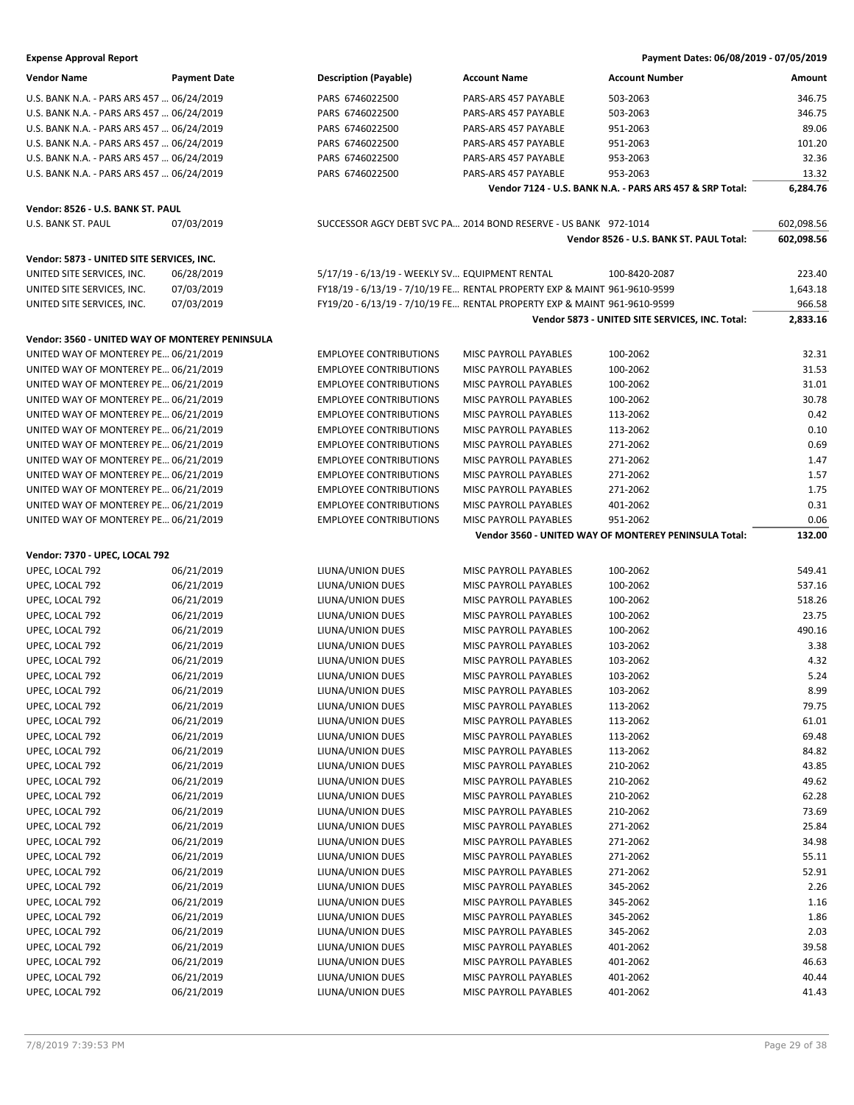| <b>Vendor Name</b>                              | <b>Payment Date</b> | <b>Description (Payable)</b>                   | <b>Account Name</b>                                                      | Account Number                                           | Amount     |
|-------------------------------------------------|---------------------|------------------------------------------------|--------------------------------------------------------------------------|----------------------------------------------------------|------------|
| U.S. BANK N.A. - PARS ARS 457  06/24/2019       |                     | PARS 6746022500                                | PARS-ARS 457 PAYABLE                                                     | 503-2063                                                 | 346.75     |
| U.S. BANK N.A. - PARS ARS 457  06/24/2019       |                     | PARS 6746022500                                | PARS-ARS 457 PAYABLE                                                     | 503-2063                                                 | 346.75     |
| U.S. BANK N.A. - PARS ARS 457  06/24/2019       |                     | PARS 6746022500                                | PARS-ARS 457 PAYABLE                                                     | 951-2063                                                 | 89.06      |
| U.S. BANK N.A. - PARS ARS 457  06/24/2019       |                     | PARS 6746022500                                | PARS-ARS 457 PAYABLE                                                     | 951-2063                                                 | 101.20     |
| U.S. BANK N.A. - PARS ARS 457  06/24/2019       |                     | PARS 6746022500                                | PARS-ARS 457 PAYABLE                                                     | 953-2063                                                 | 32.36      |
| U.S. BANK N.A. - PARS ARS 457  06/24/2019       |                     | PARS 6746022500                                | PARS-ARS 457 PAYABLE                                                     | 953-2063                                                 | 13.32      |
|                                                 |                     |                                                |                                                                          | Vendor 7124 - U.S. BANK N.A. - PARS ARS 457 & SRP Total: | 6,284.76   |
|                                                 |                     |                                                |                                                                          |                                                          |            |
| Vendor: 8526 - U.S. BANK ST. PAUL               |                     |                                                |                                                                          |                                                          |            |
| U.S. BANK ST. PAUL                              | 07/03/2019          |                                                | SUCCESSOR AGCY DEBT SVC PA 2014 BOND RESERVE - US BANK 972-1014          |                                                          | 602,098.56 |
|                                                 |                     |                                                |                                                                          | Vendor 8526 - U.S. BANK ST. PAUL Total:                  | 602,098.56 |
| Vendor: 5873 - UNITED SITE SERVICES, INC.       |                     |                                                |                                                                          |                                                          |            |
| UNITED SITE SERVICES, INC.                      | 06/28/2019          | 5/17/19 - 6/13/19 - WEEKLY SV EQUIPMENT RENTAL |                                                                          | 100-8420-2087                                            | 223.40     |
| UNITED SITE SERVICES, INC.                      | 07/03/2019          |                                                | FY18/19 - 6/13/19 - 7/10/19 FE RENTAL PROPERTY EXP & MAINT 961-9610-9599 |                                                          | 1,643.18   |
| UNITED SITE SERVICES, INC.                      | 07/03/2019          |                                                | FY19/20 - 6/13/19 - 7/10/19 FE RENTAL PROPERTY EXP & MAINT 961-9610-9599 |                                                          | 966.58     |
|                                                 |                     |                                                |                                                                          | Vendor 5873 - UNITED SITE SERVICES, INC. Total:          | 2,833.16   |
| Vendor: 3560 - UNITED WAY OF MONTEREY PENINSULA |                     |                                                |                                                                          |                                                          |            |
| UNITED WAY OF MONTEREY PE 06/21/2019            |                     | <b>EMPLOYEE CONTRIBUTIONS</b>                  | MISC PAYROLL PAYABLES                                                    | 100-2062                                                 | 32.31      |
| UNITED WAY OF MONTEREY PE 06/21/2019            |                     | <b>EMPLOYEE CONTRIBUTIONS</b>                  | <b>MISC PAYROLL PAYABLES</b>                                             | 100-2062                                                 | 31.53      |
| UNITED WAY OF MONTEREY PE 06/21/2019            |                     | <b>EMPLOYEE CONTRIBUTIONS</b>                  | MISC PAYROLL PAYABLES                                                    | 100-2062                                                 | 31.01      |
| UNITED WAY OF MONTEREY PE 06/21/2019            |                     | <b>EMPLOYEE CONTRIBUTIONS</b>                  | MISC PAYROLL PAYABLES                                                    | 100-2062                                                 | 30.78      |
| UNITED WAY OF MONTEREY PE 06/21/2019            |                     | <b>EMPLOYEE CONTRIBUTIONS</b>                  | MISC PAYROLL PAYABLES                                                    | 113-2062                                                 | 0.42       |
| UNITED WAY OF MONTEREY PE 06/21/2019            |                     | <b>EMPLOYEE CONTRIBUTIONS</b>                  | <b>MISC PAYROLL PAYABLES</b>                                             | 113-2062                                                 | 0.10       |
| UNITED WAY OF MONTEREY PE 06/21/2019            |                     | <b>EMPLOYEE CONTRIBUTIONS</b>                  | MISC PAYROLL PAYABLES                                                    | 271-2062                                                 | 0.69       |
| UNITED WAY OF MONTEREY PE 06/21/2019            |                     | <b>EMPLOYEE CONTRIBUTIONS</b>                  | MISC PAYROLL PAYABLES                                                    | 271-2062                                                 | 1.47       |
| UNITED WAY OF MONTEREY PE 06/21/2019            |                     | <b>EMPLOYEE CONTRIBUTIONS</b>                  | MISC PAYROLL PAYABLES                                                    | 271-2062                                                 | 1.57       |
| UNITED WAY OF MONTEREY PE 06/21/2019            |                     | <b>EMPLOYEE CONTRIBUTIONS</b>                  | MISC PAYROLL PAYABLES                                                    | 271-2062                                                 | 1.75       |
| UNITED WAY OF MONTEREY PE 06/21/2019            |                     | <b>EMPLOYEE CONTRIBUTIONS</b>                  | MISC PAYROLL PAYABLES                                                    | 401-2062                                                 | 0.31       |
| UNITED WAY OF MONTEREY PE 06/21/2019            |                     | <b>EMPLOYEE CONTRIBUTIONS</b>                  | MISC PAYROLL PAYABLES                                                    | 951-2062                                                 | 0.06       |
|                                                 |                     |                                                |                                                                          | Vendor 3560 - UNITED WAY OF MONTEREY PENINSULA Total:    | 132.00     |
| Vendor: 7370 - UPEC, LOCAL 792                  |                     |                                                |                                                                          |                                                          |            |
| UPEC, LOCAL 792                                 | 06/21/2019          | LIUNA/UNION DUES                               | MISC PAYROLL PAYABLES                                                    | 100-2062                                                 | 549.41     |
| UPEC, LOCAL 792                                 | 06/21/2019          | LIUNA/UNION DUES                               | MISC PAYROLL PAYABLES                                                    | 100-2062                                                 | 537.16     |
| UPEC, LOCAL 792                                 | 06/21/2019          | LIUNA/UNION DUES                               | MISC PAYROLL PAYABLES                                                    | 100-2062                                                 | 518.26     |
| UPEC, LOCAL 792                                 | 06/21/2019          | LIUNA/UNION DUES                               | MISC PAYROLL PAYABLES                                                    | 100-2062                                                 | 23.75      |
| UPEC, LOCAL 792                                 | 06/21/2019          | LIUNA/UNION DUES                               | MISC PAYROLL PAYABLES                                                    | 100-2062                                                 | 490.16     |
| UPEC, LOCAL 792                                 | 06/21/2019          | LIUNA/UNION DUES                               | MISC PAYROLL PAYABLES                                                    | 103-2062                                                 | 3.38       |
| UPEC, LOCAL 792                                 | 06/21/2019          | LIUNA/UNION DUES                               | MISC PAYROLL PAYABLES                                                    | 103-2062                                                 | 4.32       |
| UPEC, LOCAL 792                                 | 06/21/2019          | LIUNA/UNION DUES                               | MISC PAYROLL PAYABLES                                                    | 103-2062                                                 | 5.24       |
| UPEC, LOCAL 792                                 | 06/21/2019          | LIUNA/UNION DUES                               | MISC PAYROLL PAYABLES                                                    | 103-2062                                                 | 8.99       |
| UPEC, LOCAL 792                                 | 06/21/2019          | LIUNA/UNION DUES                               | MISC PAYROLL PAYABLES                                                    | 113-2062                                                 | 79.75      |
| UPEC, LOCAL 792                                 | 06/21/2019          | LIUNA/UNION DUES                               | MISC PAYROLL PAYABLES                                                    | 113-2062                                                 | 61.01      |
| UPEC, LOCAL 792                                 | 06/21/2019          | LIUNA/UNION DUES                               | MISC PAYROLL PAYABLES                                                    | 113-2062                                                 | 69.48      |
| UPEC, LOCAL 792                                 | 06/21/2019          | LIUNA/UNION DUES                               | MISC PAYROLL PAYABLES                                                    | 113-2062                                                 | 84.82      |
| UPEC, LOCAL 792                                 | 06/21/2019          | LIUNA/UNION DUES                               | MISC PAYROLL PAYABLES                                                    | 210-2062                                                 | 43.85      |
| UPEC, LOCAL 792                                 | 06/21/2019          | LIUNA/UNION DUES                               | MISC PAYROLL PAYABLES                                                    | 210-2062                                                 | 49.62      |
| UPEC, LOCAL 792                                 | 06/21/2019          | LIUNA/UNION DUES                               | MISC PAYROLL PAYABLES                                                    | 210-2062                                                 | 62.28      |
| UPEC, LOCAL 792                                 | 06/21/2019          | LIUNA/UNION DUES                               | MISC PAYROLL PAYABLES                                                    | 210-2062                                                 | 73.69      |
| UPEC, LOCAL 792                                 | 06/21/2019          | LIUNA/UNION DUES                               | MISC PAYROLL PAYABLES                                                    | 271-2062                                                 | 25.84      |
| UPEC, LOCAL 792                                 | 06/21/2019          | LIUNA/UNION DUES                               | MISC PAYROLL PAYABLES                                                    | 271-2062                                                 | 34.98      |
| UPEC, LOCAL 792                                 | 06/21/2019          | LIUNA/UNION DUES                               | MISC PAYROLL PAYABLES                                                    | 271-2062                                                 | 55.11      |
| UPEC, LOCAL 792                                 | 06/21/2019          | LIUNA/UNION DUES                               | MISC PAYROLL PAYABLES                                                    | 271-2062                                                 | 52.91      |
| UPEC, LOCAL 792                                 | 06/21/2019          | LIUNA/UNION DUES                               | MISC PAYROLL PAYABLES                                                    | 345-2062                                                 | 2.26       |
| UPEC, LOCAL 792                                 | 06/21/2019          | LIUNA/UNION DUES                               | MISC PAYROLL PAYABLES                                                    | 345-2062                                                 | 1.16       |
| UPEC, LOCAL 792                                 | 06/21/2019          | LIUNA/UNION DUES                               | MISC PAYROLL PAYABLES                                                    | 345-2062                                                 | 1.86       |
| UPEC, LOCAL 792                                 | 06/21/2019          | LIUNA/UNION DUES                               | MISC PAYROLL PAYABLES                                                    | 345-2062                                                 | 2.03       |
| UPEC, LOCAL 792                                 | 06/21/2019          | LIUNA/UNION DUES                               | MISC PAYROLL PAYABLES                                                    | 401-2062                                                 | 39.58      |
| UPEC, LOCAL 792                                 | 06/21/2019          | LIUNA/UNION DUES                               | MISC PAYROLL PAYABLES                                                    | 401-2062                                                 | 46.63      |
| UPEC, LOCAL 792                                 | 06/21/2019          | LIUNA/UNION DUES                               | MISC PAYROLL PAYABLES                                                    | 401-2062                                                 | 40.44      |
| UPEC, LOCAL 792                                 | 06/21/2019          | LIUNA/UNION DUES                               | MISC PAYROLL PAYABLES                                                    | 401-2062                                                 | 41.43      |
|                                                 |                     |                                                |                                                                          |                                                          |            |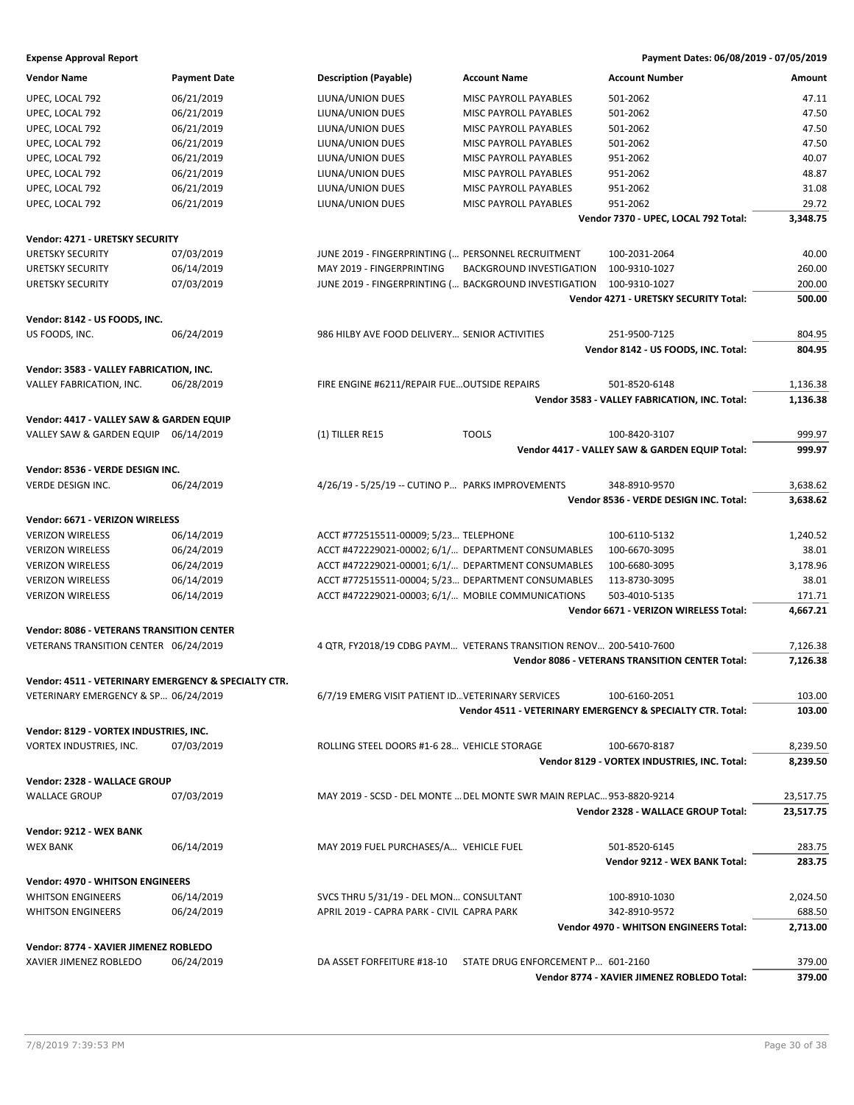| <b>Vendor Name</b>                                   | <b>Payment Date</b> | <b>Description (Payable)</b>                          | <b>Account Name</b>                                                  | <b>Account Number</b>                                      | Amount    |
|------------------------------------------------------|---------------------|-------------------------------------------------------|----------------------------------------------------------------------|------------------------------------------------------------|-----------|
| UPEC, LOCAL 792                                      | 06/21/2019          | LIUNA/UNION DUES                                      | MISC PAYROLL PAYABLES                                                | 501-2062                                                   | 47.11     |
| UPEC, LOCAL 792                                      | 06/21/2019          | LIUNA/UNION DUES                                      | MISC PAYROLL PAYABLES                                                | 501-2062                                                   | 47.50     |
| UPEC, LOCAL 792                                      | 06/21/2019          | LIUNA/UNION DUES                                      | MISC PAYROLL PAYABLES                                                | 501-2062                                                   | 47.50     |
| UPEC, LOCAL 792                                      | 06/21/2019          | LIUNA/UNION DUES                                      | MISC PAYROLL PAYABLES                                                | 501-2062                                                   | 47.50     |
|                                                      |                     |                                                       |                                                                      |                                                            |           |
| UPEC, LOCAL 792                                      | 06/21/2019          | LIUNA/UNION DUES                                      | MISC PAYROLL PAYABLES                                                | 951-2062                                                   | 40.07     |
| UPEC, LOCAL 792                                      | 06/21/2019          | LIUNA/UNION DUES                                      | MISC PAYROLL PAYABLES                                                | 951-2062                                                   | 48.87     |
| UPEC, LOCAL 792                                      | 06/21/2019          | LIUNA/UNION DUES                                      | MISC PAYROLL PAYABLES                                                | 951-2062                                                   | 31.08     |
| UPEC, LOCAL 792                                      | 06/21/2019          | LIUNA/UNION DUES                                      | MISC PAYROLL PAYABLES                                                | 951-2062                                                   | 29.72     |
|                                                      |                     |                                                       |                                                                      | Vendor 7370 - UPEC, LOCAL 792 Total:                       | 3,348.75  |
| Vendor: 4271 - URETSKY SECURITY                      |                     |                                                       |                                                                      |                                                            |           |
| <b>URETSKY SECURITY</b>                              | 07/03/2019          | JUNE 2019 - FINGERPRINTING ( PERSONNEL RECRUITMENT    |                                                                      | 100-2031-2064                                              | 40.00     |
| <b>URETSKY SECURITY</b>                              | 06/14/2019          | MAY 2019 - FINGERPRINTING                             | <b>BACKGROUND INVESTIGATION</b>                                      | 100-9310-1027                                              | 260.00    |
| <b>URETSKY SECURITY</b>                              |                     |                                                       |                                                                      | 100-9310-1027                                              |           |
|                                                      | 07/03/2019          | JUNE 2019 - FINGERPRINTING ( BACKGROUND INVESTIGATION |                                                                      |                                                            | 200.00    |
|                                                      |                     |                                                       |                                                                      | Vendor 4271 - URETSKY SECURITY Total:                      | 500.00    |
| Vendor: 8142 - US FOODS, INC.                        |                     |                                                       |                                                                      |                                                            |           |
| US FOODS, INC.                                       | 06/24/2019          | 986 HILBY AVE FOOD DELIVERY SENIOR ACTIVITIES         |                                                                      | 251-9500-7125                                              | 804.95    |
|                                                      |                     |                                                       |                                                                      | Vendor 8142 - US FOODS, INC. Total:                        | 804.95    |
|                                                      |                     |                                                       |                                                                      |                                                            |           |
| Vendor: 3583 - VALLEY FABRICATION, INC.              |                     |                                                       |                                                                      |                                                            |           |
| VALLEY FABRICATION, INC.                             | 06/28/2019          | FIRE ENGINE #6211/REPAIR FUE OUTSIDE REPAIRS          |                                                                      | 501-8520-6148                                              | 1,136.38  |
|                                                      |                     |                                                       |                                                                      | Vendor 3583 - VALLEY FABRICATION, INC. Total:              | 1,136.38  |
| Vendor: 4417 - VALLEY SAW & GARDEN EQUIP             |                     |                                                       |                                                                      |                                                            |           |
| VALLEY SAW & GARDEN EQUIP 06/14/2019                 |                     | (1) TILLER RE15                                       | <b>TOOLS</b>                                                         | 100-8420-3107                                              | 999.97    |
|                                                      |                     |                                                       |                                                                      | Vendor 4417 - VALLEY SAW & GARDEN EQUIP Total:             | 999.97    |
|                                                      |                     |                                                       |                                                                      |                                                            |           |
| Vendor: 8536 - VERDE DESIGN INC.                     |                     |                                                       |                                                                      |                                                            |           |
| <b>VERDE DESIGN INC.</b>                             | 06/24/2019          | 4/26/19 - 5/25/19 -- CUTINO P PARKS IMPROVEMENTS      |                                                                      | 348-8910-9570                                              | 3,638.62  |
|                                                      |                     |                                                       |                                                                      | Vendor 8536 - VERDE DESIGN INC. Total:                     | 3,638.62  |
| Vendor: 6671 - VERIZON WIRELESS                      |                     |                                                       |                                                                      |                                                            |           |
|                                                      |                     |                                                       |                                                                      |                                                            |           |
| <b>VERIZON WIRELESS</b>                              | 06/14/2019          | ACCT #772515511-00009; 5/23 TELEPHONE                 |                                                                      | 100-6110-5132                                              | 1,240.52  |
| <b>VERIZON WIRELESS</b>                              | 06/24/2019          | ACCT #472229021-00002; 6/1/ DEPARTMENT CONSUMABLES    |                                                                      | 100-6670-3095                                              | 38.01     |
| <b>VERIZON WIRELESS</b>                              | 06/24/2019          | ACCT #472229021-00001; 6/1/ DEPARTMENT CONSUMABLES    |                                                                      | 100-6680-3095                                              | 3,178.96  |
| <b>VERIZON WIRELESS</b>                              | 06/14/2019          | ACCT #772515511-00004; 5/23 DEPARTMENT CONSUMABLES    |                                                                      | 113-8730-3095                                              | 38.01     |
| <b>VERIZON WIRELESS</b>                              | 06/14/2019          | ACCT #472229021-00003; 6/1/ MOBILE COMMUNICATIONS     |                                                                      | 503-4010-5135                                              | 171.71    |
|                                                      |                     |                                                       |                                                                      | Vendor 6671 - VERIZON WIRELESS Total:                      | 4,667.21  |
| <b>Vendor: 8086 - VETERANS TRANSITION CENTER</b>     |                     |                                                       |                                                                      |                                                            |           |
|                                                      |                     |                                                       |                                                                      |                                                            |           |
| VETERANS TRANSITION CENTER 06/24/2019                |                     |                                                       | 4 QTR, FY2018/19 CDBG PAYM VETERANS TRANSITION RENOV 200-5410-7600   |                                                            | 7,126.38  |
|                                                      |                     |                                                       |                                                                      | <b>Vendor 8086 - VETERANS TRANSITION CENTER Total:</b>     | 7,126.38  |
| Vendor: 4511 - VETERINARY EMERGENCY & SPECIALTY CTR. |                     |                                                       |                                                                      |                                                            |           |
| VETERINARY EMERGENCY & SP 06/24/2019                 |                     | 6/7/19 EMERG VISIT PATIENT ID VETERINARY SERVICES     |                                                                      | 100-6160-2051                                              | 103.00    |
|                                                      |                     |                                                       |                                                                      | Vendor 4511 - VETERINARY EMERGENCY & SPECIALTY CTR. Total: | 103.00    |
|                                                      |                     |                                                       |                                                                      |                                                            |           |
| Vendor: 8129 - VORTEX INDUSTRIES, INC.               |                     |                                                       |                                                                      |                                                            |           |
| VORTEX INDUSTRIES, INC.                              | 07/03/2019          | ROLLING STEEL DOORS #1-6 28 VEHICLE STORAGE           |                                                                      | 100-6670-8187                                              | 8,239.50  |
|                                                      |                     |                                                       |                                                                      | Vendor 8129 - VORTEX INDUSTRIES, INC. Total:               | 8,239.50  |
| Vendor: 2328 - WALLACE GROUP                         |                     |                                                       |                                                                      |                                                            |           |
| <b>WALLACE GROUP</b>                                 | 07/03/2019          |                                                       | MAY 2019 - SCSD - DEL MONTE  DEL MONTE SWR MAIN REPLAC 953-8820-9214 |                                                            | 23,517.75 |
|                                                      |                     |                                                       |                                                                      | Vendor 2328 - WALLACE GROUP Total:                         | 23,517.75 |
|                                                      |                     |                                                       |                                                                      |                                                            |           |
| Vendor: 9212 - WEX BANK                              |                     |                                                       |                                                                      |                                                            |           |
| <b>WEX BANK</b>                                      | 06/14/2019          | MAY 2019 FUEL PURCHASES/A VEHICLE FUEL                |                                                                      | 501-8520-6145                                              | 283.75    |
|                                                      |                     |                                                       |                                                                      | Vendor 9212 - WEX BANK Total:                              | 283.75    |
| <b>Vendor: 4970 - WHITSON ENGINEERS</b>              |                     |                                                       |                                                                      |                                                            |           |
|                                                      |                     |                                                       |                                                                      |                                                            |           |
| <b>WHITSON ENGINEERS</b>                             | 06/14/2019          | SVCS THRU 5/31/19 - DEL MON CONSULTANT                |                                                                      | 100-8910-1030                                              | 2,024.50  |
| <b>WHITSON ENGINEERS</b>                             | 06/24/2019          | APRIL 2019 - CAPRA PARK - CIVIL CAPRA PARK            |                                                                      | 342-8910-9572                                              | 688.50    |
|                                                      |                     |                                                       |                                                                      | Vendor 4970 - WHITSON ENGINEERS Total:                     | 2,713.00  |
| Vendor: 8774 - XAVIER JIMENEZ ROBLEDO                |                     |                                                       |                                                                      |                                                            |           |
| XAVIER JIMENEZ ROBLEDO                               | 06/24/2019          | DA ASSET FORFEITURE #18-10                            | STATE DRUG ENFORCEMENT P 601-2160                                    |                                                            | 379.00    |
|                                                      |                     |                                                       |                                                                      | Vendor 8774 - XAVIER JIMENEZ ROBLEDO Total:                | 379.00    |
|                                                      |                     |                                                       |                                                                      |                                                            |           |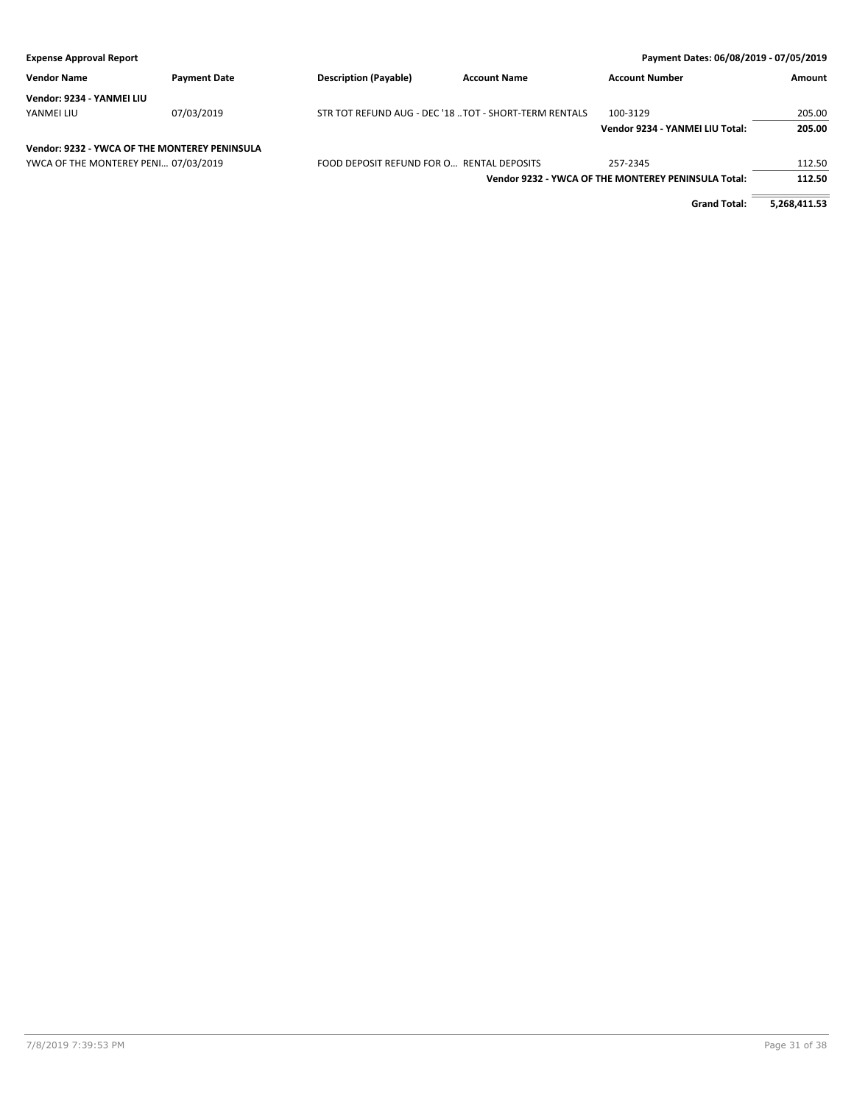| <b>Expense Approval Report</b>                |                     |                                                        |                     | Payment Dates: 06/08/2019 - 07/05/2019              |        |
|-----------------------------------------------|---------------------|--------------------------------------------------------|---------------------|-----------------------------------------------------|--------|
| <b>Vendor Name</b>                            | <b>Payment Date</b> | <b>Description (Payable)</b>                           | <b>Account Name</b> | <b>Account Number</b>                               | Amount |
| Vendor: 9234 - YANMEI LIU                     |                     |                                                        |                     |                                                     |        |
| YANMEI LIU                                    | 07/03/2019          | STR TOT REFUND AUG - DEC '18  TOT - SHORT-TERM RENTALS |                     | 100-3129                                            | 205.00 |
|                                               |                     |                                                        |                     | Vendor 9234 - YANMEI LIU Total:                     | 205.00 |
| Vendor: 9232 - YWCA OF THE MONTEREY PENINSULA |                     |                                                        |                     |                                                     |        |
| YWCA OF THE MONTEREY PENI 07/03/2019          |                     | FOOD DEPOSIT REFUND FOR O RENTAL DEPOSITS              |                     | 257-2345                                            | 112.50 |
|                                               |                     |                                                        |                     | Vendor 9232 - YWCA OF THE MONTEREY PENINSULA Total: | 112.50 |

**Grand Total: 5,268,411.53**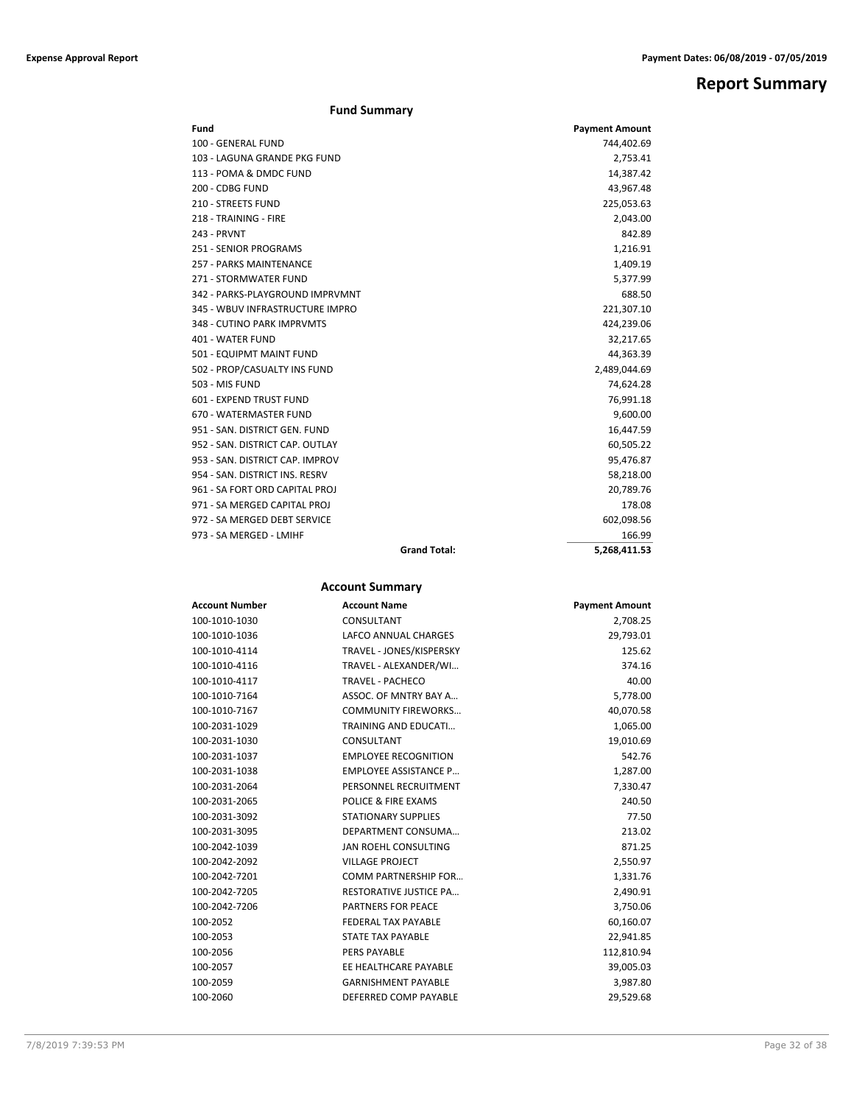## **Report Summary**

|  | <b>Fund Summary</b> |
|--|---------------------|
|--|---------------------|

| Fund                            |                     | <b>Payment Amount</b> |
|---------------------------------|---------------------|-----------------------|
| 100 - GENERAL FUND              |                     | 744,402.69            |
| 103 - LAGUNA GRANDE PKG FUND    |                     | 2,753.41              |
| 113 - POMA & DMDC FUND          |                     | 14,387.42             |
| 200 - CDBG FUND                 |                     | 43,967.48             |
| 210 - STREETS FUND              |                     | 225,053.63            |
| 218 - TRAINING - FIRE           |                     | 2,043.00              |
| <b>243 - PRVNT</b>              |                     | 842.89                |
| <b>251 - SENIOR PROGRAMS</b>    |                     | 1,216.91              |
| <b>257 - PARKS MAINTENANCE</b>  |                     | 1,409.19              |
| 271 - STORMWATER FUND           |                     | 5,377.99              |
| 342 - PARKS-PLAYGROUND IMPRVMNT |                     | 688.50                |
| 345 - WBUV INFRASTRUCTURE IMPRO |                     | 221,307.10            |
| 348 - CUTINO PARK IMPRVMTS      |                     | 424,239.06            |
| <b>401 - WATER FUND</b>         |                     | 32,217.65             |
| 501 - EQUIPMT MAINT FUND        |                     | 44,363.39             |
| 502 - PROP/CASUALTY INS FUND    |                     | 2,489,044.69          |
| 503 - MIS FUND                  |                     | 74,624.28             |
| 601 - EXPEND TRUST FUND         |                     | 76,991.18             |
| 670 - WATERMASTER FUND          |                     | 9,600.00              |
| 951 - SAN, DISTRICT GEN, FUND   |                     | 16,447.59             |
| 952 - SAN, DISTRICT CAP, OUTLAY |                     | 60,505.22             |
| 953 - SAN, DISTRICT CAP, IMPROV |                     | 95,476.87             |
| 954 - SAN, DISTRICT INS, RESRV  |                     | 58,218.00             |
| 961 - SA FORT ORD CAPITAL PROJ  |                     | 20,789.76             |
| 971 - SA MERGED CAPITAL PROJ    |                     | 178.08                |
| 972 - SA MERGED DEBT SERVICE    |                     | 602,098.56            |
| 973 - SA MERGED - LMIHF         |                     | 166.99                |
|                                 | <b>Grand Total:</b> | 5,268,411.53          |

## **Account Summary**

| <b>Account Number</b> | <b>Account Name</b>           | <b>Payment Amount</b> |
|-----------------------|-------------------------------|-----------------------|
| 100-1010-1030         | CONSULTANT                    | 2,708.25              |
| 100-1010-1036         | LAFCO ANNUAL CHARGES          | 29,793.01             |
| 100-1010-4114         | TRAVEL - JONES/KISPERSKY      | 125.62                |
| 100-1010-4116         | TRAVEL - ALEXANDER/WI         | 374.16                |
| 100-1010-4117         | <b>TRAVEL - PACHECO</b>       | 40.00                 |
| 100-1010-7164         | ASSOC. OF MNTRY BAY A         | 5,778.00              |
| 100-1010-7167         | <b>COMMUNITY FIREWORKS</b>    | 40,070.58             |
| 100-2031-1029         | <b>TRAINING AND EDUCATI</b>   | 1,065.00              |
| 100-2031-1030         | CONSULTANT                    | 19,010.69             |
| 100-2031-1037         | <b>EMPLOYEE RECOGNITION</b>   | 542.76                |
| 100-2031-1038         | <b>EMPLOYEE ASSISTANCE P</b>  | 1,287.00              |
| 100-2031-2064         | PERSONNEL RECRUITMENT         | 7,330.47              |
| 100-2031-2065         | POLICE & FIRE EXAMS           | 240.50                |
| 100-2031-3092         | <b>STATIONARY SUPPLIES</b>    | 77.50                 |
| 100-2031-3095         | DEPARTMENT CONSUMA            | 213.02                |
| 100-2042-1039         | <b>JAN ROEHL CONSULTING</b>   | 871.25                |
| 100-2042-2092         | <b>VILLAGE PROJECT</b>        | 2,550.97              |
| 100-2042-7201         | COMM PARTNERSHIP FOR          | 1,331.76              |
| 100-2042-7205         | <b>RESTORATIVE JUSTICE PA</b> | 2,490.91              |
| 100-2042-7206         | <b>PARTNERS FOR PEACE</b>     | 3,750.06              |
| 100-2052              | FEDERAL TAX PAYABLE           | 60,160.07             |
| 100-2053              | <b>STATE TAX PAYABLE</b>      | 22,941.85             |
| 100-2056              | <b>PERS PAYABLE</b>           | 112,810.94            |
| 100-2057              | EE HEALTHCARE PAYABLE         | 39,005.03             |
| 100-2059              | <b>GARNISHMENT PAYABLE</b>    | 3,987.80              |
| 100-2060              | DEFERRED COMP PAYABLE         | 29,529.68             |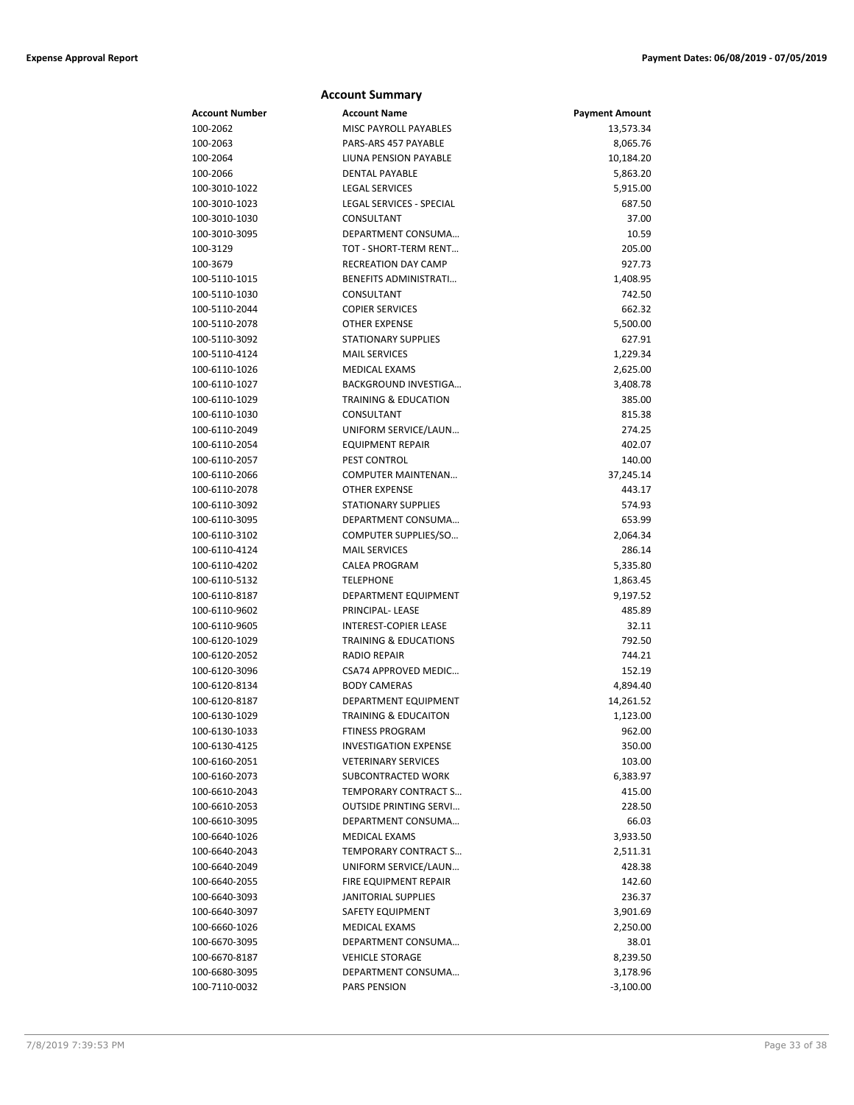| <b>Account Summary</b>         |                                            |                       |  |
|--------------------------------|--------------------------------------------|-----------------------|--|
| Account Number                 | <b>Account Name</b>                        | <b>Payment Amount</b> |  |
| 100-2062                       | <b>MISC PAYROLL PAYABLES</b>               | 13,573.34             |  |
| 100-2063                       | PARS-ARS 457 PAYABLE                       | 8,065.76              |  |
| 100-2064                       | LIUNA PENSION PAYABLE                      | 10,184.20             |  |
| 100-2066                       | <b>DENTAL PAYABLE</b>                      | 5,863.20              |  |
| 100-3010-1022                  | <b>LEGAL SERVICES</b>                      | 5,915.00              |  |
| 100-3010-1023                  | LEGAL SERVICES - SPECIAL                   | 687.50                |  |
| 100-3010-1030                  | CONSULTANT                                 | 37.00                 |  |
| 100-3010-3095                  | DEPARTMENT CONSUMA                         | 10.59                 |  |
| 100-3129                       | TOT - SHORT-TERM RENT                      | 205.00                |  |
| 100-3679                       | <b>RECREATION DAY CAMP</b>                 | 927.73                |  |
| 100-5110-1015                  | <b>BENEFITS ADMINISTRATI</b>               | 1,408.95              |  |
| 100-5110-1030                  | CONSULTANT                                 | 742.50                |  |
| 100-5110-2044                  | <b>COPIER SERVICES</b>                     | 662.32                |  |
| 100-5110-2078                  | <b>OTHER EXPENSE</b>                       | 5,500.00              |  |
| 100-5110-3092                  | <b>STATIONARY SUPPLIES</b>                 | 627.91                |  |
| 100-5110-4124                  | <b>MAIL SERVICES</b>                       | 1,229.34              |  |
| 100-6110-1026                  | MEDICAL EXAMS                              | 2,625.00              |  |
| 100-6110-1027                  | BACKGROUND INVESTIGA                       | 3,408.78              |  |
| 100-6110-1029                  | <b>TRAINING &amp; EDUCATION</b>            | 385.00                |  |
| 100-6110-1030                  | CONSULTANT                                 | 815.38                |  |
| 100-6110-2049                  | UNIFORM SERVICE/LAUN                       | 274.25                |  |
| 100-6110-2054                  | <b>EQUIPMENT REPAIR</b>                    | 402.07                |  |
| 100-6110-2057                  | PEST CONTROL                               | 140.00                |  |
| 100-6110-2066                  | <b>COMPUTER MAINTENAN</b>                  | 37,245.14             |  |
| 100-6110-2078                  | <b>OTHER EXPENSE</b>                       | 443.17                |  |
| 100-6110-3092                  | <b>STATIONARY SUPPLIES</b>                 | 574.93                |  |
| 100-6110-3095                  | DEPARTMENT CONSUMA                         | 653.99                |  |
| 100-6110-3102                  | COMPUTER SUPPLIES/SO                       | 2,064.34              |  |
| 100-6110-4124                  | <b>MAIL SERVICES</b>                       | 286.14                |  |
| 100-6110-4202                  | <b>CALEA PROGRAM</b>                       | 5,335.80              |  |
| 100-6110-5132                  | <b>TELEPHONE</b>                           | 1,863.45              |  |
| 100-6110-8187                  | DEPARTMENT EQUIPMENT                       | 9,197.52              |  |
| 100-6110-9602                  | PRINCIPAL- LEASE                           | 485.89                |  |
| 100-6110-9605                  | <b>INTEREST-COPIER LEASE</b>               | 32.11                 |  |
| 100-6120-1029                  | <b>TRAINING &amp; EDUCATIONS</b>           | 792.50                |  |
| 100-6120-2052                  | <b>RADIO REPAIR</b>                        | 744.21                |  |
| 100-6120-3096                  | CSA74 APPROVED MEDIC                       | 152.19                |  |
| 100-6120-8134                  | <b>BODY CAMERAS</b>                        | 4,894.40              |  |
| 100-6120-8187                  | <b>DEPARTMENT EQUIPMENT</b>                | 14,261.52             |  |
| 100-6130-1029                  | TRAINING & EDUCAITON                       | 1,123.00              |  |
| 100-6130-1033                  | <b>FTINESS PROGRAM</b>                     | 962.00                |  |
| 100-6130-4125                  | <b>INVESTIGATION EXPENSE</b>               | 350.00                |  |
| 100-6160-2051<br>100-6160-2073 | <b>VETERINARY SERVICES</b>                 | 103.00                |  |
|                                | SUBCONTRACTED WORK<br>TEMPORARY CONTRACT S | 6,383.97              |  |
| 100-6610-2043<br>100-6610-2053 | <b>OUTSIDE PRINTING SERVI</b>              | 415.00<br>228.50      |  |
|                                | DEPARTMENT CONSUMA                         |                       |  |
| 100-6610-3095                  | <b>MEDICAL EXAMS</b>                       | 66.03                 |  |
| 100-6640-1026<br>100-6640-2043 | TEMPORARY CONTRACT S                       | 3,933.50<br>2,511.31  |  |
| 100-6640-2049                  | UNIFORM SERVICE/LAUN                       | 428.38                |  |
| 100-6640-2055                  | FIRE EQUIPMENT REPAIR                      |                       |  |
| 100-6640-3093                  | <b>JANITORIAL SUPPLIES</b>                 | 142.60<br>236.37      |  |
| 100-6640-3097                  | SAFETY EQUIPMENT                           | 3,901.69              |  |
| 100-6660-1026                  | MEDICAL EXAMS                              | 2,250.00              |  |
| 100-6670-3095                  | DEPARTMENT CONSUMA                         | 38.01                 |  |
| 100-6670-8187                  | <b>VEHICLE STORAGE</b>                     | 8,239.50              |  |
| 100-6680-3095                  | DEPARTMENT CONSUMA                         | 3,178.96              |  |
| 100-7110-0032                  | PARS PENSION                               | $-3,100.00$           |  |
|                                |                                            |                       |  |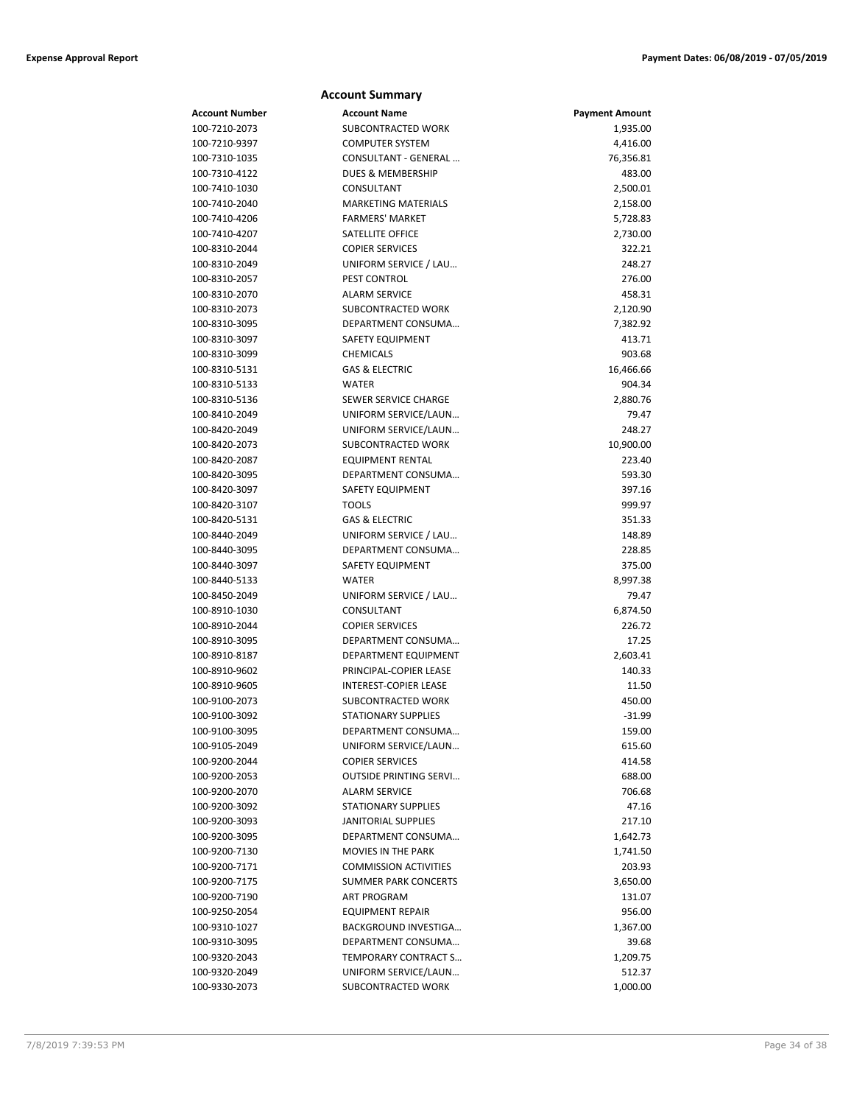|                                | <b>Account Summary</b>                      |                       |
|--------------------------------|---------------------------------------------|-----------------------|
| <b>Account Number</b>          | <b>Account Name</b>                         | <b>Payment Amount</b> |
| 100-7210-2073                  | <b>SUBCONTRACTED WORK</b>                   | 1,935.00              |
| 100-7210-9397                  | <b>COMPUTER SYSTEM</b>                      | 4,416.00              |
| 100-7310-1035                  | CONSULTANT - GENERAL                        | 76,356.81             |
| 100-7310-4122                  | DUES & MEMBERSHIP                           | 483.00                |
| 100-7410-1030                  | CONSULTANT                                  | 2,500.01              |
| 100-7410-2040                  | <b>MARKETING MATERIALS</b>                  | 2,158.00              |
| 100-7410-4206                  | <b>FARMERS' MARKET</b>                      | 5,728.83              |
| 100-7410-4207                  | <b>SATELLITE OFFICE</b>                     | 2,730.00              |
| 100-8310-2044                  | <b>COPIER SERVICES</b>                      | 322.21                |
| 100-8310-2049                  | UNIFORM SERVICE / LAU                       | 248.27                |
| 100-8310-2057                  | PEST CONTROL                                | 276.00                |
| 100-8310-2070                  | <b>ALARM SERVICE</b>                        | 458.31                |
| 100-8310-2073                  | SUBCONTRACTED WORK                          | 2,120.90              |
| 100-8310-3095                  | DEPARTMENT CONSUMA                          | 7,382.92              |
| 100-8310-3097                  | SAFETY EQUIPMENT                            | 413.71                |
| 100-8310-3099                  | <b>CHEMICALS</b>                            | 903.68                |
| 100-8310-5131                  | <b>GAS &amp; ELECTRIC</b>                   | 16,466.66             |
| 100-8310-5133                  | <b>WATER</b>                                | 904.34                |
| 100-8310-5136                  | SEWER SERVICE CHARGE                        | 2,880.76              |
| 100-8410-2049                  | UNIFORM SERVICE/LAUN                        | 79.47                 |
| 100-8420-2049                  | UNIFORM SERVICE/LAUN                        | 248.27                |
| 100-8420-2073                  | SUBCONTRACTED WORK                          | 10,900.00             |
| 100-8420-2087                  | <b>EQUIPMENT RENTAL</b>                     | 223.40                |
| 100-8420-3095                  | DEPARTMENT CONSUMA                          | 593.30                |
| 100-8420-3097                  | SAFETY EQUIPMENT                            | 397.16                |
| 100-8420-3107                  | <b>TOOLS</b>                                | 999.97                |
| 100-8420-5131                  | <b>GAS &amp; ELECTRIC</b>                   | 351.33                |
| 100-8440-2049                  | UNIFORM SERVICE / LAU                       | 148.89                |
| 100-8440-3095                  | DEPARTMENT CONSUMA                          | 228.85                |
| 100-8440-3097                  | SAFETY EQUIPMENT                            | 375.00                |
| 100-8440-5133                  | <b>WATER</b>                                | 8,997.38              |
| 100-8450-2049                  | UNIFORM SERVICE / LAU                       | 79.47                 |
| 100-8910-1030                  | CONSULTANT<br><b>COPIER SERVICES</b>        | 6,874.50              |
| 100-8910-2044                  |                                             | 226.72                |
| 100-8910-3095                  | DEPARTMENT CONSUMA                          | 17.25                 |
| 100-8910-8187<br>100-8910-9602 | DEPARTMENT EQUIPMENT                        | 2,603.41<br>140.33    |
|                                | PRINCIPAL-COPIER LEASE                      |                       |
| 100-8910-9605<br>100-9100-2073 | INTEREST-COPIER LEASE<br>SUBCONTRACTED WORK | 11.50<br>450.00       |
|                                | STATIONARY SUPPLIES                         |                       |
| 100-9100-3092<br>100-9100-3095 | DEPARTMENT CONSUMA                          | -31.99<br>159.00      |
| 100-9105-2049                  | UNIFORM SERVICE/LAUN                        | 615.60                |
| 100-9200-2044                  | <b>COPIER SERVICES</b>                      | 414.58                |
| 100-9200-2053                  | <b>OUTSIDE PRINTING SERVI</b>               | 688.00                |
| 100-9200-2070                  | <b>ALARM SERVICE</b>                        | 706.68                |
| 100-9200-3092                  | STATIONARY SUPPLIES                         | 47.16                 |
| 100-9200-3093                  | <b>JANITORIAL SUPPLIES</b>                  | 217.10                |
| 100-9200-3095                  | DEPARTMENT CONSUMA                          | 1,642.73              |
| 100-9200-7130                  | MOVIES IN THE PARK                          | 1,741.50              |
| 100-9200-7171                  | <b>COMMISSION ACTIVITIES</b>                | 203.93                |
| 100-9200-7175                  | <b>SUMMER PARK CONCERTS</b>                 | 3,650.00              |
| 100-9200-7190                  | <b>ART PROGRAM</b>                          | 131.07                |
| 100-9250-2054                  | <b>EQUIPMENT REPAIR</b>                     | 956.00                |
| 100-9310-1027                  | BACKGROUND INVESTIGA                        | 1,367.00              |
| 100-9310-3095                  | DEPARTMENT CONSUMA                          | 39.68                 |
| 100-9320-2043                  | TEMPORARY CONTRACT S                        | 1,209.75              |
| 100-9320-2049                  | UNIFORM SERVICE/LAUN                        | 512.37                |
| 100-9330-2073                  | SUBCONTRACTED WORK                          | 1,000.00              |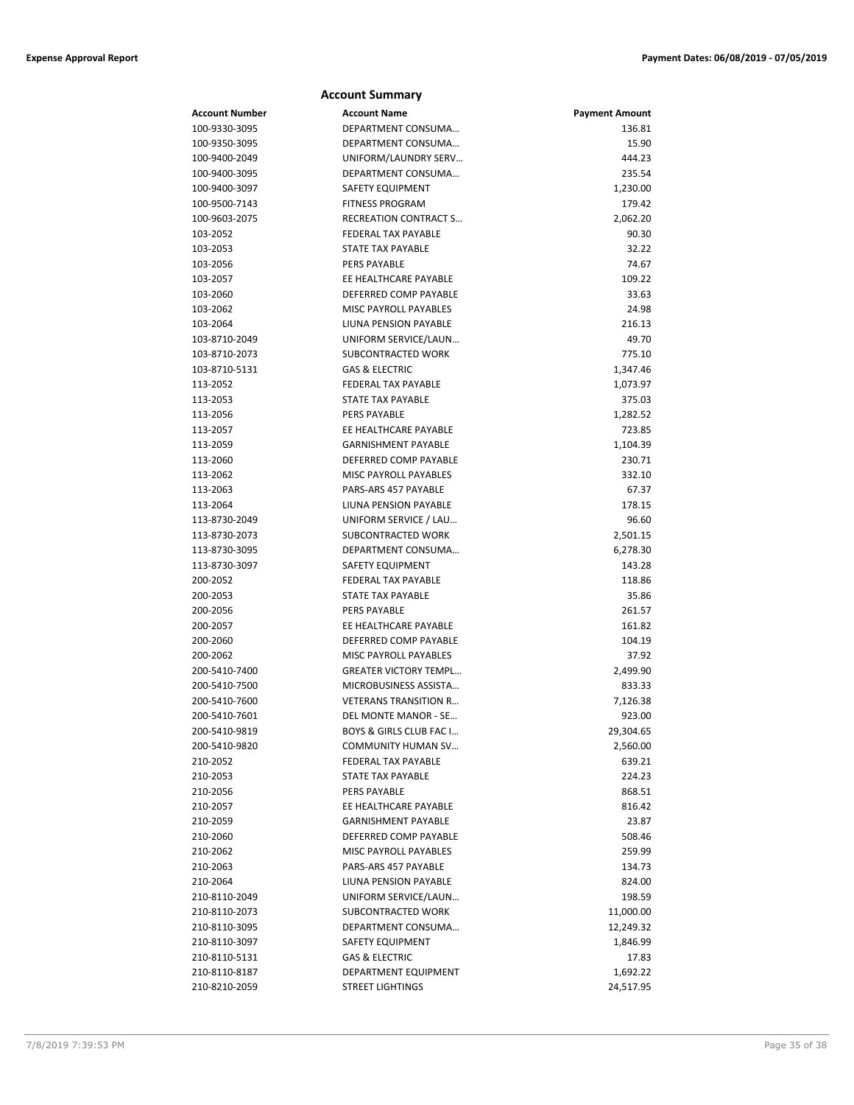|                       | <b>Account Summary</b>                        |                       |
|-----------------------|-----------------------------------------------|-----------------------|
| <b>Account Number</b> | <b>Account Name</b>                           | <b>Payment Amount</b> |
| 100-9330-3095         | DEPARTMENT CONSUMA                            | 136.81                |
| 100-9350-3095         | DEPARTMENT CONSUMA                            | 15.90                 |
| 100-9400-2049         | UNIFORM/LAUNDRY SERV                          | 444.23                |
| 100-9400-3095         | DEPARTMENT CONSUMA                            | 235.54                |
| 100-9400-3097         | <b>SAFETY EQUIPMENT</b>                       | 1,230.00              |
| 100-9500-7143         | <b>FITNESS PROGRAM</b>                        | 179.42                |
| 100-9603-2075         | RECREATION CONTRACT S                         | 2,062.20              |
| 103-2052              | FEDERAL TAX PAYABLE                           | 90.30                 |
| 103-2053              | <b>STATE TAX PAYABLE</b>                      | 32.22                 |
| 103-2056              | PERS PAYABLE                                  | 74.67                 |
| 103-2057              | EE HEALTHCARE PAYABLE                         | 109.22                |
| 103-2060              | DEFERRED COMP PAYABLE                         | 33.63                 |
| 103-2062              | MISC PAYROLL PAYABLES                         | 24.98                 |
| 103-2064              | LIUNA PENSION PAYABLE                         | 216.13                |
| 103-8710-2049         | UNIFORM SERVICE/LAUN                          | 49.70                 |
| 103-8710-2073         | SUBCONTRACTED WORK                            | 775.10                |
| 103-8710-5131         | <b>GAS &amp; ELECTRIC</b>                     | 1,347.46              |
| 113-2052              | FEDERAL TAX PAYABLE                           | 1,073.97              |
| 113-2053              | <b>STATE TAX PAYABLE</b>                      | 375.03                |
| 113-2056              | PERS PAYABLE                                  | 1,282.52              |
| 113-2057              | EE HEALTHCARE PAYABLE                         | 723.85                |
| 113-2059              | <b>GARNISHMENT PAYABLE</b>                    | 1,104.39              |
| 113-2060              | DEFERRED COMP PAYABLE                         | 230.71                |
| 113-2062              | MISC PAYROLL PAYABLES<br>PARS-ARS 457 PAYABLE | 332.10<br>67.37       |
| 113-2063<br>113-2064  | LIUNA PENSION PAYABLE                         | 178.15                |
| 113-8730-2049         | UNIFORM SERVICE / LAU                         | 96.60                 |
| 113-8730-2073         | SUBCONTRACTED WORK                            | 2,501.15              |
| 113-8730-3095         | DEPARTMENT CONSUMA                            | 6,278.30              |
| 113-8730-3097         | <b>SAFETY EQUIPMENT</b>                       | 143.28                |
| 200-2052              | <b>FEDERAL TAX PAYABLE</b>                    | 118.86                |
| 200-2053              | STATE TAX PAYABLE                             | 35.86                 |
| 200-2056              | <b>PERS PAYABLE</b>                           | 261.57                |
| 200-2057              | EE HEALTHCARE PAYABLE                         | 161.82                |
| 200-2060              | DEFERRED COMP PAYABLE                         | 104.19                |
| 200-2062              | <b>MISC PAYROLL PAYABLES</b>                  | 37.92                 |
| 200-5410-7400         | <b>GREATER VICTORY TEMPL</b>                  | 2,499.90              |
| 200-5410-7500         | MICROBUSINESS ASSISTA                         | 833.33                |
| 200-5410-7600         | <b>VETERANS TRANSITION R</b>                  | 7,126.38              |
| 200-5410-7601         | DEL MONTE MANOR - SE                          | 923.00                |
| 200-5410-9819         | BOYS & GIRLS CLUB FAC I                       | 29,304.65             |
| 200-5410-9820         | COMMUNITY HUMAN SV                            | 2,560.00              |
| 210-2052              | FEDERAL TAX PAYABLE                           | 639.21                |
| 210-2053              | <b>STATE TAX PAYABLE</b>                      | 224.23                |
| 210-2056              | <b>PERS PAYABLE</b>                           | 868.51                |
| 210-2057              | EE HEALTHCARE PAYABLE                         | 816.42                |
| 210-2059              | <b>GARNISHMENT PAYABLE</b>                    | 23.87                 |
| 210-2060              | DEFERRED COMP PAYABLE                         | 508.46                |
| 210-2062              | MISC PAYROLL PAYABLES                         | 259.99                |
| 210-2063              | PARS-ARS 457 PAYABLE                          | 134.73                |
| 210-2064              | LIUNA PENSION PAYABLE                         | 824.00                |
| 210-8110-2049         | UNIFORM SERVICE/LAUN                          | 198.59                |
| 210-8110-2073         | SUBCONTRACTED WORK                            | 11,000.00             |
| 210-8110-3095         | DEPARTMENT CONSUMA                            | 12,249.32             |
| 210-8110-3097         | SAFETY EQUIPMENT                              | 1,846.99              |
| 210-8110-5131         | <b>GAS &amp; ELECTRIC</b>                     | 17.83                 |
| 210-8110-8187         | DEPARTMENT EQUIPMENT                          | 1,692.22              |
| 210-8210-2059         | <b>STREET LIGHTINGS</b>                       | 24,517.95             |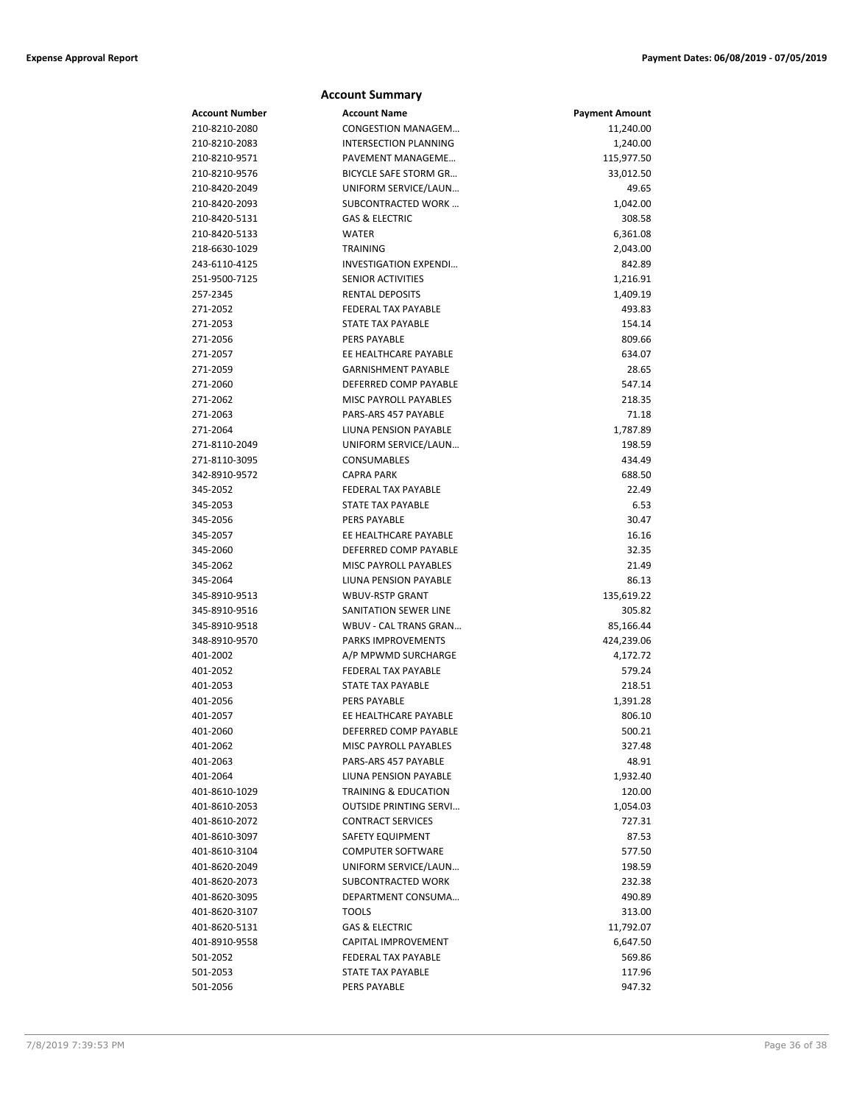|                      | <b>Account Summary</b>                        |                       |
|----------------------|-----------------------------------------------|-----------------------|
| Account Number       | <b>Account Name</b>                           | <b>Payment Amount</b> |
| 210-8210-2080        | CONGESTION MANAGEM                            | 11,240.00             |
| 210-8210-2083        | INTERSECTION PLANNING                         | 1,240.00              |
| 210-8210-9571        | PAVEMENT MANAGEME                             | 115,977.50            |
| 210-8210-9576        | BICYCLE SAFE STORM GR                         | 33,012.50             |
| 210-8420-2049        | UNIFORM SERVICE/LAUN                          | 49.65                 |
| 210-8420-2093        | SUBCONTRACTED WORK                            | 1,042.00              |
| 210-8420-5131        | <b>GAS &amp; ELECTRIC</b>                     | 308.58                |
| 210-8420-5133        | <b>WATER</b>                                  | 6,361.08              |
| 218-6630-1029        | <b>TRAINING</b>                               | 2,043.00              |
| 243-6110-4125        | INVESTIGATION EXPENDI                         | 842.89                |
| 251-9500-7125        | <b>SENIOR ACTIVITIES</b>                      | 1,216.91              |
| 257-2345             | <b>RENTAL DEPOSITS</b>                        | 1,409.19              |
| 271-2052             | <b>FEDERAL TAX PAYABLE</b>                    | 493.83                |
| 271-2053             | STATE TAX PAYABLE                             | 154.14                |
| 271-2056             | <b>PERS PAYABLE</b>                           | 809.66                |
| 271-2057             | EE HEALTHCARE PAYABLE                         | 634.07                |
| 271-2059             | <b>GARNISHMENT PAYABLE</b>                    | 28.65                 |
| 271-2060             | DEFERRED COMP PAYABLE                         | 547.14                |
| 271-2062             | <b>MISC PAYROLL PAYABLES</b>                  | 218.35                |
| 271-2063             | PARS-ARS 457 PAYABLE                          | 71.18                 |
| 271-2064             | LIUNA PENSION PAYABLE                         | 1,787.89              |
| 271-8110-2049        | UNIFORM SERVICE/LAUN                          | 198.59                |
| 271-8110-3095        | CONSUMABLES                                   | 434.49                |
| 342-8910-9572        | <b>CAPRA PARK</b>                             | 688.50                |
| 345-2052             | <b>FEDERAL TAX PAYABLE</b>                    | 22.49                 |
| 345-2053             | STATE TAX PAYABLE                             | 6.53                  |
| 345-2056             | <b>PERS PAYABLE</b>                           | 30.47                 |
| 345-2057             | EE HEALTHCARE PAYABLE                         | 16.16                 |
| 345-2060             | DEFERRED COMP PAYABLE                         | 32.35                 |
| 345-2062             | MISC PAYROLL PAYABLES                         | 21.49                 |
| 345-2064             | LIUNA PENSION PAYABLE                         | 86.13                 |
| 345-8910-9513        | <b>WBUV-RSTP GRANT</b>                        | 135,619.22            |
| 345-8910-9516        | SANITATION SEWER LINE                         | 305.82                |
| 345-8910-9518        | WBUV - CAL TRANS GRAN                         | 85,166.44             |
| 348-8910-9570        | PARKS IMPROVEMENTS                            | 424,239.06            |
| 401-2002             | A/P MPWMD SURCHARGE                           | 4,172.72              |
| 401-2052             | <b>FEDERAL TAX PAYABLE</b>                    | 579.24                |
| 401-2053             | STATE TAX PAYABLE                             | 218.51                |
| 401-2056             | PERS PAYABLE                                  | 1,391.28              |
| 401-2057             | EE HEALTHCARE PAYABLE                         | 806.10                |
| 401-2060             | DEFERRED COMP PAYABLE                         | 500.21                |
| 401-2062<br>401-2063 | MISC PAYROLL PAYABLES<br>PARS-ARS 457 PAYABLE | 327.48                |
| 401-2064             | LIUNA PENSION PAYABLE                         | 48.91<br>1,932.40     |
| 401-8610-1029        | <b>TRAINING &amp; EDUCATION</b>               | 120.00                |
| 401-8610-2053        | <b>OUTSIDE PRINTING SERVI</b>                 |                       |
| 401-8610-2072        | <b>CONTRACT SERVICES</b>                      | 1,054.03<br>727.31    |
| 401-8610-3097        | SAFETY EQUIPMENT                              | 87.53                 |
| 401-8610-3104        | <b>COMPUTER SOFTWARE</b>                      | 577.50                |
| 401-8620-2049        | UNIFORM SERVICE/LAUN                          | 198.59                |
| 401-8620-2073        | SUBCONTRACTED WORK                            | 232.38                |
| 401-8620-3095        | DEPARTMENT CONSUMA                            | 490.89                |
| 401-8620-3107        | TOOLS                                         | 313.00                |
| 401-8620-5131        | <b>GAS &amp; ELECTRIC</b>                     | 11,792.07             |
| 401-8910-9558        | CAPITAL IMPROVEMENT                           | 6,647.50              |
| 501-2052             | FEDERAL TAX PAYABLE                           | 569.86                |
| 501-2053             | <b>STATE TAX PAYABLE</b>                      | 117.96                |
| 501-2056             | PERS PAYABLE                                  | 947.32                |
|                      |                                               |                       |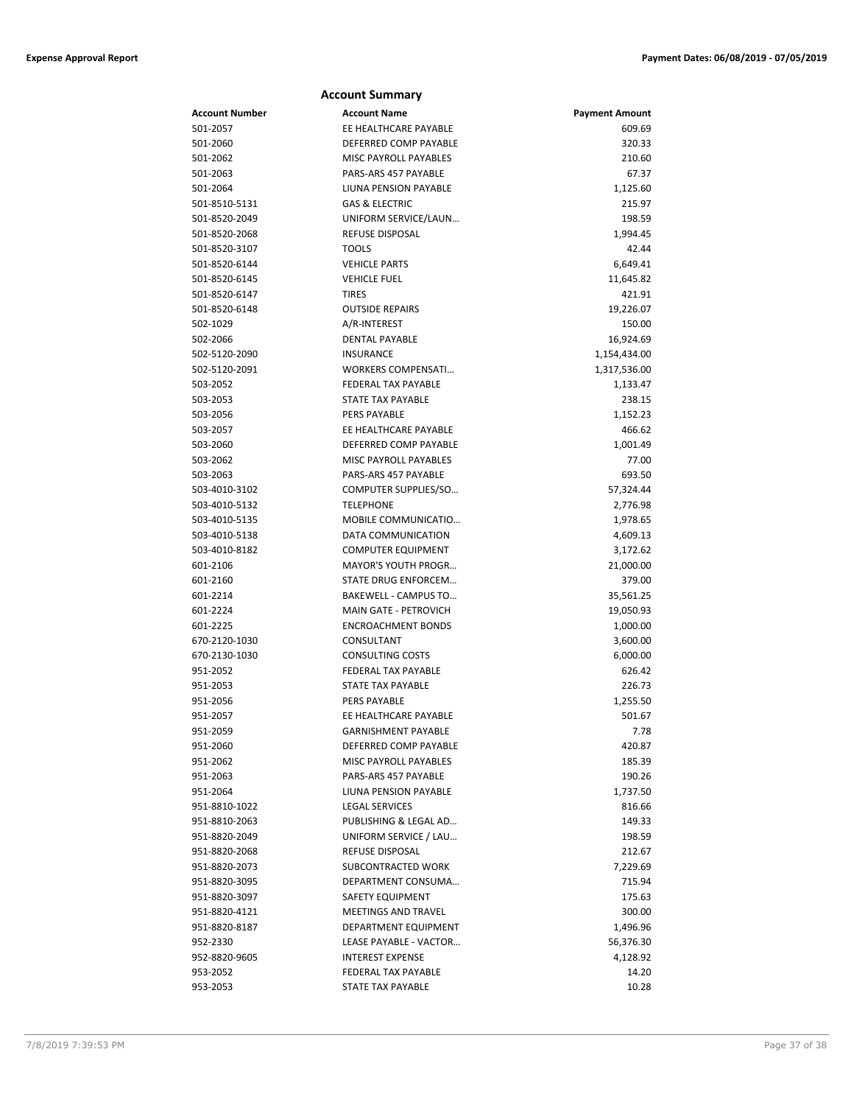|                | <b>Account Summary</b>       |                       |
|----------------|------------------------------|-----------------------|
| Account Number | <b>Account Name</b>          | <b>Payment Amount</b> |
| 501-2057       | EE HEALTHCARE PAYABLE        | 609.69                |
| 501-2060       | DEFERRED COMP PAYABLE        | 320.33                |
| 501-2062       | MISC PAYROLL PAYABLES        | 210.60                |
| 501-2063       | PARS-ARS 457 PAYABLE         | 67.37                 |
| 501-2064       | LIUNA PENSION PAYABLE        | 1,125.60              |
| 501-8510-5131  | <b>GAS &amp; ELECTRIC</b>    | 215.97                |
| 501-8520-2049  | UNIFORM SERVICE/LAUN         | 198.59                |
| 501-8520-2068  | REFUSE DISPOSAL              | 1,994.45              |
| 501-8520-3107  | <b>TOOLS</b>                 | 42.44                 |
| 501-8520-6144  | <b>VEHICLE PARTS</b>         | 6,649.41              |
| 501-8520-6145  | <b>VEHICLE FUEL</b>          | 11,645.82             |
| 501-8520-6147  | <b>TIRES</b>                 | 421.91                |
| 501-8520-6148  | <b>OUTSIDE REPAIRS</b>       | 19,226.07             |
| 502-1029       | A/R-INTEREST                 | 150.00                |
| 502-2066       | <b>DENTAL PAYABLE</b>        | 16,924.69             |
| 502-5120-2090  | <b>INSURANCE</b>             | 1,154,434.00          |
| 502-5120-2091  | <b>WORKERS COMPENSATI</b>    | 1,317,536.00          |
| 503-2052       | <b>FEDERAL TAX PAYABLE</b>   | 1,133.47              |
| 503-2053       | <b>STATE TAX PAYABLE</b>     | 238.15                |
| 503-2056       | PERS PAYABLE                 | 1,152.23              |
| 503-2057       | EE HEALTHCARE PAYABLE        | 466.62                |
| 503-2060       | DEFERRED COMP PAYABLE        | 1,001.49              |
| 503-2062       | <b>MISC PAYROLL PAYABLES</b> | 77.00                 |
| 503-2063       | PARS-ARS 457 PAYABLE         | 693.50                |
| 503-4010-3102  | COMPUTER SUPPLIES/SO         | 57,324.44             |
| 503-4010-5132  | <b>TELEPHONE</b>             | 2,776.98              |
| 503-4010-5135  | MOBILE COMMUNICATIO          | 1,978.65              |
| 503-4010-5138  | DATA COMMUNICATION           | 4,609.13              |
| 503-4010-8182  | <b>COMPUTER EQUIPMENT</b>    | 3,172.62              |
| 601-2106       | <b>MAYOR'S YOUTH PROGR</b>   | 21,000.00             |
| 601-2160       | STATE DRUG ENFORCEM          | 379.00                |
| 601-2214       | <b>BAKEWELL - CAMPUS TO</b>  | 35,561.25             |
| 601-2224       | MAIN GATE - PETROVICH        | 19,050.93             |
| 601-2225       | <b>ENCROACHMENT BONDS</b>    | 1,000.00              |
| 670-2120-1030  | CONSULTANT                   | 3,600.00              |
| 670-2130-1030  | <b>CONSULTING COSTS</b>      | 6,000.00              |
| 951-2052       | FEDERAL TAX PAYABLE          | 626.42                |
| 951-2053       | <b>STATE TAX PAYABLE</b>     | 226.73                |
| 951-2056       | PERS PAYABLE                 | 1,255.50              |
| 951-2057       | EE HEALTHCARE PAYABLE        | 501.67                |
| 951-2059       | <b>GARNISHMENT PAYABLE</b>   | 7.78                  |
| 951-2060       | DEFERRED COMP PAYABLE        | 420.87                |
| 951-2062       | <b>MISC PAYROLL PAYABLES</b> | 185.39                |
| 951-2063       | PARS-ARS 457 PAYABLE         | 190.26                |
| 951-2064       | LIUNA PENSION PAYABLE        | 1,737.50              |
| 951-8810-1022  | <b>LEGAL SERVICES</b>        | 816.66                |
| 951-8810-2063  | PUBLISHING & LEGAL AD        | 149.33                |
| 951-8820-2049  | UNIFORM SERVICE / LAU        | 198.59                |
| 951-8820-2068  | REFUSE DISPOSAL              | 212.67                |
| 951-8820-2073  | SUBCONTRACTED WORK           | 7,229.69              |
| 951-8820-3095  | DEPARTMENT CONSUMA           | 715.94                |
| 951-8820-3097  | SAFETY EQUIPMENT             | 175.63                |
| 951-8820-4121  | <b>MEETINGS AND TRAVEL</b>   | 300.00                |
| 951-8820-8187  | DEPARTMENT EQUIPMENT         | 1,496.96              |
| 952-2330       | LEASE PAYABLE - VACTOR       | 56,376.30             |
| 952-8820-9605  | <b>INTEREST EXPENSE</b>      | 4,128.92              |
| 953-2052       | FEDERAL TAX PAYABLE          | 14.20                 |
| 953-2053       | STATE TAX PAYABLE            | 10.28                 |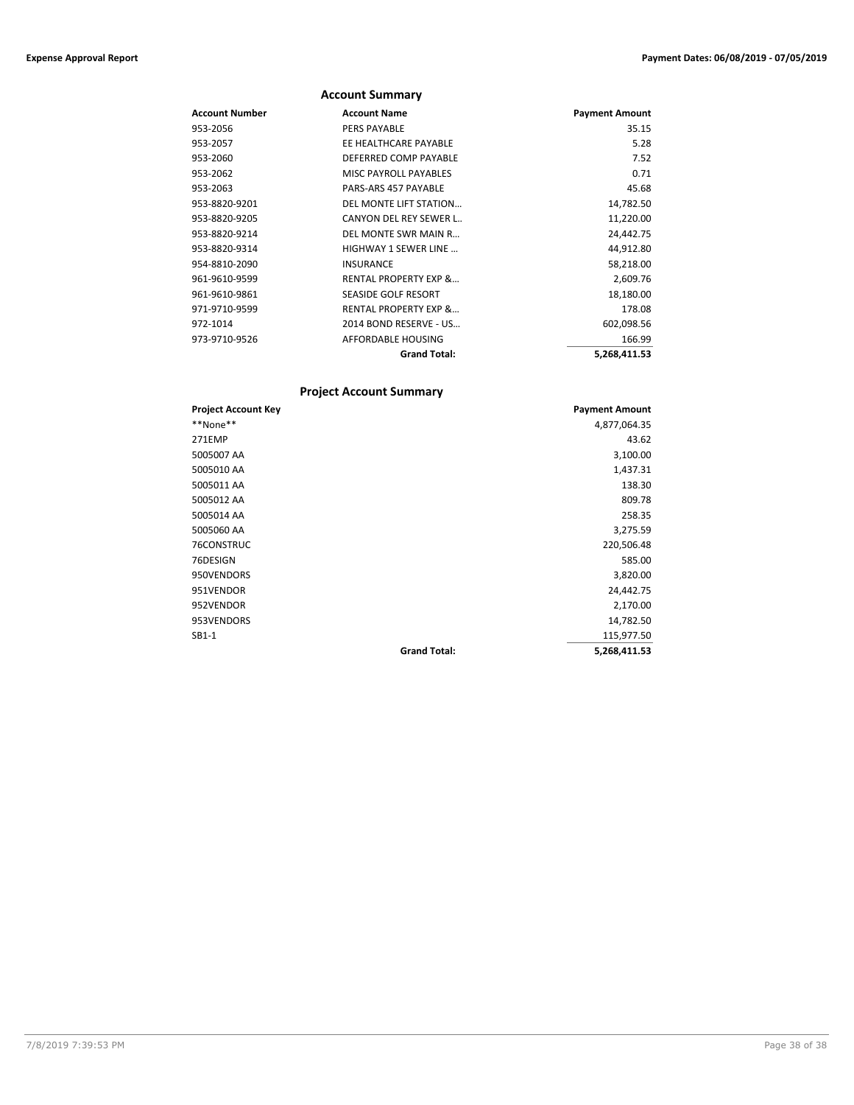|                | <b>Account Summary</b>           |                       |
|----------------|----------------------------------|-----------------------|
| Account Number | <b>Account Name</b>              | <b>Payment Amount</b> |
| 953-2056       | <b>PERS PAYABLE</b>              | 35.15                 |
| 953-2057       | EE HEALTHCARE PAYABLE            | 5.28                  |
| 953-2060       | DEFERRED COMP PAYABLE            | 7.52                  |
| 953-2062       | <b>MISC PAYROLL PAYABLES</b>     | 0.71                  |
| 953-2063       | PARS-ARS 457 PAYABLE             | 45.68                 |
| 953-8820-9201  | DEL MONTE LIFT STATION           | 14,782.50             |
| 953-8820-9205  | <b>CANYON DEL REY SEWER L</b>    | 11,220.00             |
| 953-8820-9214  | DEL MONTE SWR MAIN R             | 24,442.75             |
| 953-8820-9314  | <b>HIGHWAY 1 SEWER LINE</b>      | 44,912.80             |
| 954-8810-2090  | <b>INSURANCE</b>                 | 58,218.00             |
| 961-9610-9599  | <b>RENTAL PROPERTY EXP &amp;</b> | 2,609.76              |
| 961-9610-9861  | <b>SEASIDE GOLF RESORT</b>       | 18,180.00             |
| 971-9710-9599  | <b>RENTAL PROPERTY EXP &amp;</b> | 178.08                |
| 972-1014       | 2014 BOND RESERVE - US           | 602,098.56            |
| 973-9710-9526  | AFFORDABLE HOUSING               | 166.99                |
|                | <b>Grand Total:</b>              | 5,268,411.53          |

## **Project Account Summary**

| <b>Project Account Key</b> |                     | <b>Payment Amount</b> |
|----------------------------|---------------------|-----------------------|
| **None**                   |                     | 4,877,064.35          |
| 271EMP                     |                     | 43.62                 |
| 5005007 AA                 |                     | 3,100.00              |
| 5005010 AA                 |                     | 1,437.31              |
| 5005011 AA                 |                     | 138.30                |
| 5005012 AA                 |                     | 809.78                |
| 5005014 AA                 |                     | 258.35                |
| 5005060 AA                 |                     | 3,275.59              |
| 76CONSTRUC                 |                     | 220,506.48            |
| 76DESIGN                   |                     | 585.00                |
| 950VENDORS                 |                     | 3,820.00              |
| 951VENDOR                  |                     | 24,442.75             |
| 952VENDOR                  |                     | 2,170.00              |
| 953VENDORS                 |                     | 14,782.50             |
| $SB1-1$                    |                     | 115,977.50            |
|                            | <b>Grand Total:</b> | 5,268,411.53          |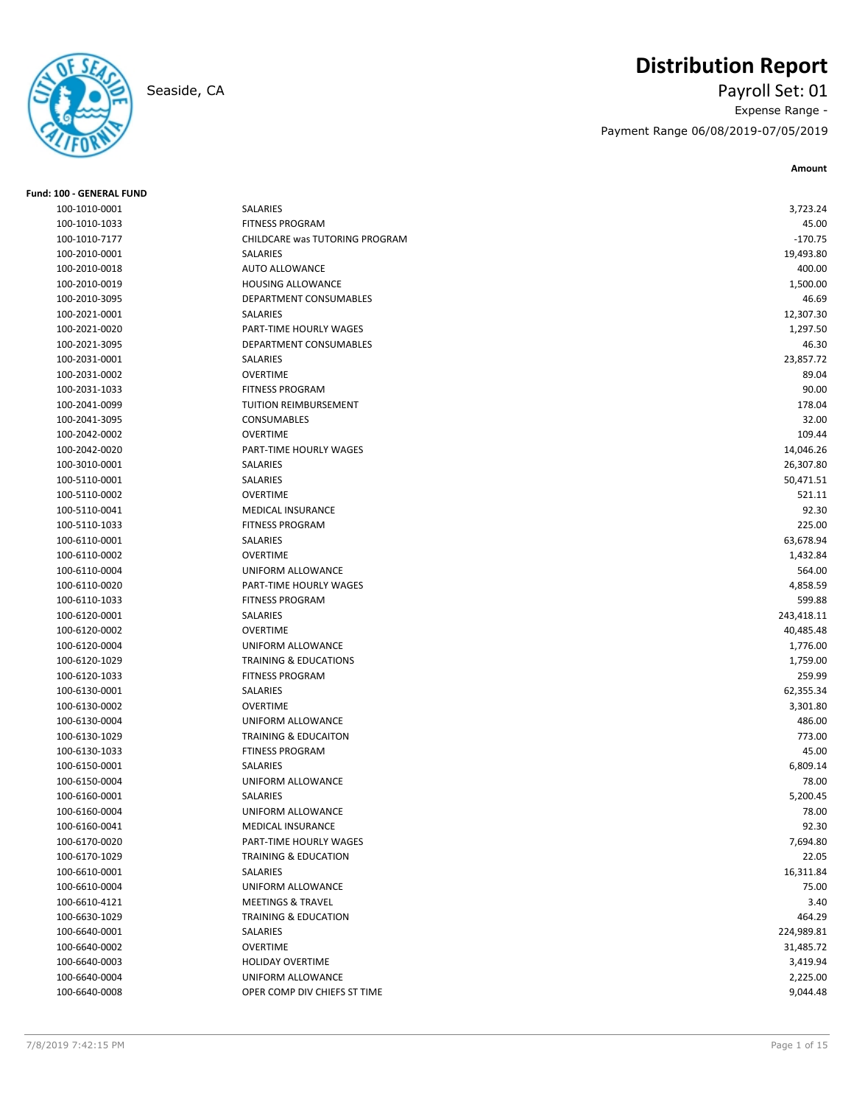# **Distribution Report**



**Fund: 100 - GENERAL FUND**

## Seaside, CA Payroll Set: 01 Expense Range - Payment Range 06/08/2019-07/05/2019

**Amount**

| 100-1010-0001 | SALARIES                         | 3,723.24   |
|---------------|----------------------------------|------------|
| 100-1010-1033 | <b>FITNESS PROGRAM</b>           | 45.00      |
| 100-1010-7177 | CHILDCARE was TUTORING PROGRAM   | $-170.75$  |
| 100-2010-0001 | SALARIES                         | 19,493.80  |
| 100-2010-0018 | <b>AUTO ALLOWANCE</b>            | 400.00     |
| 100-2010-0019 | HOUSING ALLOWANCE                | 1,500.00   |
| 100-2010-3095 | DEPARTMENT CONSUMABLES           | 46.69      |
| 100-2021-0001 | SALARIES                         | 12,307.30  |
| 100-2021-0020 | PART-TIME HOURLY WAGES           | 1,297.50   |
| 100-2021-3095 | DEPARTMENT CONSUMABLES           | 46.30      |
| 100-2031-0001 | SALARIES                         | 23,857.72  |
| 100-2031-0002 | <b>OVERTIME</b>                  | 89.04      |
| 100-2031-1033 | <b>FITNESS PROGRAM</b>           | 90.00      |
| 100-2041-0099 | TUITION REIMBURSEMENT            | 178.04     |
| 100-2041-3095 | <b>CONSUMABLES</b>               | 32.00      |
| 100-2042-0002 | <b>OVERTIME</b>                  | 109.44     |
| 100-2042-0020 | PART-TIME HOURLY WAGES           | 14,046.26  |
| 100-3010-0001 | SALARIES                         | 26,307.80  |
| 100-5110-0001 | SALARIES                         | 50,471.51  |
| 100-5110-0002 | <b>OVERTIME</b>                  | 521.11     |
| 100-5110-0041 | <b>MEDICAL INSURANCE</b>         | 92.30      |
| 100-5110-1033 | <b>FITNESS PROGRAM</b>           | 225.00     |
| 100-6110-0001 | SALARIES                         | 63,678.94  |
| 100-6110-0002 | <b>OVERTIME</b>                  | 1,432.84   |
| 100-6110-0004 | UNIFORM ALLOWANCE                | 564.00     |
| 100-6110-0020 | PART-TIME HOURLY WAGES           | 4,858.59   |
| 100-6110-1033 | <b>FITNESS PROGRAM</b>           | 599.88     |
| 100-6120-0001 | SALARIES                         | 243,418.11 |
| 100-6120-0002 | <b>OVERTIME</b>                  | 40,485.48  |
| 100-6120-0004 | UNIFORM ALLOWANCE                | 1,776.00   |
| 100-6120-1029 | <b>TRAINING &amp; EDUCATIONS</b> | 1,759.00   |
| 100-6120-1033 | <b>FITNESS PROGRAM</b>           | 259.99     |
| 100-6130-0001 | SALARIES                         | 62,355.34  |
| 100-6130-0002 | <b>OVERTIME</b>                  | 3,301.80   |
| 100-6130-0004 | UNIFORM ALLOWANCE                | 486.00     |
| 100-6130-1029 | <b>TRAINING &amp; EDUCAITON</b>  | 773.00     |
| 100-6130-1033 | <b>FTINESS PROGRAM</b>           | 45.00      |
| 100-6150-0001 | SALARIES                         | 6,809.14   |
| 100-6150-0004 | UNIFORM ALLOWANCE                | 78.00      |
| 100-6160-0001 | <b>SALARIES</b>                  | 5,200.45   |
| 100-6160-0004 | UNIFORM ALLOWANCE                | 78.00      |
| 100-6160-0041 | MEDICAL INSURANCE                | 92.30      |
| 100-6170-0020 | PART-TIME HOURLY WAGES           | 7,694.80   |
| 100-6170-1029 | TRAINING & EDUCATION             | 22.05      |
| 100-6610-0001 | SALARIES                         | 16,311.84  |
| 100-6610-0004 | UNIFORM ALLOWANCE                | 75.00      |
| 100-6610-4121 | <b>MEETINGS &amp; TRAVEL</b>     | 3.40       |
| 100-6630-1029 | TRAINING & EDUCATION             | 464.29     |
| 100-6640-0001 | SALARIES                         | 224,989.81 |
| 100-6640-0002 | <b>OVERTIME</b>                  | 31,485.72  |
| 100-6640-0003 | <b>HOLIDAY OVERTIME</b>          | 3,419.94   |
| 100-6640-0004 | UNIFORM ALLOWANCE                | 2,225.00   |
| 100-6640-0008 |                                  | 9,044.48   |
|               | OPER COMP DIV CHIEFS ST TIME     |            |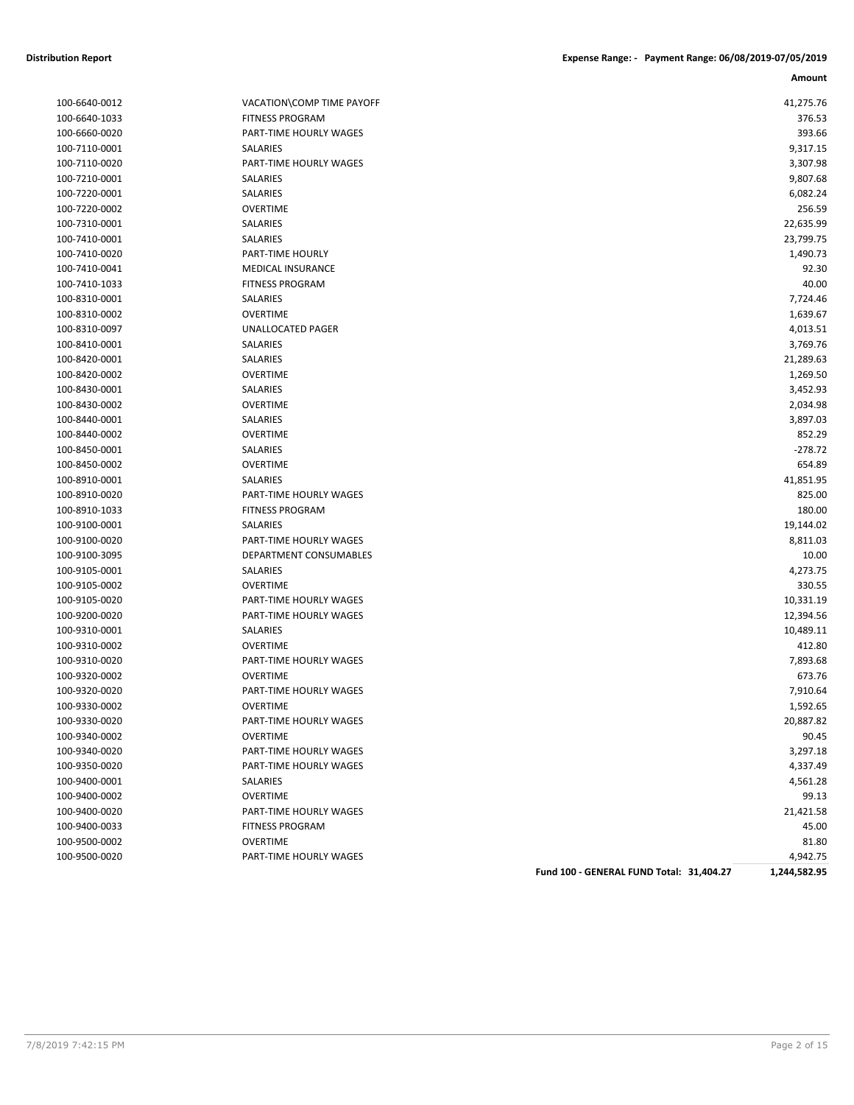| 100-6640-0012 |
|---------------|
| 100-6640-1033 |
| 100-6660-0020 |
| 100-7110-0001 |
| 100-7110-0020 |
| 100-7210-0001 |
| 100-7220-0001 |
| 100-7220-0002 |
| 100-7310-0001 |
| 100-7410-0001 |
| 100-7410-0020 |
| 100-7410-0041 |
| 100-7410-1033 |
| 100-8310-0001 |
| 100-8310-0002 |
| 100-8310-0097 |
|               |
| 100-8410-0001 |
| 100-8420-0001 |
| 100-8420-0002 |
| 100-8430-0001 |
| 100-8430-0002 |
| 100-8440-0001 |
| 100-8440-0002 |
| 100-8450-0001 |
| 100-8450-0002 |
| 100-8910-0001 |
| 100-8910-0020 |
| 100-8910-1033 |
| 100-9100-0001 |
| 100-9100-0020 |
| 100-9100-3095 |
| 100-9105-0001 |
| 100-9105-0002 |
| 100-9105-0020 |
| 100-9200-0020 |
| 100-9310-0001 |
| 100-9310-0002 |
| 100-9310-0020 |
| 100-9320-0002 |
| 100-9320-0020 |
| 100-9330-0002 |
| 100-9330-0020 |
|               |
| 100-9340-0002 |
| 100-9340-0020 |
| 100-9350-0020 |
| 100-9400-0001 |
| 100-9400-0002 |
| 100-9400-0020 |
| 100-9400-0033 |
| 100-9500-0002 |
| 100-9500-0020 |

| 100-6640-0012 | VACATION\COMP TIME PAYOFF | 41,275.76 |
|---------------|---------------------------|-----------|
| 100-6640-1033 | <b>FITNESS PROGRAM</b>    | 376.53    |
| 100-6660-0020 | PART-TIME HOURLY WAGES    | 393.66    |
| 100-7110-0001 | SALARIES                  | 9,317.15  |
| 100-7110-0020 | PART-TIME HOURLY WAGES    | 3,307.98  |
| 100-7210-0001 | SALARIES                  | 9,807.68  |
| 100-7220-0001 | SALARIES                  | 6,082.24  |
| 100-7220-0002 | <b>OVERTIME</b>           | 256.59    |
| 100-7310-0001 | SALARIES                  | 22,635.99 |
| 100-7410-0001 | SALARIES                  | 23,799.75 |
| 100-7410-0020 | PART-TIME HOURLY          | 1,490.73  |
| 100-7410-0041 | <b>MEDICAL INSURANCE</b>  | 92.30     |
| 100-7410-1033 | <b>FITNESS PROGRAM</b>    | 40.00     |
| 100-8310-0001 | SALARIES                  | 7,724.46  |
| 100-8310-0002 | <b>OVERTIME</b>           | 1,639.67  |
| 100-8310-0097 | UNALLOCATED PAGER         | 4,013.51  |
| 100-8410-0001 | SALARIES                  | 3,769.76  |
| 100-8420-0001 | SALARIES                  | 21,289.63 |
| 100-8420-0002 | <b>OVERTIME</b>           | 1,269.50  |
| 100-8430-0001 | SALARIES                  | 3,452.93  |
| 100-8430-0002 | <b>OVERTIME</b>           | 2,034.98  |
| 100-8440-0001 | SALARIES                  | 3,897.03  |
| 100-8440-0002 | <b>OVERTIME</b>           | 852.29    |
| 100-8450-0001 | SALARIES                  | $-278.72$ |
| 100-8450-0002 | <b>OVERTIME</b>           | 654.89    |
| 100-8910-0001 | <b>SALARIES</b>           | 41,851.95 |
| 100-8910-0020 | PART-TIME HOURLY WAGES    | 825.00    |
| 100-8910-1033 | <b>FITNESS PROGRAM</b>    | 180.00    |
| 100-9100-0001 | SALARIES                  | 19,144.02 |
| 100-9100-0020 | PART-TIME HOURLY WAGES    | 8,811.03  |
| 100-9100-3095 | DEPARTMENT CONSUMABLES    | 10.00     |
| 100-9105-0001 | SALARIES                  | 4,273.75  |
| 100-9105-0002 | <b>OVERTIME</b>           | 330.55    |
| 100-9105-0020 | PART-TIME HOURLY WAGES    | 10,331.19 |
| 100-9200-0020 | PART-TIME HOURLY WAGES    | 12,394.56 |
| 100-9310-0001 | SALARIES                  | 10,489.11 |
| 100-9310-0002 | <b>OVERTIME</b>           | 412.80    |
| 100-9310-0020 | PART-TIME HOURLY WAGES    | 7,893.68  |
| 100-9320-0002 | <b>OVERTIME</b>           | 673.76    |
| 100-9320-0020 | PART-TIME HOURLY WAGES    | 7,910.64  |
| 100-9330-0002 | <b>OVERTIME</b>           | 1,592.65  |
| 100-9330-0020 | PART-TIME HOURLY WAGES    | 20,887.82 |
| 100-9340-0002 | <b>OVERTIME</b>           | 90.45     |
| 100-9340-0020 | PART-TIME HOURLY WAGES    | 3,297.18  |
| 100-9350-0020 | PART-TIME HOURLY WAGES    | 4,337.49  |
| 100-9400-0001 | <b>SALARIES</b>           | 4,561.28  |
| 100-9400-0002 | <b>OVERTIME</b>           | 99.13     |
| 100-9400-0020 | PART-TIME HOURLY WAGES    | 21,421.58 |
| 100-9400-0033 | <b>FITNESS PROGRAM</b>    | 45.00     |
| 100-9500-0002 | <b>OVERTIME</b>           | 81.80     |
| 100-9500-0020 | PART-TIME HOURLY WAGES    | 4,942.75  |

**Fund 100 - GENERAL FUND Total: 31,404.27 1,244,582.95**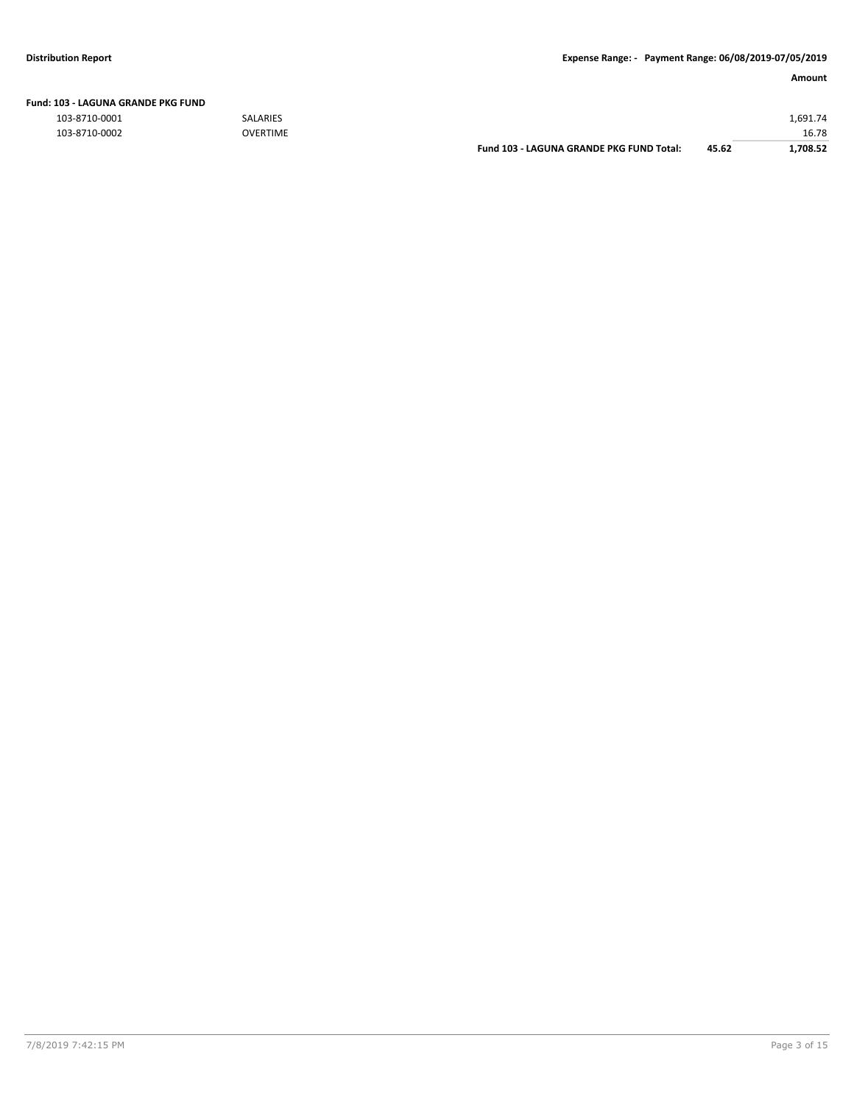| Fund: 103 - LAGUNA GRANDE PKG FUND |  |
|------------------------------------|--|
|                                    |  |

103-8710-0001 SALARIES 1,691.74

| 103-8710-0002 | <b>OVERTIME</b> |                                          |       | 16.78    |
|---------------|-----------------|------------------------------------------|-------|----------|
|               |                 | Fund 103 - LAGUNA GRANDE PKG FUND Total: | 45.62 | .,708.52 |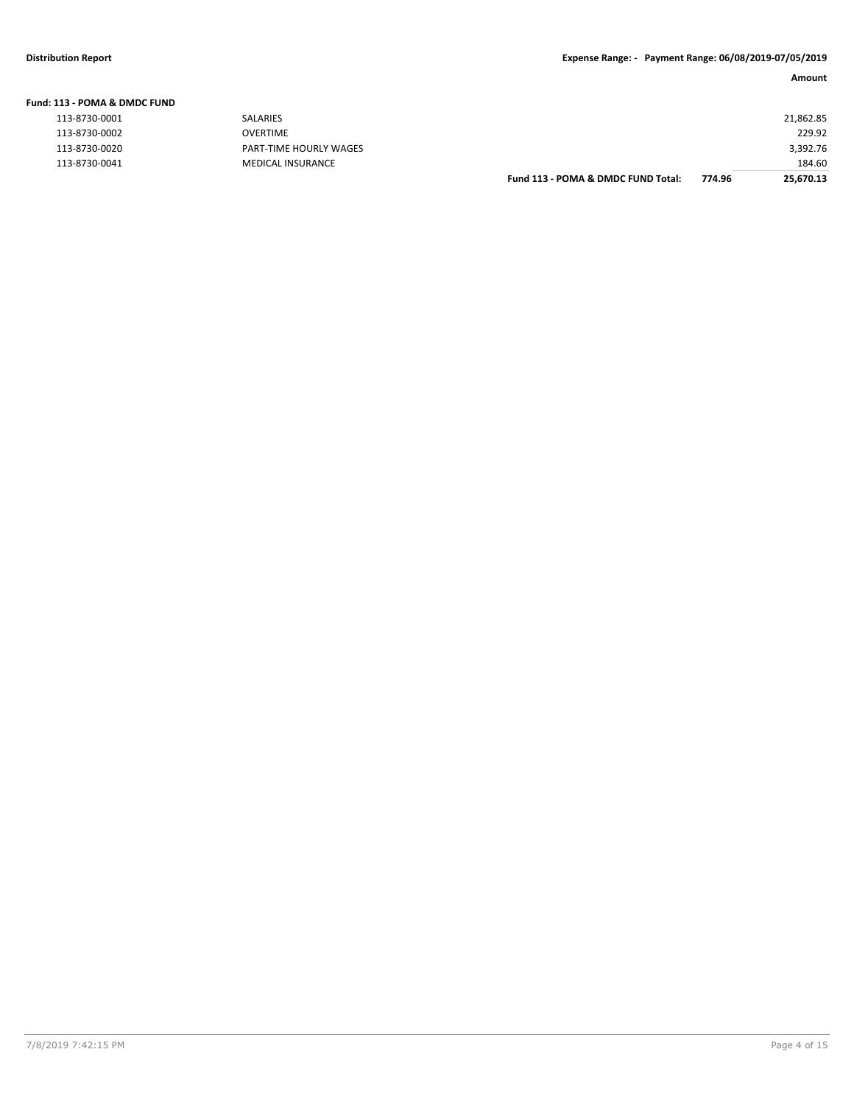| L13 - POMA & DMDC FUND |                          |                                    |        |           |
|------------------------|--------------------------|------------------------------------|--------|-----------|
| 113-8730-0001          | SALARIES                 |                                    |        | 21,862.85 |
| 113-8730-0002          | OVERTIME                 |                                    |        | 229.92    |
| 113-8730-0020          | PART-TIME HOURLY WAGES   |                                    |        | 3,392.76  |
| 113-8730-0041          | <b>MEDICAL INSURANCE</b> |                                    |        | 184.60    |
|                        |                          | Fund 113 - POMA & DMDC FUND Total: | 774.96 | 25,670.13 |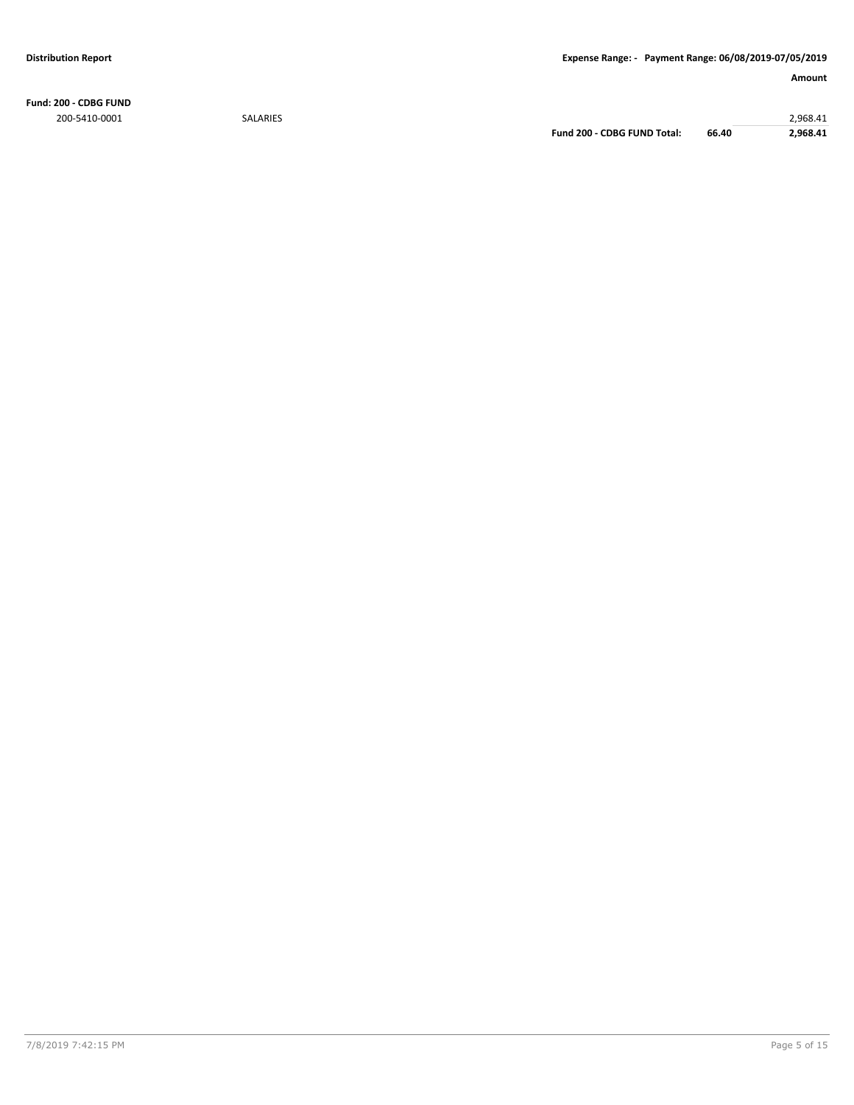**Fund: 200 - CDBG FUND** 200-5410-0001 SALARIES 2,968.41

**Fund 200 - CDBG FUND Total: 66.40 2,968.41**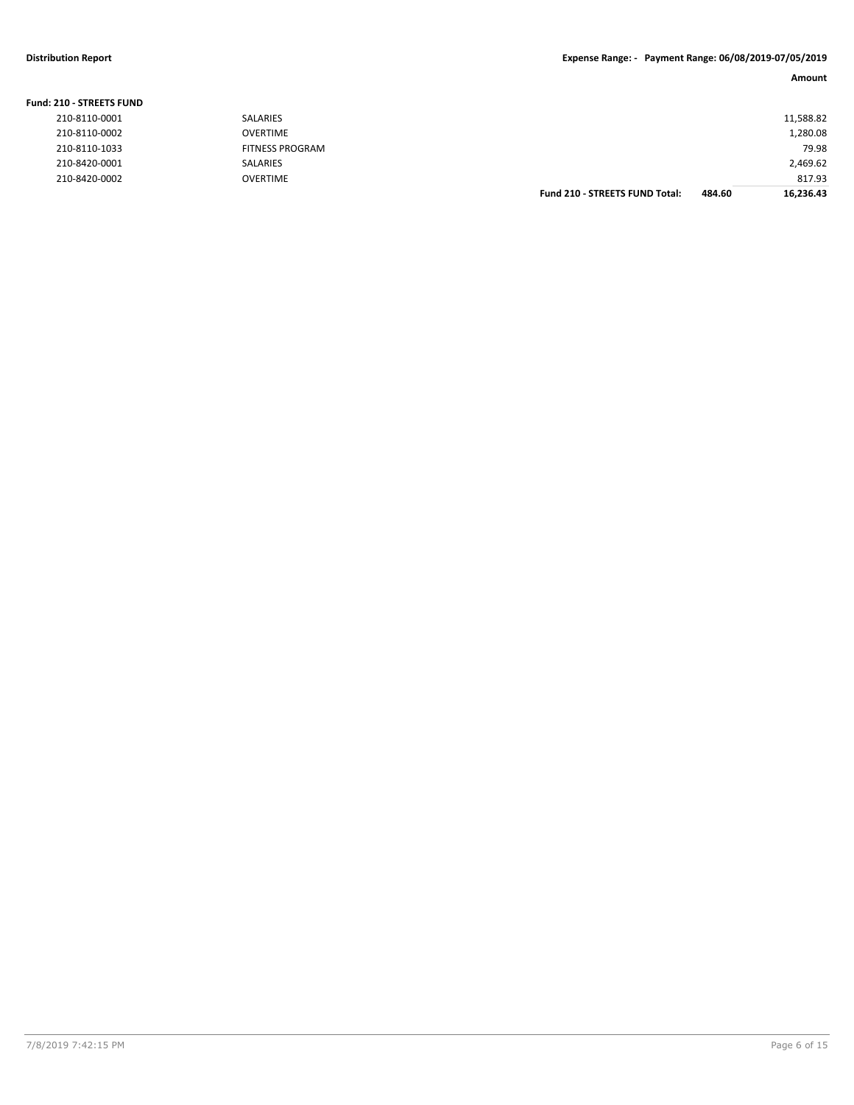## **Distribution Report Expense Range: - Payment Range: 06/08/2019-07/05/2019**

**Amount**

| <b>Fund: 210 - STREETS FUND</b> |                        |                                       |        |           |
|---------------------------------|------------------------|---------------------------------------|--------|-----------|
| 210-8110-0001                   | <b>SALARIES</b>        |                                       |        | 11,588.82 |
| 210-8110-0002                   | <b>OVERTIME</b>        |                                       |        | 1,280.08  |
| 210-8110-1033                   | <b>FITNESS PROGRAM</b> |                                       |        | 79.98     |
| 210-8420-0001                   | <b>SALARIES</b>        |                                       |        | 2,469.62  |
| 210-8420-0002                   | <b>OVERTIME</b>        |                                       |        | 817.93    |
|                                 |                        | <b>Fund 210 - STREETS FUND Total:</b> | 484.60 | 16.236.43 |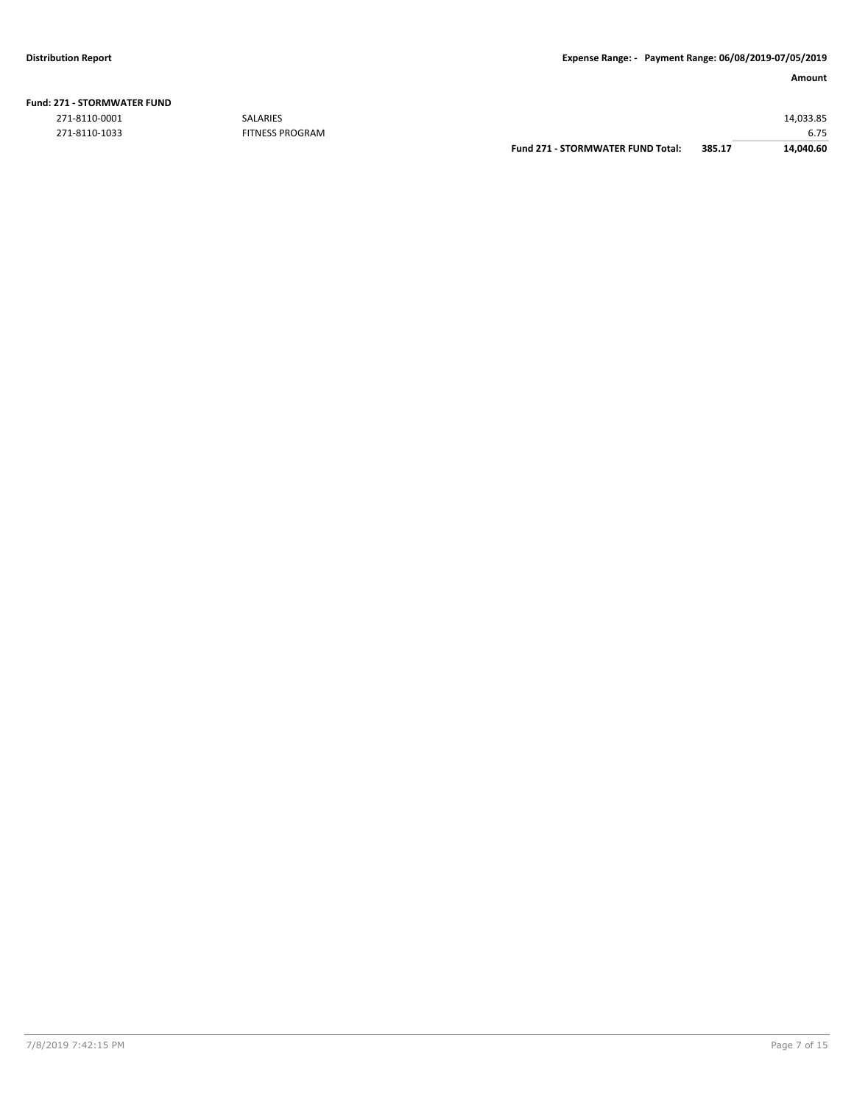|  | <b>Fund: 271 - STORMWATER FUND</b> |  |
|--|------------------------------------|--|
|  |                                    |  |

271-8110-0001 SALARIES 14,033.85

EITNESS PROGRAM **EXAMPLE SERIES AND A CONSUMING SET ASSESS** FOR THE SERIES PROGRAM **Fund 271 - STORMWATER FUND Total:** 385.17 14,040.60 **Fund 271 - STORMWATER FUND Total: 385.17**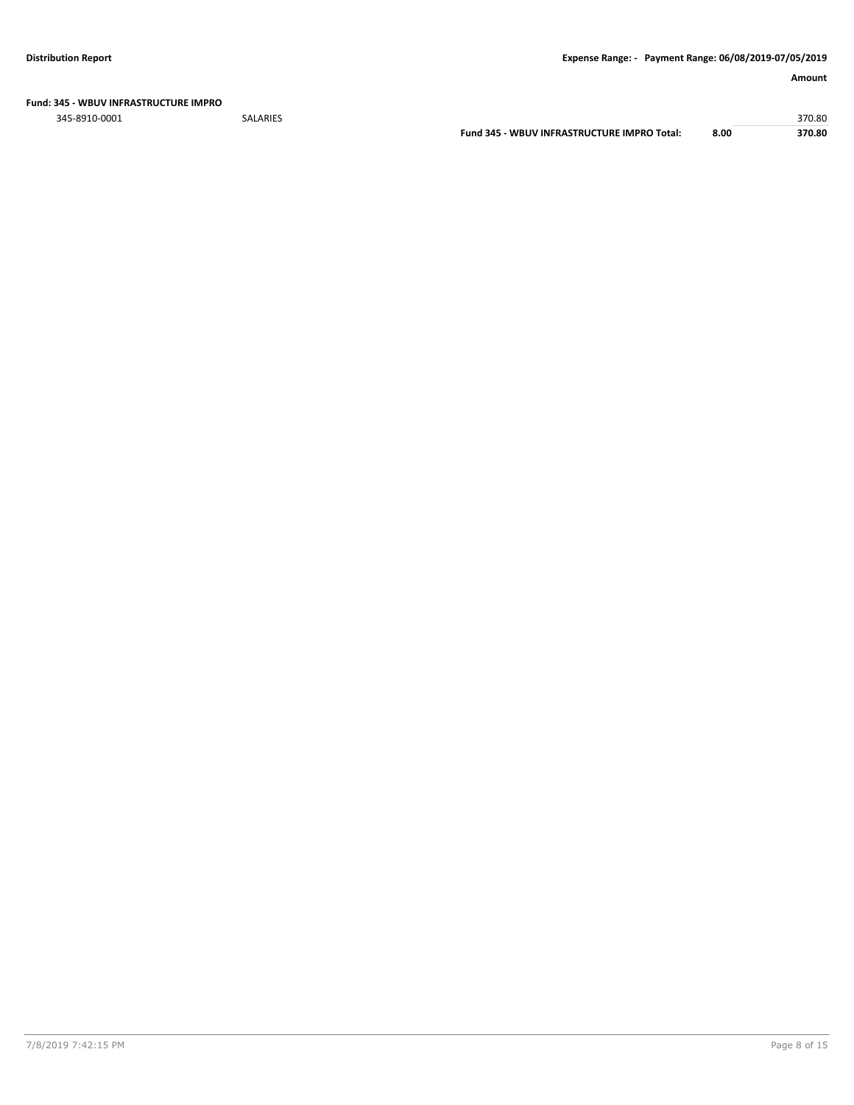**Fund: 345 - WBUV INFRASTRUCTURE IMPRO**

345-8910-0001 SALARIES 370.80 **Fund 345 - WBUV INFRASTRUCTURE IMPRO Total: 8.00 370.80**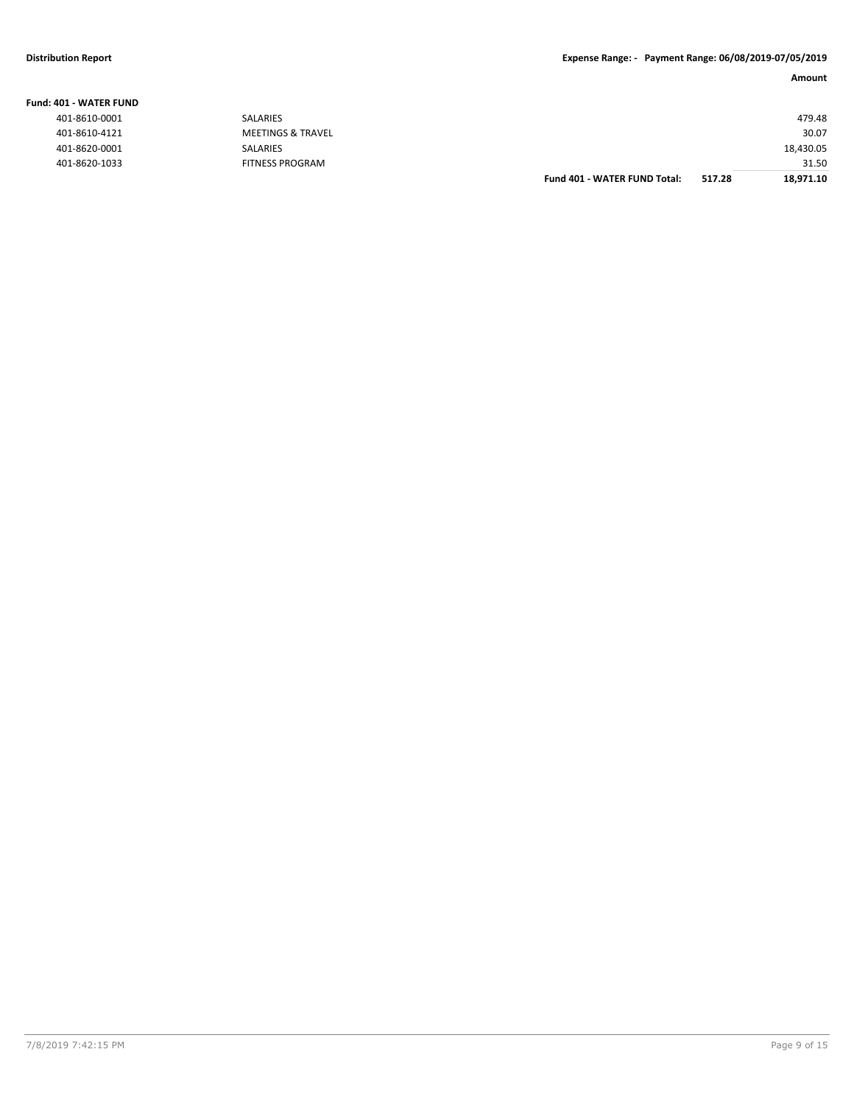## **Distribution Report Expense Range: - Payment Range: 06/08/2019-07/05/2019**

## **Amount**

| IUI - WAIEK FUND |                              |                                     |        |           |
|------------------|------------------------------|-------------------------------------|--------|-----------|
| 401-8610-0001    | SALARIES                     |                                     |        | 479.48    |
| 401-8610-4121    | <b>MEETINGS &amp; TRAVEL</b> |                                     |        | 30.07     |
| 401-8620-0001    | SALARIES                     |                                     |        | 18,430.05 |
| 401-8620-1033    | <b>FITNESS PROGRAM</b>       |                                     |        | 31.50     |
|                  |                              | <b>Fund 401 - WATER FUND Total:</b> | 517.28 | 18,971.10 |

**Fund: 401 - WATER FUND**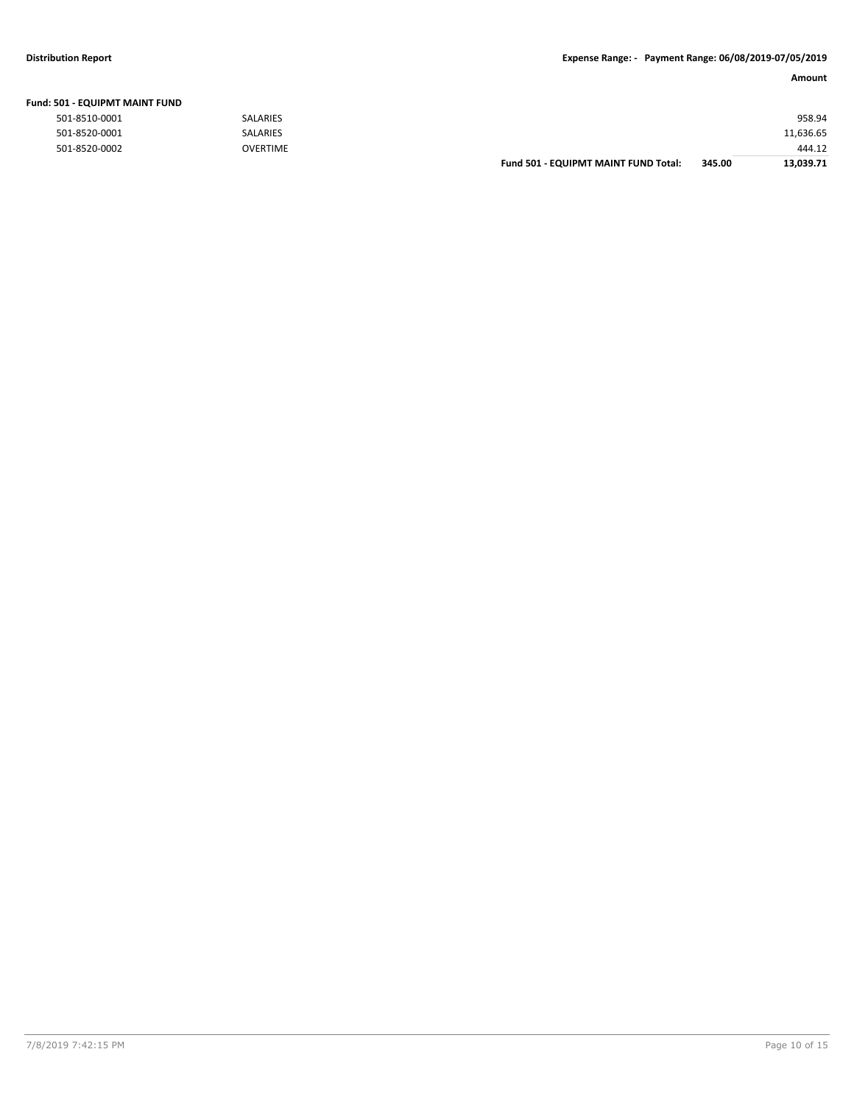## **Distribution Report Expense Range: - Payment Range: 06/08/2019-07/05/2019**

| <b>Fund: 501 - EQUIPMT MAINT FUND</b> |                 |                                      |        |           |
|---------------------------------------|-----------------|--------------------------------------|--------|-----------|
| 501-8510-0001                         | <b>SALARIES</b> |                                      |        | 958.94    |
| 501-8520-0001                         | <b>SALARIES</b> |                                      |        | 11,636.65 |
| 501-8520-0002                         | <b>OVERTIME</b> |                                      |        | 444.12    |
|                                       |                 | Fund 501 - EQUIPMT MAINT FUND Total: | 345.00 | 13.039.71 |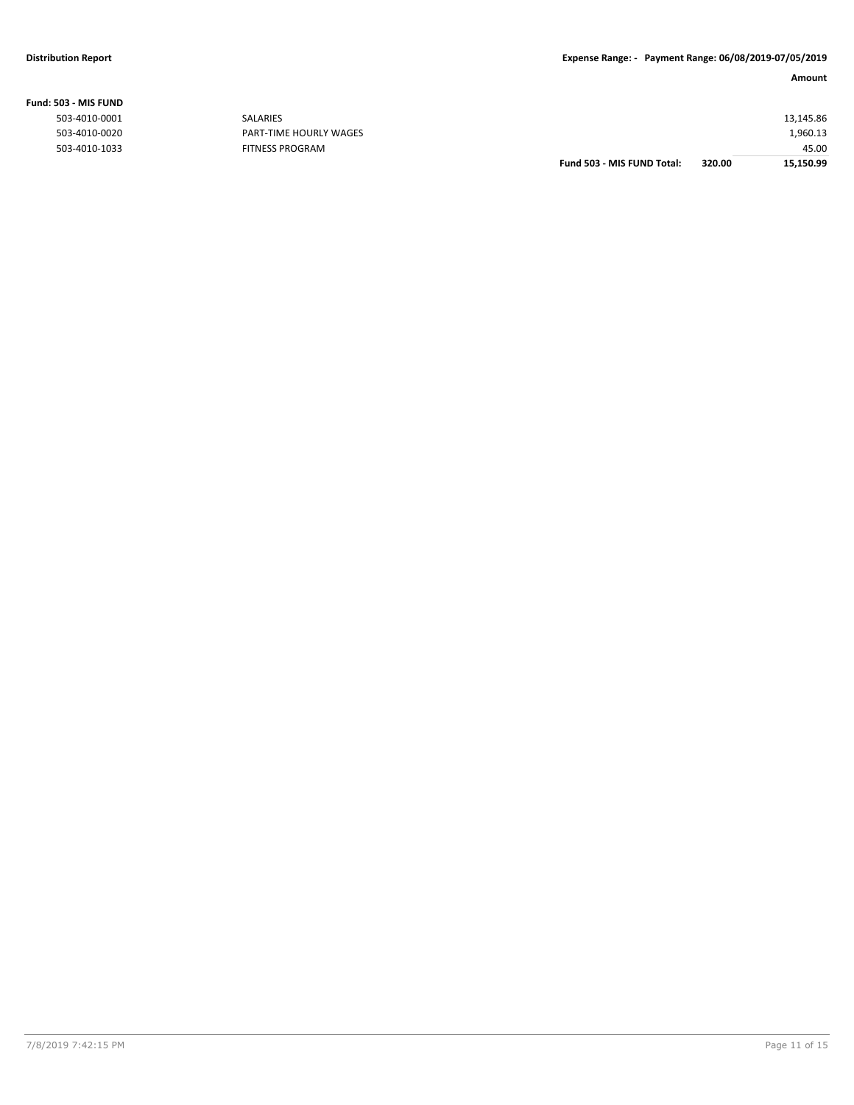|                |                               | Fund 503 - MIS FUND Total: | 320.00 | 15,150.99 |
|----------------|-------------------------------|----------------------------|--------|-----------|
| 503-4010-1033  | <b>FITNESS PROGRAM</b>        |                            |        | 45.00     |
| 503-4010-0020  | <b>PART-TIME HOURLY WAGES</b> |                            |        | 1,960.13  |
| 503-4010-0001  | <b>SALARIES</b>               |                            |        | 13,145.86 |
| ,U3 - MID FUND |                               |                            |        |           |

## **Fund: 503 - MIS FUND**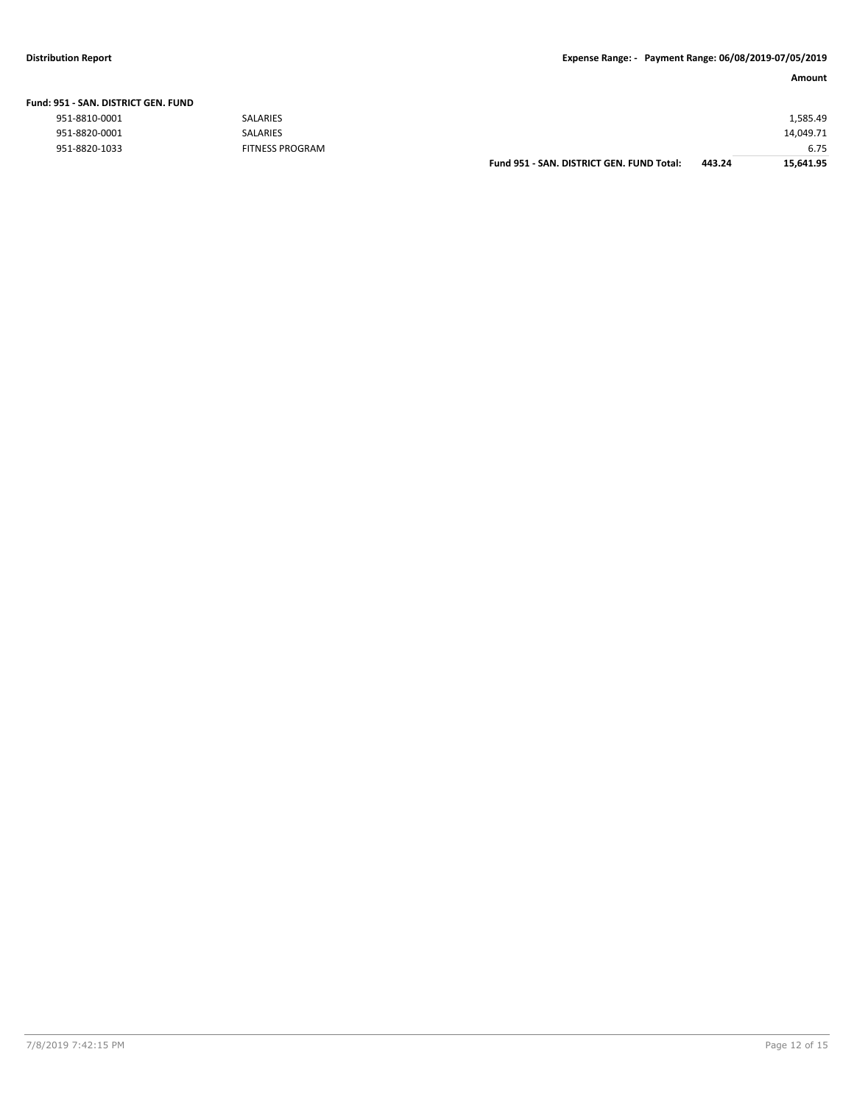|                               |                        | Fund 951 - SAN, DISTRICT GEN, FUND Total: | 443.24 | 15,641.95 |
|-------------------------------|------------------------|-------------------------------------------|--------|-----------|
| 951-8820-1033                 | <b>FITNESS PROGRAM</b> |                                           |        | 6.75      |
| 951-8820-0001                 | <b>SALARIES</b>        |                                           |        | 14,049.71 |
| 951-8810-0001                 | <b>SALARIES</b>        |                                           |        | 1,585.49  |
| 951 - SAN. DISTRICT GEN. FUND |                        |                                           |        |           |

## **Fund: 951 - SAN. DISTRICT GEN. FUND**

| 951-8810-0001 |  |
|---------------|--|
| 951-8820-0001 |  |
| 951-8820-1033 |  |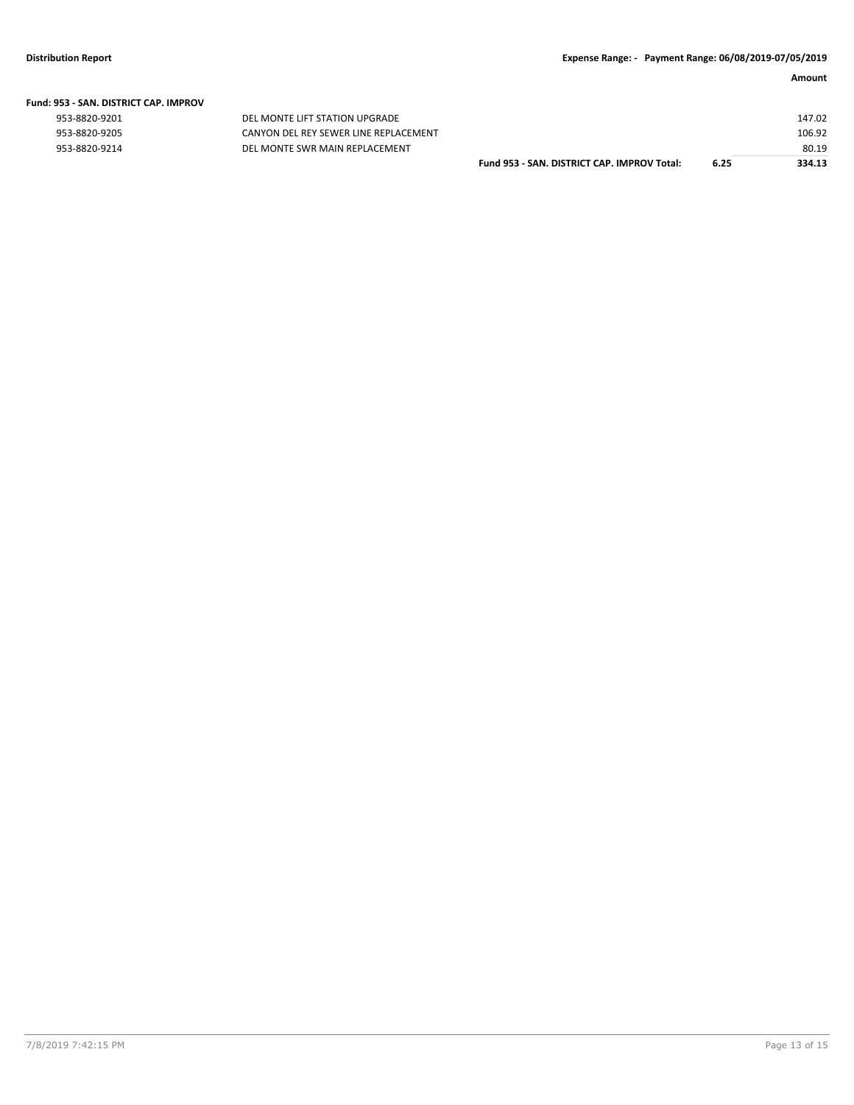|  | Fund: 953 - SAN. DISTRICT CAP. IMPROV |  |
|--|---------------------------------------|--|
|  |                                       |  |

| 953-8820-9201 |  |
|---------------|--|
| 953-8820-9205 |  |
| 953-8820-9214 |  |

DEL MONTE LIFT STATION UPGRADE CANYON DEL REY SEWER LINE REPLACEMENT 953-8820-9214 DEL MONTE SWR MAIN REPLACEMENT

| Fund 953 - SAN. DISTRICT CAP. IMPROV Total: | 6.25 | 334.13 |
|---------------------------------------------|------|--------|
|                                             |      | 80.19  |
|                                             |      | 106.92 |
|                                             |      | 147.02 |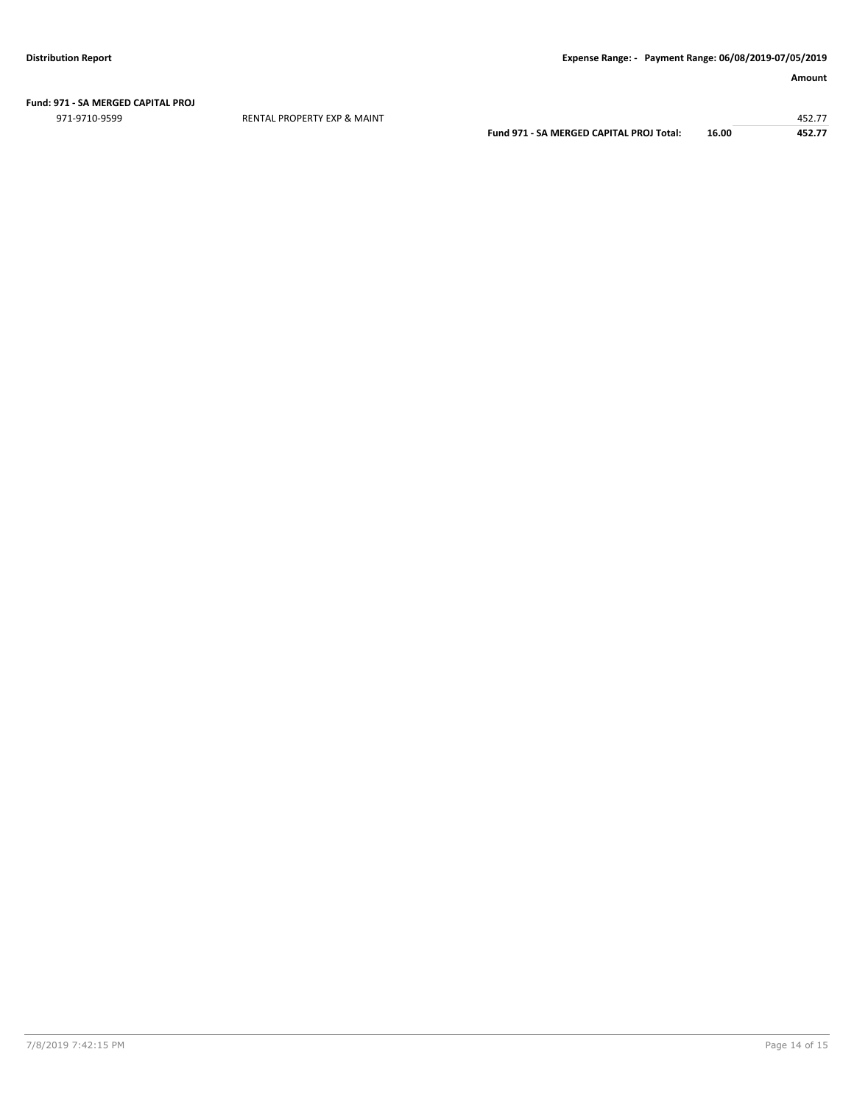## **Fund: 971 - SA MERGED CAPITAL PROJ**

971-9710-9599 RENTAL PROPERTY EXP & MAINT 452.77

**Fund 971 - SA MERGED CAPITAL PROJ Total: 16.00 452.77**